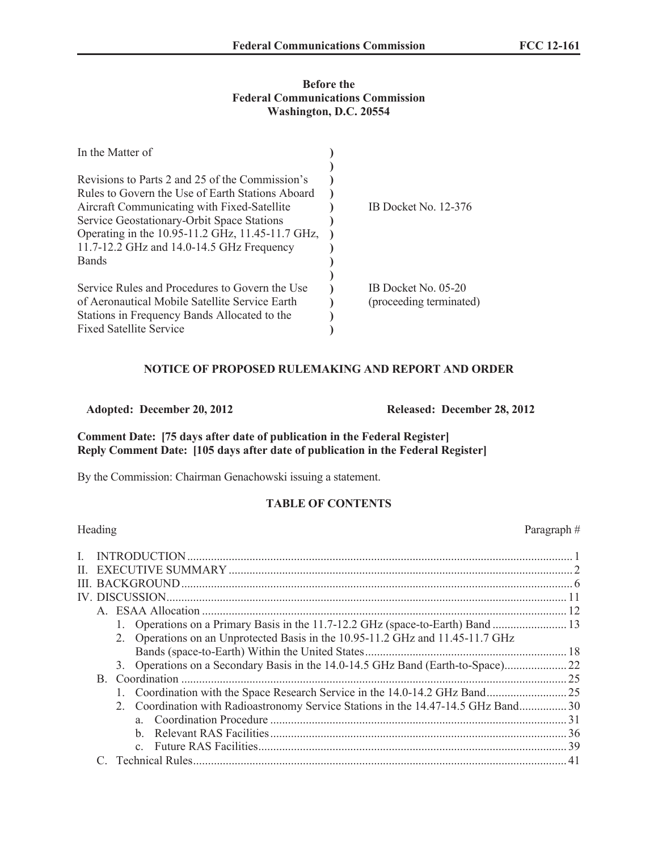#### **Before the Federal Communications Commission Washington, D.C. 20554**

| In the Matter of                                                                                                                                                                                 |                                                |
|--------------------------------------------------------------------------------------------------------------------------------------------------------------------------------------------------|------------------------------------------------|
| Revisions to Parts 2 and 25 of the Commission's<br>Rules to Govern the Use of Earth Stations Aboard<br>Aircraft Communicating with Fixed-Satellite<br>Service Geostationary-Orbit Space Stations | IB Docket No. 12-376                           |
| Operating in the 10.95-11.2 GHz, 11.45-11.7 GHz,<br>11.7-12.2 GHz and 14.0-14.5 GHz Frequency<br><b>Bands</b>                                                                                    |                                                |
| Service Rules and Procedures to Govern the Use<br>of Aeronautical Mobile Satellite Service Earth<br>Stations in Frequency Bands Allocated to the                                                 | IB Docket No. 05-20<br>(proceeding terminated) |
| <b>Fixed Satellite Service</b>                                                                                                                                                                   |                                                |

## **NOTICE OF PROPOSED RULEMAKING AND REPORT AND ORDER**

**Adopted: December 20, 2012 Released: December 28, 2012**

## **Comment Date: [75 days after date of publication in the Federal Register] Reply Comment Date: [105 days after date of publication in the Federal Register]**

By the Commission: Chairman Genachowski issuing a statement.

### **TABLE OF CONTENTS**

|              | Heading |                                                                                   | Paragraph# |
|--------------|---------|-----------------------------------------------------------------------------------|------------|
| L            |         |                                                                                   |            |
| $\mathbf{H}$ |         |                                                                                   |            |
|              |         |                                                                                   |            |
|              |         |                                                                                   |            |
|              |         |                                                                                   |            |
|              |         | 13. Operations on a Primary Basis in the 11.7-12.2 GHz (space-to-Earth) Band      |            |
|              |         | 2. Operations on an Unprotected Basis in the 10.95-11.2 GHz and 11.45-11.7 GHz    |            |
|              |         |                                                                                   |            |
|              |         | 3. Operations on a Secondary Basis in the 14.0-14.5 GHz Band (Earth-to-Space)     |            |
|              |         |                                                                                   |            |
|              |         |                                                                                   |            |
|              |         | 2. Coordination with Radioastronomy Service Stations in the 14.47-14.5 GHz Band30 |            |
|              |         |                                                                                   |            |
|              |         | h.                                                                                |            |
|              |         |                                                                                   |            |
|              |         |                                                                                   |            |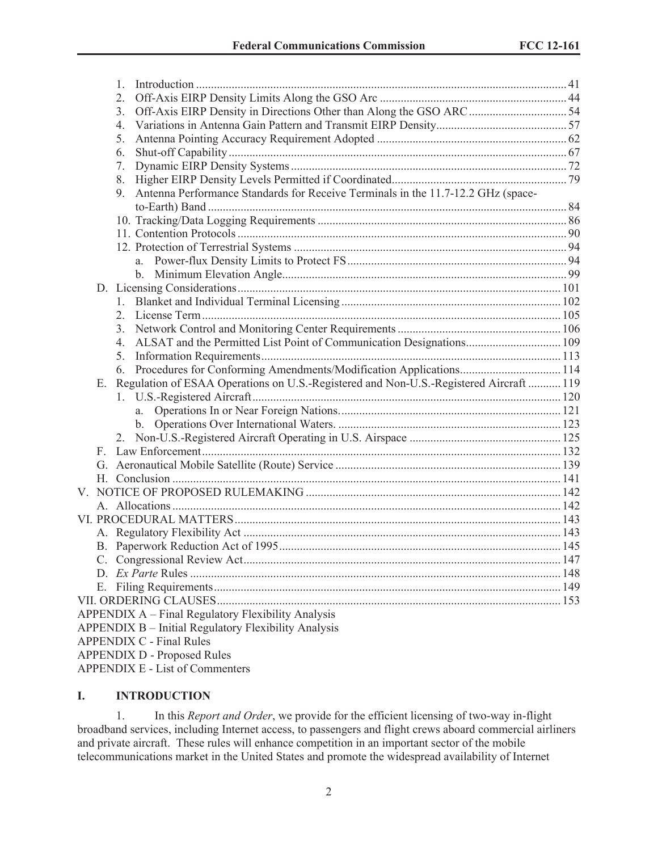|    | 1.                                                                                     |  |
|----|----------------------------------------------------------------------------------------|--|
|    | 2.                                                                                     |  |
|    | 3.                                                                                     |  |
|    | 4.                                                                                     |  |
|    | 5.                                                                                     |  |
|    | 6.                                                                                     |  |
|    | 7.                                                                                     |  |
|    | 8.                                                                                     |  |
|    | Antenna Performance Standards for Receive Terminals in the 11.7-12.2 GHz (space-<br>9. |  |
|    |                                                                                        |  |
|    |                                                                                        |  |
|    |                                                                                        |  |
|    |                                                                                        |  |
|    |                                                                                        |  |
|    |                                                                                        |  |
|    |                                                                                        |  |
|    |                                                                                        |  |
|    | 2.                                                                                     |  |
|    | 3.                                                                                     |  |
|    | ALSAT and the Permitted List Point of Communication Designations 109<br>4.             |  |
|    | 5.                                                                                     |  |
|    | 6.                                                                                     |  |
| Е. | Regulation of ESAA Operations on U.S.-Registered and Non-U.S.-Registered Aircraft  119 |  |
|    |                                                                                        |  |
|    |                                                                                        |  |
|    |                                                                                        |  |
|    | 2.                                                                                     |  |
|    |                                                                                        |  |
|    |                                                                                        |  |
|    |                                                                                        |  |
|    |                                                                                        |  |
|    |                                                                                        |  |
|    |                                                                                        |  |
|    |                                                                                        |  |
|    |                                                                                        |  |
|    |                                                                                        |  |
|    |                                                                                        |  |
|    |                                                                                        |  |
|    |                                                                                        |  |
|    | APPENDIX A – Final Regulatory Flexibility Analysis                                     |  |
|    | <b>APPENDIX B</b> – Initial Regulatory Flexibility Analysis                            |  |
|    | <b>APPENDIX C - Final Rules</b>                                                        |  |
|    | <b>APPENDIX D - Proposed Rules</b>                                                     |  |

APPENDIX E - List of Commenters

## **I. INTRODUCTION**

1. In this *Report and Order*, we provide for the efficient licensing of two-way in-flight broadband services, including Internet access, to passengers and flight crews aboard commercial airliners and private aircraft. These rules will enhance competition in an important sector of the mobile telecommunications market in the United States and promote the widespread availability of Internet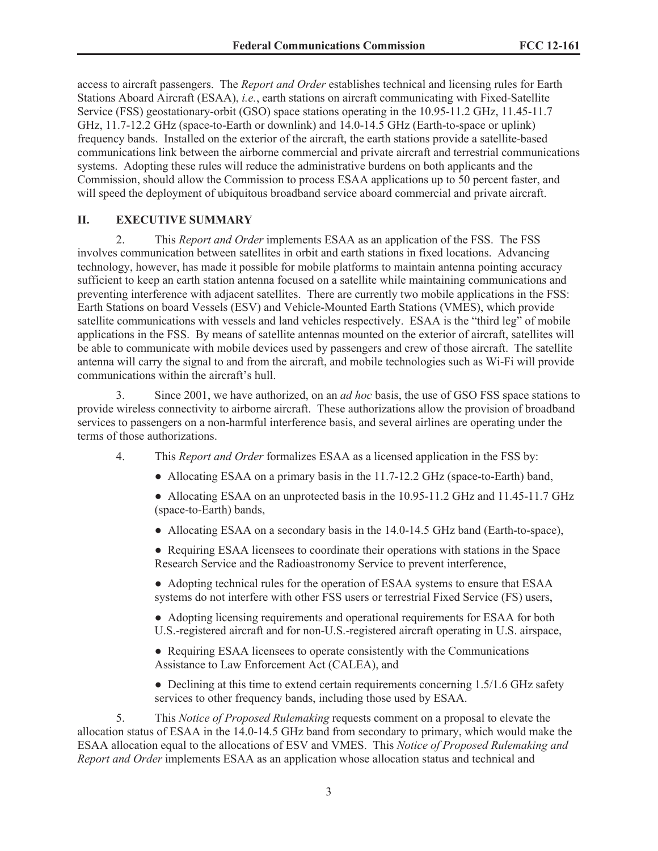access to aircraft passengers. The *Report and Order* establishes technical and licensing rules for Earth Stations Aboard Aircraft (ESAA), *i.e.*, earth stations on aircraft communicating with Fixed-Satellite Service (FSS) geostationary-orbit (GSO) space stations operating in the 10.95-11.2 GHz, 11.45-11.7 GHz, 11.7-12.2 GHz (space-to-Earth or downlink) and 14.0-14.5 GHz (Earth-to-space or uplink) frequency bands. Installed on the exterior of the aircraft, the earth stations provide a satellite-based communications link between the airborne commercial and private aircraft and terrestrial communications systems. Adopting these rules will reduce the administrative burdens on both applicants and the Commission, should allow the Commission to process ESAA applications up to 50 percent faster, and will speed the deployment of ubiquitous broadband service aboard commercial and private aircraft.

#### **II. EXECUTIVE SUMMARY**

2. This *Report and Order* implements ESAA as an application of the FSS. The FSS involves communication between satellites in orbit and earth stations in fixed locations. Advancing technology, however, has made it possible for mobile platforms to maintain antenna pointing accuracy sufficient to keep an earth station antenna focused on a satellite while maintaining communications and preventing interference with adjacent satellites. There are currently two mobile applications in the FSS: Earth Stations on board Vessels (ESV) and Vehicle-Mounted Earth Stations (VMES), which provide satellite communications with vessels and land vehicles respectively. ESAA is the "third leg" of mobile applications in the FSS. By means of satellite antennas mounted on the exterior of aircraft, satellites will be able to communicate with mobile devices used by passengers and crew of those aircraft. The satellite antenna will carry the signal to and from the aircraft, and mobile technologies such as Wi-Fi will provide communications within the aircraft's hull.

3. Since 2001, we have authorized, on an *ad hoc* basis, the use of GSO FSS space stations to provide wireless connectivity to airborne aircraft. These authorizations allow the provision of broadband services to passengers on a non-harmful interference basis, and several airlines are operating under the terms of those authorizations.

- 4. This *Report and Order* formalizes ESAA as a licensed application in the FSS by:
	- Allocating ESAA on a primary basis in the 11.7-12.2 GHz (space-to-Earth) band,
	- Allocating ESAA on an unprotected basis in the 10.95-11.2 GHz and 11.45-11.7 GHz (space-to-Earth) bands,
	- Allocating ESAA on a secondary basis in the 14.0-14.5 GHz band (Earth-to-space),
	- Requiring ESAA licensees to coordinate their operations with stations in the Space Research Service and the Radioastronomy Service to prevent interference,
	- Adopting technical rules for the operation of ESAA systems to ensure that ESAA systems do not interfere with other FSS users or terrestrial Fixed Service (FS) users,
	- Adopting licensing requirements and operational requirements for ESAA for both U.S.-registered aircraft and for non-U.S.-registered aircraft operating in U.S. airspace,
	- Requiring ESAA licensees to operate consistently with the Communications Assistance to Law Enforcement Act (CALEA), and
	- Declining at this time to extend certain requirements concerning 1.5/1.6 GHz safety services to other frequency bands, including those used by ESAA.

5. This *Notice of Proposed Rulemaking* requests comment on a proposal to elevate the allocation status of ESAA in the 14.0-14.5 GHz band from secondary to primary, which would make the ESAA allocation equal to the allocations of ESV and VMES. This *Notice of Proposed Rulemaking and Report and Order* implements ESAA as an application whose allocation status and technical and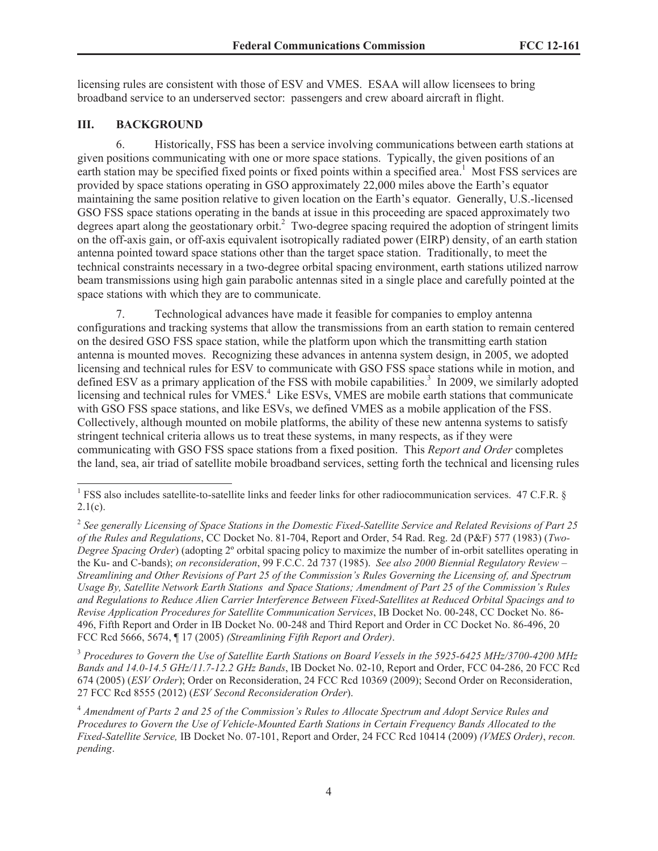licensing rules are consistent with those of ESV and VMES. ESAA will allow licensees to bring broadband service to an underserved sector: passengers and crew aboard aircraft in flight.

# **III. BACKGROUND**

6. Historically, FSS has been a service involving communications between earth stations at given positions communicating with one or more space stations. Typically, the given positions of an earth station may be specified fixed points or fixed points within a specified area.<sup>1</sup> Most FSS services are provided by space stations operating in GSO approximately 22,000 miles above the Earth's equator maintaining the same position relative to given location on the Earth's equator. Generally, U.S.-licensed GSO FSS space stations operating in the bands at issue in this proceeding are spaced approximately two degrees apart along the geostationary orbit.<sup>2</sup> Two-degree spacing required the adoption of stringent limits on the off-axis gain, or off-axis equivalent isotropically radiated power (EIRP) density, of an earth station antenna pointed toward space stations other than the target space station. Traditionally, to meet the technical constraints necessary in a two-degree orbital spacing environment, earth stations utilized narrow beam transmissions using high gain parabolic antennas sited in a single place and carefully pointed at the space stations with which they are to communicate.

7. Technological advances have made it feasible for companies to employ antenna configurations and tracking systems that allow the transmissions from an earth station to remain centered on the desired GSO FSS space station, while the platform upon which the transmitting earth station antenna is mounted moves. Recognizing these advances in antenna system design, in 2005, we adopted licensing and technical rules for ESV to communicate with GSO FSS space stations while in motion, and defined ESV as a primary application of the FSS with mobile capabilities.<sup>3</sup> In 2009, we similarly adopted licensing and technical rules for VMES.<sup>4</sup> Like ESVs, VMES are mobile earth stations that communicate with GSO FSS space stations, and like ESVs, we defined VMES as a mobile application of the FSS. Collectively, although mounted on mobile platforms, the ability of these new antenna systems to satisfy stringent technical criteria allows us to treat these systems, in many respects, as if they were communicating with GSO FSS space stations from a fixed position. This *Report and Order* completes the land, sea, air triad of satellite mobile broadband services, setting forth the technical and licensing rules

<sup>3</sup> *Procedures to Govern the Use of Satellite Earth Stations on Board Vessels in the 5925-6425 MHz/3700-4200 MHz Bands and 14.0-14.5 GHz/11.7-12.2 GHz Bands*, IB Docket No. 02-10, Report and Order, FCC 04-286, 20 FCC Rcd 674 (2005) (*ESV Order*); Order on Reconsideration, 24 FCC Rcd 10369 (2009); Second Order on Reconsideration, 27 FCC Rcd 8555 (2012) (*ESV Second Reconsideration Order*).

<sup>&</sup>lt;sup>1</sup> FSS also includes satellite-to-satellite links and feeder links for other radiocommunication services. 47 C.F.R. §  $2.1(c)$ .

<sup>2</sup> *See generally Licensing of Space Stations in the Domestic Fixed-Satellite Service and Related Revisions of Part 25 of the Rules and Regulations*, CC Docket No. 81-704, Report and Order, 54 Rad. Reg. 2d (P&F) 577 (1983) (*Two-Degree Spacing Order*) (adopting 2º orbital spacing policy to maximize the number of in-orbit satellites operating in the Ku- and C-bands); *on reconsideration*, 99 F.C.C. 2d 737 (1985). *See also 2000 Biennial Regulatory Review – Streamlining and Other Revisions of Part 25 of the Commission's Rules Governing the Licensing of, and Spectrum Usage By, Satellite Network Earth Stations and Space Stations; Amendment of Part 25 of the Commission's Rules and Regulations to Reduce Alien Carrier Interference Between Fixed-Satellites at Reduced Orbital Spacings and to Revise Application Procedures for Satellite Communication Services*, IB Docket No. 00-248, CC Docket No. 86- 496, Fifth Report and Order in IB Docket No. 00-248 and Third Report and Order in CC Docket No. 86-496, 20 FCC Rcd 5666, 5674, ¶ 17 (2005) *(Streamlining Fifth Report and Order)*.

<sup>4</sup> *Amendment of Parts 2 and 25 of the Commission's Rules to Allocate Spectrum and Adopt Service Rules and Procedures to Govern the Use of Vehicle-Mounted Earth Stations in Certain Frequency Bands Allocated to the Fixed-Satellite Service,* IB Docket No. 07-101, Report and Order, 24 FCC Rcd 10414 (2009) *(VMES Order)*, *recon. pending*.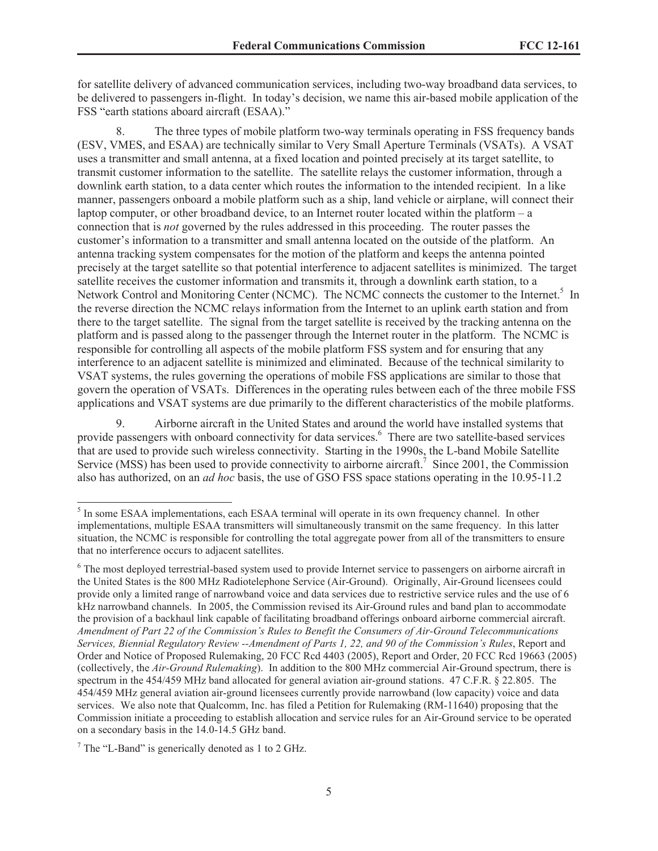for satellite delivery of advanced communication services, including two-way broadband data services, to be delivered to passengers in-flight. In today's decision, we name this air-based mobile application of the FSS "earth stations aboard aircraft (ESAA)."

8. The three types of mobile platform two-way terminals operating in FSS frequency bands (ESV, VMES, and ESAA) are technically similar to Very Small Aperture Terminals (VSATs). A VSAT uses a transmitter and small antenna, at a fixed location and pointed precisely at its target satellite, to transmit customer information to the satellite. The satellite relays the customer information, through a downlink earth station, to a data center which routes the information to the intended recipient. In a like manner, passengers onboard a mobile platform such as a ship, land vehicle or airplane, will connect their laptop computer, or other broadband device, to an Internet router located within the platform – a connection that is *not* governed by the rules addressed in this proceeding. The router passes the customer's information to a transmitter and small antenna located on the outside of the platform. An antenna tracking system compensates for the motion of the platform and keeps the antenna pointed precisely at the target satellite so that potential interference to adjacent satellites is minimized. The target satellite receives the customer information and transmits it, through a downlink earth station, to a Network Control and Monitoring Center (NCMC). The NCMC connects the customer to the Internet.<sup>5</sup> In the reverse direction the NCMC relays information from the Internet to an uplink earth station and from there to the target satellite. The signal from the target satellite is received by the tracking antenna on the platform and is passed along to the passenger through the Internet router in the platform. The NCMC is responsible for controlling all aspects of the mobile platform FSS system and for ensuring that any interference to an adjacent satellite is minimized and eliminated. Because of the technical similarity to VSAT systems, the rules governing the operations of mobile FSS applications are similar to those that govern the operation of VSATs. Differences in the operating rules between each of the three mobile FSS applications and VSAT systems are due primarily to the different characteristics of the mobile platforms.

9. Airborne aircraft in the United States and around the world have installed systems that provide passengers with onboard connectivity for data services.<sup>6</sup> There are two satellite-based services that are used to provide such wireless connectivity. Starting in the 1990s, the L-band Mobile Satellite Service (MSS) has been used to provide connectivity to airborne aircraft.<sup>7</sup> Since 2001, the Commission also has authorized, on an *ad hoc* basis, the use of GSO FSS space stations operating in the 10.95-11.2

<sup>&</sup>lt;sup>5</sup> In some ESAA implementations, each ESAA terminal will operate in its own frequency channel. In other implementations, multiple ESAA transmitters will simultaneously transmit on the same frequency. In this latter situation, the NCMC is responsible for controlling the total aggregate power from all of the transmitters to ensure that no interference occurs to adjacent satellites.

<sup>&</sup>lt;sup>6</sup> The most deployed terrestrial-based system used to provide Internet service to passengers on airborne aircraft in the United States is the 800 MHz Radiotelephone Service (Air-Ground). Originally, Air-Ground licensees could provide only a limited range of narrowband voice and data services due to restrictive service rules and the use of 6 kHz narrowband channels. In 2005, the Commission revised its Air-Ground rules and band plan to accommodate the provision of a backhaul link capable of facilitating broadband offerings onboard airborne commercial aircraft. *Amendment of Part 22 of the Commission's Rules to Benefit the Consumers of Air-Ground Telecommunications Services, Biennial Regulatory Review --Amendment of Parts 1, 22, and 90 of the Commission's Rules*, Report and Order and Notice of Proposed Rulemaking, 20 FCC Rcd 4403 (2005), Report and Order, 20 FCC Rcd 19663 (2005) (collectively, the *Air-Ground Rulemaking*). In addition to the 800 MHz commercial Air-Ground spectrum, there is spectrum in the 454/459 MHz band allocated for general aviation air-ground stations. 47 C.F.R. § 22.805. The 454/459 MHz general aviation air-ground licensees currently provide narrowband (low capacity) voice and data services. We also note that Qualcomm, Inc. has filed a Petition for Rulemaking (RM-11640) proposing that the Commission initiate a proceeding to establish allocation and service rules for an Air-Ground service to be operated on a secondary basis in the 14.0-14.5 GHz band.

 $^7$  The "L-Band" is generically denoted as 1 to 2 GHz.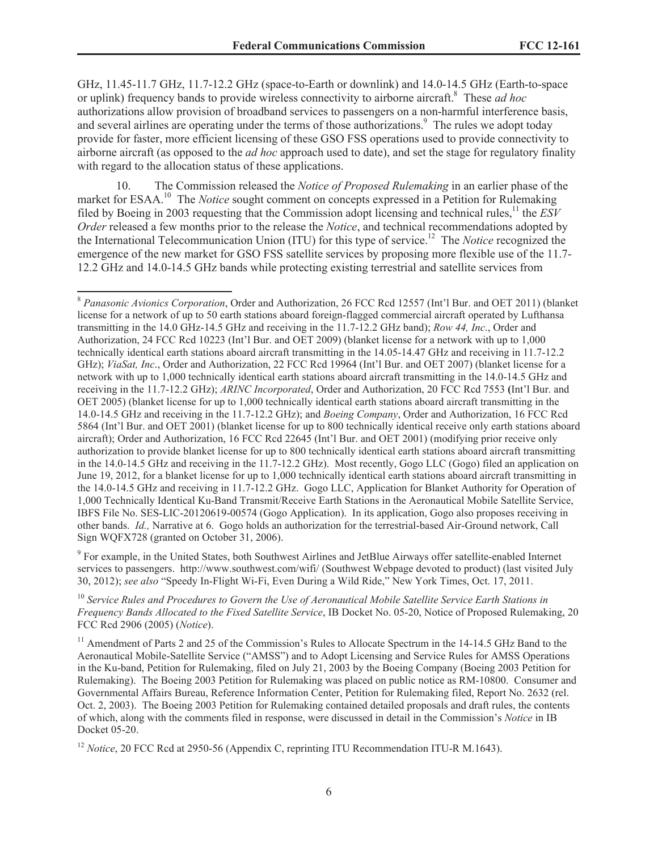GHz, 11.45-11.7 GHz, 11.7-12.2 GHz (space-to-Earth or downlink) and 14.0-14.5 GHz (Earth-to-space or uplink) frequency bands to provide wireless connectivity to airborne aircraft.<sup>8</sup> These *ad hoc*  authorizations allow provision of broadband services to passengers on a non-harmful interference basis, and several airlines are operating under the terms of those authorizations.<sup>9</sup> The rules we adopt today provide for faster, more efficient licensing of these GSO FSS operations used to provide connectivity to airborne aircraft (as opposed to the *ad hoc* approach used to date), and set the stage for regulatory finality with regard to the allocation status of these applications.

10. The Commission released the *Notice of Proposed Rulemaking* in an earlier phase of the market for ESAA.<sup>10</sup> The *Notice* sought comment on concepts expressed in a Petition for Rulemaking filed by Boeing in 2003 requesting that the Commission adopt licensing and technical rules,<sup>11</sup> the *ESV Order* released a few months prior to the release the *Notice*, and technical recommendations adopted by the International Telecommunication Union (ITU) for this type of service.<sup>12</sup> The *Notice* recognized the emergence of the new market for GSO FSS satellite services by proposing more flexible use of the 11.7- 12.2 GHz and 14.0-14.5 GHz bands while protecting existing terrestrial and satellite services from

<sup>9</sup> For example, in the United States, both Southwest Airlines and JetBlue Airways offer satellite-enabled Internet services to passengers. http://www.southwest.com/wifi/ (Southwest Webpage devoted to product) (last visited July 30, 2012); *see also* "Speedy In-Flight Wi-Fi, Even During a Wild Ride," New York Times, Oct. 17, 2011.

<sup>10</sup> *Service Rules and Procedures to Govern the Use of Aeronautical Mobile Satellite Service Earth Stations in Frequency Bands Allocated to the Fixed Satellite Service*, IB Docket No. 05-20, Notice of Proposed Rulemaking, 20 FCC Rcd 2906 (2005) (*Notice*).

<sup>11</sup> Amendment of Parts 2 and 25 of the Commission's Rules to Allocate Spectrum in the 14-14.5 GHz Band to the Aeronautical Mobile-Satellite Service ("AMSS") and to Adopt Licensing and Service Rules for AMSS Operations in the Ku-band, Petition for Rulemaking, filed on July 21, 2003 by the Boeing Company (Boeing 2003 Petition for Rulemaking). The Boeing 2003 Petition for Rulemaking was placed on public notice as RM-10800. Consumer and Governmental Affairs Bureau, Reference Information Center, Petition for Rulemaking filed, Report No. 2632 (rel. Oct. 2, 2003). The Boeing 2003 Petition for Rulemaking contained detailed proposals and draft rules, the contents of which, along with the comments filed in response, were discussed in detail in the Commission's *Notice* in IB Docket 05-20.

<sup>12</sup> *Notice*, 20 FCC Rcd at 2950-56 (Appendix C, reprinting ITU Recommendation ITU-R M.1643).

<sup>8</sup> *Panasonic Avionics Corporation*, Order and Authorization, 26 FCC Rcd 12557 (Int'l Bur. and OET 2011) (blanket license for a network of up to 50 earth stations aboard foreign-flagged commercial aircraft operated by Lufthansa transmitting in the 14.0 GHz-14.5 GHz and receiving in the 11.7-12.2 GHz band); *Row 44, Inc*., Order and Authorization, 24 FCC Rcd 10223 (Int'l Bur. and OET 2009) (blanket license for a network with up to 1,000 technically identical earth stations aboard aircraft transmitting in the 14.05-14.47 GHz and receiving in 11.7-12.2 GHz); *ViaSat, Inc*., Order and Authorization, 22 FCC Rcd 19964 (Int'l Bur. and OET 2007) (blanket license for a network with up to 1,000 technically identical earth stations aboard aircraft transmitting in the 14.0-14.5 GHz and receiving in the 11.7-12.2 GHz); *ARINC Incorporated*, Order and Authorization, 20 FCC Rcd 7553 **(**Int'l Bur. and OET 2005) (blanket license for up to 1,000 technically identical earth stations aboard aircraft transmitting in the 14.0-14.5 GHz and receiving in the 11.7-12.2 GHz); and *Boeing Company*, Order and Authorization, 16 FCC Rcd 5864 (Int'l Bur. and OET 2001) (blanket license for up to 800 technically identical receive only earth stations aboard aircraft); Order and Authorization, 16 FCC Rcd 22645 (Int'l Bur. and OET 2001) (modifying prior receive only authorization to provide blanket license for up to 800 technically identical earth stations aboard aircraft transmitting in the 14.0-14.5 GHz and receiving in the 11.7-12.2 GHz). Most recently, Gogo LLC (Gogo) filed an application on June 19, 2012, for a blanket license for up to 1,000 technically identical earth stations aboard aircraft transmitting in the 14.0-14.5 GHz and receiving in 11.7-12.2 GHz. Gogo LLC, Application for Blanket Authority for Operation of 1,000 Technically Identical Ku-Band Transmit/Receive Earth Stations in the Aeronautical Mobile Satellite Service, IBFS File No. SES-LIC-20120619-00574 (Gogo Application). In its application, Gogo also proposes receiving in other bands. *Id.,* Narrative at 6. Gogo holds an authorization for the terrestrial-based Air-Ground network, Call Sign WQFX728 (granted on October 31, 2006).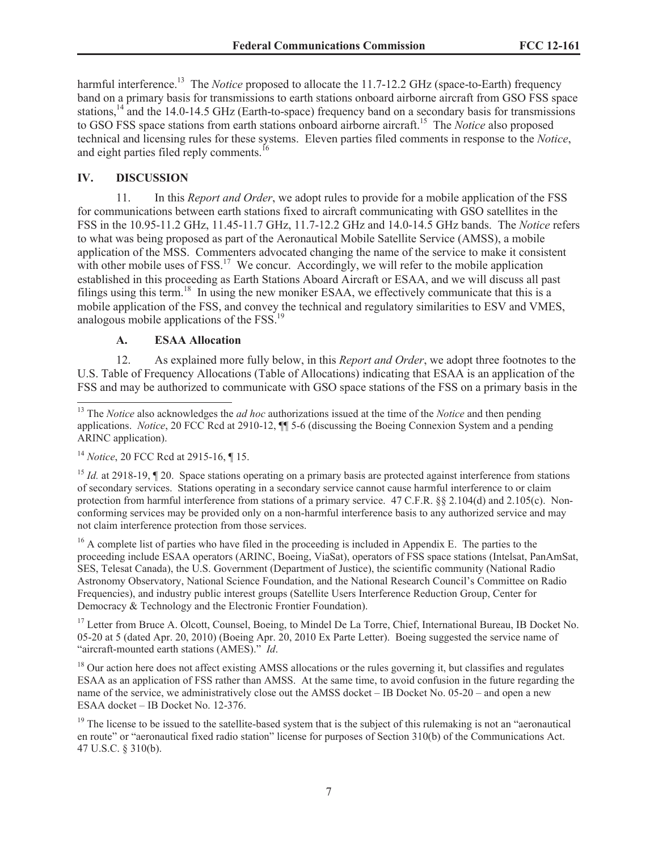harmful interference.<sup>13</sup> The *Notice* proposed to allocate the 11.7-12.2 GHz (space-to-Earth) frequency band on a primary basis for transmissions to earth stations onboard airborne aircraft from GSO FSS space stations,<sup>14</sup> and the 14.0-14.5 GHz (Earth-to-space) frequency band on a secondary basis for transmissions to GSO FSS space stations from earth stations onboard airborne aircraft.<sup>15</sup> The *Notice* also proposed technical and licensing rules for these systems. Eleven parties filed comments in response to the *Notice*, and eight parties filed reply comments.<sup>16</sup>

# **IV. DISCUSSION**

11. In this *Report and Order*, we adopt rules to provide for a mobile application of the FSS for communications between earth stations fixed to aircraft communicating with GSO satellites in the FSS in the 10.95-11.2 GHz, 11.45-11.7 GHz, 11.7-12.2 GHz and 14.0-14.5 GHz bands. The *Notice* refers to what was being proposed as part of the Aeronautical Mobile Satellite Service (AMSS), a mobile application of the MSS. Commenters advocated changing the name of the service to make it consistent with other mobile uses of  $FSS$ <sup>17</sup>. We concur. Accordingly, we will refer to the mobile application established in this proceeding as Earth Stations Aboard Aircraft or ESAA, and we will discuss all past filings using this term.<sup>18</sup> In using the new moniker ESAA, we effectively communicate that this is a mobile application of the FSS, and convey the technical and regulatory similarities to ESV and VMES, analogous mobile applications of the FSS.<sup>19</sup>

# **A. ESAA Allocation**

12. As explained more fully below, in this *Report and Order*, we adopt three footnotes to the U.S. Table of Frequency Allocations (Table of Allocations) indicating that ESAA is an application of the FSS and may be authorized to communicate with GSO space stations of the FSS on a primary basis in the

<sup>16</sup> A complete list of parties who have filed in the proceeding is included in Appendix E. The parties to the proceeding include ESAA operators (ARINC, Boeing, ViaSat), operators of FSS space stations (Intelsat, PanAmSat, SES, Telesat Canada), the U.S. Government (Department of Justice), the scientific community (National Radio Astronomy Observatory, National Science Foundation, and the National Research Council's Committee on Radio Frequencies), and industry public interest groups (Satellite Users Interference Reduction Group, Center for Democracy & Technology and the Electronic Frontier Foundation).

<sup>17</sup> Letter from Bruce A. Olcott, Counsel, Boeing, to Mindel De La Torre, Chief, International Bureau, IB Docket No. 05-20 at 5 (dated Apr. 20, 2010) (Boeing Apr. 20, 2010 Ex Parte Letter). Boeing suggested the service name of "aircraft-mounted earth stations (AMES)." *Id*.

<sup>18</sup> Our action here does not affect existing AMSS allocations or the rules governing it, but classifies and regulates ESAA as an application of FSS rather than AMSS. At the same time, to avoid confusion in the future regarding the name of the service, we administratively close out the AMSS docket – IB Docket No. 05-20 – and open a new ESAA docket – IB Docket No. 12-376.

<sup>19</sup> The license to be issued to the satellite-based system that is the subject of this rulemaking is not an "aeronautical" en route" or "aeronautical fixed radio station" license for purposes of Section 310(b) of the Communications Act. 47 U.S.C. § 310(b).

<sup>&</sup>lt;sup>13</sup> The *Notice* also acknowledges the *ad hoc* authorizations issued at the time of the *Notice* and then pending applications. *Notice*, 20 FCC Rcd at 2910-12, ¶¶ 5-6 (discussing the Boeing Connexion System and a pending ARINC application).

<sup>14</sup> *Notice*, 20 FCC Rcd at 2915-16, ¶ 15.

<sup>&</sup>lt;sup>15</sup> *Id.* at 2918-19, ¶ 20. Space stations operating on a primary basis are protected against interference from stations of secondary services. Stations operating in a secondary service cannot cause harmful interference to or claim protection from harmful interference from stations of a primary service. 47 C.F.R. §§ 2.104(d) and 2.105(c). Nonconforming services may be provided only on a non-harmful interference basis to any authorized service and may not claim interference protection from those services.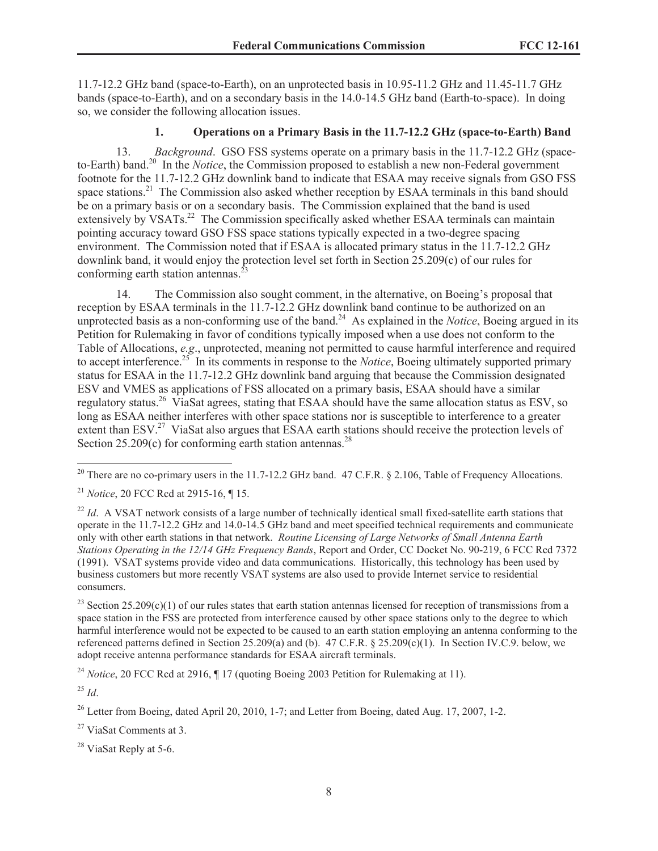11.7-12.2 GHz band (space-to-Earth), on an unprotected basis in 10.95-11.2 GHz and 11.45-11.7 GHz bands (space-to-Earth), and on a secondary basis in the 14.0-14.5 GHz band (Earth-to-space). In doing so, we consider the following allocation issues.

# **1. Operations on a Primary Basis in the 11.7-12.2 GHz (space-to-Earth) Band**

13. *Background*. GSO FSS systems operate on a primary basis in the 11.7-12.2 GHz (spaceto-Earth) band.<sup>20</sup> In the *Notice*, the Commission proposed to establish a new non-Federal government footnote for the 11.7-12.2 GHz downlink band to indicate that ESAA may receive signals from GSO FSS space stations.<sup>21</sup> The Commission also asked whether reception by ESAA terminals in this band should be on a primary basis or on a secondary basis. The Commission explained that the band is used extensively by VSATs.<sup>22</sup> The Commission specifically asked whether ESAA terminals can maintain pointing accuracy toward GSO FSS space stations typically expected in a two-degree spacing environment. The Commission noted that if ESAA is allocated primary status in the 11.7-12.2 GHz downlink band, it would enjoy the protection level set forth in Section 25.209(c) of our rules for conforming earth station antennas.<sup>2</sup>

14. The Commission also sought comment, in the alternative, on Boeing's proposal that reception by ESAA terminals in the 11.7-12.2 GHz downlink band continue to be authorized on an unprotected basis as a non-conforming use of the band.<sup>24</sup> As explained in the *Notice*, Boeing argued in its Petition for Rulemaking in favor of conditions typically imposed when a use does not conform to the Table of Allocations, *e.g*., unprotected, meaning not permitted to cause harmful interference and required to accept interference.<sup>25</sup> In its comments in response to the *Notice*, Boeing ultimately supported primary status for ESAA in the 11.7-12.2 GHz downlink band arguing that because the Commission designated ESV and VMES as applications of FSS allocated on a primary basis, ESAA should have a similar regulatory status.<sup>26</sup> ViaSat agrees, stating that ESAA should have the same allocation status as ESV, so long as ESAA neither interferes with other space stations nor is susceptible to interference to a greater extent than ESV.<sup>27</sup> ViaSat also argues that ESAA earth stations should receive the protection levels of Section  $25.209(c)$  for conforming earth station antennas.<sup>28</sup>

<sup>20</sup> There are no co-primary users in the 11.7-12.2 GHz band. 47 C.F.R. § 2.106, Table of Frequency Allocations.

<sup>21</sup> *Notice*, 20 FCC Rcd at 2915-16, ¶ 15.

<sup>22</sup> *Id*. A VSAT network consists of a large number of technically identical small fixed-satellite earth stations that operate in the 11.7-12.2 GHz and 14.0-14.5 GHz band and meet specified technical requirements and communicate only with other earth stations in that network. *Routine Licensing of Large Networks of Small Antenna Earth Stations Operating in the 12/14 GHz Frequency Bands*, Report and Order, CC Docket No. 90-219, 6 FCC Rcd 7372 (1991). VSAT systems provide video and data communications. Historically, this technology has been used by business customers but more recently VSAT systems are also used to provide Internet service to residential consumers.

<sup>23</sup> Section 25.209(c)(1) of our rules states that earth station antennas licensed for reception of transmissions from a space station in the FSS are protected from interference caused by other space stations only to the degree to which harmful interference would not be expected to be caused to an earth station employing an antenna conforming to the referenced patterns defined in Section 25.209(a) and (b). 47 C.F.R. § 25.209(c)(1). In Section IV.C.9. below, we adopt receive antenna performance standards for ESAA aircraft terminals.

<sup>24</sup> *Notice*, 20 FCC Rcd at 2916, ¶ 17 (quoting Boeing 2003 Petition for Rulemaking at 11).

<sup>25</sup> *Id*.

 $^{26}$  Letter from Boeing, dated April 20, 2010, 1-7; and Letter from Boeing, dated Aug. 17, 2007, 1-2.

<sup>27</sup> ViaSat Comments at 3.

<sup>28</sup> ViaSat Reply at 5-6.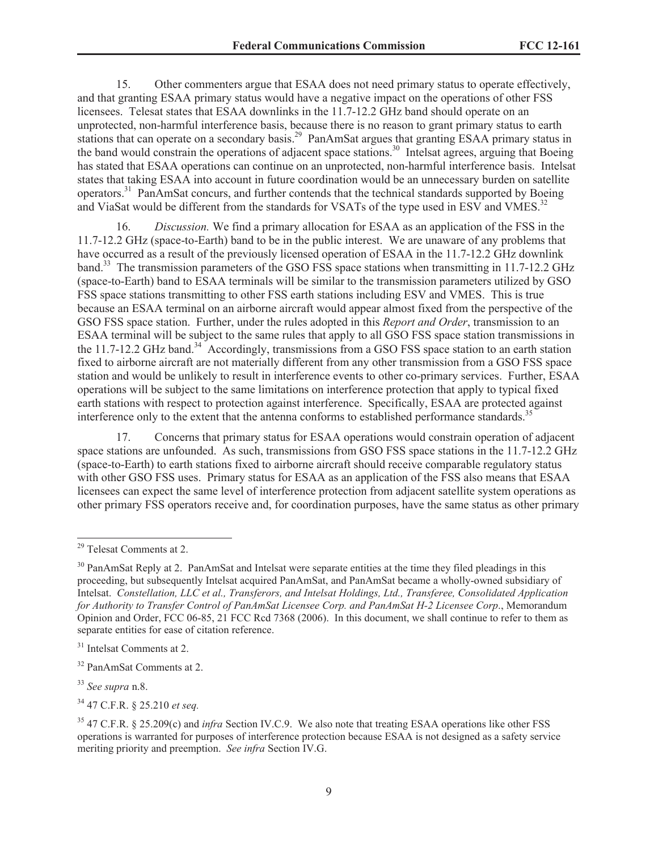15. Other commenters argue that ESAA does not need primary status to operate effectively, and that granting ESAA primary status would have a negative impact on the operations of other FSS licensees. Telesat states that ESAA downlinks in the 11.7-12.2 GHz band should operate on an unprotected, non-harmful interference basis, because there is no reason to grant primary status to earth stations that can operate on a secondary basis.<sup>29</sup> PanAmSat argues that granting ESAA primary status in the band would constrain the operations of adjacent space stations.<sup>30</sup> Intelsat agrees, arguing that Boeing has stated that ESAA operations can continue on an unprotected, non-harmful interference basis. Intelsat states that taking ESAA into account in future coordination would be an unnecessary burden on satellite operators.<sup>31</sup> PanAmSat concurs, and further contends that the technical standards supported by Boeing and ViaSat would be different from the standards for VSATs of the type used in ESV and VMES.<sup>32</sup>

16. *Discussion.* We find a primary allocation for ESAA as an application of the FSS in the 11.7-12.2 GHz (space-to-Earth) band to be in the public interest. We are unaware of any problems that have occurred as a result of the previously licensed operation of ESAA in the 11.7-12.2 GHz downlink band.<sup>33</sup> The transmission parameters of the GSO FSS space stations when transmitting in 11.7-12.2 GHz (space-to-Earth) band to ESAA terminals will be similar to the transmission parameters utilized by GSO FSS space stations transmitting to other FSS earth stations including ESV and VMES. This is true because an ESAA terminal on an airborne aircraft would appear almost fixed from the perspective of the GSO FSS space station. Further, under the rules adopted in this *Report and Order*, transmission to an ESAA terminal will be subject to the same rules that apply to all GSO FSS space station transmissions in the 11.7-12.2 GHz band.<sup>34</sup> Accordingly, transmissions from a GSO FSS space station to an earth station fixed to airborne aircraft are not materially different from any other transmission from a GSO FSS space station and would be unlikely to result in interference events to other co-primary services. Further, ESAA operations will be subject to the same limitations on interference protection that apply to typical fixed earth stations with respect to protection against interference. Specifically, ESAA are protected against interference only to the extent that the antenna conforms to established performance standards.<sup>35</sup>

17. Concerns that primary status for ESAA operations would constrain operation of adjacent space stations are unfounded. As such, transmissions from GSO FSS space stations in the 11.7-12.2 GHz (space-to-Earth) to earth stations fixed to airborne aircraft should receive comparable regulatory status with other GSO FSS uses. Primary status for ESAA as an application of the FSS also means that ESAA licensees can expect the same level of interference protection from adjacent satellite system operations as other primary FSS operators receive and, for coordination purposes, have the same status as other primary

<sup>34</sup> 47 C.F.R. § 25.210 *et seq.*

<sup>29</sup> Telesat Comments at 2.

<sup>&</sup>lt;sup>30</sup> PanAmSat Reply at 2. PanAmSat and Intelsat were separate entities at the time they filed pleadings in this proceeding, but subsequently Intelsat acquired PanAmSat, and PanAmSat became a wholly-owned subsidiary of Intelsat. *Constellation, LLC et al., Transferors, and Intelsat Holdings, Ltd., Transferee, Consolidated Application for Authority to Transfer Control of PanAmSat Licensee Corp. and PanAmSat H-2 Licensee Corp*., Memorandum Opinion and Order, FCC 06-85, 21 FCC Rcd 7368 (2006). In this document, we shall continue to refer to them as separate entities for ease of citation reference.

<sup>&</sup>lt;sup>31</sup> Intelsat Comments at 2.

<sup>32</sup> PanAmSat Comments at 2.

<sup>33</sup> *See supra* n.8.

<sup>35</sup> 47 C.F.R. § 25.209(c) and *infra* Section IV.C.9. We also note that treating ESAA operations like other FSS operations is warranted for purposes of interference protection because ESAA is not designed as a safety service meriting priority and preemption. *See infra* Section IV.G.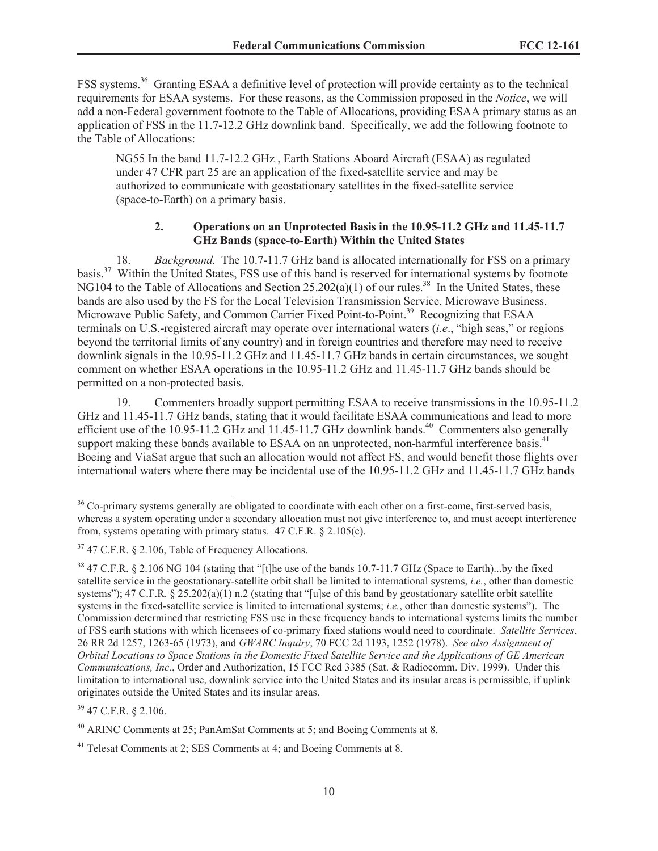FSS systems.<sup>36</sup> Granting ESAA a definitive level of protection will provide certainty as to the technical requirements for ESAA systems. For these reasons, as the Commission proposed in the *Notice*, we will add a non-Federal government footnote to the Table of Allocations, providing ESAA primary status as an application of FSS in the 11.7-12.2 GHz downlink band. Specifically, we add the following footnote to the Table of Allocations:

NG55 In the band 11.7-12.2 GHz , Earth Stations Aboard Aircraft (ESAA) as regulated under 47 CFR part 25 are an application of the fixed-satellite service and may be authorized to communicate with geostationary satellites in the fixed-satellite service (space-to-Earth) on a primary basis.

#### **2. Operations on an Unprotected Basis in the 10.95-11.2 GHz and 11.45-11.7 GHz Bands (space-to-Earth) Within the United States**

18. *Background.* The 10.7-11.7 GHz band is allocated internationally for FSS on a primary basis.<sup>37</sup> Within the United States, FSS use of this band is reserved for international systems by footnote NG104 to the Table of Allocations and Section  $25.202(a)(1)$  of our rules.<sup>38</sup> In the United States, these bands are also used by the FS for the Local Television Transmission Service, Microwave Business, Microwave Public Safety, and Common Carrier Fixed Point-to-Point.<sup>39</sup> Recognizing that ESAA terminals on U.S.-registered aircraft may operate over international waters (*i.e*., "high seas," or regions beyond the territorial limits of any country) and in foreign countries and therefore may need to receive downlink signals in the 10.95-11.2 GHz and 11.45-11.7 GHz bands in certain circumstances, we sought comment on whether ESAA operations in the 10.95-11.2 GHz and 11.45-11.7 GHz bands should be permitted on a non-protected basis.

19. Commenters broadly support permitting ESAA to receive transmissions in the 10.95-11.2 GHz and 11.45-11.7 GHz bands, stating that it would facilitate ESAA communications and lead to more efficient use of the 10.95-11.2 GHz and 11.45-11.7 GHz downlink bands.<sup>40</sup> Commenters also generally support making these bands available to ESAA on an unprotected, non-harmful interference basis.<sup>41</sup> Boeing and ViaSat argue that such an allocation would not affect FS, and would benefit those flights over international waters where there may be incidental use of the 10.95-11.2 GHz and 11.45-11.7 GHz bands

<sup>39</sup> 47 C.F.R. § 2.106.

<sup>&</sup>lt;sup>36</sup> Co-primary systems generally are obligated to coordinate with each other on a first-come, first-served basis, whereas a system operating under a secondary allocation must not give interference to, and must accept interference from, systems operating with primary status. 47 C.F.R. § 2.105(c).

 $37$  47 C.F.R. § 2.106, Table of Frequency Allocations.

<sup>&</sup>lt;sup>38</sup> 47 C.F.R. § 2.106 NG 104 (stating that "[t]he use of the bands 10.7-11.7 GHz (Space to Earth)...by the fixed satellite service in the geostationary-satellite orbit shall be limited to international systems, *i.e.*, other than domestic systems");  $47 \text{ C.F.R.}$  §  $25.202(a)(1)$  n.2 (stating that "[u]se of this band by geostationary satellite orbit satellite systems in the fixed-satellite service is limited to international systems; *i.e.*, other than domestic systems"). The Commission determined that restricting FSS use in these frequency bands to international systems limits the number of FSS earth stations with which licensees of co-primary fixed stations would need to coordinate. *Satellite Services*, 26 RR 2d 1257, 1263-65 (1973), and *GWARC Inquiry*, 70 FCC 2d 1193, 1252 (1978). *See also Assignment of Orbital Locations to Space Stations in the Domestic Fixed Satellite Service and the Applications of GE American Communications, Inc.*, Order and Authorization, 15 FCC Rcd 3385 (Sat. & Radiocomm. Div. 1999). Under this limitation to international use, downlink service into the United States and its insular areas is permissible, if uplink originates outside the United States and its insular areas.

<sup>40</sup> ARINC Comments at 25; PanAmSat Comments at 5; and Boeing Comments at 8.

<sup>41</sup> Telesat Comments at 2; SES Comments at 4; and Boeing Comments at 8.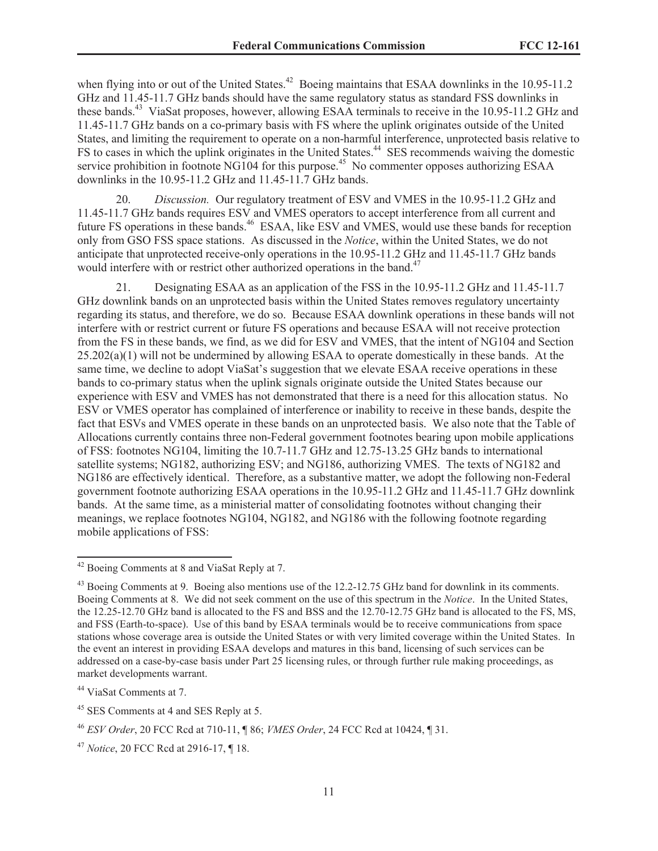when flying into or out of the United States.<sup>42</sup> Boeing maintains that ESAA downlinks in the 10.95-11.2 GHz and 11.45-11.7 GHz bands should have the same regulatory status as standard FSS downlinks in these bands.<sup>43</sup> ViaSat proposes, however, allowing ESAA terminals to receive in the 10.95-11.2 GHz and 11.45-11.7 GHz bands on a co-primary basis with FS where the uplink originates outside of the United States, and limiting the requirement to operate on a non-harmful interference, unprotected basis relative to FS to cases in which the uplink originates in the United States.<sup>44</sup> SES recommends waiving the domestic service prohibition in footnote NG104 for this purpose.<sup>45</sup> No commenter opposes authorizing ESAA downlinks in the 10.95-11.2 GHz and 11.45-11.7 GHz bands.

20. *Discussion.* Our regulatory treatment of ESV and VMES in the 10.95-11.2 GHz and 11.45-11.7 GHz bands requires ESV and VMES operators to accept interference from all current and future FS operations in these bands.<sup>46</sup> ESAA, like ESV and VMES, would use these bands for reception only from GSO FSS space stations. As discussed in the *Notice*, within the United States, we do not anticipate that unprotected receive-only operations in the 10.95-11.2 GHz and 11.45-11.7 GHz bands would interfere with or restrict other authorized operations in the band.<sup>47</sup>

21. Designating ESAA as an application of the FSS in the 10.95-11.2 GHz and 11.45-11.7 GHz downlink bands on an unprotected basis within the United States removes regulatory uncertainty regarding its status, and therefore, we do so. Because ESAA downlink operations in these bands will not interfere with or restrict current or future FS operations and because ESAA will not receive protection from the FS in these bands, we find, as we did for ESV and VMES, that the intent of NG104 and Section  $25.202(a)(1)$  will not be undermined by allowing ESAA to operate domestically in these bands. At the same time, we decline to adopt ViaSat's suggestion that we elevate ESAA receive operations in these bands to co-primary status when the uplink signals originate outside the United States because our experience with ESV and VMES has not demonstrated that there is a need for this allocation status. No ESV or VMES operator has complained of interference or inability to receive in these bands, despite the fact that ESVs and VMES operate in these bands on an unprotected basis. We also note that the Table of Allocations currently contains three non-Federal government footnotes bearing upon mobile applications of FSS: footnotes NG104, limiting the 10.7-11.7 GHz and 12.75-13.25 GHz bands to international satellite systems; NG182, authorizing ESV; and NG186, authorizing VMES. The texts of NG182 and NG186 are effectively identical. Therefore, as a substantive matter, we adopt the following non-Federal government footnote authorizing ESAA operations in the 10.95-11.2 GHz and 11.45-11.7 GHz downlink bands. At the same time, as a ministerial matter of consolidating footnotes without changing their meanings, we replace footnotes NG104, NG182, and NG186 with the following footnote regarding mobile applications of FSS:

<sup>42</sup> Boeing Comments at 8 and ViaSat Reply at 7.

<sup>&</sup>lt;sup>43</sup> Boeing Comments at 9. Boeing also mentions use of the 12.2-12.75 GHz band for downlink in its comments. Boeing Comments at 8. We did not seek comment on the use of this spectrum in the *Notice*. In the United States, the 12.25-12.70 GHz band is allocated to the FS and BSS and the 12.70-12.75 GHz band is allocated to the FS, MS, and FSS (Earth-to-space). Use of this band by ESAA terminals would be to receive communications from space stations whose coverage area is outside the United States or with very limited coverage within the United States. In the event an interest in providing ESAA develops and matures in this band, licensing of such services can be addressed on a case-by-case basis under Part 25 licensing rules, or through further rule making proceedings, as market developments warrant.

<sup>44</sup> ViaSat Comments at 7.

<sup>&</sup>lt;sup>45</sup> SES Comments at 4 and SES Reply at 5.

<sup>46</sup> *ESV Order*, 20 FCC Rcd at 710-11, ¶ 86; *VMES Order*, 24 FCC Rcd at 10424, ¶ 31.

<sup>47</sup> *Notice*, 20 FCC Rcd at 2916-17, ¶ 18.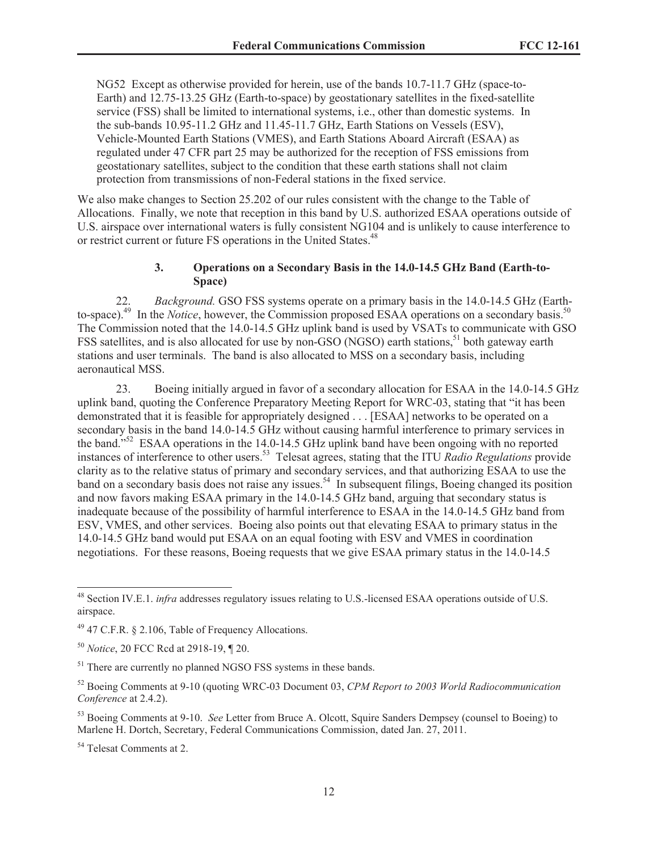NG52 Except as otherwise provided for herein, use of the bands 10.7-11.7 GHz (space-to-Earth) and 12.75-13.25 GHz (Earth-to-space) by geostationary satellites in the fixed-satellite service (FSS) shall be limited to international systems, i.e., other than domestic systems. In the sub-bands 10.95-11.2 GHz and 11.45-11.7 GHz, Earth Stations on Vessels (ESV), Vehicle-Mounted Earth Stations (VMES), and Earth Stations Aboard Aircraft (ESAA) as regulated under 47 CFR part 25 may be authorized for the reception of FSS emissions from geostationary satellites, subject to the condition that these earth stations shall not claim protection from transmissions of non-Federal stations in the fixed service.

We also make changes to Section 25.202 of our rules consistent with the change to the Table of Allocations. Finally, we note that reception in this band by U.S. authorized ESAA operations outside of U.S. airspace over international waters is fully consistent NG104 and is unlikely to cause interference to or restrict current or future FS operations in the United States.<sup>48</sup>

#### **3. Operations on a Secondary Basis in the 14.0-14.5 GHz Band (Earth-to-Space)**

22. *Background.* GSO FSS systems operate on a primary basis in the 14.0-14.5 GHz (Earthto-space).<sup>49</sup> In the *Notice*, however, the Commission proposed ESAA operations on a secondary basis.<sup>50</sup> The Commission noted that the 14.0-14.5 GHz uplink band is used by VSATs to communicate with GSO FSS satellites, and is also allocated for use by non-GSO (NGSO) earth stations,<sup>51</sup> both gateway earth stations and user terminals. The band is also allocated to MSS on a secondary basis, including aeronautical MSS.

23. Boeing initially argued in favor of a secondary allocation for ESAA in the 14.0-14.5 GHz uplink band, quoting the Conference Preparatory Meeting Report for WRC-03, stating that "it has been demonstrated that it is feasible for appropriately designed . . . [ESAA] networks to be operated on a secondary basis in the band 14.0-14.5 GHz without causing harmful interference to primary services in the band."<sup>52</sup> ESAA operations in the 14.0-14.5 GHz uplink band have been ongoing with no reported instances of interference to other users.<sup>53</sup> Telesat agrees, stating that the ITU *Radio Regulations* provide clarity as to the relative status of primary and secondary services, and that authorizing ESAA to use the band on a secondary basis does not raise any issues.<sup>54</sup> In subsequent filings, Boeing changed its position and now favors making ESAA primary in the 14.0-14.5 GHz band, arguing that secondary status is inadequate because of the possibility of harmful interference to ESAA in the 14.0-14.5 GHz band from ESV, VMES, and other services. Boeing also points out that elevating ESAA to primary status in the 14.0-14.5 GHz band would put ESAA on an equal footing with ESV and VMES in coordination negotiations. For these reasons, Boeing requests that we give ESAA primary status in the 14.0-14.5

<sup>48</sup> Section IV.E.1. *infra* addresses regulatory issues relating to U.S.-licensed ESAA operations outside of U.S. airspace.

 $49$  47 C.F.R. § 2.106, Table of Frequency Allocations.

<sup>50</sup> *Notice*, 20 FCC Rcd at 2918-19, ¶ 20.

<sup>&</sup>lt;sup>51</sup> There are currently no planned NGSO FSS systems in these bands.

<sup>52</sup> Boeing Comments at 9-10 (quoting WRC-03 Document 03, *CPM Report to 2003 World Radiocommunication Conference* at 2.4.2).

<sup>53</sup> Boeing Comments at 9-10. *See* Letter from Bruce A. Olcott, Squire Sanders Dempsey (counsel to Boeing) to Marlene H. Dortch, Secretary, Federal Communications Commission, dated Jan. 27, 2011.

<sup>&</sup>lt;sup>54</sup> Telesat Comments at 2.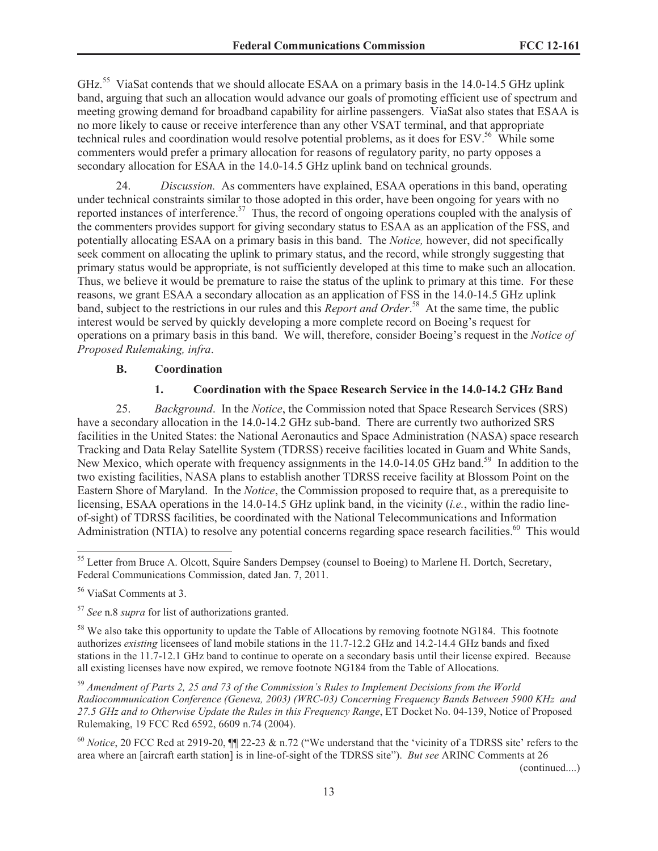GHz.<sup>55</sup> ViaSat contends that we should allocate ESAA on a primary basis in the 14.0-14.5 GHz uplink band, arguing that such an allocation would advance our goals of promoting efficient use of spectrum and meeting growing demand for broadband capability for airline passengers. ViaSat also states that ESAA is no more likely to cause or receive interference than any other VSAT terminal, and that appropriate technical rules and coordination would resolve potential problems, as it does for ESV.<sup>56</sup> While some commenters would prefer a primary allocation for reasons of regulatory parity, no party opposes a secondary allocation for ESAA in the 14.0-14.5 GHz uplink band on technical grounds.

24. *Discussion.* As commenters have explained, ESAA operations in this band, operating under technical constraints similar to those adopted in this order, have been ongoing for years with no reported instances of interference.<sup>57</sup> Thus, the record of ongoing operations coupled with the analysis of the commenters provides support for giving secondary status to ESAA as an application of the FSS, and potentially allocating ESAA on a primary basis in this band. The *Notice,* however, did not specifically seek comment on allocating the uplink to primary status, and the record, while strongly suggesting that primary status would be appropriate, is not sufficiently developed at this time to make such an allocation. Thus, we believe it would be premature to raise the status of the uplink to primary at this time. For these reasons, we grant ESAA a secondary allocation as an application of FSS in the 14.0-14.5 GHz uplink band, subject to the restrictions in our rules and this *Report and Order*. <sup>58</sup> At the same time, the public interest would be served by quickly developing a more complete record on Boeing's request for operations on a primary basis in this band. We will, therefore, consider Boeing's request in the *Notice of Proposed Rulemaking, infra*.

#### **B. Coordination**

#### **1. Coordination with the Space Research Service in the 14.0-14.2 GHz Band**

25. *Background*. In the *Notice*, the Commission noted that Space Research Services (SRS) have a secondary allocation in the 14.0-14.2 GHz sub-band. There are currently two authorized SRS facilities in the United States: the National Aeronautics and Space Administration (NASA) space research Tracking and Data Relay Satellite System (TDRSS) receive facilities located in Guam and White Sands, New Mexico, which operate with frequency assignments in the 14.0-14.05 GHz band.<sup>59</sup> In addition to the two existing facilities, NASA plans to establish another TDRSS receive facility at Blossom Point on the Eastern Shore of Maryland. In the *Notice*, the Commission proposed to require that, as a prerequisite to licensing, ESAA operations in the 14.0-14.5 GHz uplink band, in the vicinity (*i.e.*, within the radio lineof-sight) of TDRSS facilities, be coordinated with the National Telecommunications and Information Administration (NTIA) to resolve any potential concerns regarding space research facilities.<sup>60</sup> This would

<sup>57</sup> *See* n.8 *supra* for list of authorizations granted.

<sup>58</sup> We also take this opportunity to update the Table of Allocations by removing footnote NG184. This footnote authorizes *existing* licensees of land mobile stations in the 11.7-12.2 GHz and 14.2-14.4 GHz bands and fixed stations in the 11.7-12.1 GHz band to continue to operate on a secondary basis until their license expired. Because all existing licenses have now expired, we remove footnote NG184 from the Table of Allocations.

<sup>59</sup> *Amendment of Parts 2, 25 and 73 of the Commission's Rules to Implement Decisions from the World Radiocommunication Conference (Geneva, 2003) (WRC-03) Concerning Frequency Bands Between 5900 KHz and 27.5 GHz and to Otherwise Update the Rules in this Frequency Range*, ET Docket No. 04-139, Notice of Proposed Rulemaking, 19 FCC Rcd 6592, 6609 n.74 (2004).

<sup>60</sup> *Notice*, 20 FCC Rcd at 2919-20, ¶¶ 22-23 & n.72 ("We understand that the 'vicinity of a TDRSS site' refers to the area where an [aircraft earth station] is in line-of-sight of the TDRSS site"). *But see* ARINC Comments at 26

(continued....)

<sup>&</sup>lt;sup>55</sup> Letter from Bruce A. Olcott, Squire Sanders Dempsey (counsel to Boeing) to Marlene H. Dortch, Secretary, Federal Communications Commission, dated Jan. 7, 2011.

<sup>56</sup> ViaSat Comments at 3.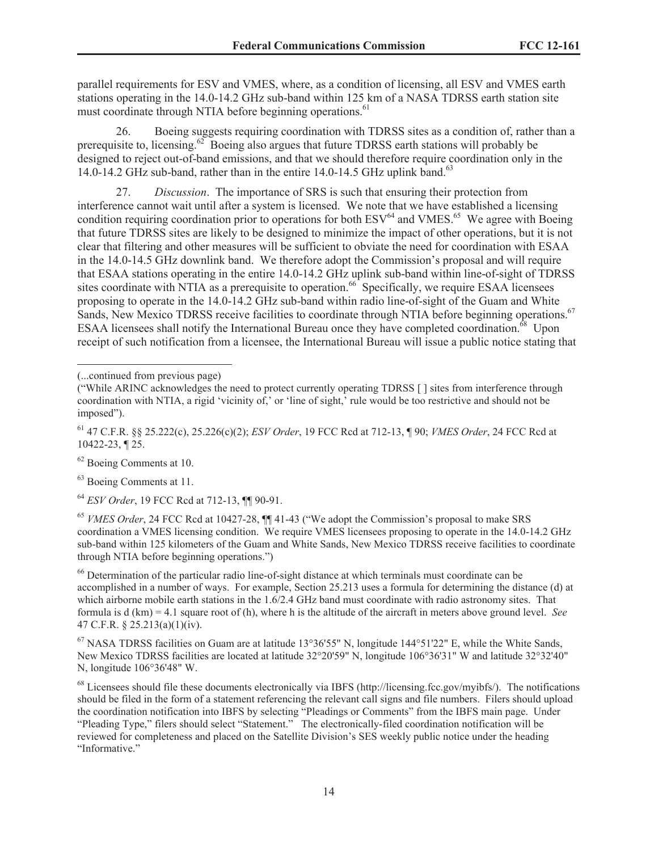parallel requirements for ESV and VMES, where, as a condition of licensing, all ESV and VMES earth stations operating in the 14.0-14.2 GHz sub-band within 125 km of a NASA TDRSS earth station site must coordinate through NTIA before beginning operations.<sup>61</sup>

26. Boeing suggests requiring coordination with TDRSS sites as a condition of, rather than a prerequisite to, licensing.<sup>62</sup> Boeing also argues that future TDRSS earth stations will probably be designed to reject out-of-band emissions, and that we should therefore require coordination only in the 14.0-14.2 GHz sub-band, rather than in the entire 14.0-14.5 GHz uplink band.<sup>63</sup>

27. *Discussion*. The importance of SRS is such that ensuring their protection from interference cannot wait until after a system is licensed. We note that we have established a licensing condition requiring coordination prior to operations for both  $ESV<sup>64</sup>$  and VMES.<sup>65</sup> We agree with Boeing that future TDRSS sites are likely to be designed to minimize the impact of other operations, but it is not clear that filtering and other measures will be sufficient to obviate the need for coordination with ESAA in the 14.0-14.5 GHz downlink band. We therefore adopt the Commission's proposal and will require that ESAA stations operating in the entire 14.0-14.2 GHz uplink sub-band within line-of-sight of TDRSS sites coordinate with NTIA as a prerequisite to operation.<sup>66</sup> Specifically, we require ESAA licensees proposing to operate in the 14.0-14.2 GHz sub-band within radio line-of-sight of the Guam and White Sands, New Mexico TDRSS receive facilities to coordinate through NTIA before beginning operations.<sup>67</sup> ESAA licensees shall notify the International Bureau once they have completed coordination.<sup>68</sup> Upon receipt of such notification from a licensee, the International Bureau will issue a public notice stating that

<sup>62</sup> Boeing Comments at 10.

<sup>63</sup> Boeing Comments at 11.

<sup>64</sup> *ESV Order*, 19 FCC Rcd at 712-13, ¶¶ 90-91.

<sup>65</sup> *VMES Order*, 24 FCC Rcd at 10427-28, ¶¶ 41-43 ("We adopt the Commission's proposal to make SRS coordination a VMES licensing condition. We require VMES licensees proposing to operate in the 14.0-14.2 GHz sub-band within 125 kilometers of the Guam and White Sands, New Mexico TDRSS receive facilities to coordinate through NTIA before beginning operations.")

<sup>66</sup> Determination of the particular radio line-of-sight distance at which terminals must coordinate can be accomplished in a number of ways. For example, Section 25.213 uses a formula for determining the distance (d) at which airborne mobile earth stations in the  $1.6/2.4$  GHz band must coordinate with radio astronomy sites. That formula is d (km) = 4.1 square root of (h), where h is the altitude of the aircraft in meters above ground level. *See* 47 C.F.R. § 25.213(a)(1)(iv).

<sup>67</sup> NASA TDRSS facilities on Guam are at latitude 13°36'55" N, longitude 144°51'22" E, while the White Sands, New Mexico TDRSS facilities are located at latitude 32°20'59" N, longitude 106°36'31" W and latitude 32°32'40" N, longitude 106°36'48" W.

<sup>68</sup> Licensees should file these documents electronically via IBFS (http://licensing.fcc.gov/myibfs/). The notifications should be filed in the form of a statement referencing the relevant call signs and file numbers. Filers should upload the coordination notification into IBFS by selecting "Pleadings or Comments" from the IBFS main page. Under "Pleading Type," filers should select "Statement." The electronically-filed coordination notification will be reviewed for completeness and placed on the Satellite Division's SES weekly public notice under the heading "Informative."

<sup>(...</sup>continued from previous page)

<sup>(&</sup>quot;While ARINC acknowledges the need to protect currently operating TDRSS [ ] sites from interference through coordination with NTIA, a rigid 'vicinity of,' or 'line of sight,' rule would be too restrictive and should not be imposed").

<sup>61</sup> 47 C.F.R. §§ 25.222(c), 25.226(c)(2); *ESV Order*, 19 FCC Rcd at 712-13, ¶ 90; *VMES Order*, 24 FCC Rcd at 10422-23, ¶ 25.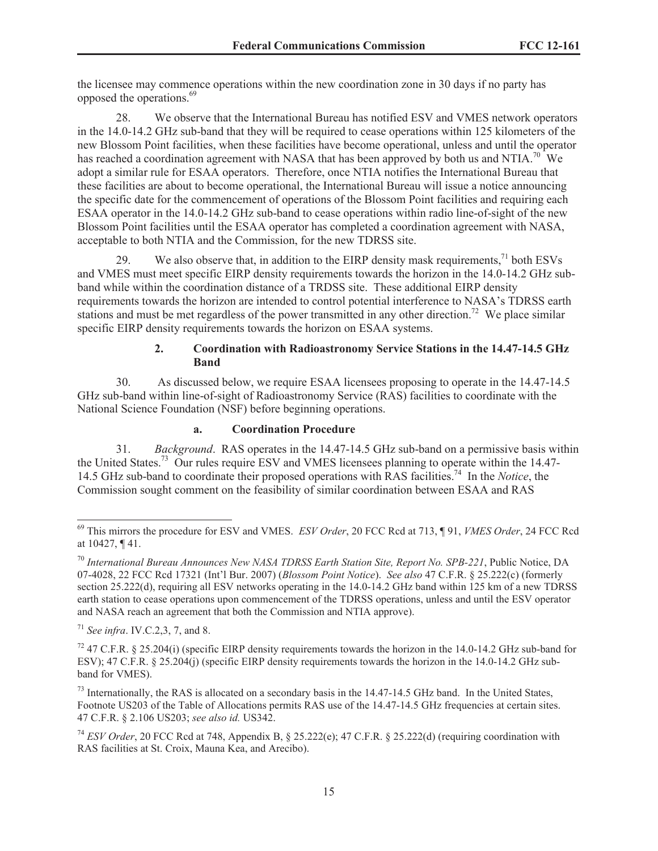the licensee may commence operations within the new coordination zone in 30 days if no party has opposed the operations.<sup>69</sup>

28. We observe that the International Bureau has notified ESV and VMES network operators in the 14.0-14.2 GHz sub-band that they will be required to cease operations within 125 kilometers of the new Blossom Point facilities, when these facilities have become operational, unless and until the operator has reached a coordination agreement with NASA that has been approved by both us and NTIA.<sup>70</sup> We adopt a similar rule for ESAA operators. Therefore, once NTIA notifies the International Bureau that these facilities are about to become operational, the International Bureau will issue a notice announcing the specific date for the commencement of operations of the Blossom Point facilities and requiring each ESAA operator in the 14.0-14.2 GHz sub-band to cease operations within radio line-of-sight of the new Blossom Point facilities until the ESAA operator has completed a coordination agreement with NASA, acceptable to both NTIA and the Commission, for the new TDRSS site.

29. We also observe that, in addition to the EIRP density mask requirements,<sup>71</sup> both ESVs and VMES must meet specific EIRP density requirements towards the horizon in the 14.0-14.2 GHz subband while within the coordination distance of a TRDSS site. These additional EIRP density requirements towards the horizon are intended to control potential interference to NASA's TDRSS earth stations and must be met regardless of the power transmitted in any other direction.<sup>72</sup> We place similar specific EIRP density requirements towards the horizon on ESAA systems.

## **2. Coordination with Radioastronomy Service Stations in the 14.47-14.5 GHz Band**

30. As discussed below, we require ESAA licensees proposing to operate in the 14.47-14.5 GHz sub-band within line-of-sight of Radioastronomy Service (RAS) facilities to coordinate with the National Science Foundation (NSF) before beginning operations.

## **a. Coordination Procedure**

31. *Background*. RAS operates in the 14.47-14.5 GHz sub-band on a permissive basis within the United States.<sup>73</sup> Our rules require ESV and VMES licensees planning to operate within the 14.47- 14.5 GHz sub-band to coordinate their proposed operations with RAS facilities.<sup>74</sup> In the *Notice*, the Commission sought comment on the feasibility of similar coordination between ESAA and RAS

<sup>69</sup> This mirrors the procedure for ESV and VMES. *ESV Order*, 20 FCC Rcd at 713, ¶ 91, *VMES Order*, 24 FCC Rcd at 10427, ¶ 41.

<sup>70</sup> *International Bureau Announces New NASA TDRSS Earth Station Site, Report No. SPB-221*, Public Notice, DA 07-4028, 22 FCC Rcd 17321 (Int'l Bur. 2007) (*Blossom Point Notice*). *See also* 47 C.F.R. § 25.222(c) (formerly section 25.222(d), requiring all ESV networks operating in the 14.0-14.2 GHz band within 125 km of a new TDRSS earth station to cease operations upon commencement of the TDRSS operations, unless and until the ESV operator and NASA reach an agreement that both the Commission and NTIA approve).

<sup>71</sup> *See infra*. IV.C.2,3, 7, and 8.

<sup>&</sup>lt;sup>72</sup> 47 C.F.R. § 25.204(i) (specific EIRP density requirements towards the horizon in the 14.0-14.2 GHz sub-band for ESV); 47 C.F.R. § 25.204(j) (specific EIRP density requirements towards the horizon in the 14.0-14.2 GHz subband for VMES).

<sup>&</sup>lt;sup>73</sup> Internationally, the RAS is allocated on a secondary basis in the 14.47-14.5 GHz band. In the United States, Footnote US203 of the Table of Allocations permits RAS use of the 14.47-14.5 GHz frequencies at certain sites. 47 C.F.R. § 2.106 US203; *see also id.* US342.

<sup>74</sup> *ESV Order*, 20 FCC Rcd at 748, Appendix B, § 25.222(e); 47 C.F.R. § 25.222(d) (requiring coordination with RAS facilities at St. Croix, Mauna Kea, and Arecibo).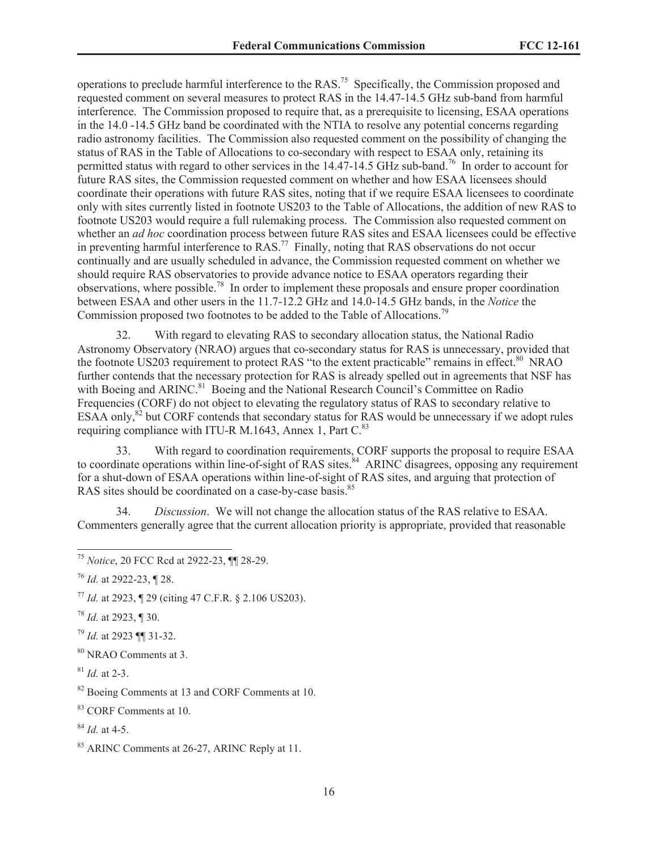operations to preclude harmful interference to the RAS.<sup>75</sup> Specifically, the Commission proposed and requested comment on several measures to protect RAS in the 14.47-14.5 GHz sub-band from harmful interference. The Commission proposed to require that, as a prerequisite to licensing, ESAA operations in the 14.0 -14.5 GHz band be coordinated with the NTIA to resolve any potential concerns regarding radio astronomy facilities. The Commission also requested comment on the possibility of changing the status of RAS in the Table of Allocations to co-secondary with respect to ESAA only, retaining its permitted status with regard to other services in the 14.47-14.5 GHz sub-band.<sup>76</sup> In order to account for future RAS sites, the Commission requested comment on whether and how ESAA licensees should coordinate their operations with future RAS sites, noting that if we require ESAA licensees to coordinate only with sites currently listed in footnote US203 to the Table of Allocations, the addition of new RAS to footnote US203 would require a full rulemaking process. The Commission also requested comment on whether an *ad hoc* coordination process between future RAS sites and ESAA licensees could be effective in preventing harmful interference to  $RAS$ <sup>77</sup> Finally, noting that RAS observations do not occur continually and are usually scheduled in advance, the Commission requested comment on whether we should require RAS observatories to provide advance notice to ESAA operators regarding their observations, where possible.<sup>78</sup> In order to implement these proposals and ensure proper coordination between ESAA and other users in the 11.7-12.2 GHz and 14.0-14.5 GHz bands, in the *Notice* the Commission proposed two footnotes to be added to the Table of Allocations.<sup>79</sup>

32. With regard to elevating RAS to secondary allocation status, the National Radio Astronomy Observatory (NRAO) argues that co-secondary status for RAS is unnecessary, provided that the footnote US203 requirement to protect RAS "to the extent practicable" remains in effect.<sup>80</sup> NRAO further contends that the necessary protection for RAS is already spelled out in agreements that NSF has with Boeing and ARINC.<sup>81</sup> Boeing and the National Research Council's Committee on Radio Frequencies (CORF) do not object to elevating the regulatory status of RAS to secondary relative to ESAA only,<sup>82</sup> but CORF contends that secondary status for RAS would be unnecessary if we adopt rules requiring compliance with ITU-R M.1643, Annex 1, Part  $C<sup>83</sup>$ 

33. With regard to coordination requirements, CORF supports the proposal to require ESAA to coordinate operations within line-of-sight of RAS sites.<sup>84</sup> ARINC disagrees, opposing any requirement for a shut-down of ESAA operations within line-of-sight of RAS sites, and arguing that protection of RAS sites should be coordinated on a case-by-case basis.<sup>85</sup>

34. *Discussion*. We will not change the allocation status of the RAS relative to ESAA. Commenters generally agree that the current allocation priority is appropriate, provided that reasonable

- <sup>78</sup> *Id.* at 2923, ¶ 30.
- <sup>79</sup> *Id.* at 2923 ¶¶ 31-32.
- <sup>80</sup> NRAO Comments at 3.

<sup>84</sup> *Id.* at 4-5.

<sup>75</sup> *Notice*, 20 FCC Rcd at 2922-23, ¶¶ 28-29.

<sup>76</sup> *Id.* at 2922-23, ¶ 28.

<sup>77</sup> *Id.* at 2923, ¶ 29 (citing 47 C.F.R. § 2.106 US203).

<sup>81</sup> *Id.* at 2-3.

<sup>&</sup>lt;sup>82</sup> Boeing Comments at 13 and CORF Comments at 10.

<sup>83</sup> CORF Comments at 10.

<sup>85</sup> ARINC Comments at 26-27, ARINC Reply at 11.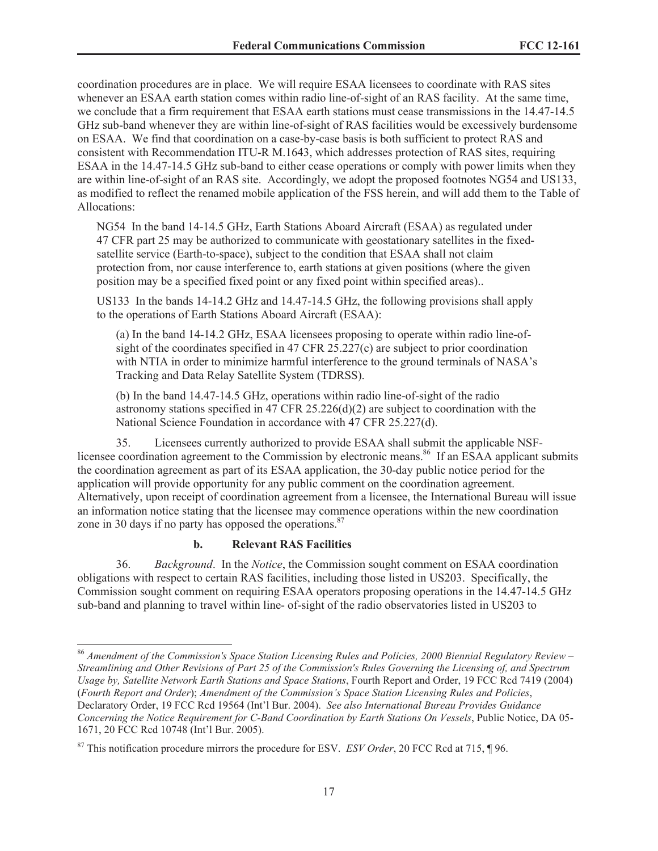coordination procedures are in place. We will require ESAA licensees to coordinate with RAS sites whenever an ESAA earth station comes within radio line-of-sight of an RAS facility. At the same time, we conclude that a firm requirement that ESAA earth stations must cease transmissions in the 14.47-14.5 GHz sub-band whenever they are within line-of-sight of RAS facilities would be excessively burdensome on ESAA. We find that coordination on a case-by-case basis is both sufficient to protect RAS and consistent with Recommendation ITU-R M.1643, which addresses protection of RAS sites, requiring ESAA in the 14.47-14.5 GHz sub-band to either cease operations or comply with power limits when they are within line-of-sight of an RAS site. Accordingly, we adopt the proposed footnotes NG54 and US133, as modified to reflect the renamed mobile application of the FSS herein, and will add them to the Table of Allocations:

NG54 In the band 14-14.5 GHz, Earth Stations Aboard Aircraft (ESAA) as regulated under 47 CFR part 25 may be authorized to communicate with geostationary satellites in the fixedsatellite service (Earth-to-space), subject to the condition that ESAA shall not claim protection from, nor cause interference to, earth stations at given positions (where the given position may be a specified fixed point or any fixed point within specified areas)..

US133 In the bands 14-14.2 GHz and 14.47-14.5 GHz, the following provisions shall apply to the operations of Earth Stations Aboard Aircraft (ESAA):

(a) In the band 14-14.2 GHz, ESAA licensees proposing to operate within radio line-ofsight of the coordinates specified in 47 CFR 25.227(c) are subject to prior coordination with NTIA in order to minimize harmful interference to the ground terminals of NASA's Tracking and Data Relay Satellite System (TDRSS).

(b) In the band 14.47-14.5 GHz, operations within radio line-of-sight of the radio astronomy stations specified in 47 CFR 25.226(d)(2) are subject to coordination with the National Science Foundation in accordance with 47 CFR 25.227(d).

35. Licensees currently authorized to provide ESAA shall submit the applicable NSFlicensee coordination agreement to the Commission by electronic means.<sup>86</sup> If an ESAA applicant submits the coordination agreement as part of its ESAA application, the 30-day public notice period for the application will provide opportunity for any public comment on the coordination agreement. Alternatively, upon receipt of coordination agreement from a licensee, the International Bureau will issue an information notice stating that the licensee may commence operations within the new coordination zone in 30 days if no party has opposed the operations.<sup>87</sup>

#### **b. Relevant RAS Facilities**

36. *Background*. In the *Notice*, the Commission sought comment on ESAA coordination obligations with respect to certain RAS facilities, including those listed in US203. Specifically, the Commission sought comment on requiring ESAA operators proposing operations in the 14.47-14.5 GHz sub-band and planning to travel within line- of-sight of the radio observatories listed in US203 to

<sup>86</sup> *Amendment of the Commission's Space Station Licensing Rules and Policies, 2000 Biennial Regulatory Review – Streamlining and Other Revisions of Part 25 of the Commission's Rules Governing the Licensing of, and Spectrum Usage by, Satellite Network Earth Stations and Space Stations*, Fourth Report and Order, 19 FCC Rcd 7419 (2004) (*Fourth Report and Order*); *Amendment of the Commission's Space Station Licensing Rules and Policies*, Declaratory Order, 19 FCC Rcd 19564 (Int'l Bur. 2004). *See also International Bureau Provides Guidance Concerning the Notice Requirement for C-Band Coordination by Earth Stations On Vessels*, Public Notice, DA 05- 1671, 20 FCC Rcd 10748 (Int'l Bur. 2005).

<sup>87</sup> This notification procedure mirrors the procedure for ESV. *ESV Order*, 20 FCC Rcd at 715, ¶ 96.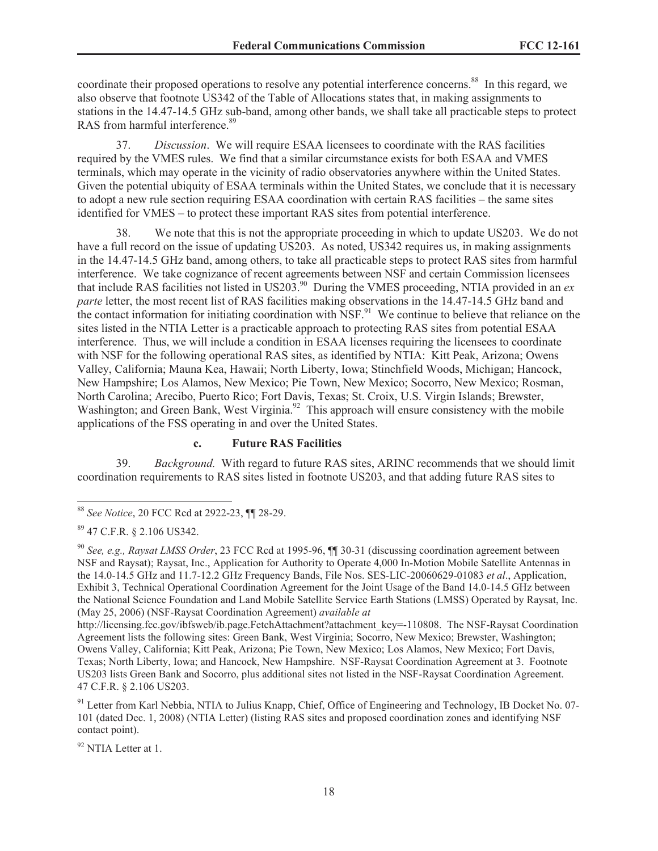coordinate their proposed operations to resolve any potential interference concerns.<sup>88</sup> In this regard, we also observe that footnote US342 of the Table of Allocations states that, in making assignments to stations in the 14.47-14.5 GHz sub-band, among other bands, we shall take all practicable steps to protect RAS from harmful interference.<sup>89</sup>

37. *Discussion*. We will require ESAA licensees to coordinate with the RAS facilities required by the VMES rules. We find that a similar circumstance exists for both ESAA and VMES terminals, which may operate in the vicinity of radio observatories anywhere within the United States. Given the potential ubiquity of ESAA terminals within the United States, we conclude that it is necessary to adopt a new rule section requiring ESAA coordination with certain RAS facilities – the same sites identified for VMES – to protect these important RAS sites from potential interference.

38. We note that this is not the appropriate proceeding in which to update US203. We do not have a full record on the issue of updating US203. As noted, US342 requires us, in making assignments in the 14.47-14.5 GHz band, among others, to take all practicable steps to protect RAS sites from harmful interference. We take cognizance of recent agreements between NSF and certain Commission licensees that include RAS facilities not listed in US203.<sup>90</sup> During the VMES proceeding, NTIA provided in an *ex parte* letter, the most recent list of RAS facilities making observations in the 14.47-14.5 GHz band and the contact information for initiating coordination with  $NSF<sup>91</sup>$ . We continue to believe that reliance on the sites listed in the NTIA Letter is a practicable approach to protecting RAS sites from potential ESAA interference. Thus, we will include a condition in ESAA licenses requiring the licensees to coordinate with NSF for the following operational RAS sites, as identified by NTIA: Kitt Peak, Arizona; Owens Valley, California; Mauna Kea, Hawaii; North Liberty, Iowa; Stinchfield Woods, Michigan; Hancock, New Hampshire; Los Alamos, New Mexico; Pie Town, New Mexico; Socorro, New Mexico; Rosman, North Carolina; Arecibo, Puerto Rico; Fort Davis, Texas; St. Croix, U.S. Virgin Islands; Brewster, Washington; and Green Bank, West Virginia.<sup>92</sup> This approach will ensure consistency with the mobile applications of the FSS operating in and over the United States.

## **c. Future RAS Facilities**

39. *Background.* With regard to future RAS sites, ARINC recommends that we should limit coordination requirements to RAS sites listed in footnote US203, and that adding future RAS sites to

<sup>92</sup> NTIA Letter at 1.

<sup>88</sup> *See Notice*, 20 FCC Rcd at 2922-23, ¶¶ 28-29.

<sup>89</sup> 47 C.F.R. § 2.106 US342.

<sup>90</sup> *See, e.g., Raysat LMSS Order*, 23 FCC Rcd at 1995-96, ¶¶ 30-31 (discussing coordination agreement between NSF and Raysat); Raysat, Inc., Application for Authority to Operate 4,000 In-Motion Mobile Satellite Antennas in the 14.0-14.5 GHz and 11.7-12.2 GHz Frequency Bands, File Nos. SES-LIC-20060629-01083 *et al*., Application, Exhibit 3, Technical Operational Coordination Agreement for the Joint Usage of the Band 14.0-14.5 GHz between the National Science Foundation and Land Mobile Satellite Service Earth Stations (LMSS) Operated by Raysat, Inc. (May 25, 2006) (NSF-Raysat Coordination Agreement) *available at*

http://licensing.fcc.gov/ibfsweb/ib.page.FetchAttachment?attachment\_key=-110808. The NSF-Raysat Coordination Agreement lists the following sites: Green Bank, West Virginia; Socorro, New Mexico; Brewster, Washington; Owens Valley, California; Kitt Peak, Arizona; Pie Town, New Mexico; Los Alamos, New Mexico; Fort Davis, Texas; North Liberty, Iowa; and Hancock, New Hampshire. NSF-Raysat Coordination Agreement at 3. Footnote US203 lists Green Bank and Socorro, plus additional sites not listed in the NSF-Raysat Coordination Agreement. 47 C.F.R. § 2.106 US203.

<sup>&</sup>lt;sup>91</sup> Letter from Karl Nebbia, NTIA to Julius Knapp, Chief, Office of Engineering and Technology, IB Docket No. 07-101 (dated Dec. 1, 2008) (NTIA Letter) (listing RAS sites and proposed coordination zones and identifying NSF contact point).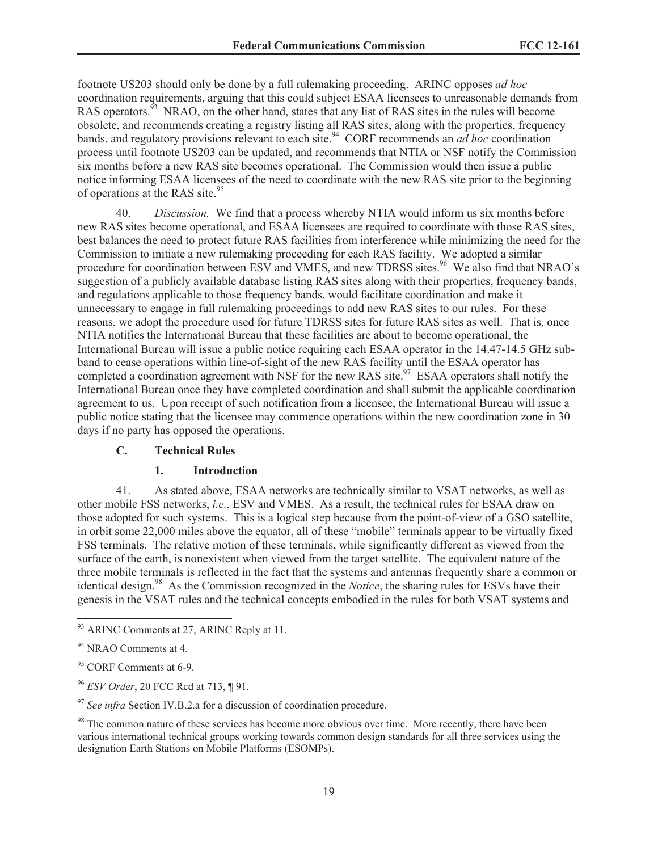footnote US203 should only be done by a full rulemaking proceeding. ARINC opposes *ad hoc* coordination requirements, arguing that this could subject ESAA licensees to unreasonable demands from RAS operators.<sup>93</sup> NRAO, on the other hand, states that any list of RAS sites in the rules will become obsolete, and recommends creating a registry listing all RAS sites, along with the properties, frequency bands, and regulatory provisions relevant to each site.<sup>94</sup> CORF recommends an *ad hoc* coordination process until footnote US203 can be updated, and recommends that NTIA or NSF notify the Commission six months before a new RAS site becomes operational. The Commission would then issue a public notice informing ESAA licensees of the need to coordinate with the new RAS site prior to the beginning of operations at the RAS site.<sup>95</sup>

40. *Discussion.* We find that a process whereby NTIA would inform us six months before new RAS sites become operational, and ESAA licensees are required to coordinate with those RAS sites, best balances the need to protect future RAS facilities from interference while minimizing the need for the Commission to initiate a new rulemaking proceeding for each RAS facility. We adopted a similar procedure for coordination between ESV and VMES, and new TDRSS sites.<sup>96</sup> We also find that NRAO's suggestion of a publicly available database listing RAS sites along with their properties, frequency bands, and regulations applicable to those frequency bands, would facilitate coordination and make it unnecessary to engage in full rulemaking proceedings to add new RAS sites to our rules. For these reasons, we adopt the procedure used for future TDRSS sites for future RAS sites as well. That is, once NTIA notifies the International Bureau that these facilities are about to become operational, the International Bureau will issue a public notice requiring each ESAA operator in the 14.47-14.5 GHz subband to cease operations within line-of-sight of the new RAS facility until the ESAA operator has completed a coordination agreement with NSF for the new RAS site.<sup>97</sup> ESAA operators shall notify the International Bureau once they have completed coordination and shall submit the applicable coordination agreement to us. Upon receipt of such notification from a licensee, the International Bureau will issue a public notice stating that the licensee may commence operations within the new coordination zone in 30 days if no party has opposed the operations.

### **C. Technical Rules**

#### **1. Introduction**

41. As stated above, ESAA networks are technically similar to VSAT networks, as well as other mobile FSS networks, *i.e.*, ESV and VMES. As a result, the technical rules for ESAA draw on those adopted for such systems. This is a logical step because from the point-of-view of a GSO satellite, in orbit some 22,000 miles above the equator, all of these "mobile" terminals appear to be virtually fixed FSS terminals. The relative motion of these terminals, while significantly different as viewed from the surface of the earth, is nonexistent when viewed from the target satellite. The equivalent nature of the three mobile terminals is reflected in the fact that the systems and antennas frequently share a common or identical design.<sup>98</sup> As the Commission recognized in the *Notice*, the sharing rules for ESVs have their genesis in the VSAT rules and the technical concepts embodied in the rules for both VSAT systems and

<sup>&</sup>lt;sup>93</sup> ARINC Comments at 27, ARINC Reply at 11.

<sup>&</sup>lt;sup>94</sup> NRAO Comments at 4.

<sup>&</sup>lt;sup>95</sup> CORF Comments at 6-9.

<sup>96</sup> *ESV Order*, 20 FCC Rcd at 713, ¶ 91.

<sup>&</sup>lt;sup>97</sup> See infra Section IV.B.2.a for a discussion of coordination procedure.

<sup>&</sup>lt;sup>98</sup> The common nature of these services has become more obvious over time. More recently, there have been various international technical groups working towards common design standards for all three services using the designation Earth Stations on Mobile Platforms (ESOMPs).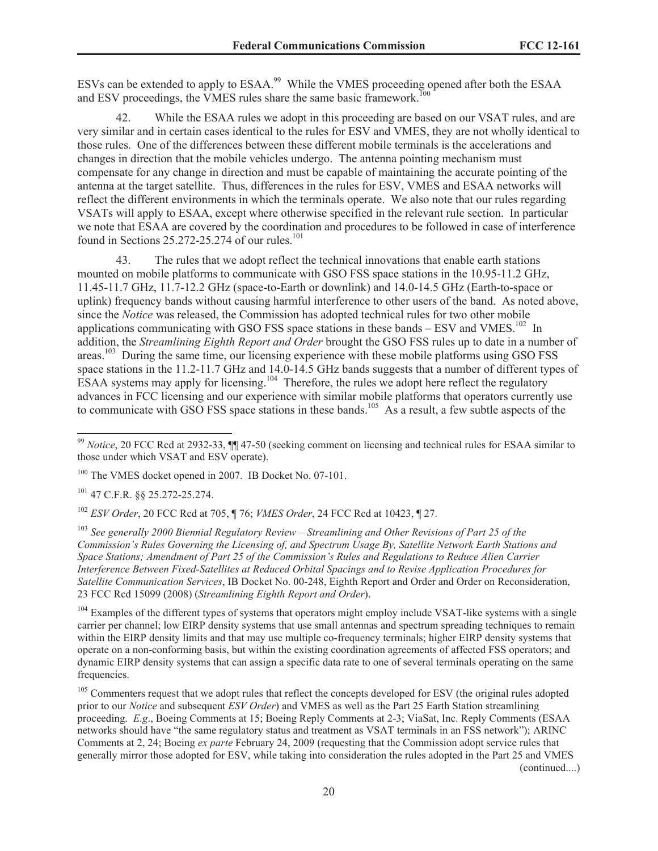ESVs can be extended to apply to ESAA.<sup>99</sup> While the VMES proceeding opened after both the ESAA and ESV proceedings, the VMES rules share the same basic framework.<sup>100</sup>

42. While the ESAA rules we adopt in this proceeding are based on our VSAT rules, and are very similar and in certain cases identical to the rules for ESV and VMES, they are not wholly identical to those rules. One of the differences between these different mobile terminals is the accelerations and changes in direction that the mobile vehicles undergo. The antenna pointing mechanism must compensate for any change in direction and must be capable of maintaining the accurate pointing of the antenna at the target satellite. Thus, differences in the rules for ESV, VMES and ESAA networks will reflect the different environments in which the terminals operate. We also note that our rules regarding VSATs will apply to ESAA, except where otherwise specified in the relevant rule section. In particular we note that ESAA are covered by the coordination and procedures to be followed in case of interference found in Sections  $25.272 - 25.274$  of our rules.<sup>101</sup>

43. The rules that we adopt reflect the technical innovations that enable earth stations mounted on mobile platforms to communicate with GSO FSS space stations in the 10.95-11.2 GHz, 11.45-11.7 GHz, 11.7-12.2 GHz (space-to-Earth or downlink) and 14.0-14.5 GHz (Earth-to-space or uplink) frequency bands without causing harmful interference to other users of the band. As noted above, since the *Notice* was released, the Commission has adopted technical rules for two other mobile applications communicating with GSO FSS space stations in these bands  $-$  ESV and VMES.<sup>102</sup> In addition, the *Streamlining Eighth Report and Order* brought the GSO FSS rules up to date in a number of areas.<sup>103</sup> During the same time, our licensing experience with these mobile platforms using GSO FSS space stations in the 11.2-11.7 GHz and 14.0-14.5 GHz bands suggests that a number of different types of ESAA systems may apply for licensing.<sup>104</sup> Therefore, the rules we adopt here reflect the regulatory advances in FCC licensing and our experience with similar mobile platforms that operators currently use to communicate with GSO FSS space stations in these bands.<sup>105</sup> As a result, a few subtle aspects of the

<sup>101</sup> 47 C.F.R. §§ 25.272-25.274.

<sup>102</sup> *ESV Order*, 20 FCC Rcd at 705, ¶ 76; *VMES Order*, 24 FCC Rcd at 10423, ¶ 27.

<sup>103</sup> *See generally 2000 Biennial Regulatory Review – Streamlining and Other Revisions of Part 25 of the Commission's Rules Governing the Licensing of, and Spectrum Usage By, Satellite Network Earth Stations and Space Stations; Amendment of Part 25 of the Commission's Rules and Regulations to Reduce Alien Carrier Interference Between Fixed-Satellites at Reduced Orbital Spacings and to Revise Application Procedures for Satellite Communication Services*, IB Docket No. 00-248, Eighth Report and Order and Order on Reconsideration, 23 FCC Rcd 15099 (2008) (*Streamlining Eighth Report and Order*).

 $104$  Examples of the different types of systems that operators might employ include VSAT-like systems with a single carrier per channel; low EIRP density systems that use small antennas and spectrum spreading techniques to remain within the EIRP density limits and that may use multiple co-frequency terminals; higher EIRP density systems that operate on a non-conforming basis, but within the existing coordination agreements of affected FSS operators; and dynamic EIRP density systems that can assign a specific data rate to one of several terminals operating on the same frequencies.

<sup>105</sup> Commenters request that we adopt rules that reflect the concepts developed for ESV (the original rules adopted prior to our *Notice* and subsequent *ESV Order*) and VMES as well as the Part 25 Earth Station streamlining proceeding. *E.g*., Boeing Comments at 15; Boeing Reply Comments at 2-3; ViaSat, Inc. Reply Comments (ESAA networks should have "the same regulatory status and treatment as VSAT terminals in an FSS network"); ARINC Comments at 2, 24; Boeing *ex parte* February 24, 2009 (requesting that the Commission adopt service rules that generally mirror those adopted for ESV, while taking into consideration the rules adopted in the Part 25 and VMES (continued....)

<sup>99</sup> *Notice*, 20 FCC Rcd at 2932-33, ¶¶ 47-50 (seeking comment on licensing and technical rules for ESAA similar to those under which VSAT and ESV operate).

<sup>&</sup>lt;sup>100</sup> The VMES docket opened in 2007. IB Docket No. 07-101.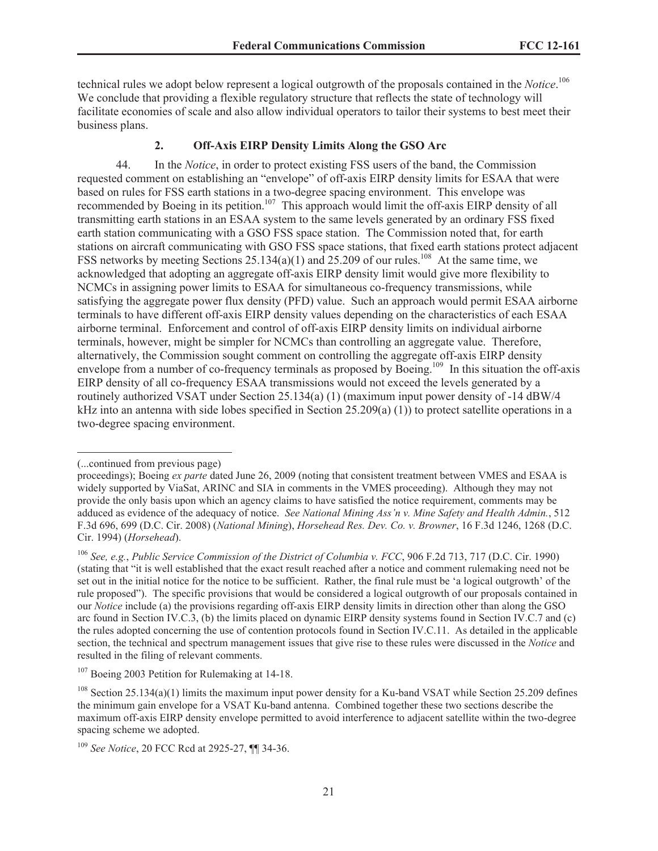technical rules we adopt below represent a logical outgrowth of the proposals contained in the *Notice*. 106 We conclude that providing a flexible regulatory structure that reflects the state of technology will facilitate economies of scale and also allow individual operators to tailor their systems to best meet their business plans.

#### **2. Off-Axis EIRP Density Limits Along the GSO Arc**

44. In the *Notice*, in order to protect existing FSS users of the band, the Commission requested comment on establishing an "envelope" of off-axis EIRP density limits for ESAA that were based on rules for FSS earth stations in a two-degree spacing environment. This envelope was recommended by Boeing in its petition.<sup>107</sup> This approach would limit the off-axis EIRP density of all transmitting earth stations in an ESAA system to the same levels generated by an ordinary FSS fixed earth station communicating with a GSO FSS space station. The Commission noted that, for earth stations on aircraft communicating with GSO FSS space stations, that fixed earth stations protect adjacent FSS networks by meeting Sections 25.134(a)(1) and 25.209 of our rules.<sup>108</sup> At the same time, we acknowledged that adopting an aggregate off-axis EIRP density limit would give more flexibility to NCMCs in assigning power limits to ESAA for simultaneous co-frequency transmissions, while satisfying the aggregate power flux density (PFD) value. Such an approach would permit ESAA airborne terminals to have different off-axis EIRP density values depending on the characteristics of each ESAA airborne terminal. Enforcement and control of off-axis EIRP density limits on individual airborne terminals, however, might be simpler for NCMCs than controlling an aggregate value. Therefore, alternatively, the Commission sought comment on controlling the aggregate off-axis EIRP density envelope from a number of co-frequency terminals as proposed by Boeing.<sup>109</sup> In this situation the off-axis EIRP density of all co-frequency ESAA transmissions would not exceed the levels generated by a routinely authorized VSAT under Section 25.134(a) (1) (maximum input power density of -14 dBW/4 kHz into an antenna with side lobes specified in Section  $25.209(a)$  (1)) to protect satellite operations in a two-degree spacing environment.

<sup>(...</sup>continued from previous page)

proceedings); Boeing *ex parte* dated June 26, 2009 (noting that consistent treatment between VMES and ESAA is widely supported by ViaSat, ARINC and SIA in comments in the VMES proceeding). Although they may not provide the only basis upon which an agency claims to have satisfied the notice requirement, comments may be adduced as evidence of the adequacy of notice. *See National Mining Ass'n v. Mine Safety and Health Admin.*, 512 F.3d 696, 699 (D.C. Cir. 2008) (*National Mining*), *Horsehead Res. Dev. Co. v. Browner*, 16 F.3d 1246, 1268 (D.C. Cir. 1994) (*Horsehead*).

<sup>106</sup> *See, e.g.*, *Public Service Commission of the District of Columbia v. FCC*, 906 F.2d 713, 717 (D.C. Cir. 1990) (stating that "it is well established that the exact result reached after a notice and comment rulemaking need not be set out in the initial notice for the notice to be sufficient. Rather, the final rule must be 'a logical outgrowth' of the rule proposed"). The specific provisions that would be considered a logical outgrowth of our proposals contained in our *Notice* include (a) the provisions regarding off-axis EIRP density limits in direction other than along the GSO arc found in Section IV.C.3, (b) the limits placed on dynamic EIRP density systems found in Section IV.C.7 and (c) the rules adopted concerning the use of contention protocols found in Section IV.C.11. As detailed in the applicable section, the technical and spectrum management issues that give rise to these rules were discussed in the *Notice* and resulted in the filing of relevant comments.

<sup>&</sup>lt;sup>107</sup> Boeing 2003 Petition for Rulemaking at 14-18.

<sup>&</sup>lt;sup>108</sup> Section 25.134(a)(1) limits the maximum input power density for a Ku-band VSAT while Section 25.209 defines the minimum gain envelope for a VSAT Ku-band antenna. Combined together these two sections describe the maximum off-axis EIRP density envelope permitted to avoid interference to adjacent satellite within the two-degree spacing scheme we adopted.

<sup>109</sup> *See Notice*, 20 FCC Rcd at 2925-27, ¶¶ 34-36.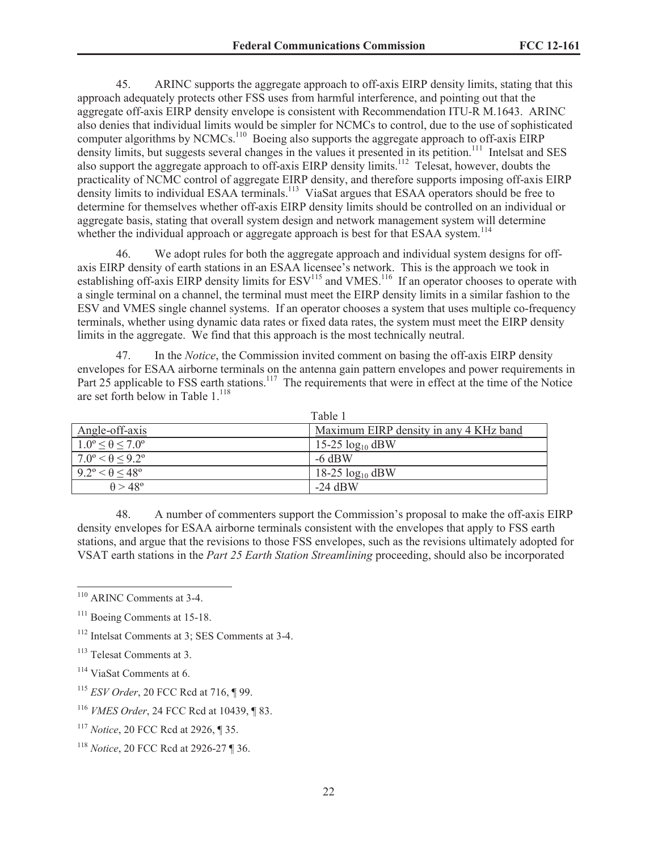45. ARINC supports the aggregate approach to off-axis EIRP density limits, stating that this approach adequately protects other FSS uses from harmful interference, and pointing out that the aggregate off-axis EIRP density envelope is consistent with Recommendation ITU-R M.1643. ARINC also denies that individual limits would be simpler for NCMCs to control, due to the use of sophisticated computer algorithms by NCMCs.<sup>110</sup> Boeing also supports the aggregate approach to off-axis EIRP density limits, but suggests several changes in the values it presented in its petition.<sup>111</sup> Intelsat and SES also support the aggregate approach to off-axis EIRP density limits.<sup>112</sup> Telesat, however, doubts the practicality of NCMC control of aggregate EIRP density, and therefore supports imposing off-axis EIRP density limits to individual ESAA terminals.<sup>113</sup> ViaSat argues that ESAA operators should be free to determine for themselves whether off-axis EIRP density limits should be controlled on an individual or aggregate basis, stating that overall system design and network management system will determine whether the individual approach or aggregate approach is best for that ESAA system.<sup>114</sup>

46. We adopt rules for both the aggregate approach and individual system designs for offaxis EIRP density of earth stations in an ESAA licensee's network. This is the approach we took in establishing off-axis EIRP density limits for  $ESV<sup>115</sup>$  and VMES.<sup>116</sup> If an operator chooses to operate with a single terminal on a channel, the terminal must meet the EIRP density limits in a similar fashion to the ESV and VMES single channel systems. If an operator chooses a system that uses multiple co-frequency terminals, whether using dynamic data rates or fixed data rates, the system must meet the EIRP density limits in the aggregate. We find that this approach is the most technically neutral.

47. In the *Notice*, the Commission invited comment on basing the off-axis EIRP density envelopes for ESAA airborne terminals on the antenna gain pattern envelopes and power requirements in Part 25 applicable to FSS earth stations.<sup>117</sup> The requirements that were in effect at the time of the Notice are set forth below in Table  $1.^{118}$ 

|                                          | Table 1                                |
|------------------------------------------|----------------------------------------|
| Angle-off-axis                           | Maximum EIRP density in any 4 KHz band |
| $1.0^{\circ} \le \theta \le 7.0^{\circ}$ | 15-25 $log_{10}$ dBW                   |
| $7.0^{\circ} < \theta \leq 9.2^{\circ}$  | $-6$ dBW                               |
| $9.2^{\circ} < \theta < 48^{\circ}$      | 18-25 $log_{10}$ dBW                   |
| $\theta > 48^{\circ}$                    | $-24$ dBW                              |

48. A number of commenters support the Commission's proposal to make the off-axis EIRP density envelopes for ESAA airborne terminals consistent with the envelopes that apply to FSS earth stations, and argue that the revisions to those FSS envelopes, such as the revisions ultimately adopted for VSAT earth stations in the *Part 25 Earth Station Streamlining* proceeding, should also be incorporated

- <sup>114</sup> ViaSat Comments at 6.
- <sup>115</sup> *ESV Order*, 20 FCC Rcd at 716, ¶ 99.
- <sup>116</sup> *VMES Order*, 24 FCC Rcd at 10439, ¶ 83.
- <sup>117</sup> *Notice*, 20 FCC Rcd at 2926, ¶ 35.

<sup>110</sup> ARINC Comments at 3-4.

<sup>&</sup>lt;sup>111</sup> Boeing Comments at 15-18.

<sup>112</sup> Intelsat Comments at 3; SES Comments at 3-4.

<sup>&</sup>lt;sup>113</sup> Telesat Comments at 3.

<sup>118</sup> *Notice*, 20 FCC Rcd at 2926-27 ¶ 36.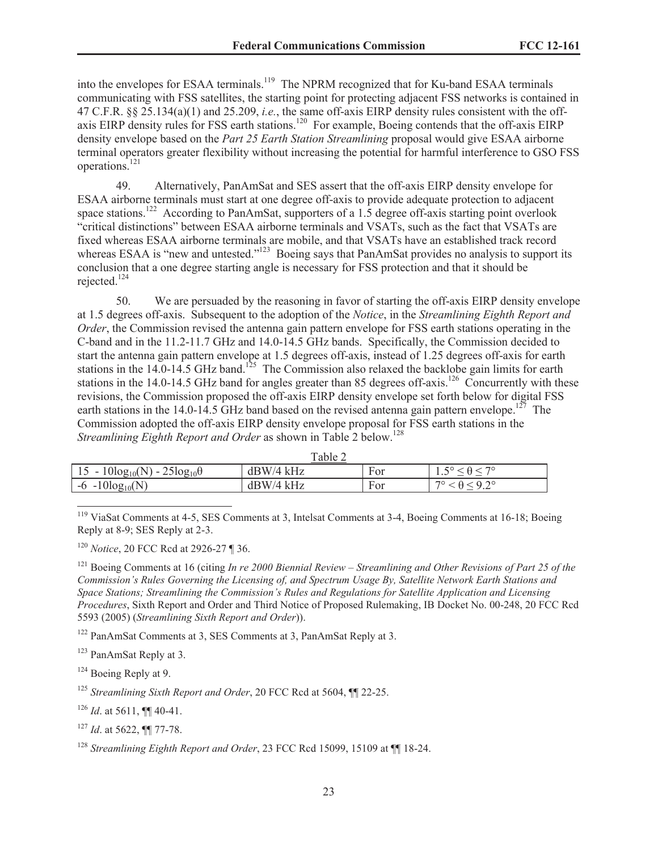into the envelopes for ESAA terminals.<sup>119</sup> The NPRM recognized that for Ku-band ESAA terminals communicating with FSS satellites, the starting point for protecting adjacent FSS networks is contained in 47 C.F.R. §§ 25.134(a)(1) and 25.209, *i.e.*, the same off-axis EIRP density rules consistent with the offaxis EIRP density rules for FSS earth stations.<sup>120</sup> For example, Boeing contends that the off-axis EIRP density envelope based on the *Part 25 Earth Station Streamlining* proposal would give ESAA airborne terminal operators greater flexibility without increasing the potential for harmful interference to GSO FSS operations.<sup>121</sup>

49. Alternatively, PanAmSat and SES assert that the off-axis EIRP density envelope for ESAA airborne terminals must start at one degree off-axis to provide adequate protection to adjacent space stations.<sup>122</sup> According to PanAmSat, supporters of a 1.5 degree of f-axis starting point overlook "critical distinctions" between ESAA airborne terminals and VSATs, such as the fact that VSATs are fixed whereas ESAA airborne terminals are mobile, and that VSATs have an established track record whereas ESAA is "new and untested."<sup>123</sup> Boeing says that PanAmSat provides no analysis to support its conclusion that a one degree starting angle is necessary for FSS protection and that it should be rejected.<sup>124</sup>

50. We are persuaded by the reasoning in favor of starting the off-axis EIRP density envelope at 1.5 degrees off-axis. Subsequent to the adoption of the *Notice*, in the *Streamlining Eighth Report and Order*, the Commission revised the antenna gain pattern envelope for FSS earth stations operating in the C-band and in the 11.2-11.7 GHz and 14.0-14.5 GHz bands. Specifically, the Commission decided to start the antenna gain pattern envelope at 1.5 degrees off-axis, instead of 1.25 degrees off-axis for earth stations in the  $14.0-14.5$  GHz band.<sup>125</sup> The Commission also relaxed the backlobe gain limits for earth stations in the 14.0-14.5 GHz band for angles greater than 85 degrees off-axis.<sup>126</sup> Concurrently with these revisions, the Commission proposed the off-axis EIRP density envelope set forth below for digital FSS earth stations in the 14.0-14.5 GHz band based on the revised antenna gain pattern envelope.<sup>127</sup> The Commission adopted the off-axis EIRP density envelope proposal for FSS earth stations in the *Streamlining Eighth Report and Order* as shown in Table 2 below.<sup>128</sup>

|                                           | rabie z     |      |     |
|-------------------------------------------|-------------|------|-----|
| $15 - 10\log_{10}(N) - 25\log_{10}\theta$ | $dBW/4$ kHz | F or | ⊥ . |
| $-6 - 10\log_{10}(N)$                     | $dBW/4$ kHz | For  | 70  |

 $T_0$ <sub>b</sub>l<sub>2</sub> $\gamma$ 

<sup>119</sup> ViaSat Comments at 4-5, SES Comments at 3, Intelsat Comments at 3-4, Boeing Comments at 16-18; Boeing Reply at 8-9; SES Reply at 2-3.

<sup>120</sup> *Notice*, 20 FCC Rcd at 2926-27 ¶ 36.

<sup>121</sup> Boeing Comments at 16 (citing *In re 2000 Biennial Review – Streamlining and Other Revisions of Part 25 of the Commission's Rules Governing the Licensing of, and Spectrum Usage By, Satellite Network Earth Stations and Space Stations; Streamlining the Commission's Rules and Regulations for Satellite Application and Licensing Procedures*, Sixth Report and Order and Third Notice of Proposed Rulemaking, IB Docket No. 00-248, 20 FCC Rcd 5593 (2005) (*Streamlining Sixth Report and Order*)).

<sup>122</sup> PanAmSat Comments at 3, SES Comments at 3, PanAmSat Reply at 3.

 $123$  PanAmSat Reply at 3.

<sup>124</sup> Boeing Reply at 9.

<sup>125</sup> *Streamlining Sixth Report and Order*, 20 FCC Rcd at 5604, ¶¶ 22-25.

 $126$  *Id.* at 5611, **[1]** 40-41.

<sup>127</sup> *Id*. at 5622, ¶¶ 77-78.

<sup>128</sup> Streamlining Eighth Report and Order, 23 FCC Rcd 15099, 15109 at ¶¶ 18-24.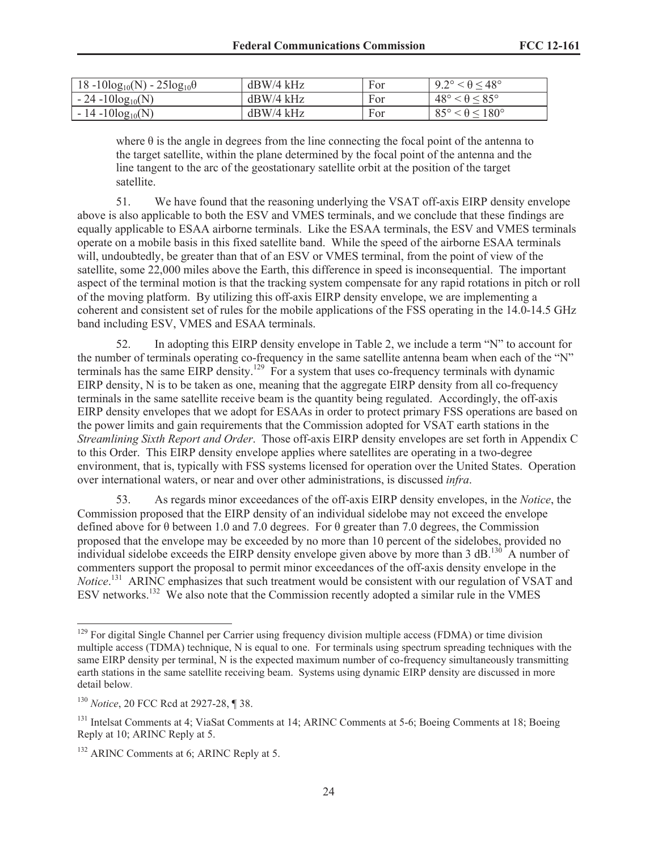| $18 - 10\log_{10}(N) - 25\log_{10}\theta$ | $dBW/4$ kHz | For | $9.2^\circ < \theta \leq 48^\circ$ |
|-------------------------------------------|-------------|-----|------------------------------------|
| $-24 - 10\log_{10}(N)$                    | $dBW/4$ kHz | For | $48^\circ < \theta \leq 85^\circ$  |
| $-14 - 10\log_{10}(N)$                    | $dBW/4$ kHz | For | $85^\circ < \theta \leq 180^\circ$ |

where  $\theta$  is the angle in degrees from the line connecting the focal point of the antenna to the target satellite, within the plane determined by the focal point of the antenna and the line tangent to the arc of the geostationary satellite orbit at the position of the target satellite.

51. We have found that the reasoning underlying the VSAT off-axis EIRP density envelope above is also applicable to both the ESV and VMES terminals, and we conclude that these findings are equally applicable to ESAA airborne terminals. Like the ESAA terminals, the ESV and VMES terminals operate on a mobile basis in this fixed satellite band. While the speed of the airborne ESAA terminals will, undoubtedly, be greater than that of an ESV or VMES terminal, from the point of view of the satellite, some 22,000 miles above the Earth, this difference in speed is inconsequential. The important aspect of the terminal motion is that the tracking system compensate for any rapid rotations in pitch or roll of the moving platform. By utilizing this off-axis EIRP density envelope, we are implementing a coherent and consistent set of rules for the mobile applications of the FSS operating in the 14.0-14.5 GHz band including ESV, VMES and ESAA terminals.

52. In adopting this EIRP density envelope in Table 2, we include a term "N" to account for the number of terminals operating co-frequency in the same satellite antenna beam when each of the "N" terminals has the same EIRP density.<sup>129</sup> For a system that uses co-frequency terminals with dynamic EIRP density, N is to be taken as one, meaning that the aggregate EIRP density from all co-frequency terminals in the same satellite receive beam is the quantity being regulated. Accordingly, the off-axis EIRP density envelopes that we adopt for ESAAs in order to protect primary FSS operations are based on the power limits and gain requirements that the Commission adopted for VSAT earth stations in the *Streamlining Sixth Report and Order*. Those off-axis EIRP density envelopes are set forth in Appendix C to this Order. This EIRP density envelope applies where satellites are operating in a two-degree environment, that is, typically with FSS systems licensed for operation over the United States. Operation over international waters, or near and over other administrations, is discussed *infra*.

53. As regards minor exceedances of the off-axis EIRP density envelopes, in the *Notice*, the Commission proposed that the EIRP density of an individual sidelobe may not exceed the envelope defined above for θ between 1.0 and 7.0 degrees. For θ greater than 7.0 degrees, the Commission proposed that the envelope may be exceeded by no more than 10 percent of the sidelobes, provided no individual sidelobe exceeds the EIRP density envelope given above by more than 3 dB.<sup>130</sup> A number of commenters support the proposal to permit minor exceedances of the off-axis density envelope in the *Notice*. <sup>131</sup> ARINC emphasizes that such treatment would be consistent with our regulation of VSAT and ESV networks.<sup>132</sup> We also note that the Commission recently adopted a similar rule in the VMES

<sup>&</sup>lt;sup>129</sup> For digital Single Channel per Carrier using frequency division multiple access (FDMA) or time division multiple access (TDMA) technique, N is equal to one. For terminals using spectrum spreading techniques with the same EIRP density per terminal, N is the expected maximum number of co-frequency simultaneously transmitting earth stations in the same satellite receiving beam. Systems using dynamic EIRP density are discussed in more detail below.

<sup>130</sup> *Notice*, 20 FCC Rcd at 2927-28, ¶ 38.

<sup>&</sup>lt;sup>131</sup> Intelsat Comments at 4; ViaSat Comments at 14; ARINC Comments at 5-6; Boeing Comments at 18; Boeing Reply at 10; ARINC Reply at 5.

<sup>&</sup>lt;sup>132</sup> ARINC Comments at 6: ARINC Reply at 5.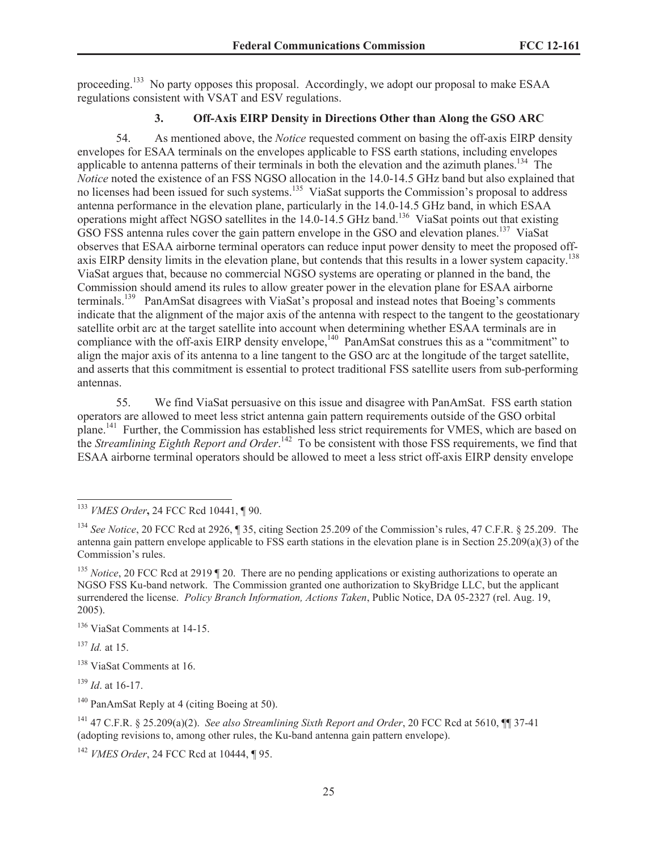proceeding.<sup>133</sup> No party opposes this proposal. Accordingly, we adopt our proposal to make ESAA regulations consistent with VSAT and ESV regulations.

# **3. Off-Axis EIRP Density in Directions Other than Along the GSO ARC**

54. As mentioned above, the *Notice* requested comment on basing the off-axis EIRP density envelopes for ESAA terminals on the envelopes applicable to FSS earth stations, including envelopes applicable to antenna patterns of their terminals in both the elevation and the azimuth planes.<sup>134</sup> The *Notice* noted the existence of an FSS NGSO allocation in the 14.0-14.5 GHz band but also explained that no licenses had been issued for such systems.<sup>135</sup> ViaSat supports the Commission's proposal to address antenna performance in the elevation plane, particularly in the 14.0-14.5 GHz band, in which ESAA operations might affect NGSO satellites in the 14.0-14.5 GHz band.<sup>136</sup> ViaSat points out that existing GSO FSS antenna rules cover the gain pattern envelope in the GSO and elevation planes.<sup>137</sup> ViaSat observes that ESAA airborne terminal operators can reduce input power density to meet the proposed offaxis EIRP density limits in the elevation plane, but contends that this results in a lower system capacity.<sup>138</sup> ViaSat argues that, because no commercial NGSO systems are operating or planned in the band, the Commission should amend its rules to allow greater power in the elevation plane for ESAA airborne terminals.<sup>139</sup> PanAmSat disagrees with ViaSat's proposal and instead notes that Boeing's comments indicate that the alignment of the major axis of the antenna with respect to the tangent to the geostationary satellite orbit arc at the target satellite into account when determining whether ESAA terminals are in compliance with the off-axis EIRP density envelope,<sup>140</sup> PanAmSat construes this as a "commitment" to align the major axis of its antenna to a line tangent to the GSO arc at the longitude of the target satellite, and asserts that this commitment is essential to protect traditional FSS satellite users from sub-performing antennas.

55. We find ViaSat persuasive on this issue and disagree with PanAmSat. FSS earth station operators are allowed to meet less strict antenna gain pattern requirements outside of the GSO orbital plane.<sup>141</sup> Further, the Commission has established less strict requirements for VMES, which are based on the *Streamlining Eighth Report and Order*. <sup>142</sup> To be consistent with those FSS requirements, we find that ESAA airborne terminal operators should be allowed to meet a less strict off-axis EIRP density envelope

<sup>136</sup> ViaSat Comments at 14-15.

<sup>137</sup> *Id.* at 15.

<sup>138</sup> ViaSat Comments at 16.

<sup>139</sup> *Id*. at 16-17.

<sup>140</sup> PanAmSat Reply at 4 (citing Boeing at 50).

<sup>141</sup> 47 C.F.R. § 25.209(a)(2). *See also Streamlining Sixth Report and Order*, 20 FCC Rcd at 5610, ¶¶ 37-41 (adopting revisions to, among other rules, the Ku-band antenna gain pattern envelope).

<sup>133</sup> *VMES Order***,** 24 FCC Rcd 10441, ¶ 90.

<sup>134</sup> *See Notice*, 20 FCC Rcd at 2926, ¶ 35, citing Section 25.209 of the Commission's rules, 47 C.F.R. § 25.209. The antenna gain pattern envelope applicable to FSS earth stations in the elevation plane is in Section 25.209(a)(3) of the Commission's rules.

<sup>&</sup>lt;sup>135</sup> *Notice*, 20 FCC Rcd at 2919 ¶ 20. There are no pending applications or existing authorizations to operate an NGSO FSS Ku-band network. The Commission granted one authorization to SkyBridge LLC, but the applicant surrendered the license. *Policy Branch Information, Actions Taken*, Public Notice, DA 05-2327 (rel. Aug. 19, 2005).

<sup>142</sup> *VMES Order*, 24 FCC Rcd at 10444, ¶ 95.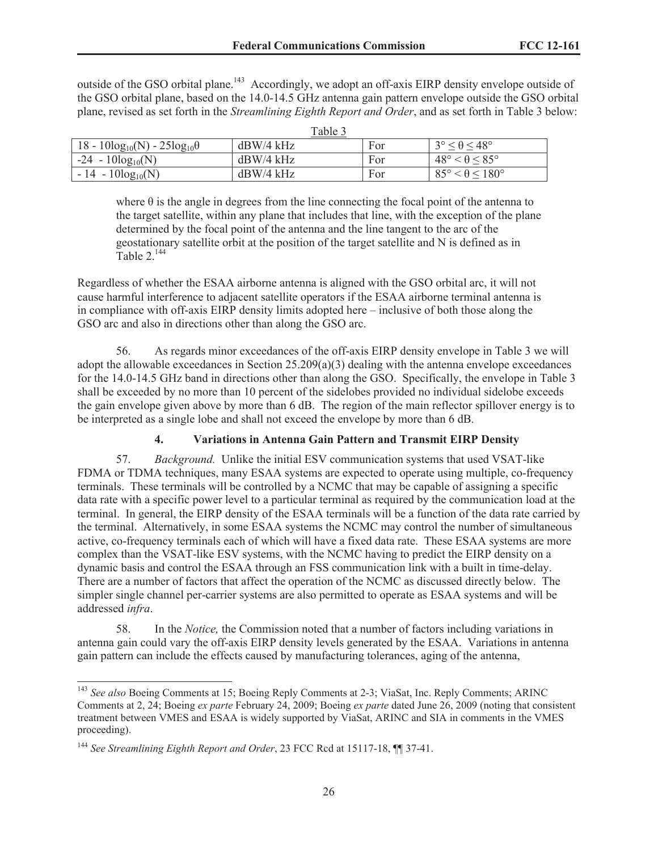outside of the GSO orbital plane.<sup>143</sup> Accordingly, we adopt an off-axis EIRP density envelope outside of the GSO orbital plane, based on the 14.0-14.5 GHz antenna gain pattern envelope outside the GSO orbital plane, revised as set forth in the *Streamlining Eighth Report and Order*, and as set forth in Table 3 below:

 $T<sub>11</sub>$ 

|                                           | i abie b    |     |                                    |
|-------------------------------------------|-------------|-----|------------------------------------|
| $18 - 10\log_{10}(N) - 25\log_{10}\theta$ | $dBW/4$ kHz | For | $3^{\circ} < \theta < 48^{\circ}$  |
| $-24 - 10\log_{10}(N)$                    | $dBW/4$ kHz | For | $48^\circ < \theta < 85^\circ$     |
| $-14 - 10\log_{10}(N)$                    | $dBW/4$ kHz | For | $85^\circ < \theta \leq 180^\circ$ |

where  $\theta$  is the angle in degrees from the line connecting the focal point of the antenna to the target satellite, within any plane that includes that line, with the exception of the plane determined by the focal point of the antenna and the line tangent to the arc of the geostationary satellite orbit at the position of the target satellite and N is defined as in Table  $2^{144}$ 

Regardless of whether the ESAA airborne antenna is aligned with the GSO orbital arc, it will not cause harmful interference to adjacent satellite operators if the ESAA airborne terminal antenna is in compliance with off-axis EIRP density limits adopted here – inclusive of both those along the GSO arc and also in directions other than along the GSO arc.

56. As regards minor exceedances of the off-axis EIRP density envelope in Table 3 we will adopt the allowable exceedances in Section  $25.209(a)(3)$  dealing with the antenna envelope exceedances for the 14.0-14.5 GHz band in directions other than along the GSO. Specifically, the envelope in Table 3 shall be exceeded by no more than 10 percent of the sidelobes provided no individual sidelobe exceeds the gain envelope given above by more than 6 dB. The region of the main reflector spillover energy is to be interpreted as a single lobe and shall not exceed the envelope by more than 6 dB.

# **4. Variations in Antenna Gain Pattern and Transmit EIRP Density**

57. *Background.* Unlike the initial ESV communication systems that used VSAT-like FDMA or TDMA techniques, many ESAA systems are expected to operate using multiple, co-frequency terminals. These terminals will be controlled by a NCMC that may be capable of assigning a specific data rate with a specific power level to a particular terminal as required by the communication load at the terminal. In general, the EIRP density of the ESAA terminals will be a function of the data rate carried by the terminal. Alternatively, in some ESAA systems the NCMC may control the number of simultaneous active, co-frequency terminals each of which will have a fixed data rate. These ESAA systems are more complex than the VSAT-like ESV systems, with the NCMC having to predict the EIRP density on a dynamic basis and control the ESAA through an FSS communication link with a built in time-delay. There are a number of factors that affect the operation of the NCMC as discussed directly below. The simpler single channel per-carrier systems are also permitted to operate as ESAA systems and will be addressed *infra*.

58. In the *Notice,* the Commission noted that a number of factors including variations in antenna gain could vary the off-axis EIRP density levels generated by the ESAA. Variations in antenna gain pattern can include the effects caused by manufacturing tolerances, aging of the antenna,

<sup>143</sup> *See also* Boeing Comments at 15; Boeing Reply Comments at 2-3; ViaSat, Inc. Reply Comments; ARINC Comments at 2, 24; Boeing *ex parte* February 24, 2009; Boeing *ex parte* dated June 26, 2009 (noting that consistent treatment between VMES and ESAA is widely supported by ViaSat, ARINC and SIA in comments in the VMES proceeding).

<sup>144</sup> *See Streamlining Eighth Report and Order*, 23 FCC Rcd at 15117-18, ¶¶ 37-41.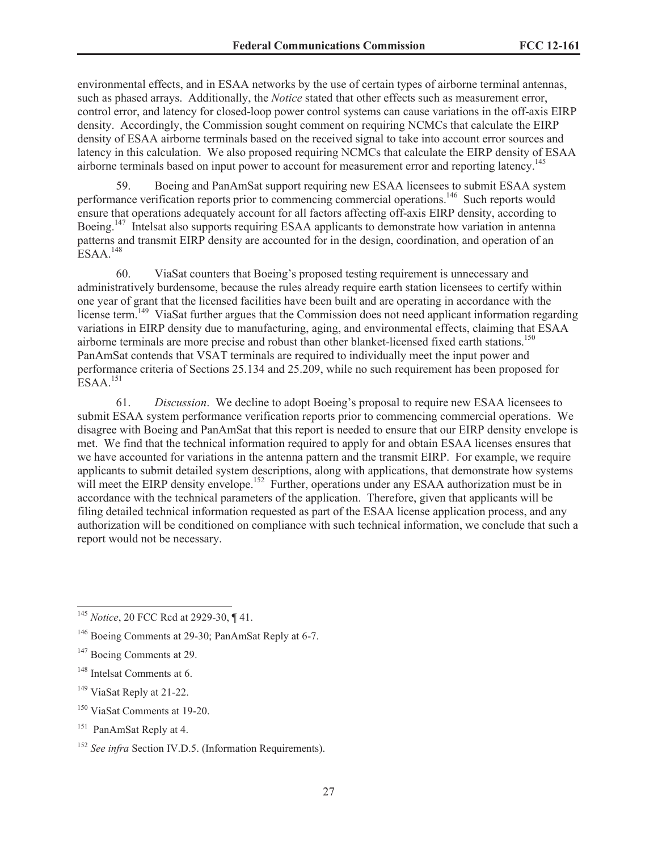environmental effects, and in ESAA networks by the use of certain types of airborne terminal antennas, such as phased arrays. Additionally, the *Notice* stated that other effects such as measurement error, control error, and latency for closed-loop power control systems can cause variations in the off-axis EIRP density. Accordingly, the Commission sought comment on requiring NCMCs that calculate the EIRP density of ESAA airborne terminals based on the received signal to take into account error sources and latency in this calculation. We also proposed requiring NCMCs that calculate the EIRP density of ESAA airborne terminals based on input power to account for measurement error and reporting latency.<sup>145</sup>

59. Boeing and PanAmSat support requiring new ESAA licensees to submit ESAA system performance verification reports prior to commencing commercial operations.<sup>146</sup> Such reports would ensure that operations adequately account for all factors affecting off-axis EIRP density, according to Boeing.<sup>147</sup> Intelsat also supports requiring ESAA applicants to demonstrate how variation in antenna patterns and transmit EIRP density are accounted for in the design, coordination, and operation of an ESAA.<sup>148</sup>

60. ViaSat counters that Boeing's proposed testing requirement is unnecessary and administratively burdensome, because the rules already require earth station licensees to certify within one year of grant that the licensed facilities have been built and are operating in accordance with the license term.<sup>149</sup> ViaSat further argues that the Commission does not need applicant information regarding variations in EIRP density due to manufacturing, aging, and environmental effects, claiming that ESAA airborne terminals are more precise and robust than other blanket-licensed fixed earth stations.<sup>150</sup> PanAmSat contends that VSAT terminals are required to individually meet the input power and performance criteria of Sections 25.134 and 25.209, while no such requirement has been proposed for  $ESAA$ <sup>151</sup>

61. *Discussion*. We decline to adopt Boeing's proposal to require new ESAA licensees to submit ESAA system performance verification reports prior to commencing commercial operations. We disagree with Boeing and PanAmSat that this report is needed to ensure that our EIRP density envelope is met. We find that the technical information required to apply for and obtain ESAA licenses ensures that we have accounted for variations in the antenna pattern and the transmit EIRP. For example, we require applicants to submit detailed system descriptions, along with applications, that demonstrate how systems will meet the EIRP density envelope.<sup>152</sup> Further, operations under any ESAA authorization must be in accordance with the technical parameters of the application. Therefore, given that applicants will be filing detailed technical information requested as part of the ESAA license application process, and any authorization will be conditioned on compliance with such technical information, we conclude that such a report would not be necessary.

<sup>145</sup> *Notice*, 20 FCC Rcd at 2929-30, ¶ 41.

<sup>&</sup>lt;sup>146</sup> Boeing Comments at 29-30: PanAmSat Reply at 6-7.

<sup>&</sup>lt;sup>147</sup> Boeing Comments at 29.

<sup>&</sup>lt;sup>148</sup> Intelsat Comments at 6.

<sup>&</sup>lt;sup>149</sup> ViaSat Reply at 21-22.

<sup>150</sup> ViaSat Comments at 19-20.

<sup>&</sup>lt;sup>151</sup> PanAmSat Reply at 4.

<sup>&</sup>lt;sup>152</sup> *See infra* Section IV.D.5. (Information Requirements).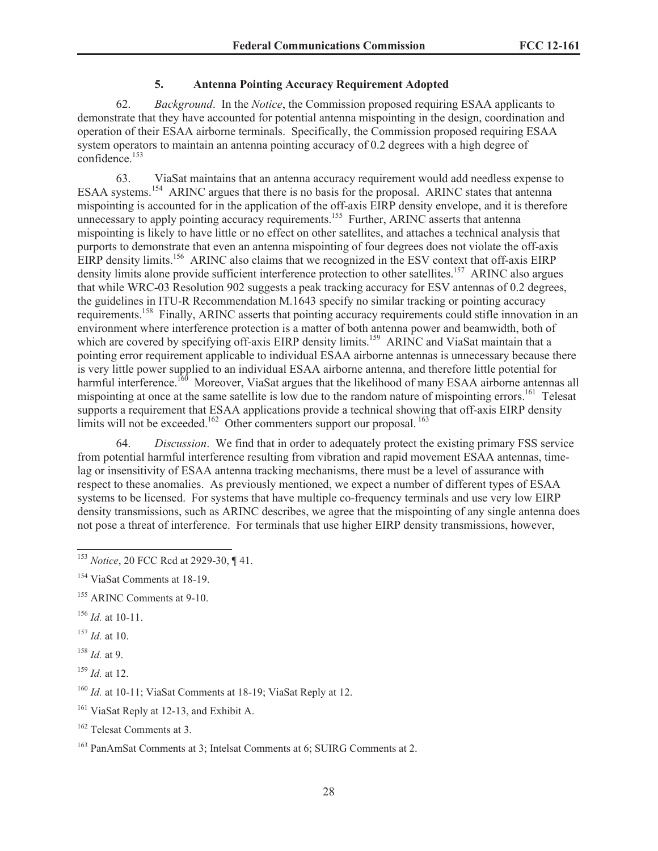### **5. Antenna Pointing Accuracy Requirement Adopted**

62. *Background*. In the *Notice*, the Commission proposed requiring ESAA applicants to demonstrate that they have accounted for potential antenna mispointing in the design, coordination and operation of their ESAA airborne terminals. Specifically, the Commission proposed requiring ESAA system operators to maintain an antenna pointing accuracy of 0.2 degrees with a high degree of confidence.<sup>153</sup>

63. ViaSat maintains that an antenna accuracy requirement would add needless expense to ESAA systems.<sup>154</sup> ARINC argues that there is no basis for the proposal. ARINC states that antenna mispointing is accounted for in the application of the off-axis EIRP density envelope, and it is therefore unnecessary to apply pointing accuracy requirements.<sup>155</sup> Further, ARINC asserts that antenna mispointing is likely to have little or no effect on other satellites, and attaches a technical analysis that purports to demonstrate that even an antenna mispointing of four degrees does not violate the off-axis EIRP density limits.<sup>156</sup> ARINC also claims that we recognized in the ESV context that off-axis EIRP density limits alone provide sufficient interference protection to other satellites.<sup>157</sup> ARINC also argues that while WRC-03 Resolution 902 suggests a peak tracking accuracy for ESV antennas of 0.2 degrees, the guidelines in ITU-R Recommendation M.1643 specify no similar tracking or pointing accuracy requirements.<sup>158</sup> Finally, ARINC asserts that pointing accuracy requirements could stifle innovation in an environment where interference protection is a matter of both antenna power and beamwidth, both of which are covered by specifying off-axis EIRP density limits.<sup>159</sup> ARINC and ViaSat maintain that a pointing error requirement applicable to individual ESAA airborne antennas is unnecessary because there is very little power supplied to an individual ESAA airborne antenna, and therefore little potential for harmful interference.<sup>160</sup> Moreover, ViaSat argues that the likelihood of many ESAA airborne antennas all mispointing at once at the same satellite is low due to the random nature of mispointing errors.<sup>161</sup> Telesat supports a requirement that ESAA applications provide a technical showing that off-axis EIRP density limits will not be exceeded.<sup>162</sup> Other commenters support our proposal.<sup>163</sup>

64. *Discussion*. We find that in order to adequately protect the existing primary FSS service from potential harmful interference resulting from vibration and rapid movement ESAA antennas, timelag or insensitivity of ESAA antenna tracking mechanisms, there must be a level of assurance with respect to these anomalies. As previously mentioned, we expect a number of different types of ESAA systems to be licensed. For systems that have multiple co-frequency terminals and use very low EIRP density transmissions, such as ARINC describes, we agree that the mispointing of any single antenna does not pose a threat of interference. For terminals that use higher EIRP density transmissions, however,

 $156$  *Id.* at 10-11.

<sup>157</sup> *Id.* at 10.

<sup>158</sup> *Id.* at 9.

<sup>159</sup> *Id.* at 12.

<sup>160</sup> *Id.* at 10-11; ViaSat Comments at 18-19; ViaSat Reply at 12.

<sup>161</sup> ViaSat Reply at 12-13, and Exhibit A.

<sup>162</sup> Telesat Comments at 3.

<sup>153</sup> *Notice*, 20 FCC Rcd at 2929-30, ¶ 41.

<sup>154</sup> ViaSat Comments at 18-19.

<sup>&</sup>lt;sup>155</sup> ARINC Comments at 9-10.

<sup>163</sup> PanAmSat Comments at 3; Intelsat Comments at 6; SUIRG Comments at 2.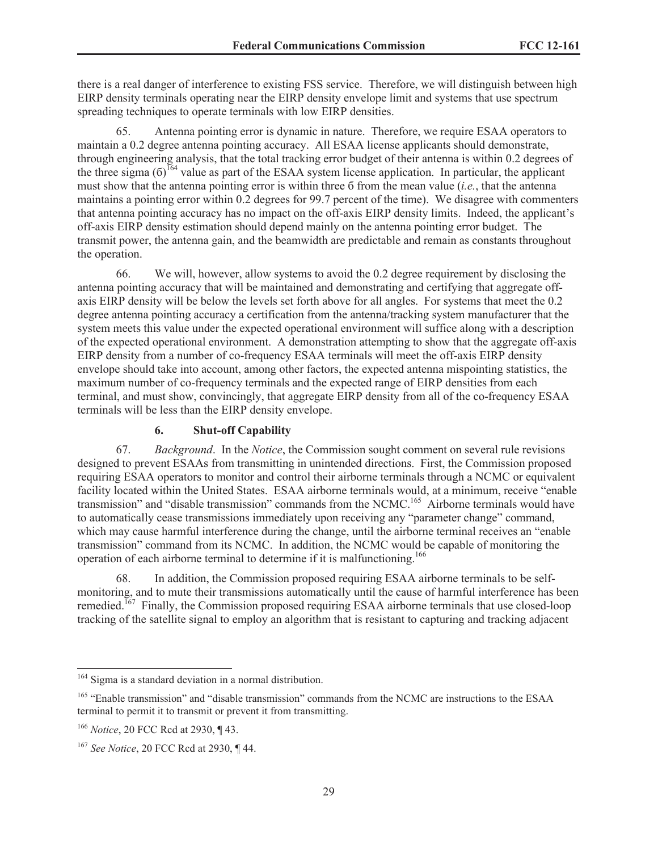there is a real danger of interference to existing FSS service. Therefore, we will distinguish between high EIRP density terminals operating near the EIRP density envelope limit and systems that use spectrum spreading techniques to operate terminals with low EIRP densities.

65. Antenna pointing error is dynamic in nature. Therefore, we require ESAA operators to maintain a 0.2 degree antenna pointing accuracy. All ESAA license applicants should demonstrate, through engineering analysis, that the total tracking error budget of their antenna is within 0.2 degrees of the three sigma  $(6)^{164}$  value as part of the ESAA system license application. In particular, the applicant must show that the antenna pointing error is within three б from the mean value (*i.e.*, that the antenna maintains a pointing error within 0.2 degrees for 99.7 percent of the time). We disagree with commenters that antenna pointing accuracy has no impact on the off-axis EIRP density limits. Indeed, the applicant's off-axis EIRP density estimation should depend mainly on the antenna pointing error budget. The transmit power, the antenna gain, and the beamwidth are predictable and remain as constants throughout the operation.

66. We will, however, allow systems to avoid the 0.2 degree requirement by disclosing the antenna pointing accuracy that will be maintained and demonstrating and certifying that aggregate offaxis EIRP density will be below the levels set forth above for all angles. For systems that meet the 0.2 degree antenna pointing accuracy a certification from the antenna/tracking system manufacturer that the system meets this value under the expected operational environment will suffice along with a description of the expected operational environment. A demonstration attempting to show that the aggregate off-axis EIRP density from a number of co-frequency ESAA terminals will meet the off-axis EIRP density envelope should take into account, among other factors, the expected antenna mispointing statistics, the maximum number of co-frequency terminals and the expected range of EIRP densities from each terminal, and must show, convincingly, that aggregate EIRP density from all of the co-frequency ESAA terminals will be less than the EIRP density envelope.

## **6. Shut-off Capability**

67. *Background*. In the *Notice*, the Commission sought comment on several rule revisions designed to prevent ESAAs from transmitting in unintended directions. First, the Commission proposed requiring ESAA operators to monitor and control their airborne terminals through a NCMC or equivalent facility located within the United States. ESAA airborne terminals would, at a minimum, receive "enable transmission" and "disable transmission" commands from the NCMC.<sup>165</sup> Airborne terminals would have to automatically cease transmissions immediately upon receiving any "parameter change" command, which may cause harmful interference during the change, until the airborne terminal receives an "enable transmission" command from its NCMC. In addition, the NCMC would be capable of monitoring the operation of each airborne terminal to determine if it is malfunctioning.<sup>166</sup>

68. In addition, the Commission proposed requiring ESAA airborne terminals to be selfmonitoring, and to mute their transmissions automatically until the cause of harmful interference has been remedied.<sup>167</sup> Finally, the Commission proposed requiring ESAA airborne terminals that use closed-loop tracking of the satellite signal to employ an algorithm that is resistant to capturing and tracking adjacent

<sup>164</sup> Sigma is a standard deviation in a normal distribution.

<sup>165</sup> "Enable transmission" and "disable transmission" commands from the NCMC are instructions to the ESAA terminal to permit it to transmit or prevent it from transmitting.

<sup>166</sup> *Notice*, 20 FCC Rcd at 2930, ¶ 43.

<sup>167</sup> *See Notice*, 20 FCC Rcd at 2930, ¶ 44.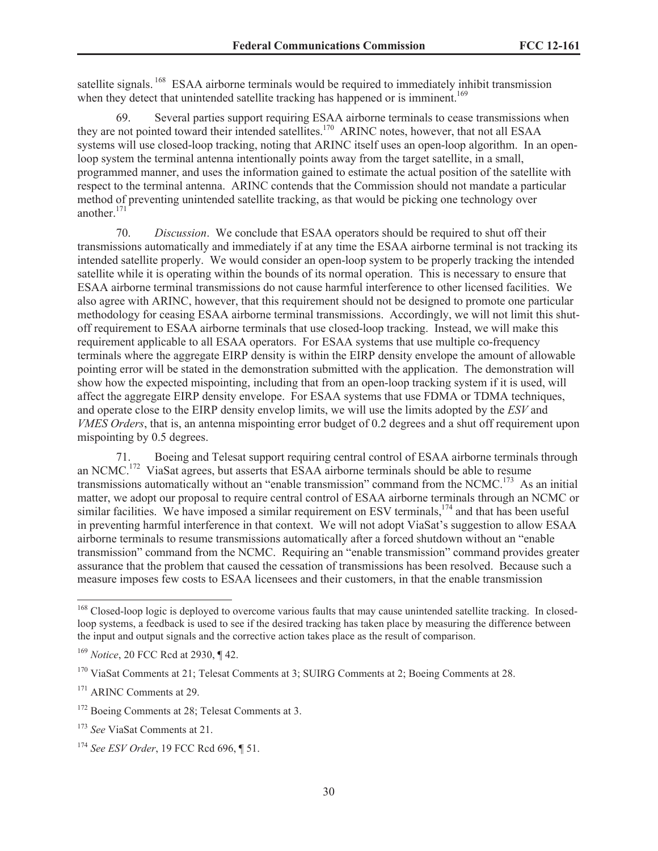satellite signals.<sup>168</sup> ESAA airborne terminals would be required to immediately inhibit transmission when they detect that unintended satellite tracking has happened or is imminent.<sup>169</sup>

69. Several parties support requiring ESAA airborne terminals to cease transmissions when they are not pointed toward their intended satellites.<sup>170</sup> ARINC notes, however, that not all ESAA systems will use closed-loop tracking, noting that ARINC itself uses an open-loop algorithm. In an openloop system the terminal antenna intentionally points away from the target satellite, in a small, programmed manner, and uses the information gained to estimate the actual position of the satellite with respect to the terminal antenna. ARINC contends that the Commission should not mandate a particular method of preventing unintended satellite tracking, as that would be picking one technology over another. $171$ 

70. *Discussion*. We conclude that ESAA operators should be required to shut off their transmissions automatically and immediately if at any time the ESAA airborne terminal is not tracking its intended satellite properly. We would consider an open-loop system to be properly tracking the intended satellite while it is operating within the bounds of its normal operation. This is necessary to ensure that ESAA airborne terminal transmissions do not cause harmful interference to other licensed facilities. We also agree with ARINC, however, that this requirement should not be designed to promote one particular methodology for ceasing ESAA airborne terminal transmissions. Accordingly, we will not limit this shutoff requirement to ESAA airborne terminals that use closed-loop tracking. Instead, we will make this requirement applicable to all ESAA operators. For ESAA systems that use multiple co-frequency terminals where the aggregate EIRP density is within the EIRP density envelope the amount of allowable pointing error will be stated in the demonstration submitted with the application. The demonstration will show how the expected mispointing, including that from an open-loop tracking system if it is used, will affect the aggregate EIRP density envelope. For ESAA systems that use FDMA or TDMA techniques, and operate close to the EIRP density envelop limits, we will use the limits adopted by the *ESV* and *VMES Orders*, that is, an antenna mispointing error budget of 0.2 degrees and a shut off requirement upon mispointing by 0.5 degrees.

71. Boeing and Telesat support requiring central control of ESAA airborne terminals through an NCMC.<sup>172</sup> ViaSat agrees, but asserts that ESAA airborne terminals should be able to resume transmissions automatically without an "enable transmission" command from the NCMC.<sup>173</sup> As an initial matter, we adopt our proposal to require central control of ESAA airborne terminals through an NCMC or similar facilities. We have imposed a similar requirement on ESV terminals,<sup>174</sup> and that has been useful in preventing harmful interference in that context. We will not adopt ViaSat's suggestion to allow ESAA airborne terminals to resume transmissions automatically after a forced shutdown without an "enable transmission" command from the NCMC. Requiring an "enable transmission" command provides greater assurance that the problem that caused the cessation of transmissions has been resolved. Because such a measure imposes few costs to ESAA licensees and their customers, in that the enable transmission

<sup>&</sup>lt;sup>168</sup> Closed-loop logic is deployed to overcome various faults that may cause unintended satellite tracking. In closedloop systems, a feedback is used to see if the desired tracking has taken place by measuring the difference between the input and output signals and the corrective action takes place as the result of comparison.

<sup>169</sup> *Notice*, 20 FCC Rcd at 2930, ¶ 42.

<sup>&</sup>lt;sup>170</sup> ViaSat Comments at 21; Telesat Comments at 3; SUIRG Comments at 2; Boeing Comments at 28.

<sup>&</sup>lt;sup>171</sup> ARINC Comments at 29.

<sup>&</sup>lt;sup>172</sup> Boeing Comments at 28; Telesat Comments at 3.

<sup>173</sup> *See* ViaSat Comments at 21.

<sup>174</sup> *See ESV Order*, 19 FCC Rcd 696, ¶ 51.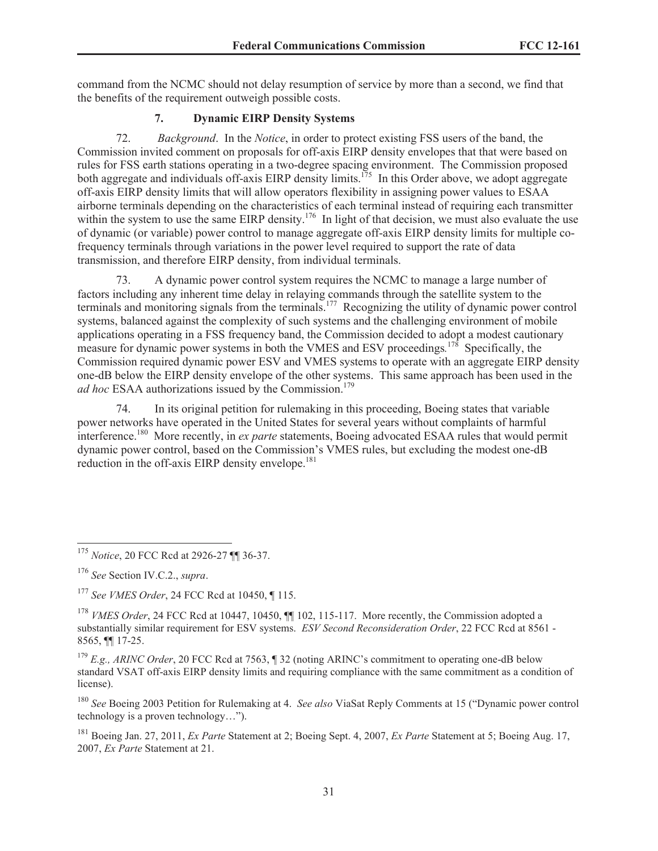command from the NCMC should not delay resumption of service by more than a second, we find that the benefits of the requirement outweigh possible costs.

# **7. Dynamic EIRP Density Systems**

72. *Background*. In the *Notice*, in order to protect existing FSS users of the band, the Commission invited comment on proposals for off-axis EIRP density envelopes that that were based on rules for FSS earth stations operating in a two-degree spacing environment. The Commission proposed both aggregate and individuals off-axis EIRP density limits.<sup>175</sup> In this Order above, we adopt aggregate off-axis EIRP density limits that will allow operators flexibility in assigning power values to ESAA airborne terminals depending on the characteristics of each terminal instead of requiring each transmitter within the system to use the same EIRP density.<sup>176</sup> In light of that decision, we must also evaluate the use of dynamic (or variable) power control to manage aggregate off-axis EIRP density limits for multiple cofrequency terminals through variations in the power level required to support the rate of data transmission, and therefore EIRP density, from individual terminals.

73. A dynamic power control system requires the NCMC to manage a large number of factors including any inherent time delay in relaying commands through the satellite system to the terminals and monitoring signals from the terminals.<sup>177</sup> Recognizing the utility of dynamic power control systems, balanced against the complexity of such systems and the challenging environment of mobile applications operating in a FSS frequency band, the Commission decided to adopt a modest cautionary measure for dynamic power systems in both the VMES and ESV proceedings*.* <sup>178</sup> Specifically, the Commission required dynamic power ESV and VMES systems to operate with an aggregate EIRP density one-dB below the EIRP density envelope of the other systems. This same approach has been used in the *ad hoc* ESAA authorizations issued by the Commission.<sup>179</sup>

74. In its original petition for rulemaking in this proceeding, Boeing states that variable power networks have operated in the United States for several years without complaints of harmful interference.<sup>180</sup> More recently, in *ex parte* statements, Boeing advocated ESAA rules that would permit dynamic power control, based on the Commission's VMES rules, but excluding the modest one-dB reduction in the off-axis EIRP density envelope.<sup>181</sup>

<sup>175</sup> *Notice*, 20 FCC Rcd at 2926-27 ¶¶ 36-37.

<sup>176</sup> *See* Section IV.C.2., *supra*.

<sup>177</sup> *See VMES Order*, 24 FCC Rcd at 10450, ¶ 115.

<sup>&</sup>lt;sup>178</sup> *VMES Order*, 24 FCC Rcd at 10447, 10450, **[10** 102, 115-117. More recently, the Commission adopted a substantially similar requirement for ESV systems. *ESV Second Reconsideration Order*, 22 FCC Rcd at 8561 - 8565, ¶¶ 17-25.

<sup>&</sup>lt;sup>179</sup> *E.g., ARINC Order*, 20 FCC Rcd at 7563, ¶ 32 (noting ARINC's commitment to operating one-dB below standard VSAT off-axis EIRP density limits and requiring compliance with the same commitment as a condition of license).

<sup>180</sup> *See* Boeing 2003 Petition for Rulemaking at 4. *See also* ViaSat Reply Comments at 15 ("Dynamic power control technology is a proven technology…").

<sup>181</sup> Boeing Jan. 27, 2011, *Ex Parte* Statement at 2; Boeing Sept. 4, 2007, *Ex Parte* Statement at 5; Boeing Aug. 17, 2007, *Ex Parte* Statement at 21.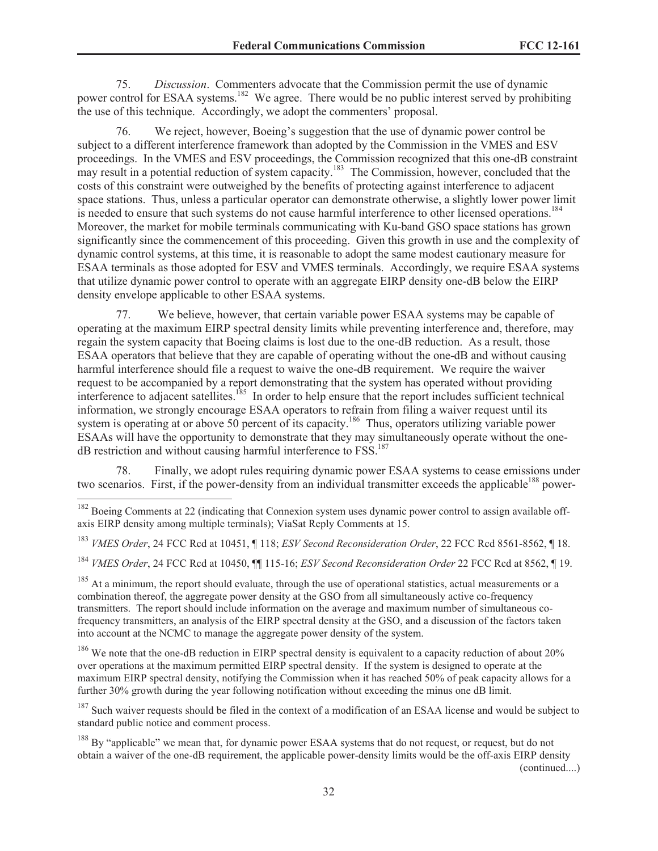75. *Discussion*. Commenters advocate that the Commission permit the use of dynamic power control for ESAA systems.<sup>182</sup> We agree. There would be no public interest served by prohibiting the use of this technique. Accordingly, we adopt the commenters' proposal.

76. We reject, however, Boeing's suggestion that the use of dynamic power control be subject to a different interference framework than adopted by the Commission in the VMES and ESV proceedings. In the VMES and ESV proceedings, the Commission recognized that this one-dB constraint may result in a potential reduction of system capacity.<sup>183</sup> The Commission, however, concluded that the costs of this constraint were outweighed by the benefits of protecting against interference to adjacent space stations. Thus, unless a particular operator can demonstrate otherwise, a slightly lower power limit is needed to ensure that such systems do not cause harmful interference to other licensed operations.<sup>184</sup> Moreover, the market for mobile terminals communicating with Ku-band GSO space stations has grown significantly since the commencement of this proceeding. Given this growth in use and the complexity of dynamic control systems, at this time, it is reasonable to adopt the same modest cautionary measure for ESAA terminals as those adopted for ESV and VMES terminals. Accordingly, we require ESAA systems that utilize dynamic power control to operate with an aggregate EIRP density one-dB below the EIRP density envelope applicable to other ESAA systems.

77. We believe, however, that certain variable power ESAA systems may be capable of operating at the maximum EIRP spectral density limits while preventing interference and, therefore, may regain the system capacity that Boeing claims is lost due to the one-dB reduction. As a result, those ESAA operators that believe that they are capable of operating without the one-dB and without causing harmful interference should file a request to waive the one-dB requirement. We require the waiver request to be accompanied by a report demonstrating that the system has operated without providing interference to adjacent satellites.<sup>185</sup> In order to help ensure that the report includes sufficient technical information, we strongly encourage ESAA operators to refrain from filing a waiver request until its system is operating at or above 50 percent of its capacity.<sup>186</sup> Thus, operators utilizing variable power ESAAs will have the opportunity to demonstrate that they may simultaneously operate without the onedB restriction and without causing harmful interference to FSS.<sup>187</sup>

78. Finally, we adopt rules requiring dynamic power ESAA systems to cease emissions under two scenarios. First, if the power-density from an individual transmitter exceeds the applicable<sup>188</sup> power-

<sup>183</sup> *VMES Order*, 24 FCC Rcd at 10451, ¶ 118; *ESV Second Reconsideration Order*, 22 FCC Rcd 8561-8562, ¶ 18.

<sup>184</sup> *VMES Order*, 24 FCC Rcd at 10450, ¶¶ 115-16; *ESV Second Reconsideration Order* 22 FCC Rcd at 8562, ¶ 19.

<sup>185</sup> At a minimum, the report should evaluate, through the use of operational statistics, actual measurements or a combination thereof, the aggregate power density at the GSO from all simultaneously active co-frequency transmitters. The report should include information on the average and maximum number of simultaneous cofrequency transmitters, an analysis of the EIRP spectral density at the GSO, and a discussion of the factors taken into account at the NCMC to manage the aggregate power density of the system.

<sup>186</sup> We note that the one-dB reduction in EIRP spectral density is equivalent to a capacity reduction of about 20% over operations at the maximum permitted EIRP spectral density. If the system is designed to operate at the maximum EIRP spectral density, notifying the Commission when it has reached 50% of peak capacity allows for a further 30% growth during the year following notification without exceeding the minus one dB limit.

<sup>187</sup> Such waiver requests should be filed in the context of a modification of an ESAA license and would be subject to standard public notice and comment process.

<sup>188</sup> By "applicable" we mean that, for dynamic power ESAA systems that do not request, or request, but do not obtain a waiver of the one-dB requirement, the applicable power-density limits would be the off-axis EIRP density (continued....)

<sup>&</sup>lt;sup>182</sup> Boeing Comments at 22 (indicating that Connexion system uses dynamic power control to assign available offaxis EIRP density among multiple terminals); ViaSat Reply Comments at 15.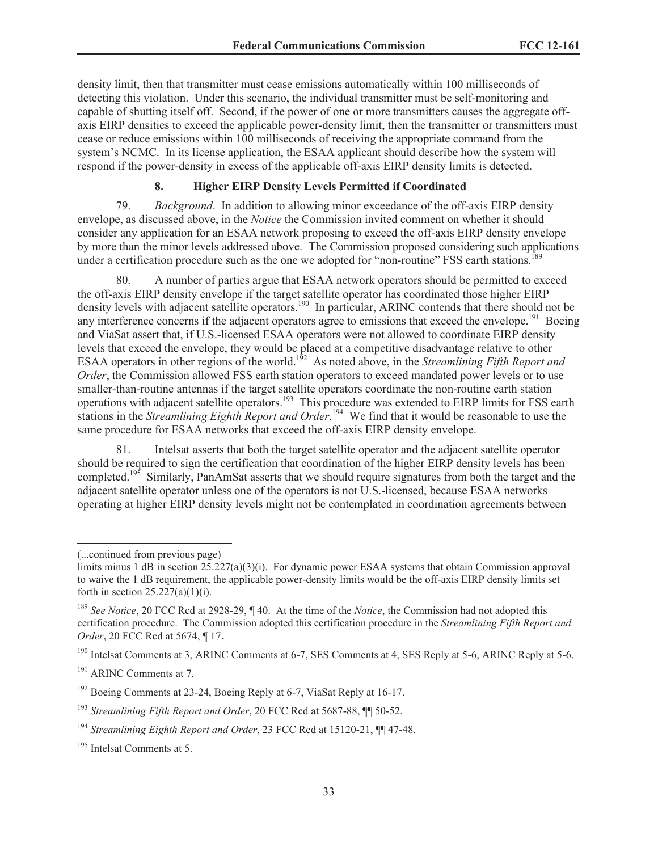density limit, then that transmitter must cease emissions automatically within 100 milliseconds of detecting this violation. Under this scenario, the individual transmitter must be self-monitoring and capable of shutting itself off. Second, if the power of one or more transmitters causes the aggregate offaxis EIRP densities to exceed the applicable power-density limit, then the transmitter or transmitters must cease or reduce emissions within 100 milliseconds of receiving the appropriate command from the system's NCMC. In its license application, the ESAA applicant should describe how the system will respond if the power-density in excess of the applicable off-axis EIRP density limits is detected.

#### **8. Higher EIRP Density Levels Permitted if Coordinated**

79. *Background*. In addition to allowing minor exceedance of the off-axis EIRP density envelope, as discussed above, in the *Notice* the Commission invited comment on whether it should consider any application for an ESAA network proposing to exceed the off-axis EIRP density envelope by more than the minor levels addressed above. The Commission proposed considering such applications under a certification procedure such as the one we adopted for "non-routine" FSS earth stations.<sup>189</sup>

80. A number of parties argue that ESAA network operators should be permitted to exceed the off-axis EIRP density envelope if the target satellite operator has coordinated those higher EIRP density levels with adjacent satellite operators.<sup>190</sup> In particular, ARINC contends that there should not be any interference concerns if the adjacent operators agree to emissions that exceed the envelope.<sup>191</sup> Boeing and ViaSat assert that, if U.S.-licensed ESAA operators were not allowed to coordinate EIRP density levels that exceed the envelope, they would be placed at a competitive disadvantage relative to other ESAA operators in other regions of the world.<sup>192</sup> As noted above, in the *Streamlining Fifth Report and Order*, the Commission allowed FSS earth station operators to exceed mandated power levels or to use smaller-than-routine antennas if the target satellite operators coordinate the non-routine earth station operations with adjacent satellite operators.<sup>193</sup> This procedure was extended to EIRP limits for FSS earth stations in the *Streamlining Eighth Report and Order*. <sup>194</sup> We find that it would be reasonable to use the same procedure for ESAA networks that exceed the off-axis EIRP density envelope.

81. Intelsat asserts that both the target satellite operator and the adjacent satellite operator should be required to sign the certification that coordination of the higher EIRP density levels has been completed.<sup>195</sup> Similarly, PanAmSat asserts that we should require signatures from both the target and the adjacent satellite operator unless one of the operators is not U.S.-licensed, because ESAA networks operating at higher EIRP density levels might not be contemplated in coordination agreements between

<sup>191</sup> ARINC Comments at 7.

<sup>(...</sup>continued from previous page)

limits minus 1 dB in section  $25.227(a)(3)(i)$ . For dynamic power ESAA systems that obtain Commission approval to waive the 1 dB requirement, the applicable power-density limits would be the off-axis EIRP density limits set forth in section  $25.227(a)(1)(i)$ .

<sup>&</sup>lt;sup>189</sup> *See Notice*, 20 FCC Rcd at 2928-29, ¶ 40. At the time of the *Notice*, the Commission had not adopted this certification procedure. The Commission adopted this certification procedure in the *Streamlining Fifth Report and Order*, 20 FCC Rcd at 5674, ¶ 17.

<sup>&</sup>lt;sup>190</sup> Intelsat Comments at 3, ARINC Comments at 6-7, SES Comments at 4, SES Reply at 5-6, ARINC Reply at 5-6.

<sup>&</sup>lt;sup>192</sup> Boeing Comments at 23-24, Boeing Reply at 6-7, ViaSat Reply at 16-17.

<sup>193</sup> *Streamlining Fifth Report and Order*, 20 FCC Rcd at 5687-88, ¶¶ 50-52.

<sup>194</sup> *Streamlining Eighth Report and Order*, 23 FCC Rcd at 15120-21, ¶¶ 47-48.

<sup>195</sup> Intelsat Comments at 5.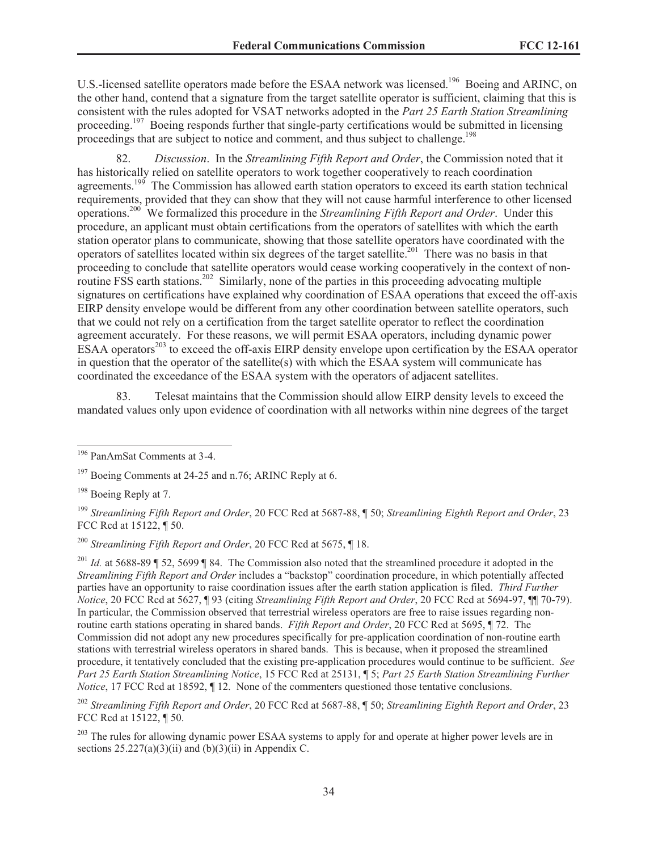U.S.-licensed satellite operators made before the ESAA network was licensed.<sup>196</sup> Boeing and ARINC, on the other hand, contend that a signature from the target satellite operator is sufficient, claiming that this is consistent with the rules adopted for VSAT networks adopted in the *Part 25 Earth Station Streamlining* proceeding.<sup>197</sup> Boeing responds further that single-party certifications would be submitted in licensing proceedings that are subject to notice and comment, and thus subject to challenge.<sup>198</sup>

82. *Discussion*. In the *Streamlining Fifth Report and Order*, the Commission noted that it has historically relied on satellite operators to work together cooperatively to reach coordination agreements.<sup>199</sup> The Commission has allowed earth station operators to exceed its earth station technical requirements, provided that they can show that they will not cause harmful interference to other licensed operations.<sup>200</sup> We formalized this procedure in the *Streamlining Fifth Report and Order*. Under this procedure, an applicant must obtain certifications from the operators of satellites with which the earth station operator plans to communicate, showing that those satellite operators have coordinated with the operators of satellites located within six degrees of the target satellite.<sup>201</sup> There was no basis in that proceeding to conclude that satellite operators would cease working cooperatively in the context of nonroutine FSS earth stations.<sup>202</sup> Similarly, none of the parties in this proceeding advocating multiple signatures on certifications have explained why coordination of ESAA operations that exceed the off-axis EIRP density envelope would be different from any other coordination between satellite operators, such that we could not rely on a certification from the target satellite operator to reflect the coordination agreement accurately. For these reasons, we will permit ESAA operators, including dynamic power ESAA operators<sup>203</sup> to exceed the off-axis EIRP density envelope upon certification by the ESAA operator in question that the operator of the satellite(s) with which the ESAA system will communicate has coordinated the exceedance of the ESAA system with the operators of adjacent satellites.

83. Telesat maintains that the Commission should allow EIRP density levels to exceed the mandated values only upon evidence of coordination with all networks within nine degrees of the target

<sup>196</sup> PanAmSat Comments at 3-4.

<sup>&</sup>lt;sup>197</sup> Boeing Comments at 24-25 and n.76; ARINC Reply at 6.

<sup>198</sup> Boeing Reply at 7.

<sup>199</sup> *Streamlining Fifth Report and Order*, 20 FCC Rcd at 5687-88, ¶ 50; *Streamlining Eighth Report and Order*, 23 FCC Rcd at 15122, ¶ 50.

<sup>200</sup> *Streamlining Fifth Report and Order*, 20 FCC Rcd at 5675, ¶ 18.

<sup>&</sup>lt;sup>201</sup> *Id.* at 5688-89 ¶ 52, 5699 ¶ 84. The Commission also noted that the streamlined procedure it adopted in the *Streamlining Fifth Report and Order* includes a "backstop" coordination procedure, in which potentially affected parties have an opportunity to raise coordination issues after the earth station application is filed. *Third Further Notice*, 20 FCC Rcd at 5627, ¶ 93 (citing *Streamlining Fifth Report and Order*, 20 FCC Rcd at 5694-97, ¶¶ 70-79). In particular, the Commission observed that terrestrial wireless operators are free to raise issues regarding nonroutine earth stations operating in shared bands. *Fifth Report and Order*, 20 FCC Rcd at 5695, ¶ 72. The Commission did not adopt any new procedures specifically for pre-application coordination of non-routine earth stations with terrestrial wireless operators in shared bands. This is because, when it proposed the streamlined procedure, it tentatively concluded that the existing pre-application procedures would continue to be sufficient. *See Part 25 Earth Station Streamlining Notice*, 15 FCC Rcd at 25131, ¶ 5; *Part 25 Earth Station Streamlining Further Notice*, 17 FCC Rcd at 18592,  $\P$  12. None of the commenters questioned those tentative conclusions.

<sup>202</sup> *Streamlining Fifth Report and Order*, 20 FCC Rcd at 5687-88, ¶ 50; *Streamlining Eighth Report and Order*, 23 FCC Rcd at 15122, ¶ 50.

<sup>&</sup>lt;sup>203</sup> The rules for allowing dynamic power ESAA systems to apply for and operate at higher power levels are in sections  $25.227(a)(3)(ii)$  and  $(b)(3)(ii)$  in Appendix C.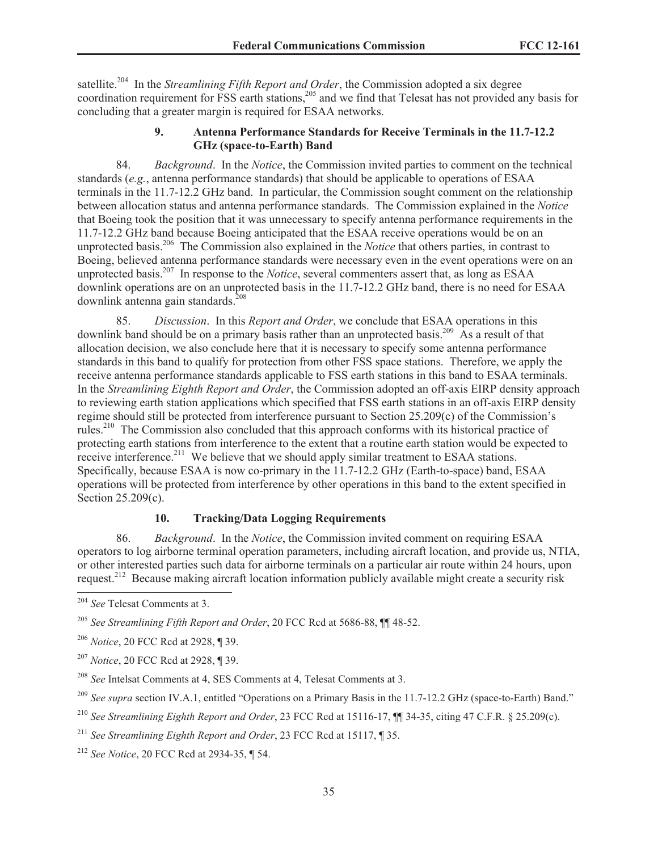satellite.<sup>204</sup> In the *Streamlining Fifth Report and Order*, the Commission adopted a six degree coordination requirement for FSS earth stations,<sup>205</sup> and we find that Telesat has not provided any basis for concluding that a greater margin is required for ESAA networks.

## **9. Antenna Performance Standards for Receive Terminals in the 11.7-12.2 GHz (space-to-Earth) Band**

84. *Background*. In the *Notice*, the Commission invited parties to comment on the technical standards (*e.g.*, antenna performance standards) that should be applicable to operations of ESAA terminals in the 11.7-12.2 GHz band. In particular, the Commission sought comment on the relationship between allocation status and antenna performance standards. The Commission explained in the *Notice* that Boeing took the position that it was unnecessary to specify antenna performance requirements in the 11.7-12.2 GHz band because Boeing anticipated that the ESAA receive operations would be on an unprotected basis.<sup>206</sup> The Commission also explained in the *Notice* that others parties, in contrast to Boeing, believed antenna performance standards were necessary even in the event operations were on an unprotected basis.<sup>207</sup> In response to the *Notice*, several commenters assert that, as long as ESAA downlink operations are on an unprotected basis in the 11.7-12.2 GHz band, there is no need for ESAA downlink antenna gain standards. $208$ 

85. *Discussion*. In this *Report and Order*, we conclude that ESAA operations in this downlink band should be on a primary basis rather than an unprotected basis.<sup>209</sup> As a result of that allocation decision, we also conclude here that it is necessary to specify some antenna performance standards in this band to qualify for protection from other FSS space stations. Therefore, we apply the receive antenna performance standards applicable to FSS earth stations in this band to ESAA terminals. In the *Streamlining Eighth Report and Order*, the Commission adopted an off-axis EIRP density approach to reviewing earth station applications which specified that FSS earth stations in an off-axis EIRP density regime should still be protected from interference pursuant to Section 25.209(c) of the Commission's rules.<sup>210</sup> The Commission also concluded that this approach conforms with its historical practice of protecting earth stations from interference to the extent that a routine earth station would be expected to receive interference.<sup>211</sup> We believe that we should apply similar treatment to ESAA stations. Specifically, because ESAA is now co-primary in the 11.7-12.2 GHz (Earth-to-space) band, ESAA operations will be protected from interference by other operations in this band to the extent specified in Section 25.209(c).

# **10. Tracking/Data Logging Requirements**

86. *Background*. In the *Notice*, the Commission invited comment on requiring ESAA operators to log airborne terminal operation parameters, including aircraft location, and provide us, NTIA, or other interested parties such data for airborne terminals on a particular air route within 24 hours, upon request.<sup>212</sup> Because making aircraft location information publicly available might create a security risk

<sup>204</sup> *See* Telesat Comments at 3.

<sup>205</sup> *See Streamlining Fifth Report and Order*, 20 FCC Rcd at 5686-88, ¶¶ 48-52.

<sup>206</sup> *Notice*, 20 FCC Rcd at 2928, ¶ 39.

<sup>207</sup> *Notice*, 20 FCC Rcd at 2928, ¶ 39.

<sup>208</sup> *See* Intelsat Comments at 4, SES Comments at 4, Telesat Comments at 3.

<sup>&</sup>lt;sup>209</sup> *See supra* section IV.A.1, entitled "Operations on a Primary Basis in the 11.7-12.2 GHz (space-to-Earth) Band."

<sup>210</sup> *See Streamlining Eighth Report and Order*, 23 FCC Rcd at 15116-17, ¶¶ 34-35, citing 47 C.F.R. § 25.209(c).

<sup>211</sup> *See Streamlining Eighth Report and Order*, 23 FCC Rcd at 15117, ¶ 35.

<sup>212</sup> *See Notice*, 20 FCC Rcd at 2934-35, ¶ 54.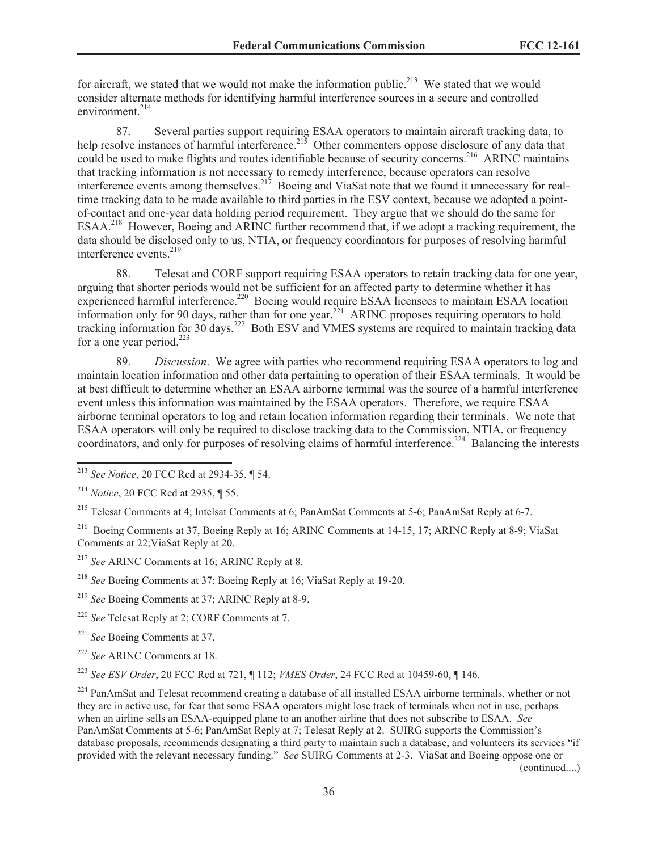for aircraft, we stated that we would not make the information public.<sup>213</sup> We stated that we would consider alternate methods for identifying harmful interference sources in a secure and controlled environment.<sup>214</sup>

87. Several parties support requiring ESAA operators to maintain aircraft tracking data, to help resolve instances of harmful interference. $215$  Other commenters oppose disclosure of any data that could be used to make flights and routes identifiable because of security concerns.<sup>216</sup> ARINC maintains that tracking information is not necessary to remedy interference, because operators can resolve interference events among themselves.<sup>217</sup> Boeing and ViaSat note that we found it unnecessary for realtime tracking data to be made available to third parties in the ESV context, because we adopted a pointof-contact and one-year data holding period requirement. They argue that we should do the same for ESAA.<sup>218</sup> However, Boeing and ARINC further recommend that, if we adopt a tracking requirement, the data should be disclosed only to us, NTIA, or frequency coordinators for purposes of resolving harmful interference events.<sup>219</sup>

88. Telesat and CORF support requiring ESAA operators to retain tracking data for one year, arguing that shorter periods would not be sufficient for an affected party to determine whether it has experienced harmful interference.<sup>220</sup> Boeing would require ESAA licensees to maintain ESAA location information only for 90 days, rather than for one year.<sup>221</sup> ARINC proposes requiring operators to hold tracking information for 30 days.<sup>222</sup> Both ESV and VMES systems are required to maintain tracking data for a one year period. $223$ 

89. *Discussion*. We agree with parties who recommend requiring ESAA operators to log and maintain location information and other data pertaining to operation of their ESAA terminals. It would be at best difficult to determine whether an ESAA airborne terminal was the source of a harmful interference event unless this information was maintained by the ESAA operators. Therefore, we require ESAA airborne terminal operators to log and retain location information regarding their terminals. We note that ESAA operators will only be required to disclose tracking data to the Commission, NTIA, or frequency coordinators, and only for purposes of resolving claims of harmful interference.<sup>224</sup> Balancing the interests

<sup>215</sup> Telesat Comments at 4; Intelsat Comments at 6; PanAmSat Comments at 5-6; PanAmSat Reply at 6-7.

<sup>216</sup> Boeing Comments at 37, Boeing Reply at 16; ARINC Comments at 14-15, 17; ARINC Reply at 8-9; ViaSat Comments at 22;ViaSat Reply at 20.

- <sup>217</sup> *See* ARINC Comments at 16; ARINC Reply at 8.
- <sup>218</sup> *See* Boeing Comments at 37; Boeing Reply at 16; ViaSat Reply at 19-20.
- <sup>219</sup> *See* Boeing Comments at 37; ARINC Reply at 8-9.
- <sup>220</sup> *See* Telesat Reply at 2; CORF Comments at 7.

<sup>221</sup> *See* Boeing Comments at 37.

<sup>222</sup> *See* ARINC Comments at 18.

<sup>223</sup> *See ESV Order*, 20 FCC Rcd at 721, ¶ 112; *VMES Order*, 24 FCC Rcd at 10459-60, ¶ 146.

<sup>224</sup> PanAmSat and Telesat recommend creating a database of all installed ESAA airborne terminals, whether or not they are in active use, for fear that some ESAA operators might lose track of terminals when not in use, perhaps when an airline sells an ESAA-equipped plane to an another airline that does not subscribe to ESAA. *See*  PanAmSat Comments at 5-6; PanAmSat Reply at 7; Telesat Reply at 2. SUIRG supports the Commission's database proposals, recommends designating a third party to maintain such a database, and volunteers its services "if provided with the relevant necessary funding." *See* SUIRG Comments at 2-3. ViaSat and Boeing oppose one or

(continued....)

<sup>213</sup> *See Notice*, 20 FCC Rcd at 2934-35, ¶ 54.

<sup>214</sup> *Notice*, 20 FCC Rcd at 2935, ¶ 55.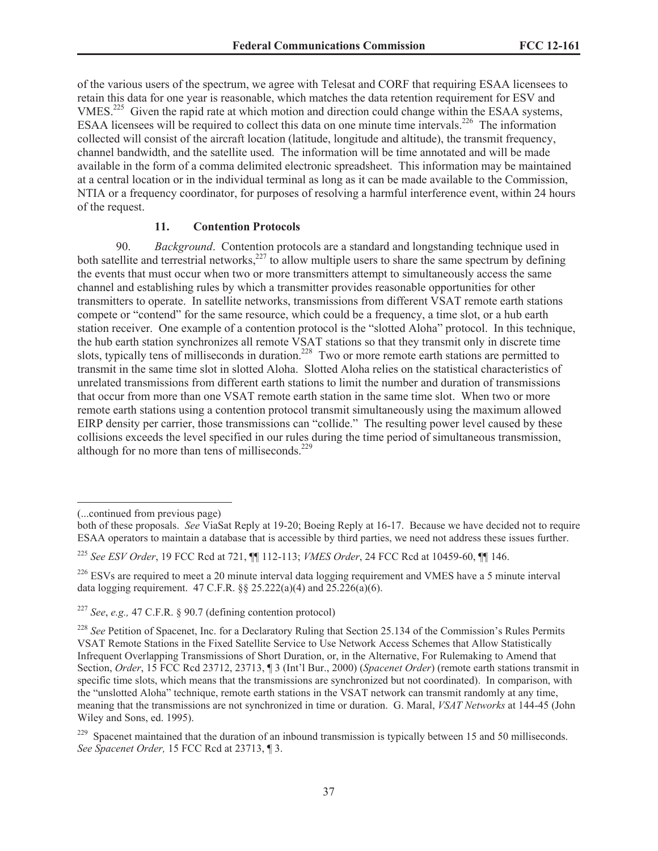of the various users of the spectrum, we agree with Telesat and CORF that requiring ESAA licensees to retain this data for one year is reasonable, which matches the data retention requirement for ESV and VMES.<sup>225</sup> Given the rapid rate at which motion and direction could change within the ESAA systems, ESAA licensees will be required to collect this data on one minute time intervals.<sup>226</sup> The information collected will consist of the aircraft location (latitude, longitude and altitude), the transmit frequency, channel bandwidth, and the satellite used. The information will be time annotated and will be made available in the form of a comma delimited electronic spreadsheet. This information may be maintained at a central location or in the individual terminal as long as it can be made available to the Commission, NTIA or a frequency coordinator, for purposes of resolving a harmful interference event, within 24 hours of the request.

#### **11. Contention Protocols**

90. *Background*. Contention protocols are a standard and longstanding technique used in both satellite and terrestrial networks,<sup>227</sup> to allow multiple users to share the same spectrum by defining the events that must occur when two or more transmitters attempt to simultaneously access the same channel and establishing rules by which a transmitter provides reasonable opportunities for other transmitters to operate. In satellite networks, transmissions from different VSAT remote earth stations compete or "contend" for the same resource, which could be a frequency, a time slot, or a hub earth station receiver. One example of a contention protocol is the "slotted Aloha" protocol. In this technique, the hub earth station synchronizes all remote VSAT stations so that they transmit only in discrete time slots, typically tens of milliseconds in duration.<sup>228</sup> Two or more remote earth stations are permitted to transmit in the same time slot in slotted Aloha. Slotted Aloha relies on the statistical characteristics of unrelated transmissions from different earth stations to limit the number and duration of transmissions that occur from more than one VSAT remote earth station in the same time slot. When two or more remote earth stations using a contention protocol transmit simultaneously using the maximum allowed EIRP density per carrier, those transmissions can "collide." The resulting power level caused by these collisions exceeds the level specified in our rules during the time period of simultaneous transmission, although for no more than tens of milliseconds. $229$ 

<sup>(...</sup>continued from previous page)

both of these proposals. *See* ViaSat Reply at 19-20; Boeing Reply at 16-17. Because we have decided not to require ESAA operators to maintain a database that is accessible by third parties, we need not address these issues further.

<sup>225</sup> *See ESV Order*, 19 FCC Rcd at 721, ¶¶ 112-113; *VMES Order*, 24 FCC Rcd at 10459-60, ¶¶ 146.

<sup>&</sup>lt;sup>226</sup> ESVs are required to meet a 20 minute interval data logging requirement and VMES have a 5 minute interval data logging requirement. 47 C.F.R. §§ 25.222(a)(4) and 25.226(a)(6).

<sup>227</sup> *See*, *e.g.,* 47 C.F.R. § 90.7 (defining contention protocol)

<sup>&</sup>lt;sup>228</sup> See Petition of Spacenet, Inc. for a Declaratory Ruling that Section 25.134 of the Commission's Rules Permits VSAT Remote Stations in the Fixed Satellite Service to Use Network Access Schemes that Allow Statistically Infrequent Overlapping Transmissions of Short Duration, or, in the Alternative, For Rulemaking to Amend that Section, *Order*, 15 FCC Rcd 23712, 23713, ¶ 3 (Int'l Bur., 2000) (*Spacenet Order*) (remote earth stations transmit in specific time slots, which means that the transmissions are synchronized but not coordinated). In comparison, with the "unslotted Aloha" technique, remote earth stations in the VSAT network can transmit randomly at any time, meaning that the transmissions are not synchronized in time or duration. G. Maral, *VSAT Networks* at 144-45 (John Wiley and Sons, ed. 1995).

 $229$  Spacenet maintained that the duration of an inbound transmission is typically between 15 and 50 milliseconds. *See Spacenet Order,* 15 FCC Rcd at 23713, ¶ 3.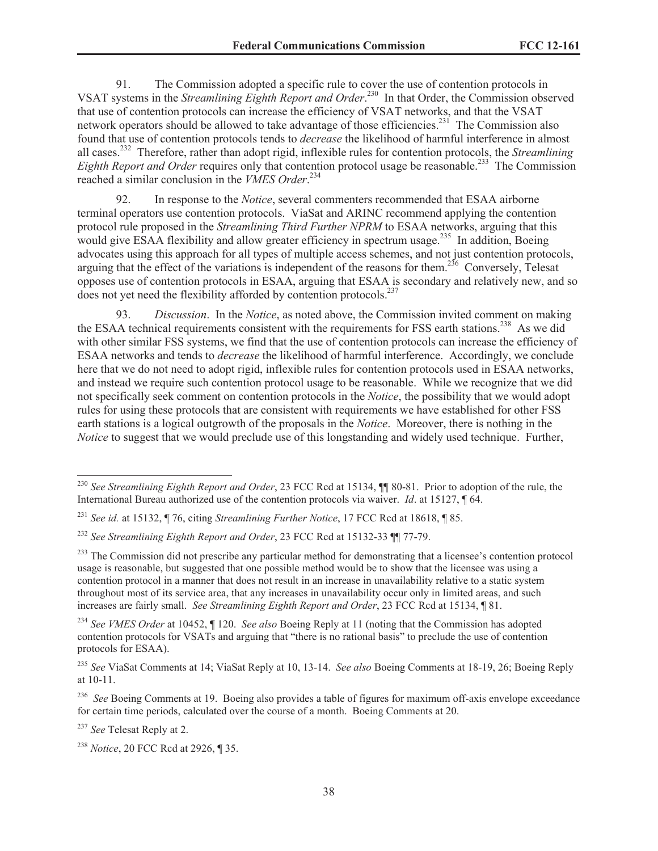91. The Commission adopted a specific rule to cover the use of contention protocols in VSAT systems in the *Streamlining Eighth Report and Order*. <sup>230</sup> In that Order, the Commission observed that use of contention protocols can increase the efficiency of VSAT networks, and that the VSAT network operators should be allowed to take advantage of those efficiencies.<sup>231</sup> The Commission also found that use of contention protocols tends to *decrease* the likelihood of harmful interference in almost all cases.<sup>232</sup> Therefore, rather than adopt rigid, inflexible rules for contention protocols, the *Streamlining Eighth Report and Order* requires only that contention protocol usage be reasonable.<sup>233</sup> The Commission reached a similar conclusion in the *VMES Order*. 234

92. In response to the *Notice*, several commenters recommended that ESAA airborne terminal operators use contention protocols. ViaSat and ARINC recommend applying the contention protocol rule proposed in the *Streamlining Third Further NPRM* to ESAA networks, arguing that this would give ESAA flexibility and allow greater efficiency in spectrum usage.<sup>235</sup> In addition, Boeing advocates using this approach for all types of multiple access schemes, and not just contention protocols, arguing that the effect of the variations is independent of the reasons for them.<sup>236</sup> Conversely, Telesat opposes use of contention protocols in ESAA, arguing that ESAA is secondary and relatively new, and so does not yet need the flexibility afforded by contention protocols.<sup>237</sup>

93. *Discussion*. In the *Notice*, as noted above, the Commission invited comment on making the ESAA technical requirements consistent with the requirements for FSS earth stations.<sup>238</sup> As we did with other similar FSS systems, we find that the use of contention protocols can increase the efficiency of ESAA networks and tends to *decrease* the likelihood of harmful interference. Accordingly, we conclude here that we do not need to adopt rigid, inflexible rules for contention protocols used in ESAA networks, and instead we require such contention protocol usage to be reasonable. While we recognize that we did not specifically seek comment on contention protocols in the *Notice*, the possibility that we would adopt rules for using these protocols that are consistent with requirements we have established for other FSS earth stations is a logical outgrowth of the proposals in the *Notice*. Moreover, there is nothing in the *Notice* to suggest that we would preclude use of this longstanding and widely used technique. Further,

<sup>230</sup> *See Streamlining Eighth Report and Order*, 23 FCC Rcd at 15134, ¶¶ 80-81. Prior to adoption of the rule, the International Bureau authorized use of the contention protocols via waiver. *Id*. at 15127, ¶ 64.

<sup>231</sup> *See id.* at 15132, ¶ 76, citing *Streamlining Further Notice*, 17 FCC Rcd at 18618, ¶ 85.

<sup>232</sup> *See Streamlining Eighth Report and Order*, 23 FCC Rcd at 15132-33 ¶¶ 77-79.

<sup>&</sup>lt;sup>233</sup> The Commission did not prescribe any particular method for demonstrating that a licensee's contention protocol usage is reasonable, but suggested that one possible method would be to show that the licensee was using a contention protocol in a manner that does not result in an increase in unavailability relative to a static system throughout most of its service area, that any increases in unavailability occur only in limited areas, and such increases are fairly small. *See Streamlining Eighth Report and Order*, 23 FCC Rcd at 15134, ¶ 81.

<sup>234</sup> *See VMES Order* at 10452, ¶ 120. *See also* Boeing Reply at 11 (noting that the Commission has adopted contention protocols for VSATs and arguing that "there is no rational basis" to preclude the use of contention protocols for ESAA).

<sup>235</sup> *See* ViaSat Comments at 14; ViaSat Reply at 10, 13-14. *See also* Boeing Comments at 18-19, 26; Boeing Reply at 10-11.

<sup>&</sup>lt;sup>236</sup> *See* Boeing Comments at 19. Boeing also provides a table of figures for maximum off-axis envelope exceedance for certain time periods, calculated over the course of a month. Boeing Comments at 20.

<sup>237</sup> *See* Telesat Reply at 2.

<sup>238</sup> *Notice*, 20 FCC Rcd at 2926, ¶ 35.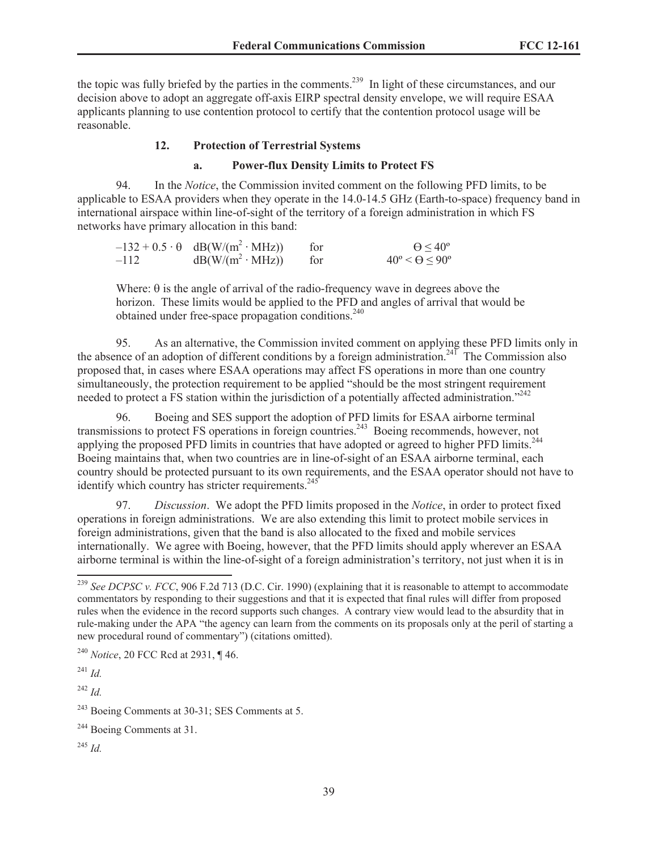the topic was fully briefed by the parties in the comments.<sup>239</sup> In light of these circumstances, and our decision above to adopt an aggregate off-axis EIRP spectral density envelope, we will require ESAA applicants planning to use contention protocol to certify that the contention protocol usage will be reasonable.

#### **12. Protection of Terrestrial Systems**

#### **a. Power-flux Density Limits to Protect FS**

94. In the *Notice*, the Commission invited comment on the following PFD limits, to be applicable to ESAA providers when they operate in the 14.0-14.5 GHz (Earth-to-space) frequency band in international airspace within line-of-sight of the territory of a foreign administration in which FS networks have primary allocation in this band:

|        | $-132 + 0.5 \cdot \theta$ dB(W/(m <sup>2</sup> ·MHz)) | for | $\Theta$ < 40°                     |
|--------|-------------------------------------------------------|-----|------------------------------------|
| $-112$ | $dB(W/(m^2 \cdot MHz))$ for                           |     | $40^{\circ} < \Theta < 90^{\circ}$ |

Where:  $\theta$  is the angle of arrival of the radio-frequency wave in degrees above the horizon. These limits would be applied to the PFD and angles of arrival that would be obtained under free-space propagation conditions.<sup>240</sup>

95. As an alternative, the Commission invited comment on applying these PFD limits only in the absence of an adoption of different conditions by a foreign administration.<sup>241</sup> The Commission also proposed that, in cases where ESAA operations may affect FS operations in more than one country simultaneously, the protection requirement to be applied "should be the most stringent requirement needed to protect a FS station within the jurisdiction of a potentially affected administration."<sup>242</sup>

96. Boeing and SES support the adoption of PFD limits for ESAA airborne terminal transmissions to protect FS operations in foreign countries.<sup>243</sup> Boeing recommends, however, not applying the proposed PFD limits in countries that have adopted or agreed to higher PFD limits.<sup>244</sup> Boeing maintains that, when two countries are in line-of-sight of an ESAA airborne terminal, each country should be protected pursuant to its own requirements, and the ESAA operator should not have to identify which country has stricter requirements.<sup>245</sup>

97. *Discussion*. We adopt the PFD limits proposed in the *Notice*, in order to protect fixed operations in foreign administrations. We are also extending this limit to protect mobile services in foreign administrations, given that the band is also allocated to the fixed and mobile services internationally. We agree with Boeing, however, that the PFD limits should apply wherever an ESAA airborne terminal is within the line-of-sight of a foreign administration's territory, not just when it is in

<sup>242</sup> *Id.*

<sup>245</sup> *Id.*

<sup>239</sup> *See DCPSC v. FCC*, 906 F.2d 713 (D.C. Cir. 1990) (explaining that it is reasonable to attempt to accommodate commentators by responding to their suggestions and that it is expected that final rules will differ from proposed rules when the evidence in the record supports such changes. A contrary view would lead to the absurdity that in rule-making under the APA "the agency can learn from the comments on its proposals only at the peril of starting a new procedural round of commentary") (citations omitted).

<sup>240</sup> *Notice*, 20 FCC Rcd at 2931, ¶ 46.

<sup>241</sup> *Id.*

<sup>243</sup> Boeing Comments at 30-31; SES Comments at 5.

<sup>&</sup>lt;sup>244</sup> Boeing Comments at 31.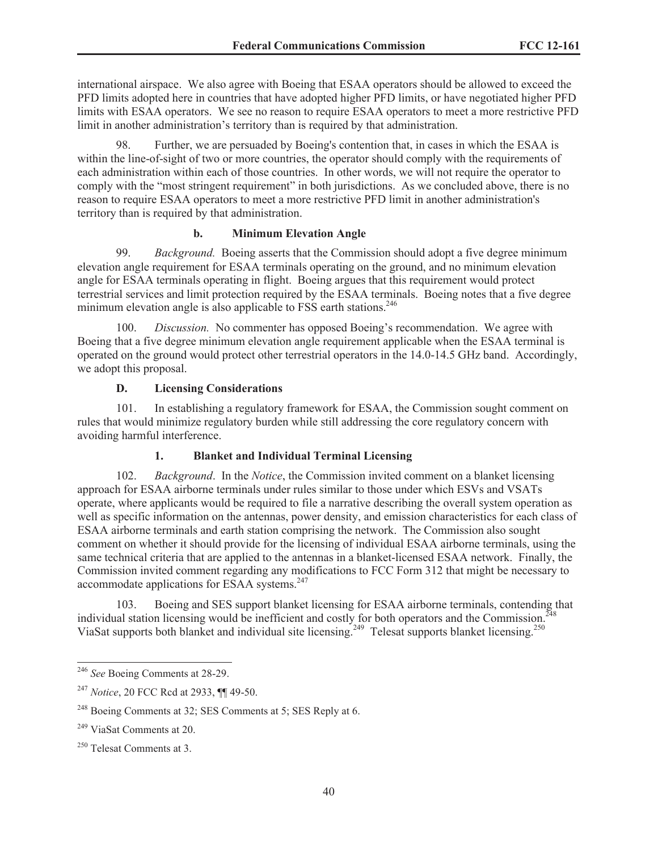international airspace. We also agree with Boeing that ESAA operators should be allowed to exceed the PFD limits adopted here in countries that have adopted higher PFD limits, or have negotiated higher PFD limits with ESAA operators. We see no reason to require ESAA operators to meet a more restrictive PFD limit in another administration's territory than is required by that administration.

98. Further, we are persuaded by Boeing's contention that, in cases in which the ESAA is within the line-of-sight of two or more countries, the operator should comply with the requirements of each administration within each of those countries. In other words, we will not require the operator to comply with the "most stringent requirement" in both jurisdictions. As we concluded above, there is no reason to require ESAA operators to meet a more restrictive PFD limit in another administration's territory than is required by that administration.

# **b. Minimum Elevation Angle**

99. *Background.* Boeing asserts that the Commission should adopt a five degree minimum elevation angle requirement for ESAA terminals operating on the ground, and no minimum elevation angle for ESAA terminals operating in flight. Boeing argues that this requirement would protect terrestrial services and limit protection required by the ESAA terminals. Boeing notes that a five degree minimum elevation angle is also applicable to FSS earth stations.<sup>246</sup>

100. *Discussion.* No commenter has opposed Boeing's recommendation. We agree with Boeing that a five degree minimum elevation angle requirement applicable when the ESAA terminal is operated on the ground would protect other terrestrial operators in the 14.0-14.5 GHz band. Accordingly, we adopt this proposal.

# **D. Licensing Considerations**

101. In establishing a regulatory framework for ESAA, the Commission sought comment on rules that would minimize regulatory burden while still addressing the core regulatory concern with avoiding harmful interference.

# **1. Blanket and Individual Terminal Licensing**

102. *Background*. In the *Notice*, the Commission invited comment on a blanket licensing approach for ESAA airborne terminals under rules similar to those under which ESVs and VSATs operate, where applicants would be required to file a narrative describing the overall system operation as well as specific information on the antennas, power density, and emission characteristics for each class of ESAA airborne terminals and earth station comprising the network. The Commission also sought comment on whether it should provide for the licensing of individual ESAA airborne terminals, using the same technical criteria that are applied to the antennas in a blanket-licensed ESAA network. Finally, the Commission invited comment regarding any modifications to FCC Form 312 that might be necessary to accommodate applications for ESAA systems.<sup>247</sup>

103. Boeing and SES support blanket licensing for ESAA airborne terminals, contending that individual station licensing would be inefficient and costly for both operators and the Commission.<sup>248</sup> ViaSat supports both blanket and individual site licensing.<sup>249</sup> Telesat supports blanket licensing.<sup>250</sup>

<sup>246</sup> *See* Boeing Comments at 28-29.

<sup>247</sup> *Notice*, 20 FCC Rcd at 2933, ¶¶ 49-50.

<sup>&</sup>lt;sup>248</sup> Boeing Comments at 32; SES Comments at 5; SES Reply at 6.

<sup>249</sup> ViaSat Comments at 20.

<sup>250</sup> Telesat Comments at 3.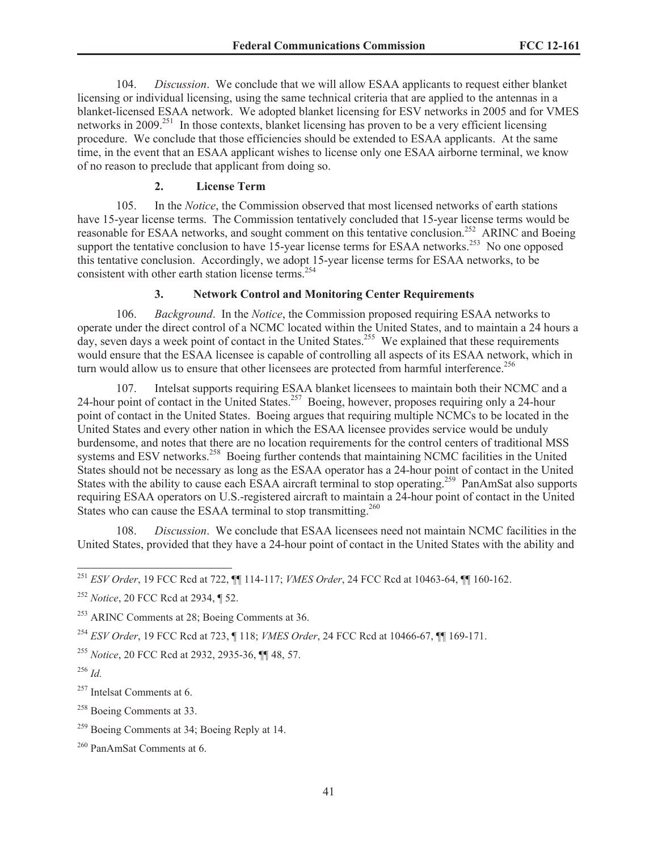104. *Discussion*. We conclude that we will allow ESAA applicants to request either blanket licensing or individual licensing, using the same technical criteria that are applied to the antennas in a blanket-licensed ESAA network. We adopted blanket licensing for ESV networks in 2005 and for VMES networks in 2009.<sup>251</sup> In those contexts, blanket licensing has proven to be a very efficient licensing procedure. We conclude that those efficiencies should be extended to ESAA applicants. At the same time, in the event that an ESAA applicant wishes to license only one ESAA airborne terminal, we know of no reason to preclude that applicant from doing so.

# **2. License Term**

105. In the *Notice*, the Commission observed that most licensed networks of earth stations have 15-year license terms. The Commission tentatively concluded that 15-year license terms would be reasonable for ESAA networks, and sought comment on this tentative conclusion.<sup>252</sup> ARINC and Boeing support the tentative conclusion to have  $15$ -year license terms for ESAA networks.<sup>253</sup> No one opposed this tentative conclusion. Accordingly, we adopt 15-year license terms for ESAA networks, to be consistent with other earth station license terms.<sup>254</sup>

# **3. Network Control and Monitoring Center Requirements**

106. *Background*. In the *Notice*, the Commission proposed requiring ESAA networks to operate under the direct control of a NCMC located within the United States, and to maintain a 24 hours a day, seven days a week point of contact in the United States.<sup>255</sup> We explained that these requirements would ensure that the ESAA licensee is capable of controlling all aspects of its ESAA network, which in turn would allow us to ensure that other licensees are protected from harmful interference.<sup>256</sup>

107. Intelsat supports requiring ESAA blanket licensees to maintain both their NCMC and a 24-hour point of contact in the United States.<sup>257</sup> Boeing, however, proposes requiring only a 24-hour point of contact in the United States. Boeing argues that requiring multiple NCMCs to be located in the United States and every other nation in which the ESAA licensee provides service would be unduly burdensome, and notes that there are no location requirements for the control centers of traditional MSS systems and ESV networks.<sup>258</sup> Boeing further contends that maintaining NCMC facilities in the United States should not be necessary as long as the ESAA operator has a 24-hour point of contact in the United States with the ability to cause each ESAA aircraft terminal to stop operating.<sup>259</sup> PanAmSat also supports requiring ESAA operators on U.S.-registered aircraft to maintain a 24-hour point of contact in the United States who can cause the ESAA terminal to stop transmitting.<sup>260</sup>

108. *Discussion*. We conclude that ESAA licensees need not maintain NCMC facilities in the United States, provided that they have a 24-hour point of contact in the United States with the ability and

<sup>257</sup> Intelsat Comments at 6.

<sup>258</sup> Boeing Comments at 33.

<sup>251</sup> *ESV Order*, 19 FCC Rcd at 722, ¶¶ 114-117; *VMES Order*, 24 FCC Rcd at 10463-64, ¶¶ 160-162.

<sup>252</sup> *Notice*, 20 FCC Rcd at 2934, ¶ 52.

<sup>253</sup> ARINC Comments at 28; Boeing Comments at 36.

<sup>254</sup> *ESV Order*, 19 FCC Rcd at 723, ¶ 118; *VMES Order*, 24 FCC Rcd at 10466-67, ¶¶ 169-171.

<sup>255</sup> *Notice*, 20 FCC Rcd at 2932, 2935-36, ¶¶ 48, 57.

 $^{256}$  *Id.* 

<sup>&</sup>lt;sup>259</sup> Boeing Comments at 34; Boeing Reply at 14.

<sup>260</sup> PanAmSat Comments at 6.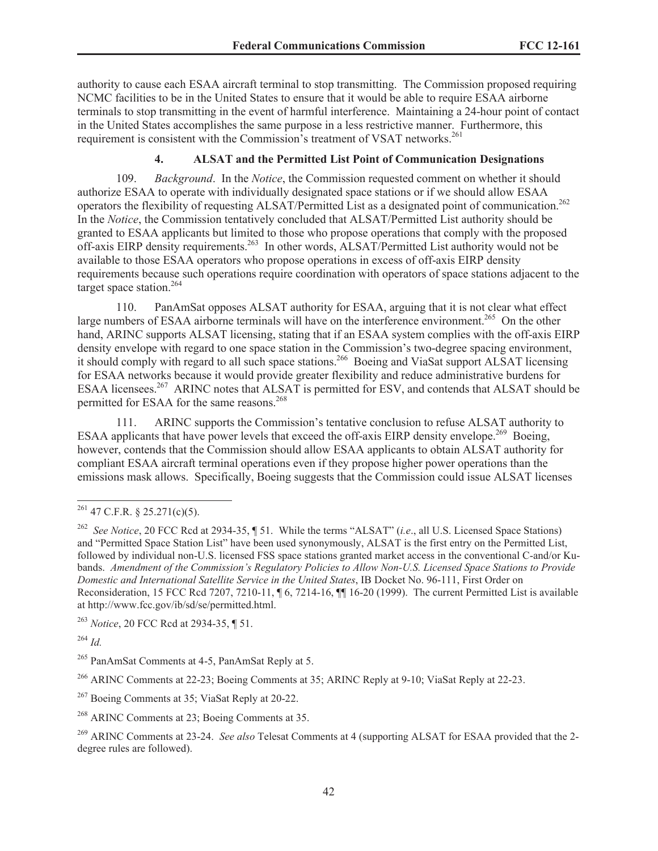authority to cause each ESAA aircraft terminal to stop transmitting. The Commission proposed requiring NCMC facilities to be in the United States to ensure that it would be able to require ESAA airborne terminals to stop transmitting in the event of harmful interference. Maintaining a 24-hour point of contact in the United States accomplishes the same purpose in a less restrictive manner. Furthermore, this requirement is consistent with the Commission's treatment of VSAT networks.<sup>261</sup>

# **4. ALSAT and the Permitted List Point of Communication Designations**

109. *Background*. In the *Notice*, the Commission requested comment on whether it should authorize ESAA to operate with individually designated space stations or if we should allow ESAA operators the flexibility of requesting ALSAT/Permitted List as a designated point of communication.<sup>262</sup> In the *Notice*, the Commission tentatively concluded that ALSAT/Permitted List authority should be granted to ESAA applicants but limited to those who propose operations that comply with the proposed off-axis EIRP density requirements.<sup>263</sup> In other words, ALSAT/Permitted List authority would not be available to those ESAA operators who propose operations in excess of off-axis EIRP density requirements because such operations require coordination with operators of space stations adjacent to the target space station.<sup>264</sup>

110. PanAmSat opposes ALSAT authority for ESAA, arguing that it is not clear what effect large numbers of ESAA airborne terminals will have on the interference environment.<sup>265</sup> On the other hand, ARINC supports ALSAT licensing, stating that if an ESAA system complies with the off-axis EIRP density envelope with regard to one space station in the Commission's two-degree spacing environment, it should comply with regard to all such space stations.<sup>266</sup> Boeing and ViaSat support ALSAT licensing for ESAA networks because it would provide greater flexibility and reduce administrative burdens for ESAA licensees.<sup>267</sup> ARINC notes that ALSAT is permitted for ESV, and contends that ALSAT should be permitted for ESAA for the same reasons.<sup>268</sup>

111. ARINC supports the Commission's tentative conclusion to refuse ALSAT authority to ESAA applicants that have power levels that exceed the off-axis EIRP density envelope.<sup>269</sup> Boeing, however, contends that the Commission should allow ESAA applicants to obtain ALSAT authority for compliant ESAA aircraft terminal operations even if they propose higher power operations than the emissions mask allows. Specifically, Boeing suggests that the Commission could issue ALSAT licenses

<sup>263</sup> *Notice*, 20 FCC Rcd at 2934-35, ¶ 51.

<sup>264</sup> *Id.*

<sup>266</sup> ARINC Comments at 22-23; Boeing Comments at 35; ARINC Reply at 9-10; ViaSat Reply at 22-23.

<sup>267</sup> Boeing Comments at 35; ViaSat Reply at 20-22.

 $261$  47 C.F.R. § 25.271(c)(5).

<sup>262</sup> *See Notice*, 20 FCC Rcd at 2934-35, ¶ 51. While the terms "ALSAT" (*i.e*., all U.S. Licensed Space Stations) and "Permitted Space Station List" have been used synonymously, ALSAT is the first entry on the Permitted List, followed by individual non-U.S. licensed FSS space stations granted market access in the conventional C-and/or Kubands. *Amendment of the Commission's Regulatory Policies to Allow Non-U.S. Licensed Space Stations to Provide Domestic and International Satellite Service in the United States*, IB Docket No. 96-111, First Order on Reconsideration, 15 FCC Rcd 7207, 7210-11, ¶ 6, 7214-16, ¶¶ 16-20 (1999). The current Permitted List is available at http://www.fcc.gov/ib/sd/se/permitted.html.

<sup>&</sup>lt;sup>265</sup> PanAmSat Comments at 4-5, PanAmSat Reply at 5.

<sup>268</sup> ARINC Comments at 23; Boeing Comments at 35.

<sup>269</sup> ARINC Comments at 23-24. *See also* Telesat Comments at 4 (supporting ALSAT for ESAA provided that the 2 degree rules are followed).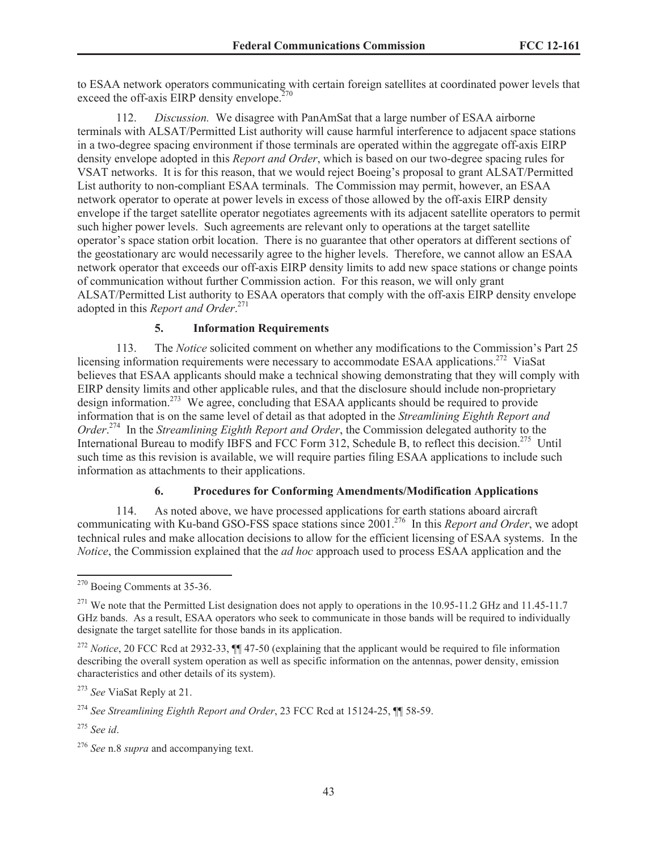to ESAA network operators communicating with certain foreign satellites at coordinated power levels that exceed the off-axis EIRP density envelope. $270$ 

112. *Discussion.* We disagree with PanAmSat that a large number of ESAA airborne terminals with ALSAT/Permitted List authority will cause harmful interference to adjacent space stations in a two-degree spacing environment if those terminals are operated within the aggregate off-axis EIRP density envelope adopted in this *Report and Order*, which is based on our two-degree spacing rules for VSAT networks. It is for this reason, that we would reject Boeing's proposal to grant ALSAT/Permitted List authority to non-compliant ESAA terminals. The Commission may permit, however, an ESAA network operator to operate at power levels in excess of those allowed by the off-axis EIRP density envelope if the target satellite operator negotiates agreements with its adjacent satellite operators to permit such higher power levels. Such agreements are relevant only to operations at the target satellite operator's space station orbit location. There is no guarantee that other operators at different sections of the geostationary arc would necessarily agree to the higher levels. Therefore, we cannot allow an ESAA network operator that exceeds our off-axis EIRP density limits to add new space stations or change points of communication without further Commission action. For this reason, we will only grant ALSAT/Permitted List authority to ESAA operators that comply with the off-axis EIRP density envelope adopted in this *Report and Order*. 271

# **5. Information Requirements**

113. The *Notice* solicited comment on whether any modifications to the Commission's Part 25 licensing information requirements were necessary to accommodate ESAA applications.<sup>272</sup> ViaSat believes that ESAA applicants should make a technical showing demonstrating that they will comply with EIRP density limits and other applicable rules, and that the disclosure should include non-proprietary design information.<sup>273</sup> We agree, concluding that ESAA applicants should be required to provide information that is on the same level of detail as that adopted in the *Streamlining Eighth Report and Order*. <sup>274</sup> In the *Streamlining Eighth Report and Order*, the Commission delegated authority to the International Bureau to modify IBFS and FCC Form 312, Schedule B, to reflect this decision.<sup>275</sup> Until such time as this revision is available, we will require parties filing ESAA applications to include such information as attachments to their applications.

# **6. Procedures for Conforming Amendments/Modification Applications**

114. As noted above, we have processed applications for earth stations aboard aircraft communicating with Ku-band GSO-FSS space stations since 2001.<sup>276</sup> In this *Report and Order*, we adopt technical rules and make allocation decisions to allow for the efficient licensing of ESAA systems. In the *Notice*, the Commission explained that the *ad hoc* approach used to process ESAA application and the

<sup>270</sup> Boeing Comments at 35-36.

<sup>&</sup>lt;sup>271</sup> We note that the Permitted List designation does not apply to operations in the 10.95-11.2 GHz and 11.45-11.7 GHz bands. As a result, ESAA operators who seek to communicate in those bands will be required to individually designate the target satellite for those bands in its application.

<sup>272</sup> *Notice*, 20 FCC Rcd at 2932-33, ¶¶ 47-50 (explaining that the applicant would be required to file information describing the overall system operation as well as specific information on the antennas, power density, emission characteristics and other details of its system).

<sup>273</sup> *See* ViaSat Reply at 21.

<sup>274</sup> *See Streamlining Eighth Report and Order*, 23 FCC Rcd at 15124-25, ¶¶ 58-59.

<sup>275</sup> *See id*.

<sup>276</sup> *See* n.8 *supra* and accompanying text.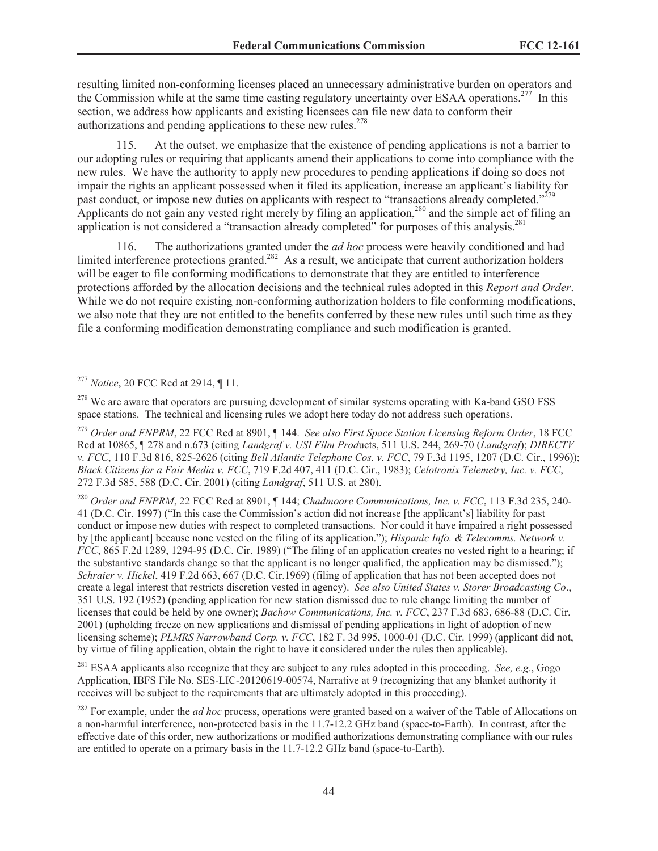resulting limited non-conforming licenses placed an unnecessary administrative burden on operators and the Commission while at the same time casting regulatory uncertainty over ESAA operations.<sup>277</sup> In this section, we address how applicants and existing licensees can file new data to conform their authorizations and pending applications to these new rules.<sup> $278$ </sup>

115. At the outset, we emphasize that the existence of pending applications is not a barrier to our adopting rules or requiring that applicants amend their applications to come into compliance with the new rules. We have the authority to apply new procedures to pending applications if doing so does not impair the rights an applicant possessed when it filed its application, increase an applicant's liability for past conduct, or impose new duties on applicants with respect to "transactions already completed."<sup>279</sup> Applicants do not gain any vested right merely by filing an application,<sup>280</sup> and the simple act of filing an application is not considered a "transaction already completed" for purposes of this analysis.<sup>281</sup>

116. The authorizations granted under the *ad hoc* process were heavily conditioned and had limited interference protections granted.<sup>282</sup> As a result, we anticipate that current authorization holders will be eager to file conforming modifications to demonstrate that they are entitled to interference protections afforded by the allocation decisions and the technical rules adopted in this *Report and Order*. While we do not require existing non-conforming authorization holders to file conforming modifications, we also note that they are not entitled to the benefits conferred by these new rules until such time as they file a conforming modification demonstrating compliance and such modification is granted.

<sup>280</sup> *Order and FNPRM*, 22 FCC Rcd at 8901, ¶ 144; *Chadmoore Communications, Inc. v. FCC*, 113 F.3d 235, 240- 41 (D.C. Cir. 1997) ("In this case the Commission's action did not increase [the applicant's] liability for past conduct or impose new duties with respect to completed transactions. Nor could it have impaired a right possessed by [the applicant] because none vested on the filing of its application."); *Hispanic Info. & Telecomms. Network v. FCC*, 865 F.2d 1289, 1294-95 (D.C. Cir. 1989) ("The filing of an application creates no vested right to a hearing; if the substantive standards change so that the applicant is no longer qualified, the application may be dismissed."); *Schraier v. Hickel*, 419 F.2d 663, 667 (D.C. Cir.1969) (filing of application that has not been accepted does not create a legal interest that restricts discretion vested in agency). *See also United States v. Storer Broadcasting Co*., 351 U.S. 192 (1952) (pending application for new station dismissed due to rule change limiting the number of licenses that could be held by one owner); *Bachow Communications, Inc. v. FCC*, 237 F.3d 683, 686-88 (D.C. Cir. 2001) (upholding freeze on new applications and dismissal of pending applications in light of adoption of new licensing scheme); *PLMRS Narrowband Corp. v. FCC*, 182 F. 3d 995, 1000-01 (D.C. Cir. 1999) (applicant did not, by virtue of filing application, obtain the right to have it considered under the rules then applicable).

<sup>281</sup> ESAA applicants also recognize that they are subject to any rules adopted in this proceeding. *See, e.g*., Gogo Application, IBFS File No. SES-LIC-20120619-00574, Narrative at 9 (recognizing that any blanket authority it receives will be subject to the requirements that are ultimately adopted in this proceeding).

<sup>277</sup> *Notice*, 20 FCC Rcd at 2914, ¶ 11.

<sup>&</sup>lt;sup>278</sup> We are aware that operators are pursuing development of similar systems operating with Ka-band GSO FSS space stations. The technical and licensing rules we adopt here today do not address such operations.

<sup>279</sup> *Order and FNPRM*, 22 FCC Rcd at 8901, ¶ 144. *See also First Space Station Licensing Reform Order*, 18 FCC Rcd at 10865, ¶ 278 and n.673 (citing *Landgraf v. USI Film Prod*ucts, 511 U.S. 244, 269-70 (*Landgraf*); *DIRECTV v. FCC*, 110 F.3d 816, 825-2626 (citing *Bell Atlantic Telephone Cos. v. FCC*, 79 F.3d 1195, 1207 (D.C. Cir., 1996)); *Black Citizens for a Fair Media v. FCC*, 719 F.2d 407, 411 (D.C. Cir., 1983); *Celotronix Telemetry, Inc. v. FCC*, 272 F.3d 585, 588 (D.C. Cir. 2001) (citing *Landgraf*, 511 U.S. at 280).

<sup>&</sup>lt;sup>282</sup> For example, under the *ad hoc* process, operations were granted based on a waiver of the Table of Allocations on a non-harmful interference, non-protected basis in the 11.7-12.2 GHz band (space-to-Earth). In contrast, after the effective date of this order, new authorizations or modified authorizations demonstrating compliance with our rules are entitled to operate on a primary basis in the 11.7-12.2 GHz band (space-to-Earth).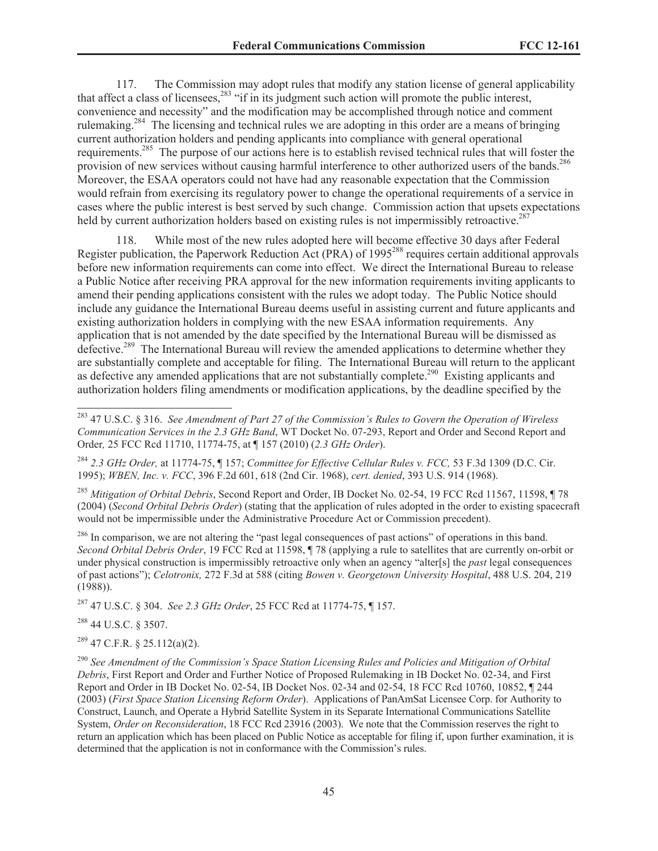117. The Commission may adopt rules that modify any station license of general applicability that affect a class of licensees, $^{283}$  "if in its judgment such action will promote the public interest, convenience and necessity" and the modification may be accomplished through notice and comment rulemaking.<sup>284</sup> The licensing and technical rules we are adopting in this order are a means of bringing current authorization holders and pending applicants into compliance with general operational requirements.<sup>285</sup> The purpose of our actions here is to establish revised technical rules that will foster the provision of new services without causing harmful interference to other authorized users of the bands.<sup>286</sup> Moreover, the ESAA operators could not have had any reasonable expectation that the Commission would refrain from exercising its regulatory power to change the operational requirements of a service in cases where the public interest is best served by such change. Commission action that upsets expectations held by current authorization holders based on existing rules is not impermissibly retroactive.<sup>287</sup>

118. While most of the new rules adopted here will become effective 30 days after Federal Register publication, the Paperwork Reduction Act (PRA) of 1995<sup>288</sup> requires certain additional approvals before new information requirements can come into effect. We direct the International Bureau to release a Public Notice after receiving PRA approval for the new information requirements inviting applicants to amend their pending applications consistent with the rules we adopt today. The Public Notice should include any guidance the International Bureau deems useful in assisting current and future applicants and existing authorization holders in complying with the new ESAA information requirements. Any application that is not amended by the date specified by the International Bureau will be dismissed as defective.<sup>289</sup> The International Bureau will review the amended applications to determine whether they are substantially complete and acceptable for filing. The International Bureau will return to the applicant as defective any amended applications that are not substantially complete.<sup>290</sup> Existing applicants and authorization holders filing amendments or modification applications, by the deadline specified by the

<sup>285</sup> *Mitigation of Orbital Debris*, Second Report and Order, IB Docket No. 02-54, 19 FCC Rcd 11567, 11598, ¶ 78 (2004) (*Second Orbital Debris Order*) (stating that the application of rules adopted in the order to existing spacecraft would not be impermissible under the Administrative Procedure Act or Commission precedent).

<sup>286</sup> In comparison, we are not altering the "past legal consequences of past actions" of operations in this band. *Second Orbital Debris Order*, 19 FCC Rcd at 11598, ¶ 78 (applying a rule to satellites that are currently on-orbit or under physical construction is impermissibly retroactive only when an agency "alter[s] the *past* legal consequences of past actions"); *Celotronix,* 272 F.3d at 588 (citing *Bowen v. Georgetown University Hospital*, 488 U.S. 204, 219 (1988)).

<sup>287</sup> 47 U.S.C. § 304. *See 2.3 GHz Order*, 25 FCC Rcd at 11774-75, ¶ 157.

<sup>288</sup> 44 U.S.C. § 3507.

<sup>289</sup> 47 C.F.R. § 25.112(a)(2).

<sup>290</sup> *See Amendment of the Commission's Space Station Licensing Rules and Policies and Mitigation of Orbital Debris*, First Report and Order and Further Notice of Proposed Rulemaking in IB Docket No. 02-34, and First Report and Order in IB Docket No. 02-54, IB Docket Nos. 02-34 and 02-54, 18 FCC Rcd 10760, 10852, ¶ 244 (2003) (*First Space Station Licensing Reform Order*). Applications of PanAmSat Licensee Corp. for Authority to Construct, Launch, and Operate a Hybrid Satellite System in its Separate International Communications Satellite System, *Order on Reconsideration*, 18 FCC Rcd 23916 (2003). We note that the Commission reserves the right to return an application which has been placed on Public Notice as acceptable for filing if, upon further examination, it is determined that the application is not in conformance with the Commission's rules.

<sup>283</sup> 47 U.S.C. § 316. *See Amendment of Part 27 of the Commission's Rules to Govern the Operation of Wireless Communication Services in the 2.3 GHz Band*, WT Docket No. 07-293, Report and Order and Second Report and Order*,* 25 FCC Rcd 11710, 11774-75, at ¶ 157 (2010) (*2.3 GHz Order*).

<sup>284</sup> *2.3 GHz Order,* at 11774-75, ¶ 157; *Committee for Effective Cellular Rules v. FCC,* 53 F.3d 1309 (D.C. Cir. 1995); *WBEN, Inc. v. FCC*, 396 F.2d 601, 618 (2nd Cir. 1968), *cert. denied*, 393 U.S. 914 (1968).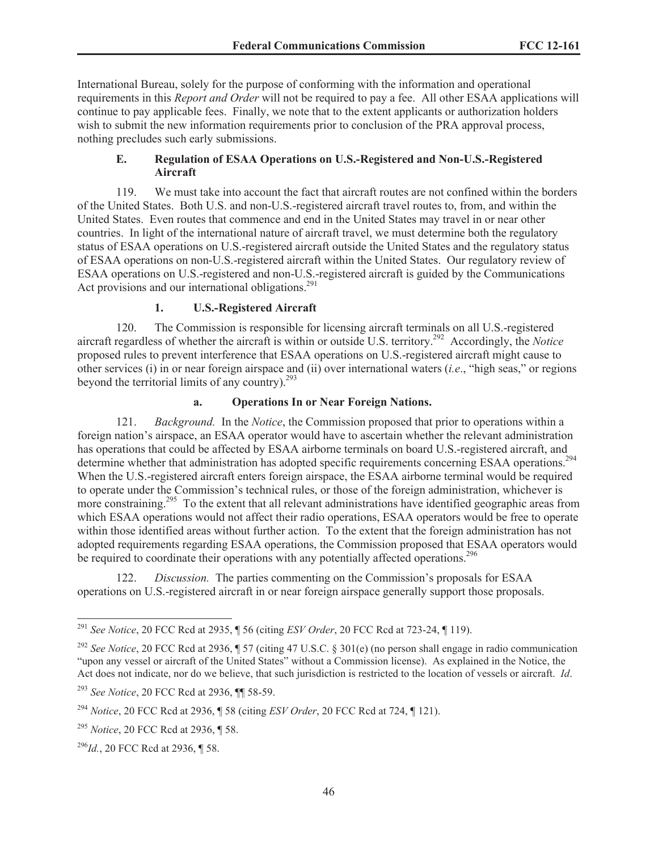International Bureau, solely for the purpose of conforming with the information and operational requirements in this *Report and Order* will not be required to pay a fee. All other ESAA applications will continue to pay applicable fees. Finally, we note that to the extent applicants or authorization holders wish to submit the new information requirements prior to conclusion of the PRA approval process, nothing precludes such early submissions.

# **E. Regulation of ESAA Operations on U.S.-Registered and Non-U.S.-Registered Aircraft**

119. We must take into account the fact that aircraft routes are not confined within the borders of the United States. Both U.S. and non-U.S.-registered aircraft travel routes to, from, and within the United States. Even routes that commence and end in the United States may travel in or near other countries. In light of the international nature of aircraft travel, we must determine both the regulatory status of ESAA operations on U.S.-registered aircraft outside the United States and the regulatory status of ESAA operations on non-U.S.-registered aircraft within the United States. Our regulatory review of ESAA operations on U.S.-registered and non-U.S.-registered aircraft is guided by the Communications Act provisions and our international obligations.<sup>291</sup>

# **1. U.S.-Registered Aircraft**

120. The Commission is responsible for licensing aircraft terminals on all U.S.-registered aircraft regardless of whether the aircraft is within or outside U.S. territory.<sup>292</sup> Accordingly, the *Notice*  proposed rules to prevent interference that ESAA operations on U.S.-registered aircraft might cause to other services (i) in or near foreign airspace and (ii) over international waters (*i.e*., "high seas," or regions beyond the territorial limits of any country).<sup>293</sup>

# **a. Operations In or Near Foreign Nations.**

121. *Background.* In the *Notice*, the Commission proposed that prior to operations within a foreign nation's airspace, an ESAA operator would have to ascertain whether the relevant administration has operations that could be affected by ESAA airborne terminals on board U.S.-registered aircraft, and determine whether that administration has adopted specific requirements concerning ESAA operations.<sup>294</sup> When the U.S.-registered aircraft enters foreign airspace, the ESAA airborne terminal would be required to operate under the Commission's technical rules, or those of the foreign administration, whichever is more constraining.<sup>295</sup> To the extent that all relevant administrations have identified geographic areas from which ESAA operations would not affect their radio operations, ESAA operators would be free to operate within those identified areas without further action. To the extent that the foreign administration has not adopted requirements regarding ESAA operations, the Commission proposed that ESAA operators would be required to coordinate their operations with any potentially affected operations.<sup>296</sup>

122. *Discussion.* The parties commenting on the Commission's proposals for ESAA operations on U.S.-registered aircraft in or near foreign airspace generally support those proposals.

<sup>291</sup> *See Notice*, 20 FCC Rcd at 2935, ¶ 56 (citing *ESV Order*, 20 FCC Rcd at 723-24, ¶ 119).

<sup>292</sup> *See Notice*, 20 FCC Rcd at 2936, ¶ 57 (citing 47 U.S.C. § 301(e) (no person shall engage in radio communication "upon any vessel or aircraft of the United States" without a Commission license). As explained in the Notice, the Act does not indicate, nor do we believe, that such jurisdiction is restricted to the location of vessels or aircraft. *Id*.

<sup>293</sup> *See Notice*, 20 FCC Rcd at 2936, ¶¶ 58-59.

<sup>294</sup> *Notice*, 20 FCC Rcd at 2936, ¶ 58 (citing *ESV Order*, 20 FCC Rcd at 724, ¶ 121).

<sup>295</sup> *Notice*, 20 FCC Rcd at 2936, ¶ 58.

<sup>296</sup>*Id.*, 20 FCC Rcd at 2936, ¶ 58.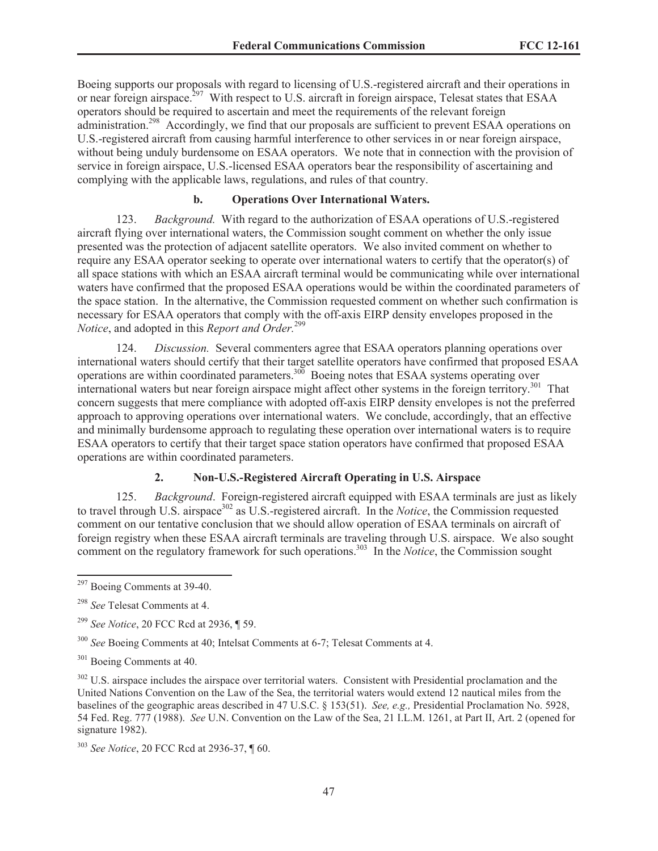Boeing supports our proposals with regard to licensing of U.S.-registered aircraft and their operations in or near foreign airspace.<sup>297</sup> With respect to U.S. aircraft in foreign airspace, Telesat states that ESAA operators should be required to ascertain and meet the requirements of the relevant foreign administration.<sup>298</sup> Accordingly, we find that our proposals are sufficient to prevent ESAA operations on U.S.-registered aircraft from causing harmful interference to other services in or near foreign airspace, without being unduly burdensome on ESAA operators. We note that in connection with the provision of service in foreign airspace, U.S.-licensed ESAA operators bear the responsibility of ascertaining and complying with the applicable laws, regulations, and rules of that country.

## **b. Operations Over International Waters.**

123. *Background.* With regard to the authorization of ESAA operations of U.S.-registered aircraft flying over international waters, the Commission sought comment on whether the only issue presented was the protection of adjacent satellite operators. We also invited comment on whether to require any ESAA operator seeking to operate over international waters to certify that the operator(s) of all space stations with which an ESAA aircraft terminal would be communicating while over international waters have confirmed that the proposed ESAA operations would be within the coordinated parameters of the space station. In the alternative, the Commission requested comment on whether such confirmation is necessary for ESAA operators that comply with the off-axis EIRP density envelopes proposed in the *Notice*, and adopted in this *Report and Order.*<sup>299</sup>

124. *Discussion.* Several commenters agree that ESAA operators planning operations over international waters should certify that their target satellite operators have confirmed that proposed ESAA operations are within coordinated parameters.<sup>300</sup> Boeing notes that ESAA systems operating over international waters but near foreign airspace might affect other systems in the foreign territory.<sup>301</sup> That concern suggests that mere compliance with adopted off-axis EIRP density envelopes is not the preferred approach to approving operations over international waters. We conclude, accordingly, that an effective and minimally burdensome approach to regulating these operation over international waters is to require ESAA operators to certify that their target space station operators have confirmed that proposed ESAA operations are within coordinated parameters.

# **2. Non-U.S.-Registered Aircraft Operating in U.S. Airspace**

125. *Background*. Foreign-registered aircraft equipped with ESAA terminals are just as likely to travel through U.S. airspace<sup>302</sup> as U.S.-registered aircraft. In the *Notice*, the Commission requested comment on our tentative conclusion that we should allow operation of ESAA terminals on aircraft of foreign registry when these ESAA aircraft terminals are traveling through U.S. airspace. We also sought comment on the regulatory framework for such operations.<sup>303</sup> In the *Notice*, the Commission sought

<sup>297</sup> Boeing Comments at 39-40.

<sup>298</sup> *See* Telesat Comments at 4.

<sup>299</sup> *See Notice*, 20 FCC Rcd at 2936, ¶ 59.

<sup>300</sup> *See* Boeing Comments at 40; Intelsat Comments at 6-7; Telesat Comments at 4.

<sup>&</sup>lt;sup>301</sup> Boeing Comments at 40.

<sup>&</sup>lt;sup>302</sup> U.S. airspace includes the airspace over territorial waters. Consistent with Presidential proclamation and the United Nations Convention on the Law of the Sea, the territorial waters would extend 12 nautical miles from the baselines of the geographic areas described in 47 U.S.C. § 153(51). *See, e.g.,* Presidential Proclamation No. 5928, 54 Fed. Reg. 777 (1988). *See* U.N. Convention on the Law of the Sea, 21 I.L.M. 1261, at Part II, Art. 2 (opened for signature 1982).

<sup>303</sup> *See Notice*, 20 FCC Rcd at 2936-37, ¶ 60.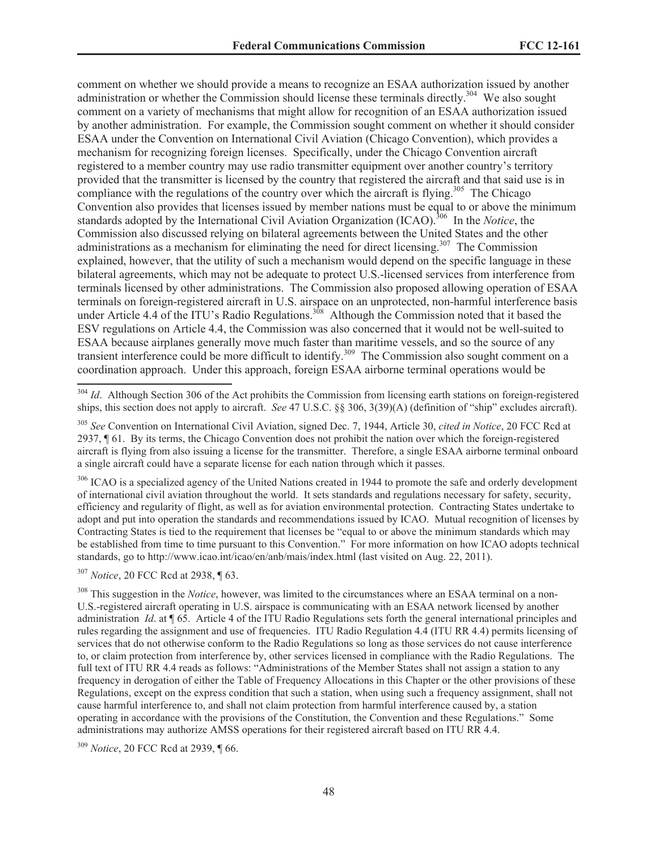comment on whether we should provide a means to recognize an ESAA authorization issued by another administration or whether the Commission should license these terminals directly.<sup>304</sup> We also sought comment on a variety of mechanisms that might allow for recognition of an ESAA authorization issued by another administration. For example, the Commission sought comment on whether it should consider ESAA under the Convention on International Civil Aviation (Chicago Convention), which provides a mechanism for recognizing foreign licenses. Specifically, under the Chicago Convention aircraft registered to a member country may use radio transmitter equipment over another country's territory provided that the transmitter is licensed by the country that registered the aircraft and that said use is in compliance with the regulations of the country over which the aircraft is flying.<sup>305</sup> The Chicago Convention also provides that licenses issued by member nations must be equal to or above the minimum standards adopted by the International Civil Aviation Organization (ICAO).<sup>306</sup> In the *Notice*, the Commission also discussed relying on bilateral agreements between the United States and the other administrations as a mechanism for eliminating the need for direct licensing.<sup>307</sup> The Commission explained, however, that the utility of such a mechanism would depend on the specific language in these bilateral agreements, which may not be adequate to protect U.S.-licensed services from interference from terminals licensed by other administrations. The Commission also proposed allowing operation of ESAA terminals on foreign-registered aircraft in U.S. airspace on an unprotected, non-harmful interference basis under Article 4.4 of the ITU's Radio Regulations.<sup>308</sup> Although the Commission noted that it based the ESV regulations on Article 4.4, the Commission was also concerned that it would not be well-suited to ESAA because airplanes generally move much faster than maritime vessels, and so the source of any transient interference could be more difficult to identify.<sup>309</sup> The Commission also sought comment on a coordination approach. Under this approach, foreign ESAA airborne terminal operations would be

<sup>306</sup> ICAO is a specialized agency of the United Nations created in 1944 to promote the safe and orderly development of international civil aviation throughout the world. It sets standards and regulations necessary for safety, security, efficiency and regularity of flight, as well as for aviation environmental protection. Contracting States undertake to adopt and put into operation the standards and recommendations issued by ICAO. Mutual recognition of licenses by Contracting States is tied to the requirement that licenses be "equal to or above the minimum standards which may be established from time to time pursuant to this Convention." For more information on how ICAO adopts technical standards, go to http://www.icao.int/icao/en/anb/mais/index.html (last visited on Aug. 22, 2011).

<sup>307</sup> *Notice*, 20 FCC Rcd at 2938, ¶ 63.

<sup>308</sup> This suggestion in the *Notice*, however, was limited to the circumstances where an ESAA terminal on a non-U.S.-registered aircraft operating in U.S. airspace is communicating with an ESAA network licensed by another administration *Id*. at ¶ 65. Article 4 of the ITU Radio Regulations sets forth the general international principles and rules regarding the assignment and use of frequencies. ITU Radio Regulation 4.4 (ITU RR 4.4) permits licensing of services that do not otherwise conform to the Radio Regulations so long as those services do not cause interference to, or claim protection from interference by, other services licensed in compliance with the Radio Regulations. The full text of ITU RR 4.4 reads as follows: "Administrations of the Member States shall not assign a station to any frequency in derogation of either the Table of Frequency Allocations in this Chapter or the other provisions of these Regulations, except on the express condition that such a station, when using such a frequency assignment, shall not cause harmful interference to, and shall not claim protection from harmful interference caused by, a station operating in accordance with the provisions of the Constitution, the Convention and these Regulations." Some administrations may authorize AMSS operations for their registered aircraft based on ITU RR 4.4.

<sup>309</sup> *Notice*, 20 FCC Rcd at 2939, ¶ 66.

<sup>&</sup>lt;sup>304</sup> *Id*. Although Section 306 of the Act prohibits the Commission from licensing earth stations on foreign-registered ships, this section does not apply to aircraft. *See* 47 U.S.C. §§ 306, 3(39)(A) (definition of "ship" excludes aircraft).

<sup>305</sup> *See* Convention on International Civil Aviation, signed Dec. 7, 1944, Article 30, *cited in Notice*, 20 FCC Rcd at 2937, ¶ 61. By its terms, the Chicago Convention does not prohibit the nation over which the foreign-registered aircraft is flying from also issuing a license for the transmitter. Therefore, a single ESAA airborne terminal onboard a single aircraft could have a separate license for each nation through which it passes.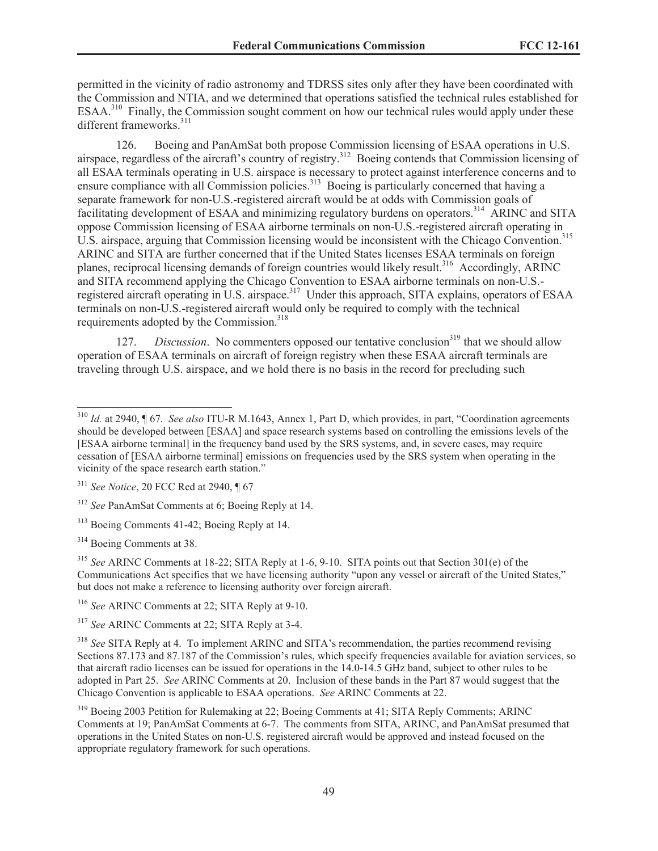permitted in the vicinity of radio astronomy and TDRSS sites only after they have been coordinated with the Commission and NTIA, and we determined that operations satisfied the technical rules established for ESAA.<sup>310</sup> Finally, the Commission sought comment on how our technical rules would apply under these different frameworks.<sup>311</sup>

126. Boeing and PanAmSat both propose Commission licensing of ESAA operations in U.S. airspace, regardless of the aircraft's country of registry.<sup>312</sup> Boeing contends that Commission licensing of all ESAA terminals operating in U.S. airspace is necessary to protect against interference concerns and to ensure compliance with all Commission policies.<sup>313</sup> Boeing is particularly concerned that having a separate framework for non-U.S.-registered aircraft would be at odds with Commission goals of facilitating development of ESAA and minimizing regulatory burdens on operators.<sup>314</sup> ARINC and SITA oppose Commission licensing of ESAA airborne terminals on non-U.S.-registered aircraft operating in U.S. airspace, arguing that Commission licensing would be inconsistent with the Chicago Convention.<sup>315</sup> ARINC and SITA are further concerned that if the United States licenses ESAA terminals on foreign planes, reciprocal licensing demands of foreign countries would likely result.<sup>316</sup> Accordingly, ARINC and SITA recommend applying the Chicago Convention to ESAA airborne terminals on non-U.S. registered aircraft operating in U.S. airspace.<sup>317</sup> Under this approach, SITA explains, operators of ESAA terminals on non-U.S.-registered aircraft would only be required to comply with the technical requirements adopted by the Commission.<sup>318</sup>

127. *Discussion*. No commenters opposed our tentative conclusion<sup>319</sup> that we should allow operation of ESAA terminals on aircraft of foreign registry when these ESAA aircraft terminals are traveling through U.S. airspace, and we hold there is no basis in the record for precluding such

<sup>314</sup> Boeing Comments at 38.

<sup>315</sup> *See* ARINC Comments at 18-22; SITA Reply at 1-6, 9-10. SITA points out that Section 301(e) of the Communications Act specifies that we have licensing authority "upon any vessel or aircraft of the United States," but does not make a reference to licensing authority over foreign aircraft.

<sup>316</sup> *See* ARINC Comments at 22; SITA Reply at 9-10.

<sup>317</sup> *See* ARINC Comments at 22; SITA Reply at 3-4.

<sup>318</sup> *See* SITA Reply at 4. To implement ARINC and SITA's recommendation, the parties recommend revising Sections 87.173 and 87.187 of the Commission's rules, which specify frequencies available for aviation services, so that aircraft radio licenses can be issued for operations in the 14.0-14.5 GHz band, subject to other rules to be adopted in Part 25. *See* ARINC Comments at 20. Inclusion of these bands in the Part 87 would suggest that the Chicago Convention is applicable to ESAA operations. *See* ARINC Comments at 22.

<sup>319</sup> Boeing 2003 Petition for Rulemaking at 22; Boeing Comments at 41; SITA Reply Comments; ARINC Comments at 19; PanAmSat Comments at 6-7. The comments from SITA, ARINC, and PanAmSat presumed that operations in the United States on non-U.S. registered aircraft would be approved and instead focused on the appropriate regulatory framework for such operations.

<sup>310</sup> *Id.* at 2940, ¶ 67. *See also* ITU-R M.1643, Annex 1, Part D, which provides, in part, "Coordination agreements should be developed between [ESAA] and space research systems based on controlling the emissions levels of the [ESAA airborne terminal] in the frequency band used by the SRS systems, and, in severe cases, may require cessation of [ESAA airborne terminal] emissions on frequencies used by the SRS system when operating in the vicinity of the space research earth station."

<sup>311</sup> *See Notice*, 20 FCC Rcd at 2940, ¶ 67

<sup>312</sup> *See* PanAmSat Comments at 6; Boeing Reply at 14.

<sup>313</sup> Boeing Comments 41-42; Boeing Reply at 14.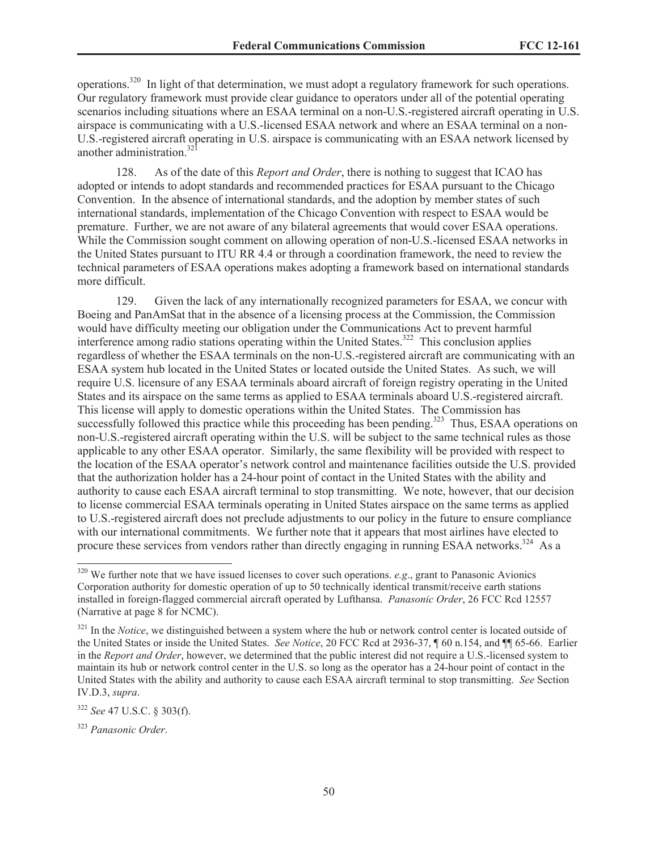operations.<sup>320</sup> In light of that determination, we must adopt a regulatory framework for such operations. Our regulatory framework must provide clear guidance to operators under all of the potential operating scenarios including situations where an ESAA terminal on a non-U.S.-registered aircraft operating in U.S. airspace is communicating with a U.S.-licensed ESAA network and where an ESAA terminal on a non-U.S.-registered aircraft operating in U.S. airspace is communicating with an ESAA network licensed by another administration. $321$ 

128. As of the date of this *Report and Order*, there is nothing to suggest that ICAO has adopted or intends to adopt standards and recommended practices for ESAA pursuant to the Chicago Convention. In the absence of international standards, and the adoption by member states of such international standards, implementation of the Chicago Convention with respect to ESAA would be premature. Further, we are not aware of any bilateral agreements that would cover ESAA operations. While the Commission sought comment on allowing operation of non-U.S.-licensed ESAA networks in the United States pursuant to ITU RR 4.4 or through a coordination framework, the need to review the technical parameters of ESAA operations makes adopting a framework based on international standards more difficult.

129. Given the lack of any internationally recognized parameters for ESAA, we concur with Boeing and PanAmSat that in the absence of a licensing process at the Commission, the Commission would have difficulty meeting our obligation under the Communications Act to prevent harmful interference among radio stations operating within the United States.<sup>322</sup> This conclusion applies regardless of whether the ESAA terminals on the non-U.S.-registered aircraft are communicating with an ESAA system hub located in the United States or located outside the United States. As such, we will require U.S. licensure of any ESAA terminals aboard aircraft of foreign registry operating in the United States and its airspace on the same terms as applied to ESAA terminals aboard U.S.-registered aircraft. This license will apply to domestic operations within the United States. The Commission has successfully followed this practice while this proceeding has been pending.<sup>323</sup> Thus, ESAA operations on non-U.S.-registered aircraft operating within the U.S. will be subject to the same technical rules as those applicable to any other ESAA operator. Similarly, the same flexibility will be provided with respect to the location of the ESAA operator's network control and maintenance facilities outside the U.S. provided that the authorization holder has a 24-hour point of contact in the United States with the ability and authority to cause each ESAA aircraft terminal to stop transmitting. We note, however, that our decision to license commercial ESAA terminals operating in United States airspace on the same terms as applied to U.S.-registered aircraft does not preclude adjustments to our policy in the future to ensure compliance with our international commitments. We further note that it appears that most airlines have elected to procure these services from vendors rather than directly engaging in running ESAA networks.<sup>324</sup> As a

<sup>320</sup> We further note that we have issued licenses to cover such operations. *e.g*., grant to Panasonic Avionics Corporation authority for domestic operation of up to 50 technically identical transmit/receive earth stations installed in foreign-flagged commercial aircraft operated by Lufthansa. *Panasonic Order*, 26 FCC Rcd 12557 (Narrative at page 8 for NCMC).

<sup>&</sup>lt;sup>321</sup> In the *Notice*, we distinguished between a system where the hub or network control center is located outside of the United States or inside the United States. *See Notice*, 20 FCC Rcd at 2936-37, ¶ 60 n.154, and ¶¶ 65-66. Earlier in the *Report and Order*, however, we determined that the public interest did not require a U.S.-licensed system to maintain its hub or network control center in the U.S. so long as the operator has a 24-hour point of contact in the United States with the ability and authority to cause each ESAA aircraft terminal to stop transmitting. *See* Section IV.D.3, *supra*.

<sup>322</sup> *See* 47 U.S.C. § 303(f).

<sup>323</sup> *Panasonic Order*.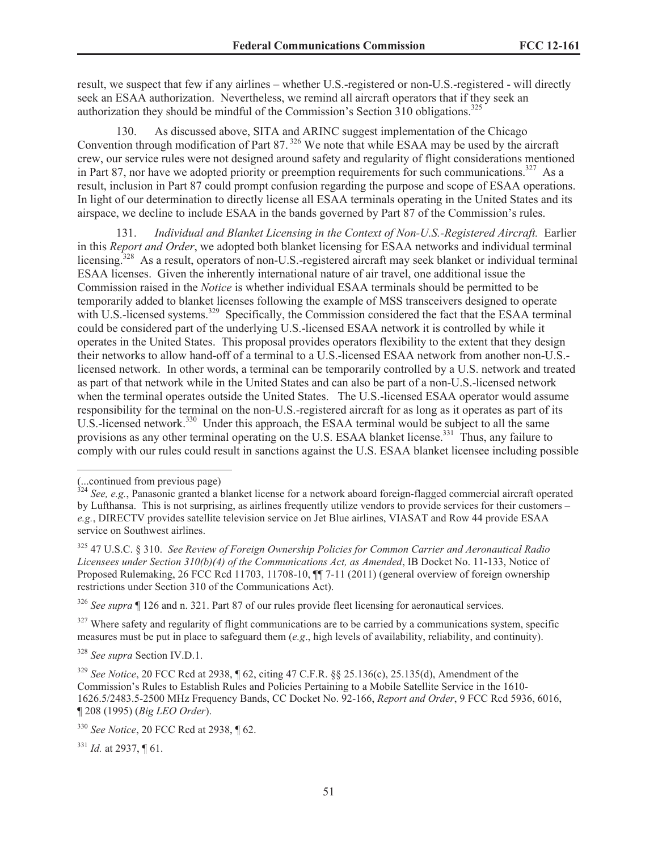result, we suspect that few if any airlines – whether U.S.-registered or non-U.S.-registered - will directly seek an ESAA authorization. Nevertheless, we remind all aircraft operators that if they seek an authorization they should be mindful of the Commission's Section 310 obligations.<sup>325</sup>

130. As discussed above, SITA and ARINC suggest implementation of the Chicago Convention through modification of Part 87. <sup>326</sup> We note that while ESAA may be used by the aircraft crew, our service rules were not designed around safety and regularity of flight considerations mentioned in Part 87, nor have we adopted priority or preemption requirements for such communications.<sup>327</sup> As a result, inclusion in Part 87 could prompt confusion regarding the purpose and scope of ESAA operations. In light of our determination to directly license all ESAA terminals operating in the United States and its airspace, we decline to include ESAA in the bands governed by Part 87 of the Commission's rules.

131. *Individual and Blanket Licensing in the Context of Non-U.S.-Registered Aircraft.* Earlier in this *Report and Order*, we adopted both blanket licensing for ESAA networks and individual terminal licensing.<sup>328</sup> As a result, operators of non-U.S.-registered aircraft may seek blanket or individual terminal ESAA licenses. Given the inherently international nature of air travel, one additional issue the Commission raised in the *Notice* is whether individual ESAA terminals should be permitted to be temporarily added to blanket licenses following the example of MSS transceivers designed to operate with U.S.-licensed systems.<sup>329</sup> Specifically, the Commission considered the fact that the ESAA terminal could be considered part of the underlying U.S.-licensed ESAA network it is controlled by while it operates in the United States. This proposal provides operators flexibility to the extent that they design their networks to allow hand-off of a terminal to a U.S.-licensed ESAA network from another non-U.S. licensed network. In other words, a terminal can be temporarily controlled by a U.S. network and treated as part of that network while in the United States and can also be part of a non-U.S.-licensed network when the terminal operates outside the United States. The U.S.-licensed ESAA operator would assume responsibility for the terminal on the non-U.S.-registered aircraft for as long as it operates as part of its U.S.-licensed network.<sup>330</sup> Under this approach, the ESAA terminal would be subject to all the same provisions as any other terminal operating on the U.S. ESAA blanket license.<sup>331</sup> Thus, any failure to comply with our rules could result in sanctions against the U.S. ESAA blanket licensee including possible

<sup>331</sup> *Id.* at 2937, ¶ 61.

<sup>(...</sup>continued from previous page)

<sup>&</sup>lt;sup>324</sup> See, e.g., Panasonic granted a blanket license for a network aboard foreign-flagged commercial aircraft operated by Lufthansa. This is not surprising, as airlines frequently utilize vendors to provide services for their customers – *e.g.*, DIRECTV provides satellite television service on Jet Blue airlines, VIASAT and Row 44 provide ESAA service on Southwest airlines.

<sup>325</sup> 47 U.S.C. § 310. *See Review of Foreign Ownership Policies for Common Carrier and Aeronautical Radio Licensees under Section 310(b)(4) of the Communications Act, as Amended*, IB Docket No. 11-133, Notice of Proposed Rulemaking, 26 FCC Rcd 11703, 11708-10, ¶¶ 7-11 (2011) (general overview of foreign ownership restrictions under Section 310 of the Communications Act).

<sup>326</sup> *See supra* ¶ 126 and n. 321. Part 87 of our rules provide fleet licensing for aeronautical services.

 $327$  Where safety and regularity of flight communications are to be carried by a communications system, specific measures must be put in place to safeguard them (*e.g*., high levels of availability, reliability, and continuity).

<sup>328</sup> *See supra* Section IV.D.1.

<sup>329</sup> *See Notice*, 20 FCC Rcd at 2938, ¶ 62, citing 47 C.F.R. §§ 25.136(c), 25.135(d), Amendment of the Commission's Rules to Establish Rules and Policies Pertaining to a Mobile Satellite Service in the 1610- 1626.5/2483.5-2500 MHz Frequency Bands, CC Docket No. 92-166, *Report and Order*, 9 FCC Rcd 5936, 6016, ¶ 208 (1995) (*Big LEO Order*).

<sup>330</sup> *See Notice*, 20 FCC Rcd at 2938, ¶ 62.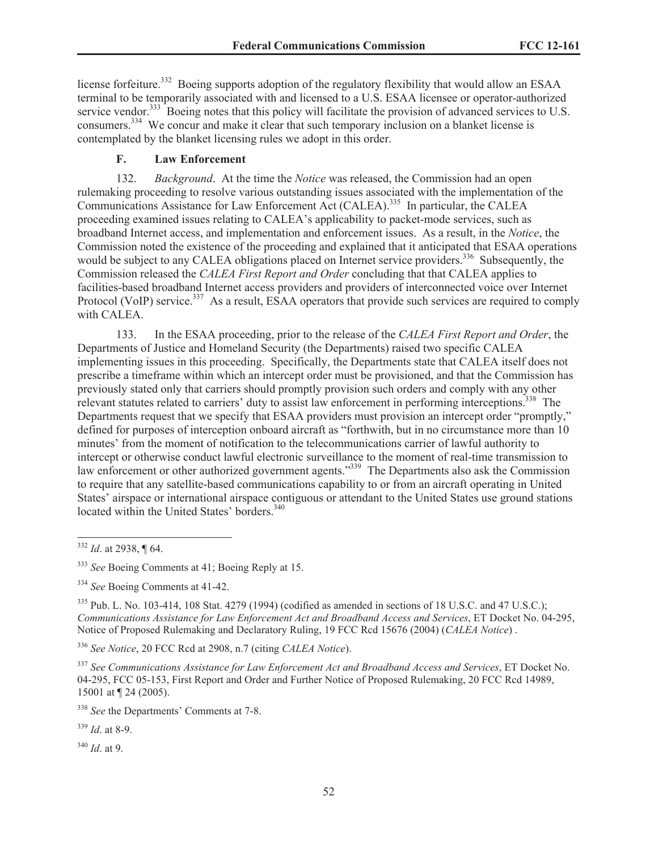license forfeiture.<sup>332</sup> Boeing supports adoption of the regulatory flexibility that would allow an ESAA terminal to be temporarily associated with and licensed to a U.S. ESAA licensee or operator-authorized service vendor.<sup>333</sup> Boeing notes that this policy will facilitate the provision of advanced services to U.S. consumers.<sup>334</sup> We concur and make it clear that such temporary inclusion on a blanket license is contemplated by the blanket licensing rules we adopt in this order.

# **F. Law Enforcement**

132. *Background*. At the time the *Notice* was released, the Commission had an open rulemaking proceeding to resolve various outstanding issues associated with the implementation of the Communications Assistance for Law Enforcement Act (CALEA).<sup>335</sup> In particular, the CALEA proceeding examined issues relating to CALEA's applicability to packet-mode services, such as broadband Internet access, and implementation and enforcement issues. As a result, in the *Notice*, the Commission noted the existence of the proceeding and explained that it anticipated that ESAA operations would be subject to any CALEA obligations placed on Internet service providers.<sup>336</sup> Subsequently, the Commission released the *CALEA First Report and Order* concluding that that CALEA applies to facilities-based broadband Internet access providers and providers of interconnected voice over Internet Protocol (VoIP) service.<sup>337</sup> As a result, ESAA operators that provide such services are required to comply with CALEA.

133. In the ESAA proceeding, prior to the release of the *CALEA First Report and Order*, the Departments of Justice and Homeland Security (the Departments) raised two specific CALEA implementing issues in this proceeding. Specifically, the Departments state that CALEA itself does not prescribe a timeframe within which an intercept order must be provisioned, and that the Commission has previously stated only that carriers should promptly provision such orders and comply with any other relevant statutes related to carriers' duty to assist law enforcement in performing interceptions.<sup>338</sup> The Departments request that we specify that ESAA providers must provision an intercept order "promptly," defined for purposes of interception onboard aircraft as "forthwith, but in no circumstance more than 10 minutes' from the moment of notification to the telecommunications carrier of lawful authority to intercept or otherwise conduct lawful electronic surveillance to the moment of real-time transmission to law enforcement or other authorized government agents.<sup>339</sup> The Departments also ask the Commission to require that any satellite-based communications capability to or from an aircraft operating in United States' airspace or international airspace contiguous or attendant to the United States use ground stations located within the United States' borders.<sup>340</sup>

<sup>336</sup> *See Notice*, 20 FCC Rcd at 2908, n.7 (citing *CALEA Notice*).

<sup>337</sup> *See Communications Assistance for Law Enforcement Act and Broadband Access and Services*, ET Docket No. 04-295, FCC 05-153, First Report and Order and Further Notice of Proposed Rulemaking, 20 FCC Rcd 14989, 15001 at ¶ 24 (2005).

<sup>338</sup> *See* the Departments' Comments at 7-8.

<sup>339</sup> *Id*. at 8-9.

<sup>340</sup> *Id*. at 9.

<sup>332</sup> *Id*. at 2938, ¶ 64.

<sup>333</sup> *See* Boeing Comments at 41; Boeing Reply at 15.

<sup>334</sup> *See* Boeing Comments at 41-42.

<sup>&</sup>lt;sup>335</sup> Pub. L. No. 103-414, 108 Stat. 4279 (1994) (codified as amended in sections of 18 U.S.C. and 47 U.S.C.); *Communications Assistance for Law Enforcement Act and Broadband Access and Services*, ET Docket No. 04-295, Notice of Proposed Rulemaking and Declaratory Ruling, 19 FCC Rcd 15676 (2004) (*CALEA Notice*) .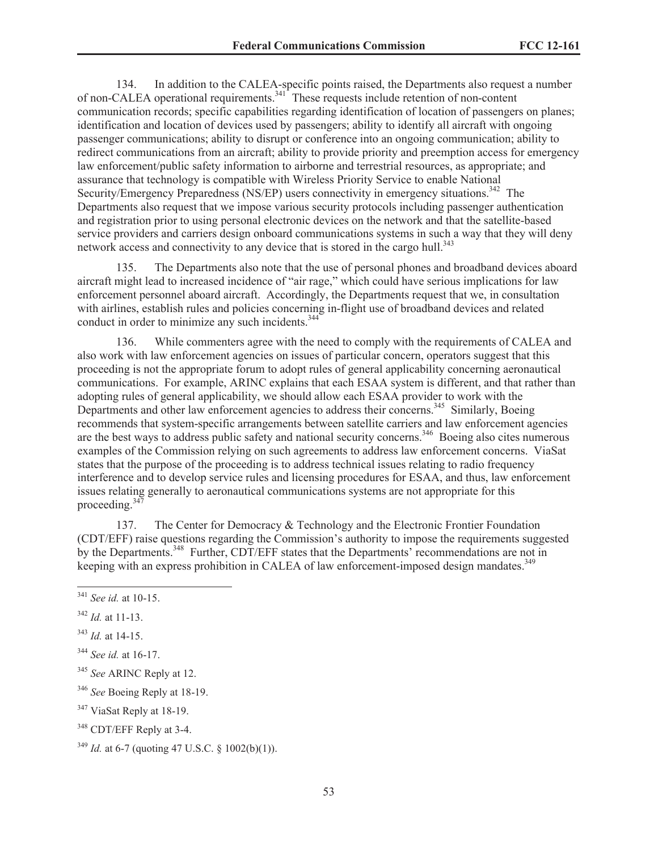134. In addition to the CALEA-specific points raised, the Departments also request a number of non-CALEA operational requirements.<sup>341</sup> These requests include retention of non-content communication records; specific capabilities regarding identification of location of passengers on planes; identification and location of devices used by passengers; ability to identify all aircraft with ongoing passenger communications; ability to disrupt or conference into an ongoing communication; ability to redirect communications from an aircraft; ability to provide priority and preemption access for emergency law enforcement/public safety information to airborne and terrestrial resources, as appropriate; and assurance that technology is compatible with Wireless Priority Service to enable National Security/Emergency Preparedness (NS/EP) users connectivity in emergency situations.<sup>342</sup> The Departments also request that we impose various security protocols including passenger authentication and registration prior to using personal electronic devices on the network and that the satellite-based service providers and carriers design onboard communications systems in such a way that they will deny network access and connectivity to any device that is stored in the cargo hull. $343$ 

135. The Departments also note that the use of personal phones and broadband devices aboard aircraft might lead to increased incidence of "air rage," which could have serious implications for law enforcement personnel aboard aircraft. Accordingly, the Departments request that we, in consultation with airlines, establish rules and policies concerning in-flight use of broadband devices and related conduct in order to minimize any such incidents.<sup>344</sup>

136. While commenters agree with the need to comply with the requirements of CALEA and also work with law enforcement agencies on issues of particular concern, operators suggest that this proceeding is not the appropriate forum to adopt rules of general applicability concerning aeronautical communications. For example, ARINC explains that each ESAA system is different, and that rather than adopting rules of general applicability, we should allow each ESAA provider to work with the Departments and other law enforcement agencies to address their concerns.<sup>345</sup> Similarly, Boeing recommends that system-specific arrangements between satellite carriers and law enforcement agencies are the best ways to address public safety and national security concerns.<sup>346</sup> Boeing also cites numerous examples of the Commission relying on such agreements to address law enforcement concerns. ViaSat states that the purpose of the proceeding is to address technical issues relating to radio frequency interference and to develop service rules and licensing procedures for ESAA, and thus, law enforcement issues relating generally to aeronautical communications systems are not appropriate for this proceeding.<sup>347</sup>

137. The Center for Democracy & Technology and the Electronic Frontier Foundation (CDT/EFF) raise questions regarding the Commission's authority to impose the requirements suggested by the Departments.<sup>348</sup> Further, CDT/EFF states that the Departments' recommendations are not in keeping with an express prohibition in CALEA of law enforcement-imposed design mandates.<sup>349</sup>

<sup>342</sup> *Id.* at 11-13.

<sup>345</sup> *See* ARINC Reply at 12.

<sup>346</sup> *See* Boeing Reply at 18-19.

<sup>347</sup> ViaSat Reply at 18-19.

<sup>348</sup> CDT/EFF Reply at 3-4.

<sup>341</sup> *See id.* at 10-15.

<sup>343</sup> *Id.* at 14-15.

<sup>344</sup> *See id.* at 16-17.

 $349$  *Id.* at 6-7 (quoting 47 U.S.C. § 1002(b)(1)).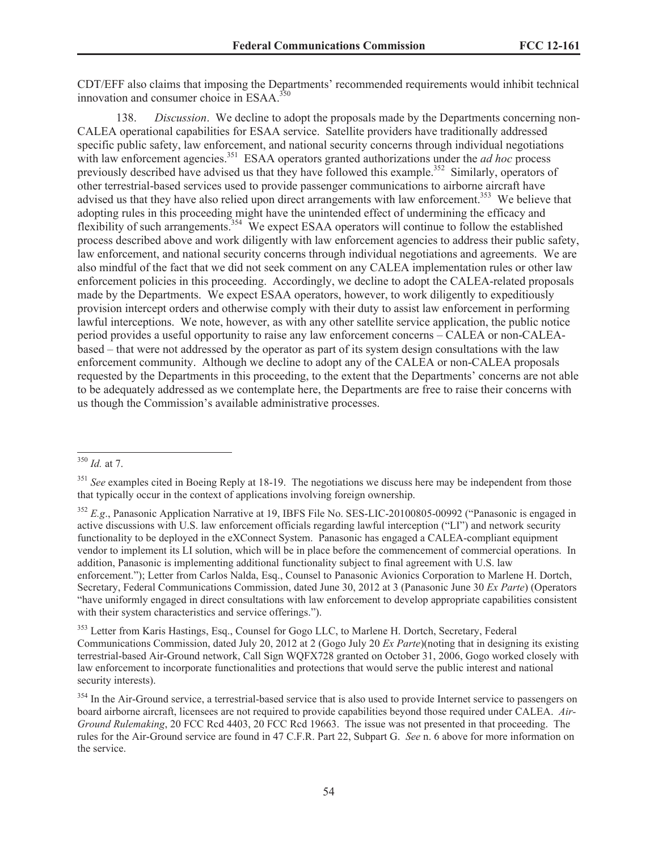CDT/EFF also claims that imposing the Departments' recommended requirements would inhibit technical innovation and consumer choice in ESAA. $350$ 

138. *Discussion*. We decline to adopt the proposals made by the Departments concerning non-CALEA operational capabilities for ESAA service. Satellite providers have traditionally addressed specific public safety, law enforcement, and national security concerns through individual negotiations with law enforcement agencies.<sup>351</sup> ESAA operators granted authorizations under the *ad hoc* process previously described have advised us that they have followed this example.<sup>352</sup> Similarly, operators of other terrestrial-based services used to provide passenger communications to airborne aircraft have advised us that they have also relied upon direct arrangements with law enforcement.<sup>353</sup> We believe that adopting rules in this proceeding might have the unintended effect of undermining the efficacy and flexibility of such arrangements.<sup>354</sup> We expect ESAA operators will continue to follow the established process described above and work diligently with law enforcement agencies to address their public safety, law enforcement, and national security concerns through individual negotiations and agreements. We are also mindful of the fact that we did not seek comment on any CALEA implementation rules or other law enforcement policies in this proceeding. Accordingly, we decline to adopt the CALEA-related proposals made by the Departments. We expect ESAA operators, however, to work diligently to expeditiously provision intercept orders and otherwise comply with their duty to assist law enforcement in performing lawful interceptions. We note, however, as with any other satellite service application, the public notice period provides a useful opportunity to raise any law enforcement concerns – CALEA or non-CALEAbased – that were not addressed by the operator as part of its system design consultations with the law enforcement community. Although we decline to adopt any of the CALEA or non-CALEA proposals requested by the Departments in this proceeding, to the extent that the Departments' concerns are not able to be adequately addressed as we contemplate here, the Departments are free to raise their concerns with us though the Commission's available administrative processes.

<sup>353</sup> Letter from Karis Hastings, Esq., Counsel for Gogo LLC, to Marlene H. Dortch, Secretary, Federal Communications Commission, dated July 20, 2012 at 2 (Gogo July 20 *Ex Parte*)(noting that in designing its existing terrestrial-based Air-Ground network, Call Sign WQFX728 granted on October 31, 2006, Gogo worked closely with law enforcement to incorporate functionalities and protections that would serve the public interest and national security interests).

<sup>350</sup> *Id.* at 7.

<sup>&</sup>lt;sup>351</sup> See examples cited in Boeing Reply at 18-19. The negotiations we discuss here may be independent from those that typically occur in the context of applications involving foreign ownership.

<sup>352</sup> *E.g*., Panasonic Application Narrative at 19, IBFS File No. SES-LIC-20100805-00992 ("Panasonic is engaged in active discussions with U.S. law enforcement officials regarding lawful interception ("LI") and network security functionality to be deployed in the eXConnect System. Panasonic has engaged a CALEA-compliant equipment vendor to implement its LI solution, which will be in place before the commencement of commercial operations. In addition, Panasonic is implementing additional functionality subject to final agreement with U.S. law enforcement."); Letter from Carlos Nalda, Esq., Counsel to Panasonic Avionics Corporation to Marlene H. Dortch, Secretary, Federal Communications Commission, dated June 30, 2012 at 3 (Panasonic June 30 *Ex Parte*) (Operators "have uniformly engaged in direct consultations with law enforcement to develop appropriate capabilities consistent with their system characteristics and service offerings.").

<sup>&</sup>lt;sup>354</sup> In the Air-Ground service, a terrestrial-based service that is also used to provide Internet service to passengers on board airborne aircraft, licensees are not required to provide capabilities beyond those required under CALEA. *Air-Ground Rulemaking*, 20 FCC Rcd 4403, 20 FCC Rcd 19663. The issue was not presented in that proceeding. The rules for the Air-Ground service are found in 47 C.F.R. Part 22, Subpart G. *See* n. 6 above for more information on the service.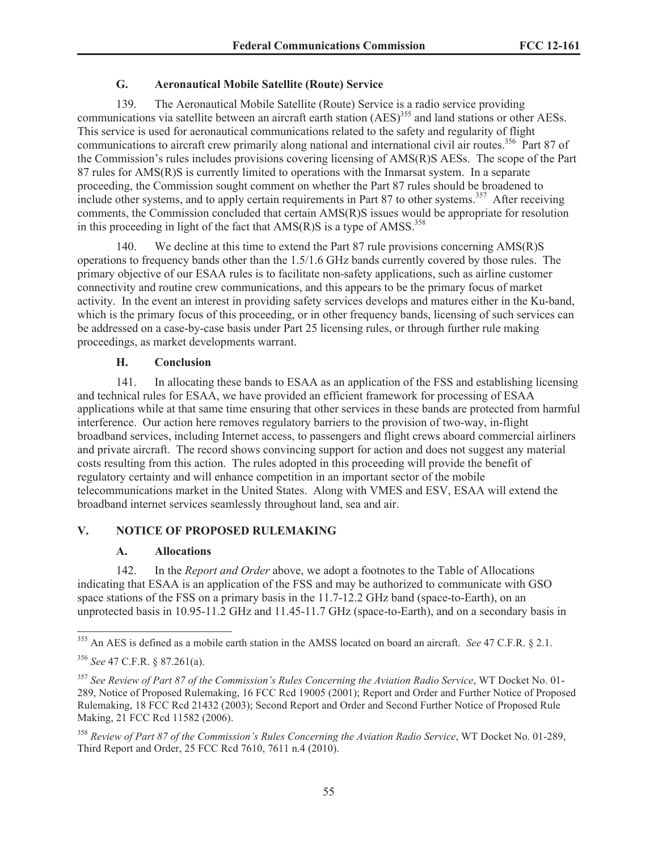# **G. Aeronautical Mobile Satellite (Route) Service**

139. The Aeronautical Mobile Satellite (Route) Service is a radio service providing communications via satellite between an aircraft earth station (AES)<sup>355</sup> and land stations or other AESs. This service is used for aeronautical communications related to the safety and regularity of flight communications to aircraft crew primarily along national and international civil air routes.<sup>356</sup> Part 87 of the Commission's rules includes provisions covering licensing of AMS(R)S AESs. The scope of the Part 87 rules for AMS(R)S is currently limited to operations with the Inmarsat system. In a separate proceeding, the Commission sought comment on whether the Part 87 rules should be broadened to include other systems, and to apply certain requirements in Part 87 to other systems.<sup>357</sup> After receiving comments, the Commission concluded that certain AMS(R)S issues would be appropriate for resolution in this proceeding in light of the fact that  $AMS(R)S$  is a type of  $AMSS$ <sup>358</sup>

140. We decline at this time to extend the Part 87 rule provisions concerning AMS(R)S operations to frequency bands other than the 1.5/1.6 GHz bands currently covered by those rules. The primary objective of our ESAA rules is to facilitate non-safety applications, such as airline customer connectivity and routine crew communications, and this appears to be the primary focus of market activity. In the event an interest in providing safety services develops and matures either in the Ku-band, which is the primary focus of this proceeding, or in other frequency bands, licensing of such services can be addressed on a case-by-case basis under Part 25 licensing rules, or through further rule making proceedings, as market developments warrant.

# **H. Conclusion**

141. In allocating these bands to ESAA as an application of the FSS and establishing licensing and technical rules for ESAA, we have provided an efficient framework for processing of ESAA applications while at that same time ensuring that other services in these bands are protected from harmful interference. Our action here removes regulatory barriers to the provision of two-way, in-flight broadband services, including Internet access, to passengers and flight crews aboard commercial airliners and private aircraft. The record shows convincing support for action and does not suggest any material costs resulting from this action. The rules adopted in this proceeding will provide the benefit of regulatory certainty and will enhance competition in an important sector of the mobile telecommunications market in the United States. Along with VMES and ESV, ESAA will extend the broadband internet services seamlessly throughout land, sea and air.

# **V. NOTICE OF PROPOSED RULEMAKING**

#### **A. Allocations**

142. In the *Report and Order* above, we adopt a footnotes to the Table of Allocations indicating that ESAA is an application of the FSS and may be authorized to communicate with GSO space stations of the FSS on a primary basis in the 11.7-12.2 GHz band (space-to-Earth), on an unprotected basis in 10.95-11.2 GHz and 11.45-11.7 GHz (space-to-Earth), and on a secondary basis in

<sup>355</sup> An AES is defined as a mobile earth station in the AMSS located on board an aircraft. *See* 47 C.F.R. § 2.1.

<sup>356</sup> *See* 47 C.F.R. § 87.261(a).

<sup>357</sup> *See Review of Part 87 of the Commission's Rules Concerning the Aviation Radio Service*, WT Docket No. 01- 289, Notice of Proposed Rulemaking, 16 FCC Rcd 19005 (2001); Report and Order and Further Notice of Proposed Rulemaking, 18 FCC Rcd 21432 (2003); Second Report and Order and Second Further Notice of Proposed Rule Making, 21 FCC Rcd 11582 (2006).

<sup>358</sup> *Review of Part 87 of the Commission's Rules Concerning the Aviation Radio Service*, WT Docket No. 01-289, Third Report and Order, 25 FCC Rcd 7610, 7611 n.4 (2010).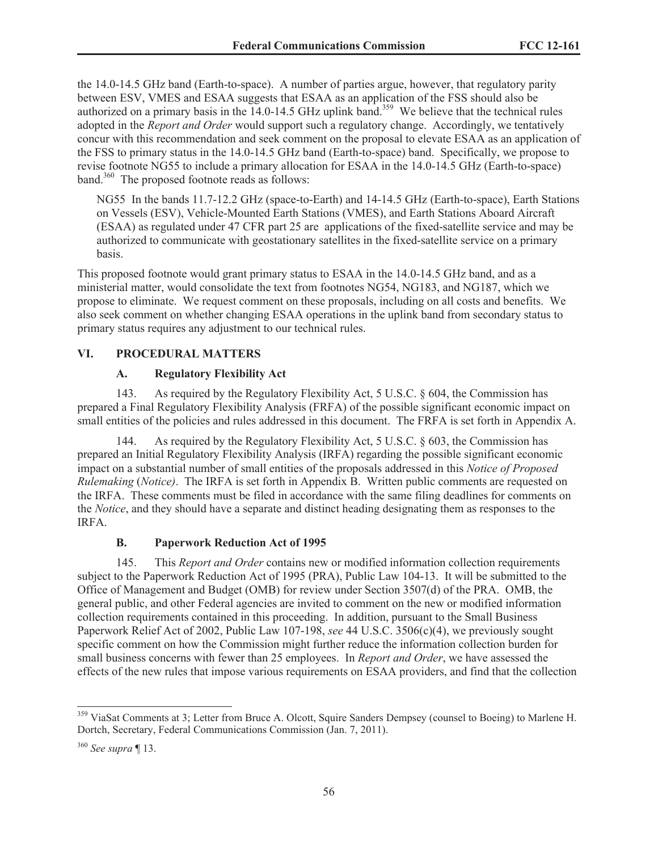the 14.0-14.5 GHz band (Earth-to-space). A number of parties argue, however, that regulatory parity between ESV, VMES and ESAA suggests that ESAA as an application of the FSS should also be authorized on a primary basis in the 14.0-14.5 GHz uplink band.<sup>359</sup> We believe that the technical rules adopted in the *Report and Order* would support such a regulatory change. Accordingly, we tentatively concur with this recommendation and seek comment on the proposal to elevate ESAA as an application of the FSS to primary status in the 14.0-14.5 GHz band (Earth-to-space) band. Specifically, we propose to revise footnote NG55 to include a primary allocation for ESAA in the 14.0-14.5 GHz (Earth-to-space) band.<sup>360</sup> The proposed footnote reads as follows:

NG55 In the bands 11.7-12.2 GHz (space-to-Earth) and 14-14.5 GHz (Earth-to-space), Earth Stations on Vessels (ESV), Vehicle-Mounted Earth Stations (VMES), and Earth Stations Aboard Aircraft (ESAA) as regulated under 47 CFR part 25 are applications of the fixed-satellite service and may be authorized to communicate with geostationary satellites in the fixed-satellite service on a primary basis.

This proposed footnote would grant primary status to ESAA in the 14.0-14.5 GHz band, and as a ministerial matter, would consolidate the text from footnotes NG54, NG183, and NG187, which we propose to eliminate. We request comment on these proposals, including on all costs and benefits. We also seek comment on whether changing ESAA operations in the uplink band from secondary status to primary status requires any adjustment to our technical rules.

# **VI. PROCEDURAL MATTERS**

### **A. Regulatory Flexibility Act**

143. As required by the Regulatory Flexibility Act, 5 U.S.C. § 604, the Commission has prepared a Final Regulatory Flexibility Analysis (FRFA) of the possible significant economic impact on small entities of the policies and rules addressed in this document. The FRFA is set forth in Appendix A.

144. As required by the Regulatory Flexibility Act, 5 U.S.C. § 603, the Commission has prepared an Initial Regulatory Flexibility Analysis (IRFA) regarding the possible significant economic impact on a substantial number of small entities of the proposals addressed in this *Notice of Proposed Rulemaking* (*Notice)*. The IRFA is set forth in Appendix B. Written public comments are requested on the IRFA. These comments must be filed in accordance with the same filing deadlines for comments on the *Notice*, and they should have a separate and distinct heading designating them as responses to the IRFA.

#### **B. Paperwork Reduction Act of 1995**

145. This *Report and Order* contains new or modified information collection requirements subject to the Paperwork Reduction Act of 1995 (PRA), Public Law 104-13. It will be submitted to the Office of Management and Budget (OMB) for review under Section 3507(d) of the PRA. OMB, the general public, and other Federal agencies are invited to comment on the new or modified information collection requirements contained in this proceeding. In addition, pursuant to the Small Business Paperwork Relief Act of 2002, Public Law 107-198, *see* 44 U.S.C. 3506(c)(4), we previously sought specific comment on how the Commission might further reduce the information collection burden for small business concerns with fewer than 25 employees. In *Report and Order*, we have assessed the effects of the new rules that impose various requirements on ESAA providers, and find that the collection

<sup>&</sup>lt;sup>359</sup> ViaSat Comments at 3; Letter from Bruce A. Olcott, Squire Sanders Dempsey (counsel to Boeing) to Marlene H. Dortch, Secretary, Federal Communications Commission (Jan. 7, 2011).

<sup>360</sup> *See supra* ¶ 13.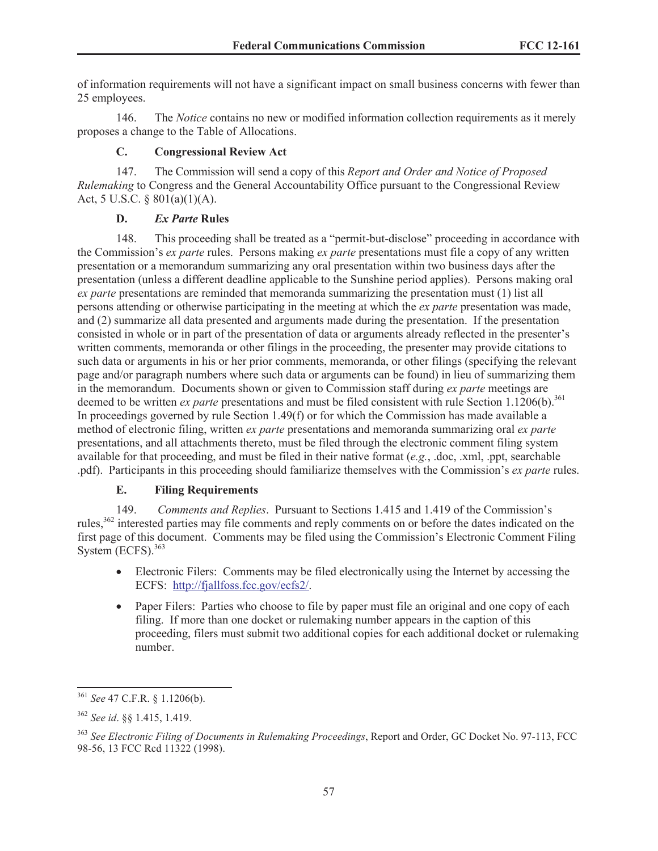of information requirements will not have a significant impact on small business concerns with fewer than 25 employees.

146. The *Notice* contains no new or modified information collection requirements as it merely proposes a change to the Table of Allocations.

# **C. Congressional Review Act**

147. The Commission will send a copy of this *Report and Order and Notice of Proposed Rulemaking* to Congress and the General Accountability Office pursuant to the Congressional Review Act, 5 U.S.C. § 801(a)(1)(A).

# **D.** *Ex Parte* **Rules**

148. This proceeding shall be treated as a "permit-but-disclose" proceeding in accordance with the Commission's *ex parte* rules. Persons making *ex parte* presentations must file a copy of any written presentation or a memorandum summarizing any oral presentation within two business days after the presentation (unless a different deadline applicable to the Sunshine period applies). Persons making oral *ex parte* presentations are reminded that memoranda summarizing the presentation must (1) list all persons attending or otherwise participating in the meeting at which the *ex parte* presentation was made, and (2) summarize all data presented and arguments made during the presentation. If the presentation consisted in whole or in part of the presentation of data or arguments already reflected in the presenter's written comments, memoranda or other filings in the proceeding, the presenter may provide citations to such data or arguments in his or her prior comments, memoranda, or other filings (specifying the relevant page and/or paragraph numbers where such data or arguments can be found) in lieu of summarizing them in the memorandum. Documents shown or given to Commission staff during *ex parte* meetings are deemed to be written *ex parte* presentations and must be filed consistent with rule Section 1.1206(b).<sup>361</sup> In proceedings governed by rule Section 1.49(f) or for which the Commission has made available a method of electronic filing, written *ex parte* presentations and memoranda summarizing oral *ex parte* presentations, and all attachments thereto, must be filed through the electronic comment filing system available for that proceeding, and must be filed in their native format (*e.g.*, .doc, .xml, .ppt, searchable .pdf). Participants in this proceeding should familiarize themselves with the Commission's *ex parte* rules.

# **E. Filing Requirements**

149. *Comments and Replies*. Pursuant to Sections 1.415 and 1.419 of the Commission's rules,<sup>362</sup> interested parties may file comments and reply comments on or before the dates indicated on the first page of this document. Comments may be filed using the Commission's Electronic Comment Filing System  $(ECFS)$ .  $363$ 

- · Electronic Filers: Comments may be filed electronically using the Internet by accessing the ECFS: http://fjallfoss.fcc.gov/ecfs2/.
- Paper Filers: Parties who choose to file by paper must file an original and one copy of each filing. If more than one docket or rulemaking number appears in the caption of this proceeding, filers must submit two additional copies for each additional docket or rulemaking number.

<sup>361</sup> *See* 47 C.F.R. § 1.1206(b).

<sup>362</sup> *See id*. §§ 1.415, 1.419.

<sup>363</sup> *See Electronic Filing of Documents in Rulemaking Proceedings*, Report and Order, GC Docket No. 97-113, FCC 98-56, 13 FCC Rcd 11322 (1998).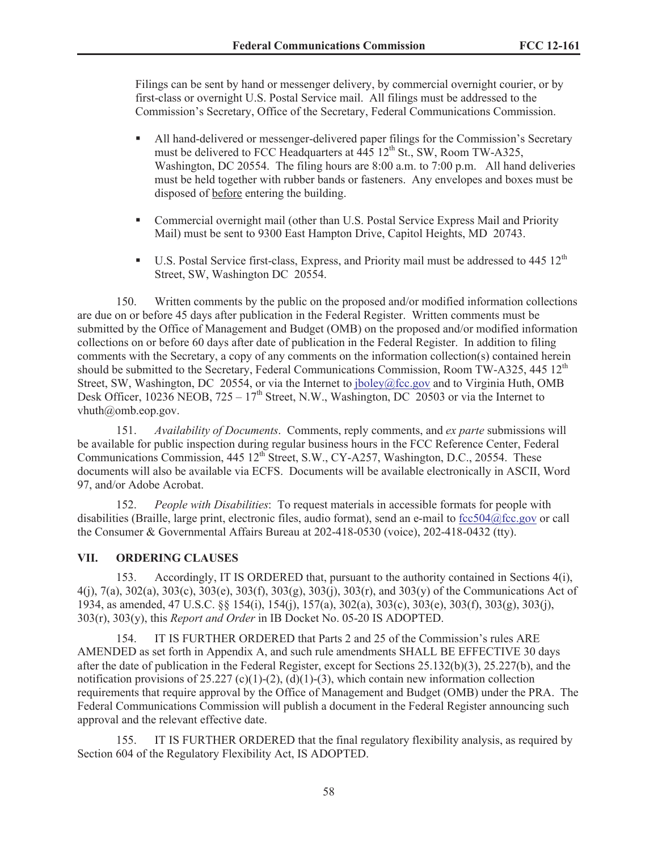Filings can be sent by hand or messenger delivery, by commercial overnight courier, or by first-class or overnight U.S. Postal Service mail. All filings must be addressed to the Commission's Secretary, Office of the Secretary, Federal Communications Commission.

- All hand-delivered or messenger-delivered paper filings for the Commission's Secretary must be delivered to FCC Headquarters at  $445 \, 12^{th}$  St., SW, Room TW-A325, Washington, DC 20554. The filing hours are 8:00 a.m. to 7:00 p.m. All hand deliveries must be held together with rubber bands or fasteners. Any envelopes and boxes must be disposed of before entering the building.
- Commercial overnight mail (other than U.S. Postal Service Express Mail and Priority Mail) must be sent to 9300 East Hampton Drive, Capitol Heights, MD 20743.
- **•** U.S. Postal Service first-class, Express, and Priority mail must be addressed to 445  $12<sup>th</sup>$ Street, SW, Washington DC 20554.

150. Written comments by the public on the proposed and/or modified information collections are due on or before 45 days after publication in the Federal Register. Written comments must be submitted by the Office of Management and Budget (OMB) on the proposed and/or modified information collections on or before 60 days after date of publication in the Federal Register. In addition to filing comments with the Secretary, a copy of any comments on the information collection(s) contained herein should be submitted to the Secretary, Federal Communications Commission, Room TW-A325,  $445 \times 12^{th}$ Street, SW, Washington, DC 20554, or via the Internet to jboley@fcc.gov and to Virginia Huth, OMB Desk Officer, 10236 NEOB,  $725 - 17<sup>th</sup>$  Street, N.W., Washington, DC 20503 or via the Internet to vhuth@omb.eop.gov.

151. *Availability of Documents*. Comments, reply comments, and *ex parte* submissions will be available for public inspection during regular business hours in the FCC Reference Center, Federal Communications Commission, 445 12<sup>th</sup> Street, S.W., CY-A257, Washington, D.C., 20554. These documents will also be available via ECFS. Documents will be available electronically in ASCII, Word 97, and/or Adobe Acrobat.

152. *People with Disabilities*: To request materials in accessible formats for people with disabilities (Braille, large print, electronic files, audio format), send an e-mail to fcc504@fcc.gov or call the Consumer & Governmental Affairs Bureau at 202-418-0530 (voice), 202-418-0432 (tty).

## **VII. ORDERING CLAUSES**

153. Accordingly, IT IS ORDERED that, pursuant to the authority contained in Sections 4(i), 4(j), 7(a), 302(a), 303(c), 303(e), 303(f), 303(g), 303(j), 303(r), and 303(y) of the Communications Act of 1934, as amended, 47 U.S.C. §§ 154(i), 154(j), 157(a), 302(a), 303(c), 303(e), 303(f), 303(g), 303(j), 303(r), 303(y), this *Report and Order* in IB Docket No. 05-20 IS ADOPTED.

154. IT IS FURTHER ORDERED that Parts 2 and 25 of the Commission's rules ARE AMENDED as set forth in Appendix A, and such rule amendments SHALL BE EFFECTIVE 30 days after the date of publication in the Federal Register, except for Sections 25.132(b)(3), 25.227(b), and the notification provisions of 25.227 (c)(1)-(2), (d)(1)-(3), which contain new information collection requirements that require approval by the Office of Management and Budget (OMB) under the PRA. The Federal Communications Commission will publish a document in the Federal Register announcing such approval and the relevant effective date.

155. IT IS FURTHER ORDERED that the final regulatory flexibility analysis, as required by Section 604 of the Regulatory Flexibility Act, IS ADOPTED.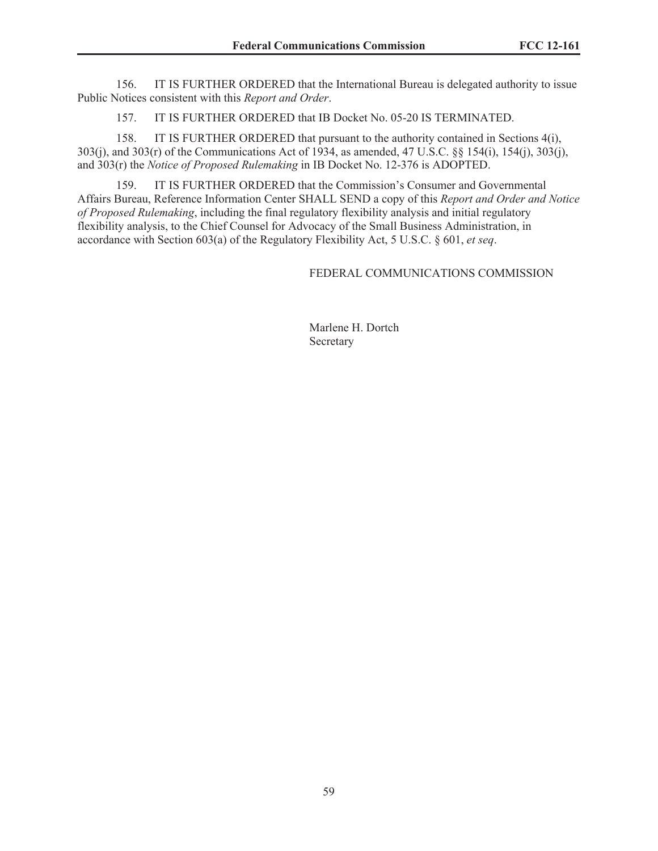156. IT IS FURTHER ORDERED that the International Bureau is delegated authority to issue Public Notices consistent with this *Report and Order*.

157. IT IS FURTHER ORDERED that IB Docket No. 05-20 IS TERMINATED.

158. IT IS FURTHER ORDERED that pursuant to the authority contained in Sections 4(i), 303(j), and 303(r) of the Communications Act of 1934, as amended, 47 U.S.C. §§ 154(i), 154(j), 303(j), and 303(r) the *Notice of Proposed Rulemaking* in IB Docket No. 12-376 is ADOPTED.

159. IT IS FURTHER ORDERED that the Commission's Consumer and Governmental Affairs Bureau, Reference Information Center SHALL SEND a copy of this *Report and Order and Notice of Proposed Rulemaking*, including the final regulatory flexibility analysis and initial regulatory flexibility analysis, to the Chief Counsel for Advocacy of the Small Business Administration, in accordance with Section 603(a) of the Regulatory Flexibility Act, 5 U.S.C. § 601, *et seq*.

FEDERAL COMMUNICATIONS COMMISSION

Marlene H. Dortch Secretary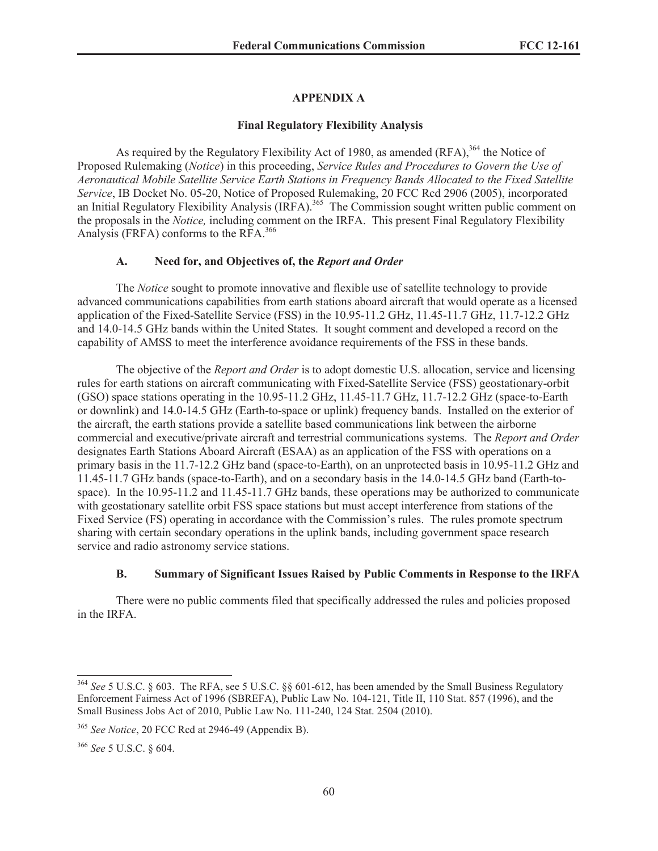# **APPENDIX A**

#### **Final Regulatory Flexibility Analysis**

As required by the Regulatory Flexibility Act of 1980, as amended  $(RFA)$ ,<sup>364</sup>, the Notice of Proposed Rulemaking (*Notice*) in this proceeding, *Service Rules and Procedures to Govern the Use of Aeronautical Mobile Satellite Service Earth Stations in Frequency Bands Allocated to the Fixed Satellite Service*, IB Docket No. 05-20, Notice of Proposed Rulemaking, 20 FCC Rcd 2906 (2005), incorporated an Initial Regulatory Flexibility Analysis (IRFA).<sup>365</sup> The Commission sought written public comment on the proposals in the *Notice,* including comment on the IRFA. This present Final Regulatory Flexibility Analysis (FRFA) conforms to the RFA.<sup>366</sup>

#### **A. Need for, and Objectives of, the** *Report and Order*

The *Notice* sought to promote innovative and flexible use of satellite technology to provide advanced communications capabilities from earth stations aboard aircraft that would operate as a licensed application of the Fixed-Satellite Service (FSS) in the 10.95-11.2 GHz, 11.45-11.7 GHz, 11.7-12.2 GHz and 14.0-14.5 GHz bands within the United States. It sought comment and developed a record on the capability of AMSS to meet the interference avoidance requirements of the FSS in these bands.

The objective of the *Report and Order* is to adopt domestic U.S. allocation, service and licensing rules for earth stations on aircraft communicating with Fixed-Satellite Service (FSS) geostationary-orbit (GSO) space stations operating in the 10.95-11.2 GHz, 11.45-11.7 GHz, 11.7-12.2 GHz (space-to-Earth or downlink) and 14.0-14.5 GHz (Earth-to-space or uplink) frequency bands. Installed on the exterior of the aircraft, the earth stations provide a satellite based communications link between the airborne commercial and executive/private aircraft and terrestrial communications systems. The *Report and Order* designates Earth Stations Aboard Aircraft (ESAA) as an application of the FSS with operations on a primary basis in the 11.7-12.2 GHz band (space-to-Earth), on an unprotected basis in 10.95-11.2 GHz and 11.45-11.7 GHz bands (space-to-Earth), and on a secondary basis in the 14.0-14.5 GHz band (Earth-tospace). In the 10.95-11.2 and 11.45-11.7 GHz bands, these operations may be authorized to communicate with geostationary satellite orbit FSS space stations but must accept interference from stations of the Fixed Service (FS) operating in accordance with the Commission's rules. The rules promote spectrum sharing with certain secondary operations in the uplink bands, including government space research service and radio astronomy service stations.

#### **B. Summary of Significant Issues Raised by Public Comments in Response to the IRFA**

There were no public comments filed that specifically addressed the rules and policies proposed in the IRFA.

<sup>364</sup> *See* 5 U.S.C. § 603. The RFA, see 5 U.S.C. §§ 601-612, has been amended by the Small Business Regulatory Enforcement Fairness Act of 1996 (SBREFA), Public Law No. 104-121, Title II, 110 Stat. 857 (1996), and the Small Business Jobs Act of 2010, Public Law No. 111-240, 124 Stat. 2504 (2010).

<sup>365</sup> *See Notice*, 20 FCC Rcd at 2946-49 (Appendix B).

<sup>366</sup> *See* 5 U.S.C. § 604.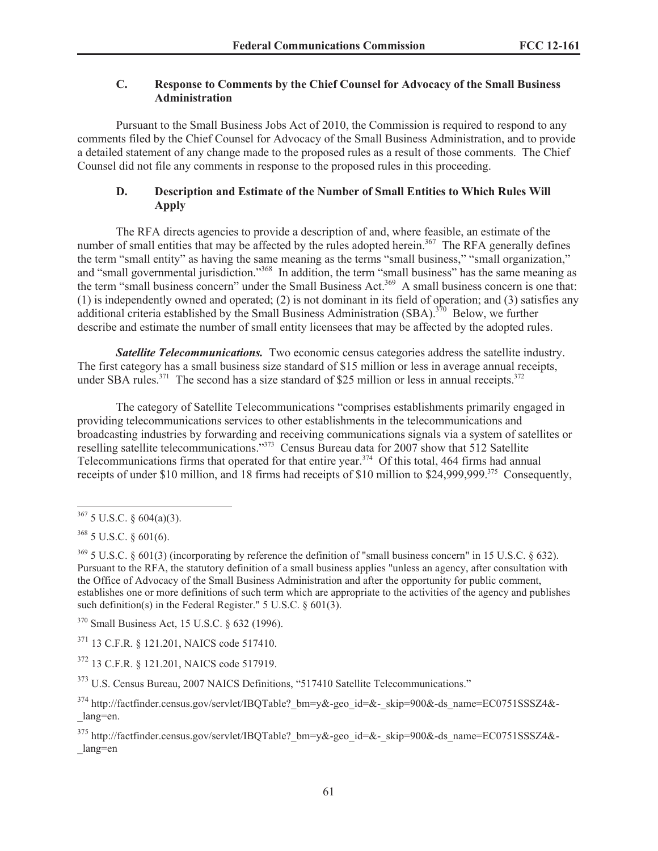# **C. Response to Comments by the Chief Counsel for Advocacy of the Small Business Administration**

Pursuant to the Small Business Jobs Act of 2010, the Commission is required to respond to any comments filed by the Chief Counsel for Advocacy of the Small Business Administration, and to provide a detailed statement of any change made to the proposed rules as a result of those comments. The Chief Counsel did not file any comments in response to the proposed rules in this proceeding.

# **D. Description and Estimate of the Number of Small Entities to Which Rules Will Apply**

The RFA directs agencies to provide a description of and, where feasible, an estimate of the number of small entities that may be affected by the rules adopted herein.<sup>367</sup> The RFA generally defines the term "small entity" as having the same meaning as the terms "small business," "small organization," and "small governmental jurisdiction."<sup>368</sup> In addition, the term "small business" has the same meaning as the term "small business concern" under the Small Business Act.<sup>369</sup> A small business concern is one that: (1) is independently owned and operated; (2) is not dominant in its field of operation; and (3) satisfies any additional criteria established by the Small Business Administration (SBA).<sup>370</sup> Below, we further describe and estimate the number of small entity licensees that may be affected by the adopted rules.

**Satellite Telecommunications.** Two economic census categories address the satellite industry. The first category has a small business size standard of \$15 million or less in average annual receipts, under SBA rules.<sup>371</sup> The second has a size standard of \$25 million or less in annual receipts.<sup>372</sup>

The category of Satellite Telecommunications "comprises establishments primarily engaged in providing telecommunications services to other establishments in the telecommunications and broadcasting industries by forwarding and receiving communications signals via a system of satellites or reselling satellite telecommunications."<sup>373</sup> Census Bureau data for 2007 show that 512 Satellite Telecommunications firms that operated for that entire year.<sup>374</sup> Of this total, 464 firms had annual receipts of under \$10 million, and 18 firms had receipts of \$10 million to \$24,999,999.<sup>375</sup> Consequently,

<sup>370</sup> Small Business Act, 15 U.S.C. § 632 (1996).

<sup>371</sup> 13 C.F.R. § 121.201, NAICS code 517410.

<sup>372</sup> 13 C.F.R. § 121.201, NAICS code 517919.

<sup>373</sup> U.S. Census Bureau, 2007 NAICS Definitions, "517410 Satellite Telecommunications."

 $367$  5 U.S.C. § 604(a)(3).

 $368$  5 U.S.C. § 601(6).

 $369$  5 U.S.C. § 601(3) (incorporating by reference the definition of "small business concern" in 15 U.S.C. § 632). Pursuant to the RFA, the statutory definition of a small business applies "unless an agency, after consultation with the Office of Advocacy of the Small Business Administration and after the opportunity for public comment, establishes one or more definitions of such term which are appropriate to the activities of the agency and publishes such definition(s) in the Federal Register." 5 U.S.C. § 601(3).

 $374$  http://factfinder.census.gov/servlet/IBQTable? bm=y&-geo\_id=&-\_skip=900&-ds\_name=EC0751SSSZ4&-\_lang=en.

<sup>375</sup> http://factfinder.census.gov/servlet/IBQTable?\_bm=y&-geo\_id=&-\_skip=900&-ds\_name=EC0751SSSZ4&- \_lang=en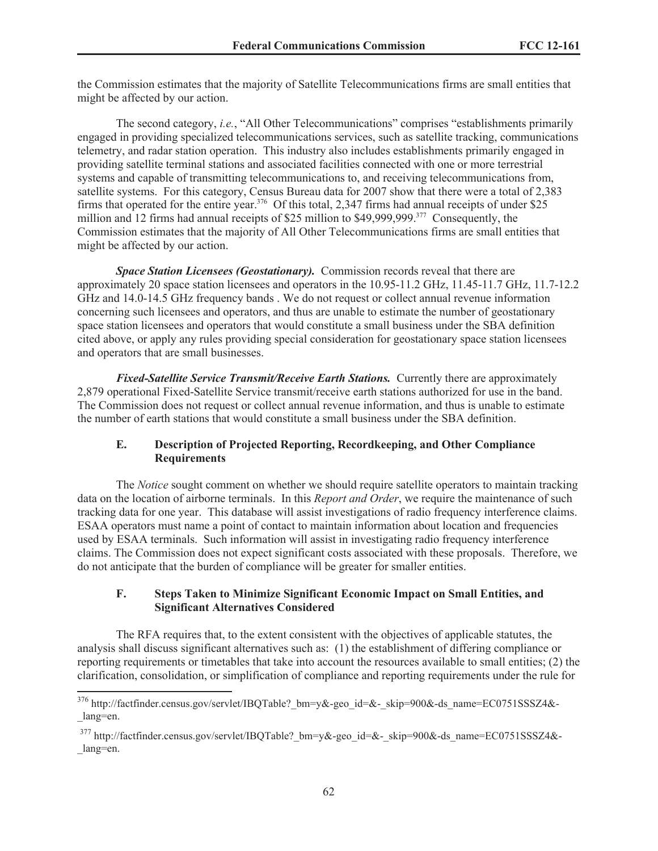the Commission estimates that the majority of Satellite Telecommunications firms are small entities that might be affected by our action.

The second category, *i.e.*, "All Other Telecommunications" comprises "establishments primarily engaged in providing specialized telecommunications services, such as satellite tracking, communications telemetry, and radar station operation. This industry also includes establishments primarily engaged in providing satellite terminal stations and associated facilities connected with one or more terrestrial systems and capable of transmitting telecommunications to, and receiving telecommunications from, satellite systems. For this category, Census Bureau data for 2007 show that there were a total of 2,383 firms that operated for the entire year.<sup>376</sup> Of this total, 2,347 firms had annual receipts of under \$25 million and 12 firms had annual receipts of \$25 million to \$49,999,999.<sup>377</sup> Consequently, the Commission estimates that the majority of All Other Telecommunications firms are small entities that might be affected by our action.

*Space Station Licensees (Geostationary).* Commission records reveal that there are approximately 20 space station licensees and operators in the 10.95-11.2 GHz, 11.45-11.7 GHz, 11.7-12.2 GHz and 14.0-14.5 GHz frequency bands . We do not request or collect annual revenue information concerning such licensees and operators, and thus are unable to estimate the number of geostationary space station licensees and operators that would constitute a small business under the SBA definition cited above, or apply any rules providing special consideration for geostationary space station licensees and operators that are small businesses.

*Fixed-Satellite Service Transmit/Receive Earth Stations.* Currently there are approximately 2,879 operational Fixed-Satellite Service transmit/receive earth stations authorized for use in the band. The Commission does not request or collect annual revenue information, and thus is unable to estimate the number of earth stations that would constitute a small business under the SBA definition.

# **E. Description of Projected Reporting, Recordkeeping, and Other Compliance Requirements**

The *Notice* sought comment on whether we should require satellite operators to maintain tracking data on the location of airborne terminals. In this *Report and Order*, we require the maintenance of such tracking data for one year. This database will assist investigations of radio frequency interference claims. ESAA operators must name a point of contact to maintain information about location and frequencies used by ESAA terminals. Such information will assist in investigating radio frequency interference claims. The Commission does not expect significant costs associated with these proposals. Therefore, we do not anticipate that the burden of compliance will be greater for smaller entities.

## **F. Steps Taken to Minimize Significant Economic Impact on Small Entities, and Significant Alternatives Considered**

The RFA requires that, to the extent consistent with the objectives of applicable statutes, the analysis shall discuss significant alternatives such as: (1) the establishment of differing compliance or reporting requirements or timetables that take into account the resources available to small entities; (2) the clarification, consolidation, or simplification of compliance and reporting requirements under the rule for

<sup>376</sup> http://factfinder.census.gov/servlet/IBQTable?\_bm=y&-geo\_id=&-\_skip=900&-ds\_name=EC0751SSSZ4&- \_lang=en.

<sup>377</sup> http://factfinder.census.gov/servlet/IBQTable?\_bm=y&-geo\_id=&-\_skip=900&-ds\_name=EC0751SSSZ4&- \_lang=en.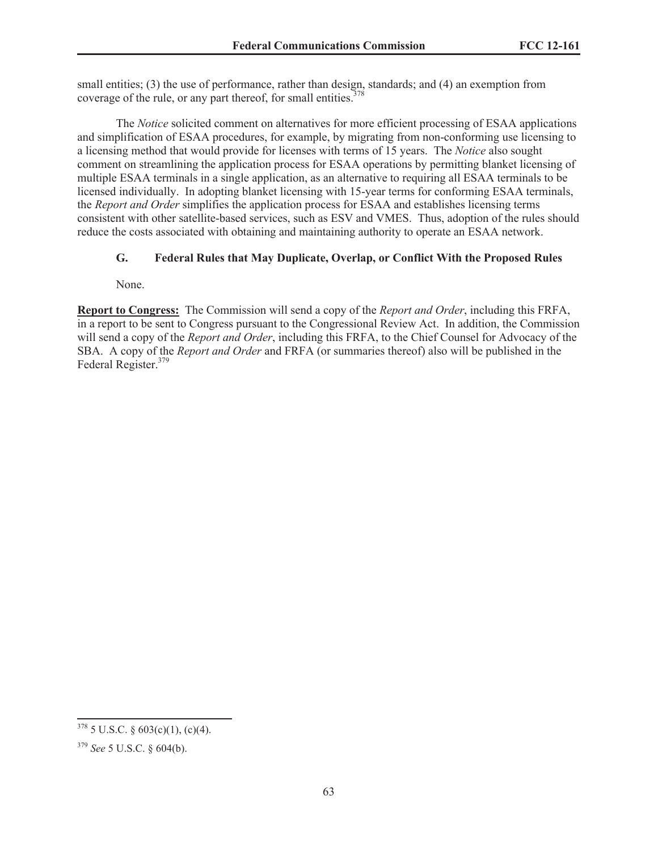small entities; (3) the use of performance, rather than design, standards; and (4) an exemption from coverage of the rule, or any part thereof, for small entities.<sup>378</sup>

The *Notice* solicited comment on alternatives for more efficient processing of ESAA applications and simplification of ESAA procedures, for example, by migrating from non-conforming use licensing to a licensing method that would provide for licenses with terms of 15 years. The *Notice* also sought comment on streamlining the application process for ESAA operations by permitting blanket licensing of multiple ESAA terminals in a single application, as an alternative to requiring all ESAA terminals to be licensed individually. In adopting blanket licensing with 15-year terms for conforming ESAA terminals, the *Report and Order* simplifies the application process for ESAA and establishes licensing terms consistent with other satellite-based services, such as ESV and VMES. Thus, adoption of the rules should reduce the costs associated with obtaining and maintaining authority to operate an ESAA network.

# **G. Federal Rules that May Duplicate, Overlap, or Conflict With the Proposed Rules**

None.

**Report to Congress:** The Commission will send a copy of the *Report and Order*, including this FRFA, in a report to be sent to Congress pursuant to the Congressional Review Act. In addition, the Commission will send a copy of the *Report and Order*, including this FRFA, to the Chief Counsel for Advocacy of the SBA. A copy of the *Report and Order* and FRFA (or summaries thereof) also will be published in the Federal Register.<sup>379</sup>

 $378$  5 U.S.C. § 603(c)(1), (c)(4).

<sup>379</sup> *See* 5 U.S.C. § 604(b).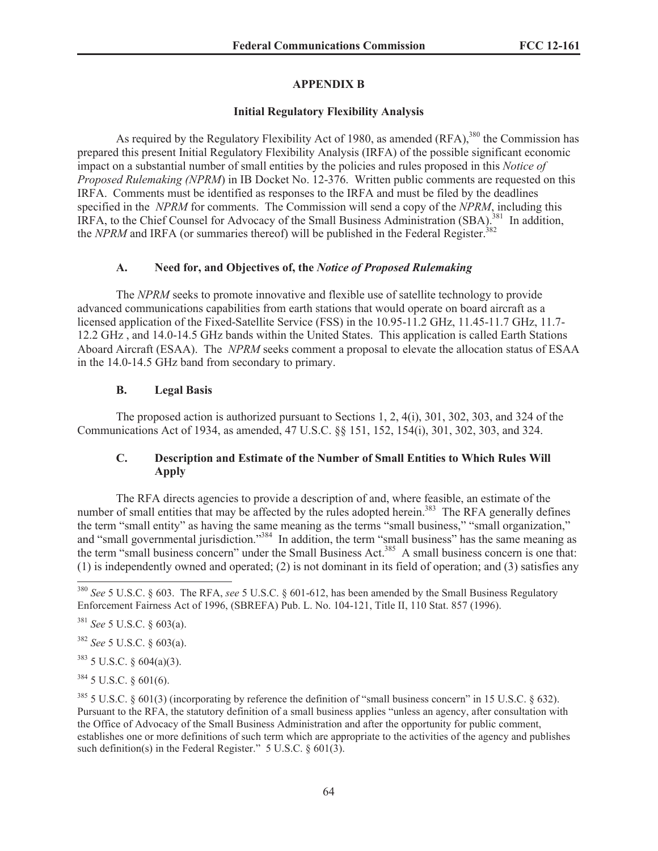# **APPENDIX B**

# **Initial Regulatory Flexibility Analysis**

As required by the Regulatory Flexibility Act of 1980, as amended  $(RFA)$ ,<sup>380</sup> the Commission has prepared this present Initial Regulatory Flexibility Analysis (IRFA) of the possible significant economic impact on a substantial number of small entities by the policies and rules proposed in this *Notice of Proposed Rulemaking (NPRM*) in IB Docket No. 12-376. Written public comments are requested on this IRFA. Comments must be identified as responses to the IRFA and must be filed by the deadlines specified in the *NPRM* for comments. The Commission will send a copy of the *NPRM*, including this IRFA, to the Chief Counsel for Advocacy of the Small Business Administration (SBA).<sup>381</sup> In addition, the *NPRM* and IRFA (or summaries thereof) will be published in the Federal Register.<sup>382</sup>

# **A. Need for, and Objectives of, the** *Notice of Proposed Rulemaking*

The *NPRM* seeks to promote innovative and flexible use of satellite technology to provide advanced communications capabilities from earth stations that would operate on board aircraft as a licensed application of the Fixed-Satellite Service (FSS) in the 10.95-11.2 GHz, 11.45-11.7 GHz, 11.7- 12.2 GHz , and 14.0-14.5 GHz bands within the United States. This application is called Earth Stations Aboard Aircraft (ESAA). The *NPRM* seeks comment a proposal to elevate the allocation status of ESAA in the 14.0-14.5 GHz band from secondary to primary.

# **B. Legal Basis**

The proposed action is authorized pursuant to Sections 1, 2, 4(i), 301, 302, 303, and 324 of the Communications Act of 1934, as amended, 47 U.S.C. §§ 151, 152, 154(i), 301, 302, 303, and 324.

# **C. Description and Estimate of the Number of Small Entities to Which Rules Will Apply**

The RFA directs agencies to provide a description of and, where feasible, an estimate of the number of small entities that may be affected by the rules adopted herein.<sup>383</sup> The RFA generally defines the term "small entity" as having the same meaning as the terms "small business," "small organization," and "small governmental jurisdiction."<sup>384</sup> In addition, the term "small business" has the same meaning as the term "small business concern" under the Small Business Act.<sup>385</sup> A small business concern is one that: (1) is independently owned and operated; (2) is not dominant in its field of operation; and (3) satisfies any

 $383$  5 U.S.C. § 604(a)(3).

 $384$  5 U.S.C. § 601(6).

<sup>380</sup> *See* 5 U.S.C. § 603. The RFA, *see* 5 U.S.C. § 601-612, has been amended by the Small Business Regulatory Enforcement Fairness Act of 1996, (SBREFA) Pub. L. No. 104-121, Title II, 110 Stat. 857 (1996).

<sup>381</sup> *See* 5 U.S.C. § 603(a).

<sup>382</sup> *See* 5 U.S.C. § 603(a).

 $385$  5 U.S.C. § 601(3) (incorporating by reference the definition of "small business concern" in 15 U.S.C. § 632). Pursuant to the RFA, the statutory definition of a small business applies "unless an agency, after consultation with the Office of Advocacy of the Small Business Administration and after the opportunity for public comment, establishes one or more definitions of such term which are appropriate to the activities of the agency and publishes such definition(s) in the Federal Register." 5 U.S.C. § 601(3).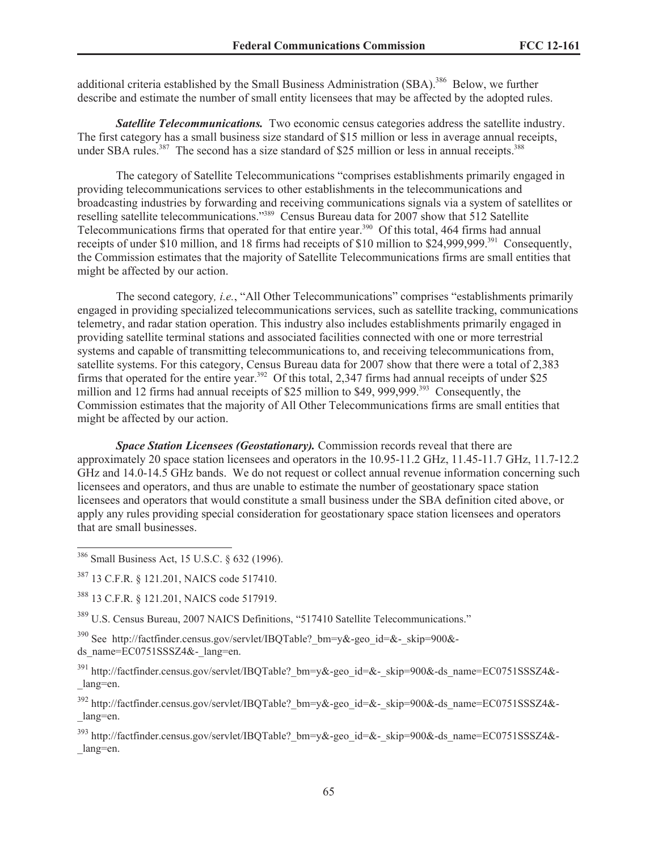additional criteria established by the Small Business Administration (SBA).<sup>386</sup> Below, we further describe and estimate the number of small entity licensees that may be affected by the adopted rules.

**Satellite Telecommunications.** Two economic census categories address the satellite industry. The first category has a small business size standard of \$15 million or less in average annual receipts, under SBA rules.<sup>387</sup> The second has a size standard of \$25 million or less in annual receipts.<sup>388</sup>

The category of Satellite Telecommunications "comprises establishments primarily engaged in providing telecommunications services to other establishments in the telecommunications and broadcasting industries by forwarding and receiving communications signals via a system of satellites or reselling satellite telecommunications."<sup>389</sup> Census Bureau data for 2007 show that 512 Satellite Telecommunications firms that operated for that entire year.<sup>390</sup> Of this total, 464 firms had annual receipts of under \$10 million, and 18 firms had receipts of \$10 million to \$24,999,999.<sup>391</sup> Consequently. the Commission estimates that the majority of Satellite Telecommunications firms are small entities that might be affected by our action.

The second category*, i.e.*, "All Other Telecommunications" comprises "establishments primarily engaged in providing specialized telecommunications services, such as satellite tracking, communications telemetry, and radar station operation. This industry also includes establishments primarily engaged in providing satellite terminal stations and associated facilities connected with one or more terrestrial systems and capable of transmitting telecommunications to, and receiving telecommunications from, satellite systems. For this category, Census Bureau data for 2007 show that there were a total of 2,383 firms that operated for the entire year.<sup>392</sup> Of this total, 2,347 firms had annual receipts of under \$25 million and 12 firms had annual receipts of \$25 million to \$49, 999,999.<sup>393</sup> Consequently, the Commission estimates that the majority of All Other Telecommunications firms are small entities that might be affected by our action.

*Space Station Licensees (Geostationary).* Commission records reveal that there are approximately 20 space station licensees and operators in the 10.95-11.2 GHz, 11.45-11.7 GHz, 11.7-12.2 GHz and 14.0-14.5 GHz bands. We do not request or collect annual revenue information concerning such licensees and operators, and thus are unable to estimate the number of geostationary space station licensees and operators that would constitute a small business under the SBA definition cited above, or apply any rules providing special consideration for geostationary space station licensees and operators that are small businesses.

<sup>386</sup> Small Business Act, 15 U.S.C. § 632 (1996).

<sup>388</sup> 13 C.F.R. § 121.201, NAICS code 517919.

<sup>389</sup> U.S. Census Bureau, 2007 NAICS Definitions, "517410 Satellite Telecommunications."

<sup>390</sup> See http://factfinder.census.gov/servlet/IBOTable? bm=y&-geo\_id=&-\_skip=900&ds\_name= $EC0751SSSZ4&-$ lang=en.

<sup>391</sup> http://factfinder.census.gov/servlet/IBQTable? bm=y&-geo\_id=&-\_skip=900&-ds\_name=EC0751SSSZ4&-\_lang=en.

<sup>392</sup> http://factfinder.census.gov/servlet/IBQTable? bm=y&-geo\_id=&-\_skip=900&-ds\_name=EC0751SSSZ4&-\_lang=en.

<sup>393</sup> http://factfinder.census.gov/servlet/IBQTable?\_bm=y&-geo\_id=&-\_skip=900&-ds\_name=EC0751SSSZ4&- \_lang=en.

<sup>387</sup> 13 C.F.R. § 121.201, NAICS code 517410.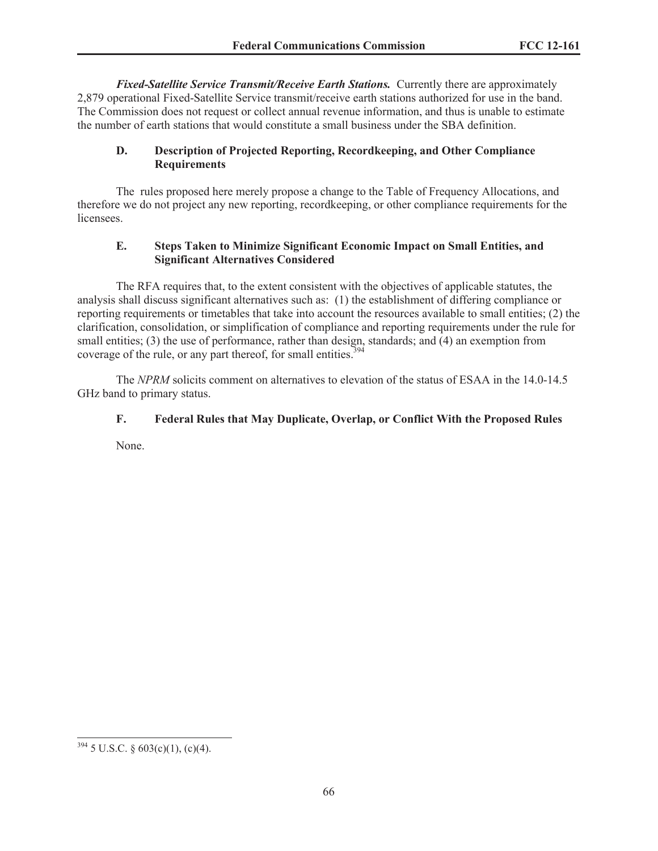*Fixed-Satellite Service Transmit/Receive Earth Stations.* Currently there are approximately 2,879 operational Fixed-Satellite Service transmit/receive earth stations authorized for use in the band. The Commission does not request or collect annual revenue information, and thus is unable to estimate the number of earth stations that would constitute a small business under the SBA definition.

# **D. Description of Projected Reporting, Recordkeeping, and Other Compliance Requirements**

The rules proposed here merely propose a change to the Table of Frequency Allocations, and therefore we do not project any new reporting, recordkeeping, or other compliance requirements for the licensees.

# **E. Steps Taken to Minimize Significant Economic Impact on Small Entities, and Significant Alternatives Considered**

The RFA requires that, to the extent consistent with the objectives of applicable statutes, the analysis shall discuss significant alternatives such as: (1) the establishment of differing compliance or reporting requirements or timetables that take into account the resources available to small entities; (2) the clarification, consolidation, or simplification of compliance and reporting requirements under the rule for small entities; (3) the use of performance, rather than design, standards; and (4) an exemption from coverage of the rule, or any part thereof, for small entities.<sup>394</sup>

The *NPRM* solicits comment on alternatives to elevation of the status of ESAA in the 14.0-14.5 GHz band to primary status.

# **F. Federal Rules that May Duplicate, Overlap, or Conflict With the Proposed Rules**

None.

 $394$  5 U.S.C. § 603(c)(1), (c)(4).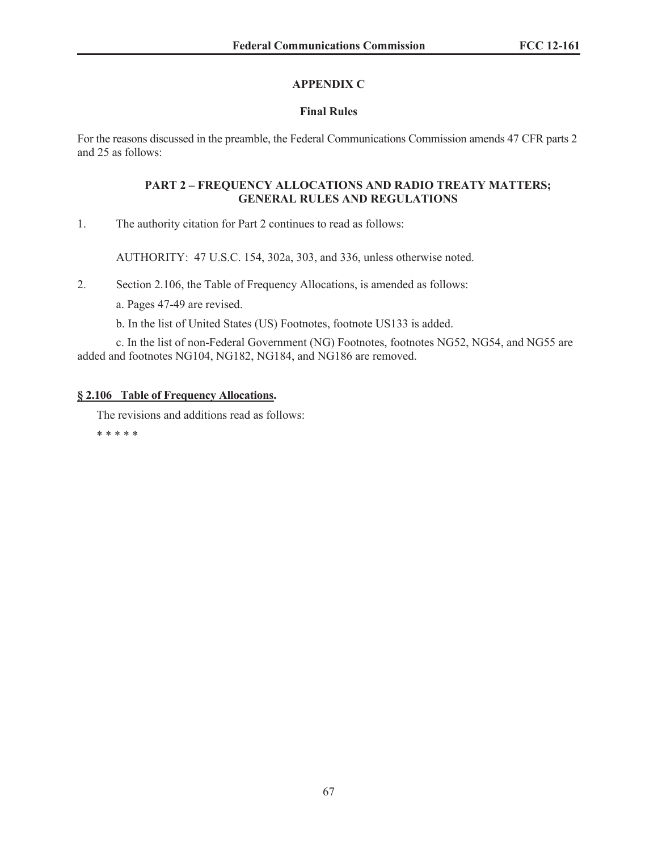# **APPENDIX C**

# **Final Rules**

For the reasons discussed in the preamble, the Federal Communications Commission amends 47 CFR parts 2 and 25 as follows:

## **PART 2 – FREQUENCY ALLOCATIONS AND RADIO TREATY MATTERS; GENERAL RULES AND REGULATIONS**

1. The authority citation for Part 2 continues to read as follows:

AUTHORITY: 47 U.S.C. 154, 302a, 303, and 336, unless otherwise noted.

2. Section 2.106, the Table of Frequency Allocations, is amended as follows:

a. Pages 47-49 are revised.

b. In the list of United States (US) Footnotes, footnote US133 is added.

c. In the list of non-Federal Government (NG) Footnotes, footnotes NG52, NG54, and NG55 are added and footnotes NG104, NG182, NG184, and NG186 are removed.

# **§ 2.106 Table of Frequency Allocations.**

The revisions and additions read as follows:

\* \* \* \* \*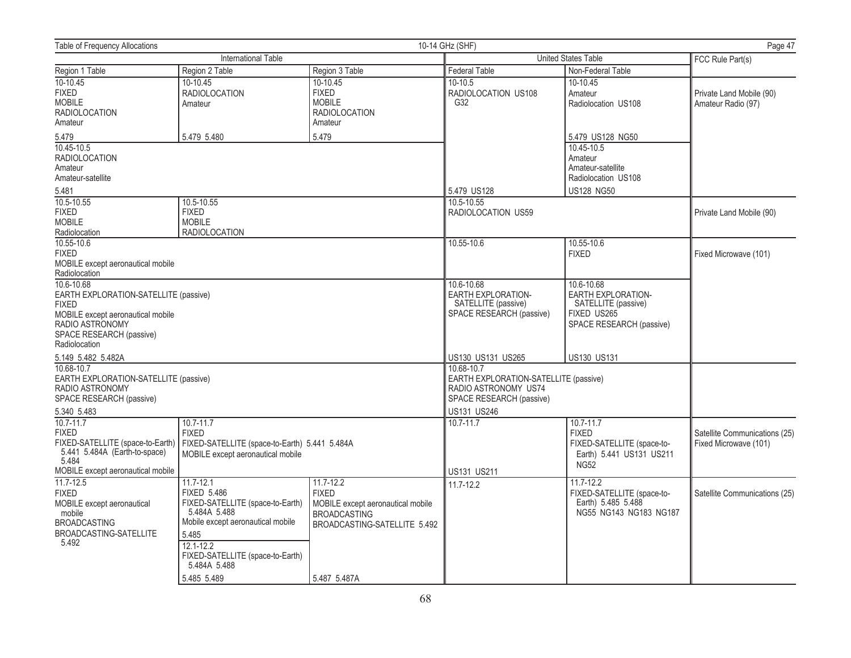| 10-14 GHz (SHF)<br><b>Table of Frequency Allocations</b>                                                                                                                 |                                                                                                                                                                                           |                                                                                                          |                                                                                                         | Page 47                                                                                                   |                                                        |
|--------------------------------------------------------------------------------------------------------------------------------------------------------------------------|-------------------------------------------------------------------------------------------------------------------------------------------------------------------------------------------|----------------------------------------------------------------------------------------------------------|---------------------------------------------------------------------------------------------------------|-----------------------------------------------------------------------------------------------------------|--------------------------------------------------------|
| International Table                                                                                                                                                      |                                                                                                                                                                                           |                                                                                                          | United States Table                                                                                     |                                                                                                           | FCC Rule Part(s)                                       |
| Region 1 Table                                                                                                                                                           | Region 2 Table                                                                                                                                                                            | Region 3 Table                                                                                           | Federal Table                                                                                           | Non-Federal Table                                                                                         |                                                        |
| $10-10.45$<br><b>FIXED</b><br><b>MOBILE</b><br><b>RADIOLOCATION</b><br>Amateur                                                                                           | 10-10.45<br><b>RADIOLOCATION</b><br>Amateur                                                                                                                                               | 10-10.45<br><b>FIXED</b><br><b>MOBILE</b><br><b>RADIOLOCATION</b><br>Amateur                             | 10-10.5<br>RADIOLOCATION US108<br>G32                                                                   | $10-10.45$<br>Amateur<br>Radiolocation US108                                                              | Private Land Mobile (90)<br>Amateur Radio (97)         |
| 5.479                                                                                                                                                                    | 5.479 5.480                                                                                                                                                                               | 5.479                                                                                                    |                                                                                                         | 5.479 US128 NG50                                                                                          |                                                        |
| 10.45-10.5<br><b>RADIOLOCATION</b><br>Amateur<br>Amateur-satellite                                                                                                       |                                                                                                                                                                                           |                                                                                                          | 5.479 US128                                                                                             | 10.45-10.5<br>Amateur<br>Amateur-satellite<br>Radiolocation US108<br><b>US128 NG50</b>                    |                                                        |
| 5.481<br>10.5-10.55                                                                                                                                                      | 10.5-10.55                                                                                                                                                                                |                                                                                                          | 10.5-10.55                                                                                              |                                                                                                           |                                                        |
| <b>FIXED</b><br><b>MOBILE</b><br>Radiolocation                                                                                                                           | <b>FIXED</b><br><b>MOBILE</b><br><b>RADIOLOCATION</b>                                                                                                                                     |                                                                                                          | RADIOLOCATION US59                                                                                      |                                                                                                           | Private Land Mobile (90)                               |
| 10.55-10.6<br><b>FIXED</b><br>MOBILE except aeronautical mobile<br>Radiolocation                                                                                         |                                                                                                                                                                                           |                                                                                                          | 10.55-10.6                                                                                              | 10.55-10.6<br><b>FIXED</b>                                                                                | Fixed Microwave (101)                                  |
| 10.6-10.68<br>EARTH EXPLORATION-SATELLITE (passive)<br><b>FIXED</b><br>MOBILE except aeronautical mobile<br>RADIO ASTRONOMY<br>SPACE RESEARCH (passive)<br>Radiolocation |                                                                                                                                                                                           |                                                                                                          | 10.6-10.68<br>EARTH EXPLORATION-<br>SATELLITE (passive)<br>SPACE RESEARCH (passive)                     | 10.6-10.68<br><b>EARTH EXPLORATION-</b><br>SATELLITE (passive)<br>FIXED US265<br>SPACE RESEARCH (passive) |                                                        |
| 5.149 5.482 5.482A                                                                                                                                                       |                                                                                                                                                                                           |                                                                                                          | US130 US131 US265                                                                                       | <b>US130 US131</b>                                                                                        |                                                        |
| 10.68-10.7<br>EARTH EXPLORATION-SATELLITE (passive)<br>RADIO ASTRONOMY<br>SPACE RESEARCH (passive)                                                                       |                                                                                                                                                                                           |                                                                                                          | 10.68-10.7<br>EARTH EXPLORATION-SATELLITE (passive)<br>RADIO ASTRONOMY US74<br>SPACE RESEARCH (passive) |                                                                                                           |                                                        |
| 5.340 5.483                                                                                                                                                              |                                                                                                                                                                                           |                                                                                                          | US131 US246                                                                                             |                                                                                                           |                                                        |
| 10.7-11.7<br><b>FIXED</b><br>FIXED-SATELLITE (space-to-Earth)<br>5.441 5.484A (Earth-to-space)<br>5.484                                                                  | $10.7 - 11.7$<br><b>FIXED</b><br>FIXED-SATELLITE (space-to-Earth) 5.441 5.484A<br>MOBILE except aeronautical mobile                                                                       |                                                                                                          | $10.7 - 11.7$                                                                                           | $10.7 - 11.7$<br><b>FIXED</b><br>FIXED-SATELLITE (space-to-<br>Earth) 5.441 US131 US211<br><b>NG52</b>    | Satellite Communications (25)<br>Fixed Microwave (101) |
| MOBILE except aeronautical mobile<br>11.7-12.5                                                                                                                           | $11.7 - 12.1$                                                                                                                                                                             | $11.7 - 12.2$                                                                                            | US131 US211                                                                                             |                                                                                                           |                                                        |
| <b>FIXED</b><br>MOBILE except aeronautical<br>mobile<br><b>BROADCASTING</b><br>BROADCASTING-SATELLITE<br>5.492                                                           | <b>FIXED 5.486</b><br>FIXED-SATELLITE (space-to-Earth)<br>5.484A 5.488<br>Mobile except aeronautical mobile<br>5.485<br>$12.1 - 12.2$<br>FIXED-SATELLITE (space-to-Earth)<br>5.484A 5.488 | <b>FIXED</b><br>MOBILE except aeronautical mobile<br><b>BROADCASTING</b><br>BROADCASTING-SATELLITE 5.492 | 11.7-12.2                                                                                               | $11.7 - 12.2$<br>FIXED-SATELLITE (space-to-<br>Earth) 5.485 5.488<br>NG55 NG143 NG183 NG187               | Satellite Communications (25)                          |
|                                                                                                                                                                          | 5.485 5.489                                                                                                                                                                               | 5.487 5.487A                                                                                             |                                                                                                         |                                                                                                           |                                                        |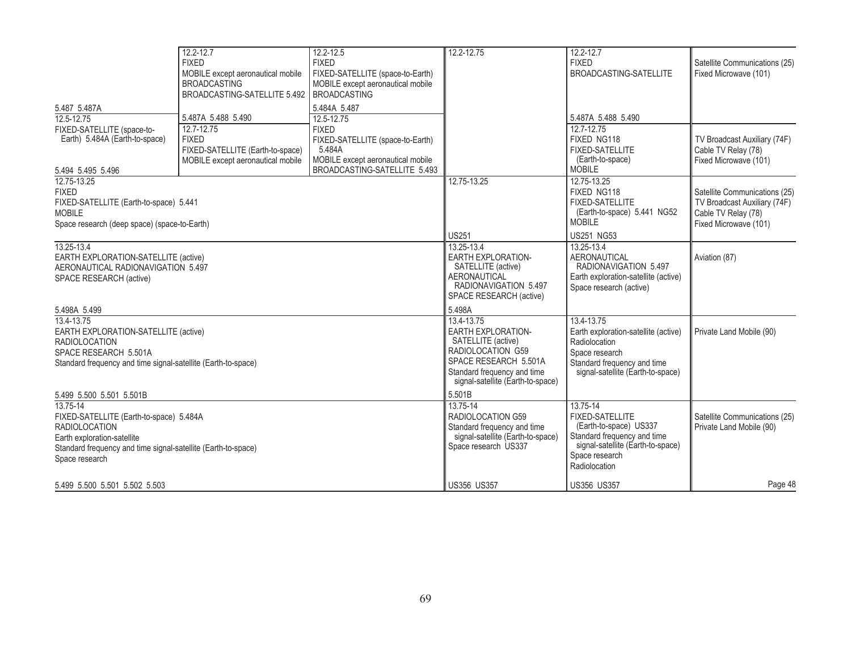|                                                                                                                                                                                                   | $12.2 - 12.7$<br><b>FIXED</b><br>MOBILE except aeronautical mobile<br><b>BROADCASTING</b><br>BROADCASTING-SATELLITE 5.492 | $12.2 - 12.5$<br><b>FIXED</b><br>FIXED-SATELLITE (space-to-Earth)<br>MOBILE except aeronautical mobile<br><b>BROADCASTING</b>                 | 12.2-12.75                                                                                                                                                                      | 12.2-12.7<br><b>FIXED</b><br>BROADCASTING-SATELLITE                                                                                                                 | Satellite Communications (25)<br>Fixed Microwave (101)                                                        |
|---------------------------------------------------------------------------------------------------------------------------------------------------------------------------------------------------|---------------------------------------------------------------------------------------------------------------------------|-----------------------------------------------------------------------------------------------------------------------------------------------|---------------------------------------------------------------------------------------------------------------------------------------------------------------------------------|---------------------------------------------------------------------------------------------------------------------------------------------------------------------|---------------------------------------------------------------------------------------------------------------|
| 5.487 5.487A                                                                                                                                                                                      |                                                                                                                           | 5.484A 5.487                                                                                                                                  |                                                                                                                                                                                 |                                                                                                                                                                     |                                                                                                               |
| 12.5-12.75<br>FIXED-SATELLITE (space-to-<br>Earth) 5.484A (Earth-to-space)<br>5.494 5.495 5.496                                                                                                   | 5.487A 5.488 5.490<br>12.7-12.75<br><b>FIXED</b><br>FIXED-SATELLITE (Earth-to-space)<br>MOBILE except aeronautical mobile | 12.5-12.75<br><b>FIXED</b><br>FIXED-SATELLITE (space-to-Earth)<br>5.484A<br>MOBILE except aeronautical mobile<br>BROADCASTING-SATELLITE 5.493 |                                                                                                                                                                                 | 5.487A 5.488 5.490<br>12.7-12.75<br>FIXED NG118<br><b>FIXED-SATELLITE</b><br>(Earth-to-space)<br><b>MOBILE</b>                                                      | TV Broadcast Auxiliary (74F)<br>Cable TV Relay (78)<br>Fixed Microwave (101)                                  |
| 12.75-13.25<br><b>FIXED</b><br>FIXED-SATELLITE (Earth-to-space) 5.441<br><b>MOBILE</b><br>Space research (deep space) (space-to-Earth)                                                            |                                                                                                                           |                                                                                                                                               | 12.75-13.25<br>US251                                                                                                                                                            | 12.75-13.25<br>FIXED NG118<br><b>FIXED-SATELLITE</b><br>(Earth-to-space) 5.441 NG52<br><b>MOBILE</b><br><b>US251 NG53</b>                                           | Satellite Communications (25)<br>TV Broadcast Auxiliary (74F)<br>Cable TV Relay (78)<br>Fixed Microwave (101) |
| 13.25-13.4<br>EARTH EXPLORATION-SATELLITE (active)<br>AERONAUTICAL RADIONAVIGATION 5.497<br>SPACE RESEARCH (active)                                                                               |                                                                                                                           |                                                                                                                                               | 13.25-13.4<br><b>EARTH EXPLORATION-</b><br>SATELLITE (active)<br><b>AERONAUTICAL</b><br>RADIONAVIGATION 5.497<br>SPACE RESEARCH (active)                                        | 13.25-13.4<br><b>AERONAUTICAL</b><br>RADIONAVIGATION 5.497<br>Earth exploration-satellite (active)<br>Space research (active)                                       | Aviation (87)                                                                                                 |
| 5.498A 5.499                                                                                                                                                                                      |                                                                                                                           |                                                                                                                                               | 5.498A                                                                                                                                                                          |                                                                                                                                                                     |                                                                                                               |
| 13.4-13.75<br>EARTH EXPLORATION-SATELLITE (active)<br><b>RADIOLOCATION</b><br>SPACE RESEARCH 5.501A<br>Standard frequency and time signal-satellite (Earth-to-space)                              |                                                                                                                           |                                                                                                                                               | 13.4-13.75<br><b>EARTH EXPLORATION-</b><br>SATELLITE (active)<br>RADIOLOCATION G59<br>SPACE RESEARCH 5.501A<br>Standard frequency and time<br>signal-satellite (Earth-to-space) | 13.4-13.75<br>Earth exploration-satellite (active)<br>Radiolocation<br>Space research<br>Standard frequency and time<br>signal-satellite (Earth-to-space)           | Private Land Mobile (90)                                                                                      |
| 5.499 5.500 5.501 5.501B                                                                                                                                                                          |                                                                                                                           |                                                                                                                                               | 5.501B                                                                                                                                                                          |                                                                                                                                                                     |                                                                                                               |
| $13.75 - 14$<br>FIXED-SATELLITE (Earth-to-space) 5.484A<br><b>RADIOLOCATION</b><br>Earth exploration-satellite<br>Standard frequency and time signal-satellite (Earth-to-space)<br>Space research |                                                                                                                           |                                                                                                                                               | $13.75 - 14$<br>RADIOLOCATION G59<br>Standard frequency and time<br>signal-satellite (Earth-to-space)<br>Space research US337                                                   | 13.75-14<br><b>FIXED-SATELLITE</b><br>(Earth-to-space) US337<br>Standard frequency and time<br>signal-satellite (Earth-to-space)<br>Space research<br>Radiolocation | Satellite Communications (25)<br>Private Land Mobile (90)                                                     |
| 5.499 5.500 5.501 5.502 5.503                                                                                                                                                                     |                                                                                                                           |                                                                                                                                               | <b>US356 US357</b>                                                                                                                                                              | <b>US356 US357</b>                                                                                                                                                  | Page 48                                                                                                       |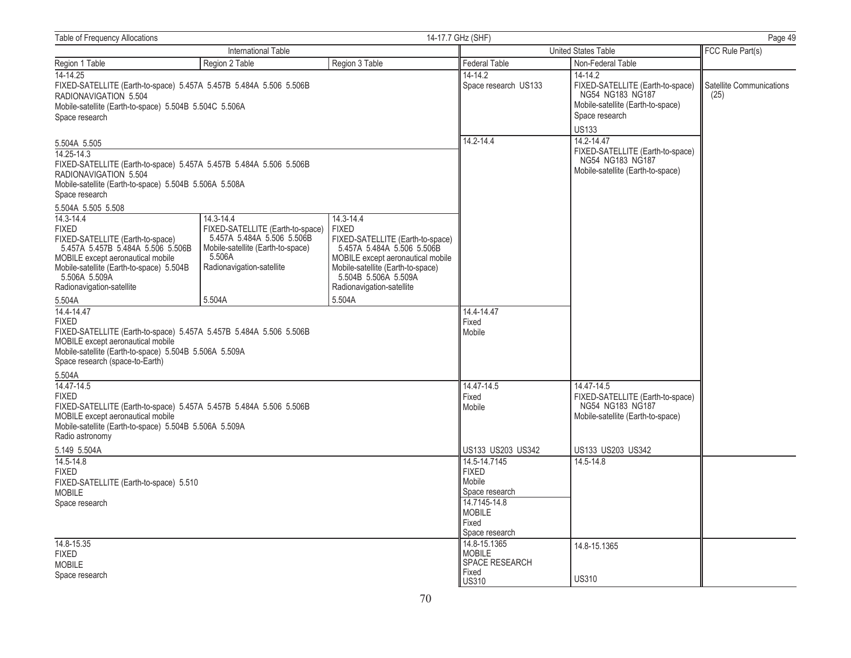| <b>Table of Frequency Allocations</b>                                                                                                                                                                                              |                                                                                                                                                         |                                                                                                                                                                                                                            | 14-17.7 GHz (SHF)                                                                                                                          |                                                                                                         | Page 49          |  |
|------------------------------------------------------------------------------------------------------------------------------------------------------------------------------------------------------------------------------------|---------------------------------------------------------------------------------------------------------------------------------------------------------|----------------------------------------------------------------------------------------------------------------------------------------------------------------------------------------------------------------------------|--------------------------------------------------------------------------------------------------------------------------------------------|---------------------------------------------------------------------------------------------------------|------------------|--|
| International Table                                                                                                                                                                                                                |                                                                                                                                                         |                                                                                                                                                                                                                            | <b>United States Table</b>                                                                                                                 |                                                                                                         | FCC Rule Part(s) |  |
| Region 1 Table                                                                                                                                                                                                                     | Region 2 Table                                                                                                                                          | Region 3 Table                                                                                                                                                                                                             | <b>Federal Table</b>                                                                                                                       | Non-Federal Table                                                                                       |                  |  |
| 14-14.25<br>FIXED-SATELLITE (Earth-to-space) 5.457A 5.457B 5.484A 5.506 5.506B<br>RADIONAVIGATION 5.504<br>Mobile-satellite (Earth-to-space) 5.504B 5.504C 5.506A<br>Space research                                                |                                                                                                                                                         | 14-14.2<br>Space research US133                                                                                                                                                                                            | $14 - 14.2$<br>FIXED-SATELLITE (Earth-to-space)<br>NG54 NG183 NG187<br>Mobile-satellite (Earth-to-space)<br>Space research<br><b>US133</b> | Satellite Communications<br>(25)                                                                        |                  |  |
|                                                                                                                                                                                                                                    |                                                                                                                                                         |                                                                                                                                                                                                                            | 14.2-14.4                                                                                                                                  | 14.2-14.47                                                                                              |                  |  |
| 5.504A 5.505<br>$14.25 - 14.3$<br>FIXED-SATELLITE (Earth-to-space) 5.457A 5.457B 5.484A 5.506 5.506B<br>RADIONAVIGATION 5.504<br>Mobile-satellite (Earth-to-space) 5.504B 5.506A 5.508A<br>Space research                          |                                                                                                                                                         |                                                                                                                                                                                                                            |                                                                                                                                            | FIXED-SATELLITE (Earth-to-space)<br>NG54 NG183 NG187<br>Mobile-satellite (Earth-to-space)               |                  |  |
| 5.504A 5.505 5.508                                                                                                                                                                                                                 |                                                                                                                                                         |                                                                                                                                                                                                                            |                                                                                                                                            |                                                                                                         |                  |  |
| 14.3-14.4<br><b>FIXED</b><br>FIXED-SATELLITE (Earth-to-space)<br>5.457A 5.457B 5.484A 5.506 5.506B<br>MOBILE except aeronautical mobile<br>Mobile-satellite (Earth-to-space) 5.504B<br>5.506A 5.509A<br>Radionavigation-satellite  | 14.3-14.4<br>FIXED-SATELLITE (Earth-to-space)<br>5.457A 5.484A 5.506 5.506B<br>Mobile-satellite (Earth-to-space)<br>5.506A<br>Radionavigation-satellite | 14.3-14.4<br><b>FIXED</b><br>FIXED-SATELLITE (Earth-to-space)<br>5.457A 5.484A 5.506 5.506B<br>MOBILE except aeronautical mobile<br>Mobile-satellite (Earth-to-space)<br>5.504B 5.506A 5.509A<br>Radionavigation-satellite |                                                                                                                                            |                                                                                                         |                  |  |
| 5.504A                                                                                                                                                                                                                             | 5.504A                                                                                                                                                  | 5.504A                                                                                                                                                                                                                     |                                                                                                                                            |                                                                                                         |                  |  |
| 14.4-14.47<br><b>FIXED</b><br>FIXED-SATELLITE (Earth-to-space) 5.457A 5.457B 5.484A 5.506 5.506B<br>MOBILE except aeronautical mobile<br>Mobile-satellite (Earth-to-space) 5.504B 5.506A 5.509A<br>Space research (space-to-Earth) |                                                                                                                                                         |                                                                                                                                                                                                                            | 14.4-14.47<br>Fixed<br>Mobile                                                                                                              |                                                                                                         |                  |  |
| 5.504A                                                                                                                                                                                                                             |                                                                                                                                                         |                                                                                                                                                                                                                            |                                                                                                                                            |                                                                                                         |                  |  |
| 14.47-14.5<br><b>FIXED</b><br>FIXED-SATELLITE (Earth-to-space) 5.457A 5.457B 5.484A 5.506 5.506B<br>MOBILE except aeronautical mobile<br>Mobile-satellite (Earth-to-space) 5.504B 5.506A 5.509A<br>Radio astronomy                 |                                                                                                                                                         |                                                                                                                                                                                                                            | 14.47-14.5<br>Fixed<br>Mobile                                                                                                              | 14.47-14.5<br>FIXED-SATELLITE (Earth-to-space)<br>NG54 NG183 NG187<br>Mobile-satellite (Earth-to-space) |                  |  |
| 5.149 5.504A                                                                                                                                                                                                                       |                                                                                                                                                         |                                                                                                                                                                                                                            | US133 US203 US342                                                                                                                          | US133 US203 US342                                                                                       |                  |  |
| 14.5-14.8<br><b>FIXED</b><br>FIXED-SATELLITE (Earth-to-space) 5.510<br><b>MOBILE</b><br>Space research                                                                                                                             |                                                                                                                                                         |                                                                                                                                                                                                                            | 14.5-14.7145<br><b>FIXED</b><br>Mobile<br>Space research<br>14.7145-14.8<br><b>MOBILE</b><br>Fixed<br>Space research                       | 14.5-14.8                                                                                               |                  |  |
| 14.8-15.35<br><b>FIXED</b><br><b>MOBILE</b><br>Space research                                                                                                                                                                      |                                                                                                                                                         |                                                                                                                                                                                                                            | 14.8-15.1365<br><b>MOBILE</b><br>SPACE RESEARCH<br>Fixed<br><b>US310</b>                                                                   | 14.8-15.1365<br><b>US310</b>                                                                            |                  |  |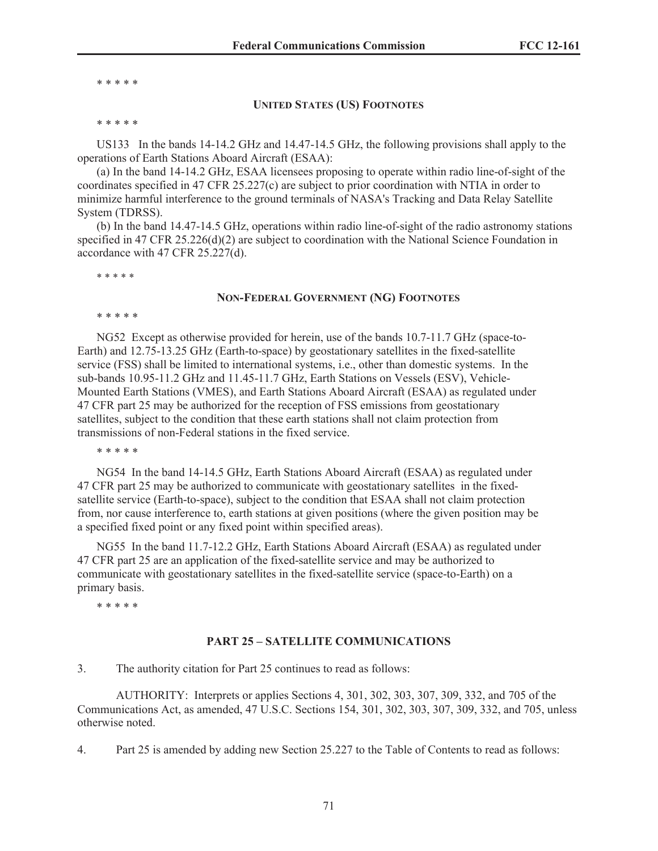\* \* \* \* \*

#### **UNITED STATES (US) FOOTNOTES**

\* \* \* \* \*

US133 In the bands 14-14.2 GHz and 14.47-14.5 GHz, the following provisions shall apply to the operations of Earth Stations Aboard Aircraft (ESAA):

(a) In the band 14-14.2 GHz, ESAA licensees proposing to operate within radio line-of-sight of the coordinates specified in 47 CFR 25.227(c) are subject to prior coordination with NTIA in order to minimize harmful interference to the ground terminals of NASA's Tracking and Data Relay Satellite System (TDRSS).

(b) In the band 14.47-14.5 GHz, operations within radio line-of-sight of the radio astronomy stations specified in 47 CFR 25.226(d)(2) are subject to coordination with the National Science Foundation in accordance with 47 CFR 25.227(d).

\* \* \* \* \*

#### **NON-FEDERAL GOVERNMENT (NG) FOOTNOTES**

\* \* \* \* \*

NG52 Except as otherwise provided for herein, use of the bands 10.7-11.7 GHz (space-to-Earth) and 12.75-13.25 GHz (Earth-to-space) by geostationary satellites in the fixed-satellite service (FSS) shall be limited to international systems, i.e., other than domestic systems. In the sub-bands 10.95-11.2 GHz and 11.45-11.7 GHz, Earth Stations on Vessels (ESV), Vehicle-Mounted Earth Stations (VMES), and Earth Stations Aboard Aircraft (ESAA) as regulated under 47 CFR part 25 may be authorized for the reception of FSS emissions from geostationary satellites, subject to the condition that these earth stations shall not claim protection from transmissions of non-Federal stations in the fixed service.

\* \* \* \* \*

NG54 In the band 14-14.5 GHz, Earth Stations Aboard Aircraft (ESAA) as regulated under 47 CFR part 25 may be authorized to communicate with geostationary satellites in the fixedsatellite service (Earth-to-space), subject to the condition that ESAA shall not claim protection from, nor cause interference to, earth stations at given positions (where the given position may be a specified fixed point or any fixed point within specified areas).

NG55 In the band 11.7-12.2 GHz, Earth Stations Aboard Aircraft (ESAA) as regulated under 47 CFR part 25 are an application of the fixed-satellite service and may be authorized to communicate with geostationary satellites in the fixed-satellite service (space-to-Earth) on a primary basis.

\* \* \* \* \*

#### **PART 25 – SATELLITE COMMUNICATIONS**

3. The authority citation for Part 25 continues to read as follows:

AUTHORITY: Interprets or applies Sections 4, 301, 302, 303, 307, 309, 332, and 705 of the Communications Act, as amended, 47 U.S.C. Sections 154, 301, 302, 303, 307, 309, 332, and 705, unless otherwise noted.

4. Part 25 is amended by adding new Section 25.227 to the Table of Contents to read as follows: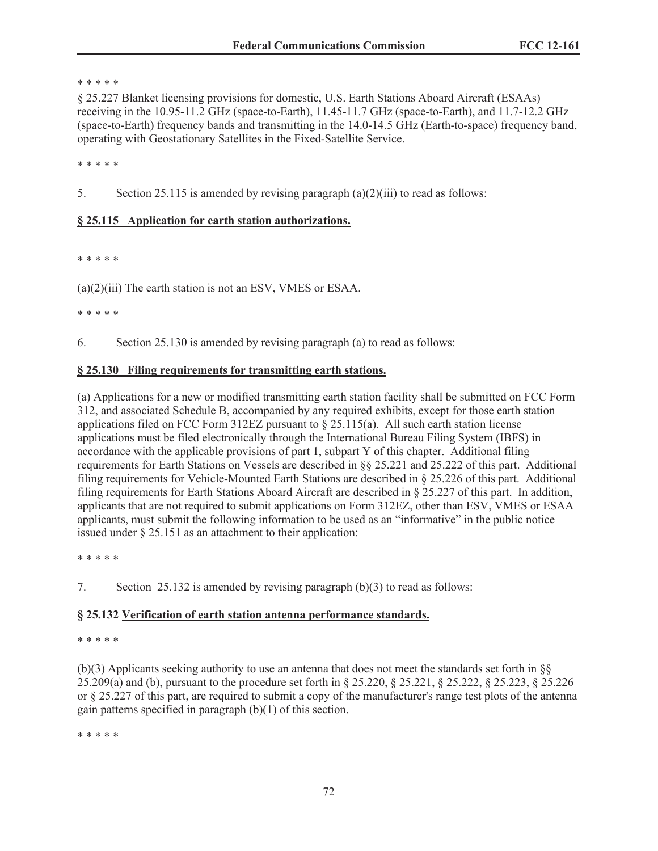#### \* \* \* \* \*

§ 25.227 Blanket licensing provisions for domestic, U.S. Earth Stations Aboard Aircraft (ESAAs) receiving in the 10.95-11.2 GHz (space-to-Earth), 11.45-11.7 GHz (space-to-Earth), and 11.7-12.2 GHz (space-to-Earth) frequency bands and transmitting in the 14.0-14.5 GHz (Earth-to-space) frequency band, operating with Geostationary Satellites in the Fixed-Satellite Service.

\* \* \* \* \*

5. Section 25.115 is amended by revising paragraph (a)(2)(iii) to read as follows:

# **§ 25.115 Application for earth station authorizations.**

\* \* \* \* \*

(a)(2)(iii) The earth station is not an ESV, VMES or ESAA.

\* \* \* \* \*

6. Section 25.130 is amended by revising paragraph (a) to read as follows:

# **§ 25.130 Filing requirements for transmitting earth stations.**

(a) Applications for a new or modified transmitting earth station facility shall be submitted on FCC Form 312, and associated Schedule B, accompanied by any required exhibits, except for those earth station applications filed on FCC Form 312EZ pursuant to  $\S 25.115(a)$ . All such earth station license applications must be filed electronically through the International Bureau Filing System (IBFS) in accordance with the applicable provisions of part 1, subpart Y of this chapter. Additional filing requirements for Earth Stations on Vessels are described in §§ 25.221 and 25.222 of this part. Additional filing requirements for Vehicle-Mounted Earth Stations are described in § 25.226 of this part. Additional filing requirements for Earth Stations Aboard Aircraft are described in § 25.227 of this part. In addition, applicants that are not required to submit applications on Form 312EZ, other than ESV, VMES or ESAA applicants, must submit the following information to be used as an "informative" in the public notice issued under § 25.151 as an attachment to their application:

\* \* \* \* \*

7. Section 25.132 is amended by revising paragraph (b)(3) to read as follows:

# **§ 25.132 Verification of earth station antenna performance standards.**

#### \* \* \* \* \*

(b)(3) Applicants seeking authority to use an antenna that does not meet the standards set forth in §§ 25.209(a) and (b), pursuant to the procedure set forth in § 25.220, § 25.221, § 25.222, § 25.223, § 25.226 or § 25.227 of this part, are required to submit a copy of the manufacturer's range test plots of the antenna gain patterns specified in paragraph (b)(1) of this section.

\* \* \* \* \*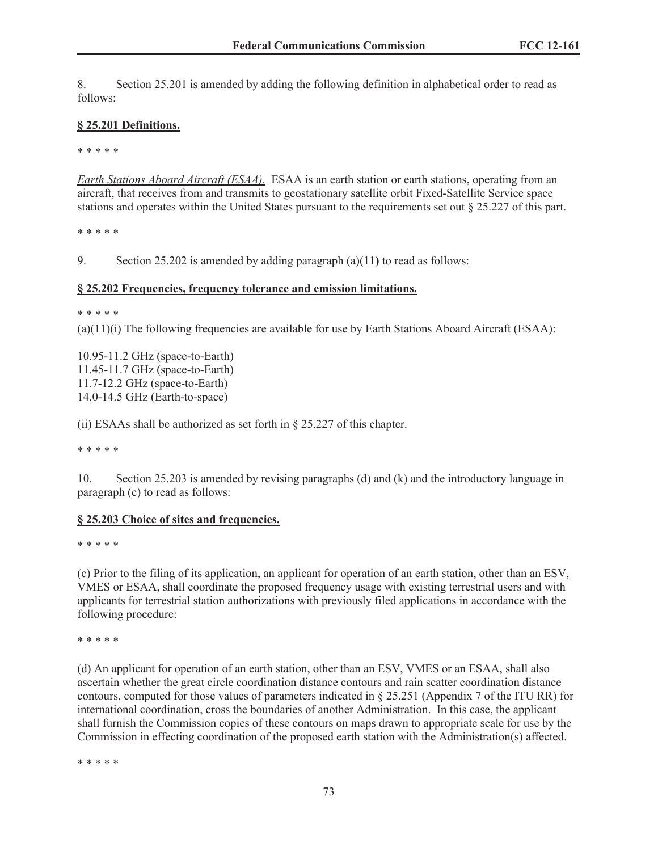8. Section 25.201 is amended by adding the following definition in alphabetical order to read as follows:

### **§ 25.201 Definitions.**

\* \* \* \* \*

*Earth Stations Aboard Aircraft (ESAA)*. ESAA is an earth station or earth stations, operating from an aircraft, that receives from and transmits to geostationary satellite orbit Fixed-Satellite Service space stations and operates within the United States pursuant to the requirements set out § 25.227 of this part.

\* \* \* \* \*

9. Section 25.202 is amended by adding paragraph (a)(11**)** to read as follows:

#### **§ 25.202 Frequencies, frequency tolerance and emission limitations.**

\* \* \* \* \*

 $(a)(1)(i)$  The following frequencies are available for use by Earth Stations Aboard Aircraft (ESAA):

10.95-11.2 GHz (space-to-Earth) 11.45-11.7 GHz (space-to-Earth) 11.7-12.2 GHz (space-to-Earth) 14.0-14.5 GHz (Earth-to-space)

(ii) ESAAs shall be authorized as set forth in § 25.227 of this chapter.

\* \* \* \* \*

10. Section 25.203 is amended by revising paragraphs (d) and (k) and the introductory language in paragraph (c) to read as follows:

#### **§ 25.203 Choice of sites and frequencies.**

\* \* \* \* \*

(c) Prior to the filing of its application, an applicant for operation of an earth station, other than an ESV, VMES or ESAA, shall coordinate the proposed frequency usage with existing terrestrial users and with applicants for terrestrial station authorizations with previously filed applications in accordance with the following procedure:

\* \* \* \* \*

(d) An applicant for operation of an earth station, other than an ESV, VMES or an ESAA, shall also ascertain whether the great circle coordination distance contours and rain scatter coordination distance contours, computed for those values of parameters indicated in § 25.251 (Appendix 7 of the ITU RR) for international coordination, cross the boundaries of another Administration. In this case, the applicant shall furnish the Commission copies of these contours on maps drawn to appropriate scale for use by the Commission in effecting coordination of the proposed earth station with the Administration(s) affected.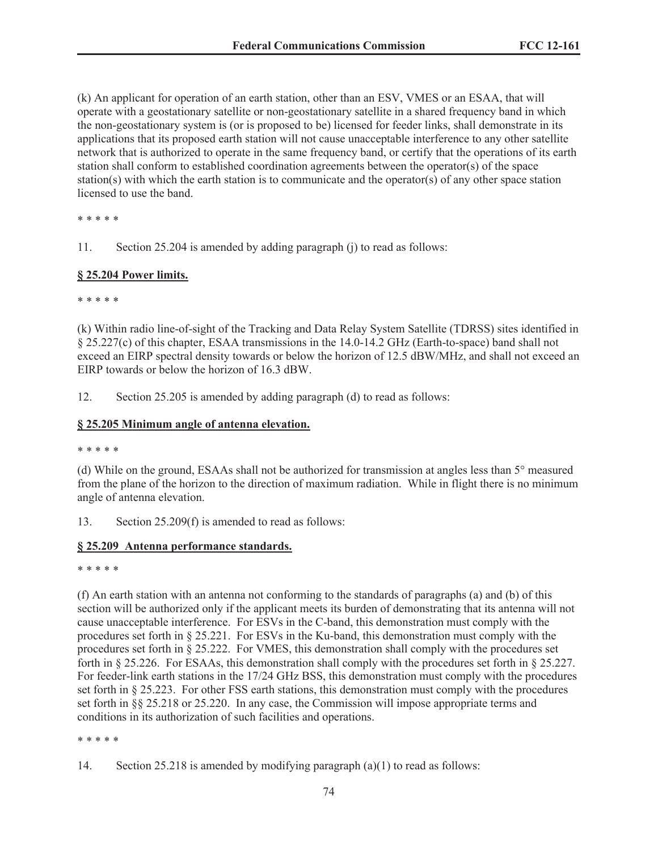(k) An applicant for operation of an earth station, other than an ESV, VMES or an ESAA, that will operate with a geostationary satellite or non-geostationary satellite in a shared frequency band in which the non-geostationary system is (or is proposed to be) licensed for feeder links, shall demonstrate in its applications that its proposed earth station will not cause unacceptable interference to any other satellite network that is authorized to operate in the same frequency band, or certify that the operations of its earth station shall conform to established coordination agreements between the operator(s) of the space station(s) with which the earth station is to communicate and the operator(s) of any other space station licensed to use the band.

\* \* \* \* \*

11. Section 25.204 is amended by adding paragraph (j) to read as follows:

### **§ 25.204 Power limits.**

\* \* \* \* \*

(k) Within radio line-of-sight of the Tracking and Data Relay System Satellite (TDRSS) sites identified in § 25.227(c) of this chapter, ESAA transmissions in the 14.0-14.2 GHz (Earth-to-space) band shall not exceed an EIRP spectral density towards or below the horizon of 12.5 dBW/MHz, and shall not exceed an EIRP towards or below the horizon of 16.3 dBW.

12. Section 25.205 is amended by adding paragraph (d) to read as follows:

### **§ 25.205 Minimum angle of antenna elevation.**

\* \* \* \* \*

(d) While on the ground, ESAAs shall not be authorized for transmission at angles less than 5° measured from the plane of the horizon to the direction of maximum radiation. While in flight there is no minimum angle of antenna elevation.

13. Section 25.209(f) is amended to read as follows:

### **§ 25.209 Antenna performance standards.**

\* \* \* \* \*

(f) An earth station with an antenna not conforming to the standards of paragraphs (a) and (b) of this section will be authorized only if the applicant meets its burden of demonstrating that its antenna will not cause unacceptable interference. For ESVs in the C-band, this demonstration must comply with the procedures set forth in § 25.221. For ESVs in the Ku-band, this demonstration must comply with the procedures set forth in § 25.222. For VMES, this demonstration shall comply with the procedures set forth in § 25.226. For ESAAs, this demonstration shall comply with the procedures set forth in § 25.227. For feeder-link earth stations in the 17/24 GHz BSS, this demonstration must comply with the procedures set forth in § 25.223. For other FSS earth stations, this demonstration must comply with the procedures set forth in §§ 25.218 or 25.220. In any case, the Commission will impose appropriate terms and conditions in its authorization of such facilities and operations.

<sup>14.</sup> Section 25.218 is amended by modifying paragraph (a)(1) to read as follows: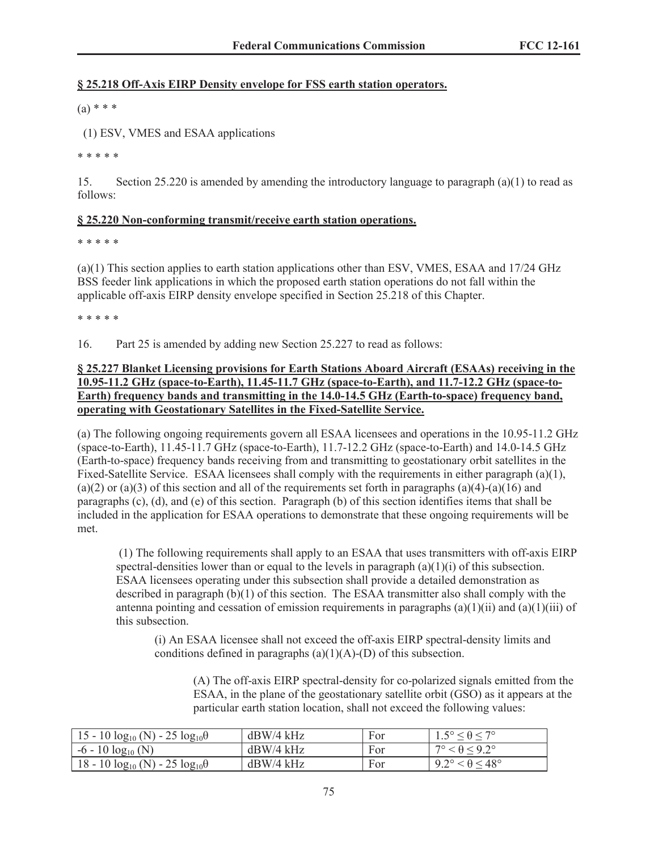### **§ 25.218 Off-Axis EIRP Density envelope for FSS earth station operators.**

 $(a) * * *$ 

(1) ESV, VMES and ESAA applications

\* \* \* \* \*

15. Section 25.220 is amended by amending the introductory language to paragraph (a)(1) to read as follows:

### **§ 25.220 Non-conforming transmit/receive earth station operations.**

\* \* \* \* \*

(a)(1) This section applies to earth station applications other than ESV, VMES, ESAA and 17/24 GHz BSS feeder link applications in which the proposed earth station operations do not fall within the applicable off-axis EIRP density envelope specified in Section 25.218 of this Chapter.

\* \* \* \* \*

16. Part 25 is amended by adding new Section 25.227 to read as follows:

# **§ 25.227 Blanket Licensing provisions for Earth Stations Aboard Aircraft (ESAAs) receiving in the 10.95-11.2 GHz (space-to-Earth), 11.45-11.7 GHz (space-to-Earth), and 11.7-12.2 GHz (space-to-Earth) frequency bands and transmitting in the 14.0-14.5 GHz (Earth-to-space) frequency band, operating with Geostationary Satellites in the Fixed-Satellite Service.**

(a) The following ongoing requirements govern all ESAA licensees and operations in the 10.95-11.2 GHz (space-to-Earth), 11.45-11.7 GHz (space-to-Earth), 11.7-12.2 GHz (space-to-Earth) and 14.0-14.5 GHz (Earth-to-space) frequency bands receiving from and transmitting to geostationary orbit satellites in the Fixed-Satellite Service. ESAA licensees shall comply with the requirements in either paragraph (a)(1), (a)(2) or (a)(3) of this section and all of the requirements set forth in paragraphs (a)(4)-(a)(16) and paragraphs (c), (d), and (e) of this section. Paragraph (b) of this section identifies items that shall be included in the application for ESAA operations to demonstrate that these ongoing requirements will be met.

(1) The following requirements shall apply to an ESAA that uses transmitters with off-axis EIRP spectral-densities lower than or equal to the levels in paragraph  $(a)(1)(i)$  of this subsection. ESAA licensees operating under this subsection shall provide a detailed demonstration as described in paragraph (b)(1) of this section. The ESAA transmitter also shall comply with the antenna pointing and cessation of emission requirements in paragraphs  $(a)(1)(ii)$  and  $(a)(1)(iii)$  of this subsection.

(i) An ESAA licensee shall not exceed the off-axis EIRP spectral-density limits and conditions defined in paragraphs  $(a)(1)(A)-(D)$  of this subsection.

(A) The off-axis EIRP spectral-density for co-polarized signals emitted from the ESAA, in the plane of the geostationary satellite orbit (GSO) as it appears at the particular earth station location, shall not exceed the following values:

| 15 - 10 $log_{10}$ (N) - 25 $log_{10}$ $\theta$ | $dBW/4$ kHz | For | $5^\circ < \theta < 7^\circ$           |
|-------------------------------------------------|-------------|-----|----------------------------------------|
| $-6 - 10 \log_{10}(N)$                          | $dBW/4$ kHz | For | $7^{\circ} < \theta < 9.2^{\circ}$     |
| $18 - 10 \log_{10}(N) - 25 \log_{10}\theta$     | $dBW/4$ kHz | For | $9.2^{\circ} < \theta \leq 48^{\circ}$ |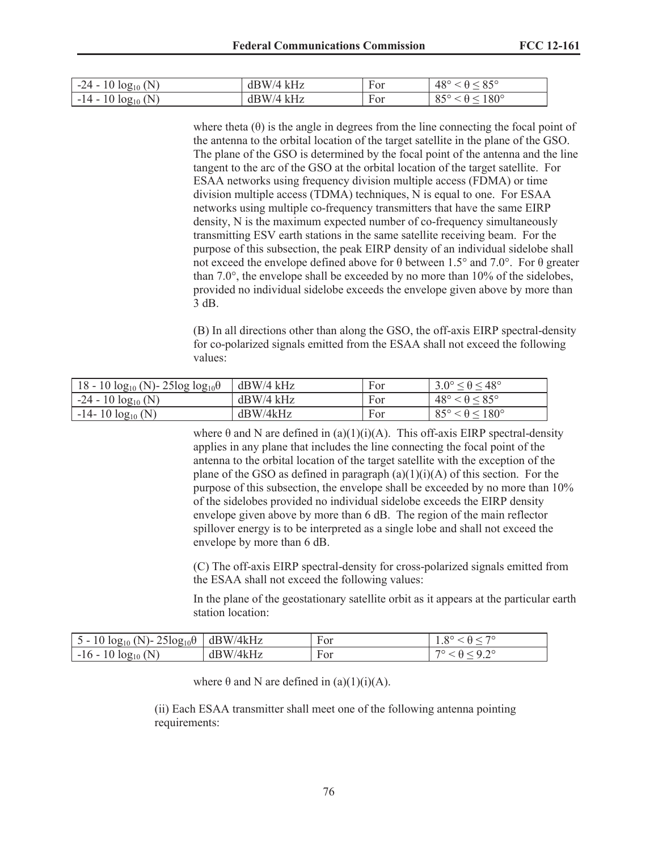| $-24 - 10 \log_{10}(N)$          | dBW/4 kHz | For | $48^{\circ}$<br>- 050 |
|----------------------------------|-----------|-----|-----------------------|
| (N)<br>$10 \log_{10}$<br>$-14-7$ | dBW/4 kHz | For | $180^\circ$<br>-OJ    |

where theta  $(\theta)$  is the angle in degrees from the line connecting the focal point of the antenna to the orbital location of the target satellite in the plane of the GSO. The plane of the GSO is determined by the focal point of the antenna and the line tangent to the arc of the GSO at the orbital location of the target satellite. For ESAA networks using frequency division multiple access (FDMA) or time division multiple access (TDMA) techniques, N is equal to one. For ESAA networks using multiple co-frequency transmitters that have the same EIRP density, N is the maximum expected number of co-frequency simultaneously transmitting ESV earth stations in the same satellite receiving beam. For the purpose of this subsection, the peak EIRP density of an individual sidelobe shall not exceed the envelope defined above for θ between 1.5° and 7.0°. For θ greater than 7.0°, the envelope shall be exceeded by no more than 10% of the sidelobes, provided no individual sidelobe exceeds the envelope given above by more than 3 dB.

(B) In all directions other than along the GSO, the off-axis EIRP spectral-density for co-polarized signals emitted from the ESAA shall not exceed the following values:

| 18 - 10 $log_{10}$ (N) - 25 $log_{10}$ | $dBW/4$ kHz | For | $3.0^{\circ} \le \theta \le 48^{\circ}$ |
|----------------------------------------|-------------|-----|-----------------------------------------|
| $-24 - 10 \log_{10}(N)$                | $dBW/4$ kHz | For | $48^\circ < \theta \leq 85^\circ$       |
| $-14-10 \log_{10}(N)$                  | dBW/4kHz    | For | $85^\circ < \theta \leq 180^\circ$      |

where  $\theta$  and N are defined in (a)(1)(i)(A). This off-axis EIRP spectral-density applies in any plane that includes the line connecting the focal point of the antenna to the orbital location of the target satellite with the exception of the plane of the GSO as defined in paragraph  $(a)(1)(i)(A)$  of this section. For the purpose of this subsection, the envelope shall be exceeded by no more than 10% of the sidelobes provided no individual sidelobe exceeds the EIRP density envelope given above by more than 6 dB. The region of the main reflector spillover energy is to be interpreted as a single lobe and shall not exceed the envelope by more than 6 dB.

(C) The off-axis EIRP spectral-density for cross-polarized signals emitted from the ESAA shall not exceed the following values:

In the plane of the geostationary satellite orbit as it appears at the particular earth station location:

| 5 - 10 $\log_{10}$ (N) - 25 $\log_{10}$ $\theta$   dBW/4kHz |               | For | $\Omega$ |
|-------------------------------------------------------------|---------------|-----|----------|
| (N<br>$-16 - 1'$<br>$10 log_{10}$                           | '/4kHz<br>dBW | For |          |

where  $\theta$  and N are defined in (a)(1)(i)(A).

(ii) Each ESAA transmitter shall meet one of the following antenna pointing requirements: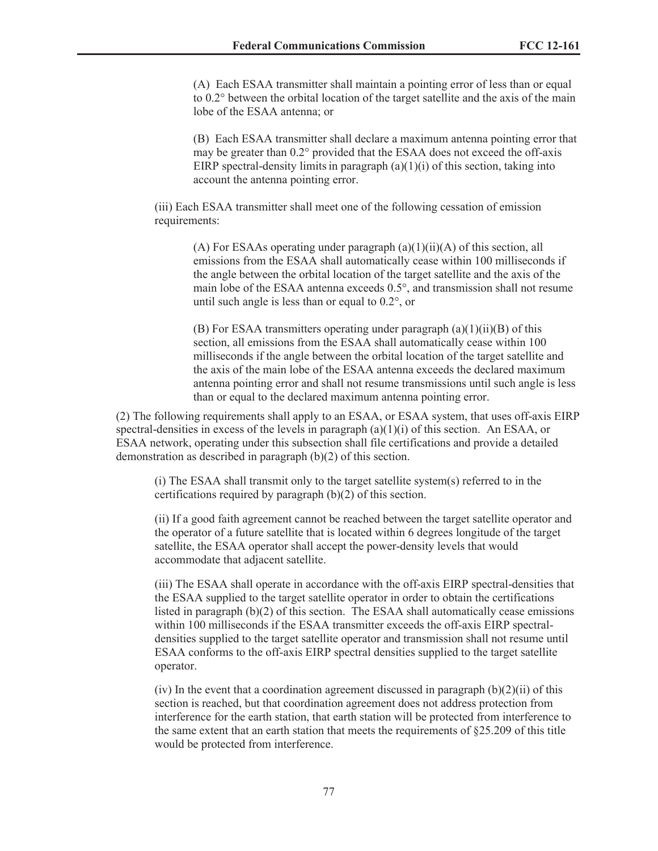(A) Each ESAA transmitter shall maintain a pointing error of less than or equal to 0.2° between the orbital location of the target satellite and the axis of the main lobe of the ESAA antenna; or

(B) Each ESAA transmitter shall declare a maximum antenna pointing error that may be greater than 0.2° provided that the ESAA does not exceed the off-axis EIRP spectral-density limits in paragraph  $(a)(1)(i)$  of this section, taking into account the antenna pointing error.

(iii) Each ESAA transmitter shall meet one of the following cessation of emission requirements:

(A) For ESAAs operating under paragraph  $(a)(1)(ii)(A)$  of this section, all emissions from the ESAA shall automatically cease within 100 milliseconds if the angle between the orbital location of the target satellite and the axis of the main lobe of the ESAA antenna exceeds 0.5°, and transmission shall not resume until such angle is less than or equal to 0.2°, or

(B) For ESAA transmitters operating under paragraph  $(a)(1)(ii)(B)$  of this section, all emissions from the ESAA shall automatically cease within 100 milliseconds if the angle between the orbital location of the target satellite and the axis of the main lobe of the ESAA antenna exceeds the declared maximum antenna pointing error and shall not resume transmissions until such angle is less than or equal to the declared maximum antenna pointing error.

(2) The following requirements shall apply to an ESAA, or ESAA system, that uses off-axis EIRP spectral-densities in excess of the levels in paragraph  $(a)(1)(i)$  of this section. An ESAA, or ESAA network, operating under this subsection shall file certifications and provide a detailed demonstration as described in paragraph (b)(2) of this section.

(i) The ESAA shall transmit only to the target satellite system(s) referred to in the certifications required by paragraph (b)(2) of this section.

(ii) If a good faith agreement cannot be reached between the target satellite operator and the operator of a future satellite that is located within 6 degrees longitude of the target satellite, the ESAA operator shall accept the power-density levels that would accommodate that adjacent satellite.

(iii) The ESAA shall operate in accordance with the off-axis EIRP spectral-densities that the ESAA supplied to the target satellite operator in order to obtain the certifications listed in paragraph (b)(2) of this section. The ESAA shall automatically cease emissions within 100 milliseconds if the ESAA transmitter exceeds the off-axis EIRP spectraldensities supplied to the target satellite operator and transmission shall not resume until ESAA conforms to the off-axis EIRP spectral densities supplied to the target satellite operator.

 $(iv)$  In the event that a coordination agreement discussed in paragraph  $(b)(2)(ii)$  of this section is reached, but that coordination agreement does not address protection from interference for the earth station, that earth station will be protected from interference to the same extent that an earth station that meets the requirements of §25.209 of this title would be protected from interference.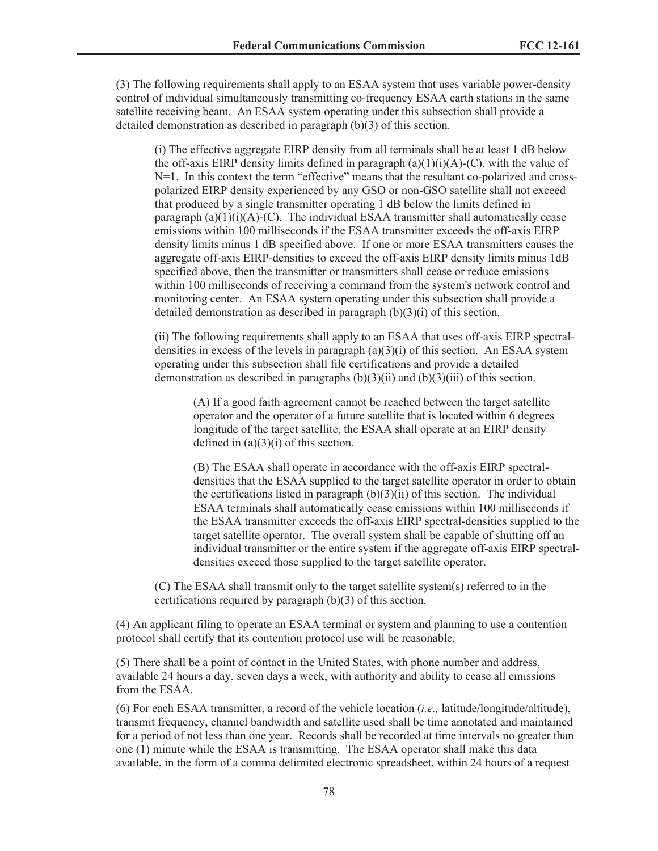(3) The following requirements shall apply to an ESAA system that uses variable power-density control of individual simultaneously transmitting co-frequency ESAA earth stations in the same satellite receiving beam. An ESAA system operating under this subsection shall provide a detailed demonstration as described in paragraph (b)(3) of this section.

(i) The effective aggregate EIRP density from all terminals shall be at least 1 dB below the off-axis EIRP density limits defined in paragraph  $(a)(1)(i)(A)-(C)$ , with the value of N=1. In this context the term "effective" means that the resultant co-polarized and crosspolarized EIRP density experienced by any GSO or non-GSO satellite shall not exceed that produced by a single transmitter operating 1 dB below the limits defined in paragraph  $(a)(1)(i)(A)-(C)$ . The individual ESAA transmitter shall automatically cease emissions within 100 milliseconds if the ESAA transmitter exceeds the off-axis EIRP density limits minus 1 dB specified above. If one or more ESAA transmitters causes the aggregate off-axis EIRP-densities to exceed the off-axis EIRP density limits minus 1dB specified above, then the transmitter or transmitters shall cease or reduce emissions within 100 milliseconds of receiving a command from the system's network control and monitoring center. An ESAA system operating under this subsection shall provide a detailed demonstration as described in paragraph (b)(3)(i) of this section.

(ii) The following requirements shall apply to an ESAA that uses off-axis EIRP spectraldensities in excess of the levels in paragraph  $(a)(3)(i)$  of this section. An ESAA system operating under this subsection shall file certifications and provide a detailed demonstration as described in paragraphs  $(b)(3)(ii)$  and  $(b)(3)(iii)$  of this section.

(A) If a good faith agreement cannot be reached between the target satellite operator and the operator of a future satellite that is located within 6 degrees longitude of the target satellite, the ESAA shall operate at an EIRP density defined in  $(a)(3)(i)$  of this section.

(B) The ESAA shall operate in accordance with the off-axis EIRP spectraldensities that the ESAA supplied to the target satellite operator in order to obtain the certifications listed in paragraph  $(b)(3)(ii)$  of this section. The individual ESAA terminals shall automatically cease emissions within 100 milliseconds if the ESAA transmitter exceeds the off-axis EIRP spectral-densities supplied to the target satellite operator. The overall system shall be capable of shutting off an individual transmitter or the entire system if the aggregate off-axis EIRP spectraldensities exceed those supplied to the target satellite operator.

(C) The ESAA shall transmit only to the target satellite system(s) referred to in the certifications required by paragraph (b)(3) of this section.

(4) An applicant filing to operate an ESAA terminal or system and planning to use a contention protocol shall certify that its contention protocol use will be reasonable.

(5) There shall be a point of contact in the United States, with phone number and address, available 24 hours a day, seven days a week, with authority and ability to cease all emissions from the ESAA.

(6) For each ESAA transmitter, a record of the vehicle location (*i.e.,* latitude/longitude/altitude), transmit frequency, channel bandwidth and satellite used shall be time annotated and maintained for a period of not less than one year. Records shall be recorded at time intervals no greater than one (1) minute while the ESAA is transmitting. The ESAA operator shall make this data available, in the form of a comma delimited electronic spreadsheet, within 24 hours of a request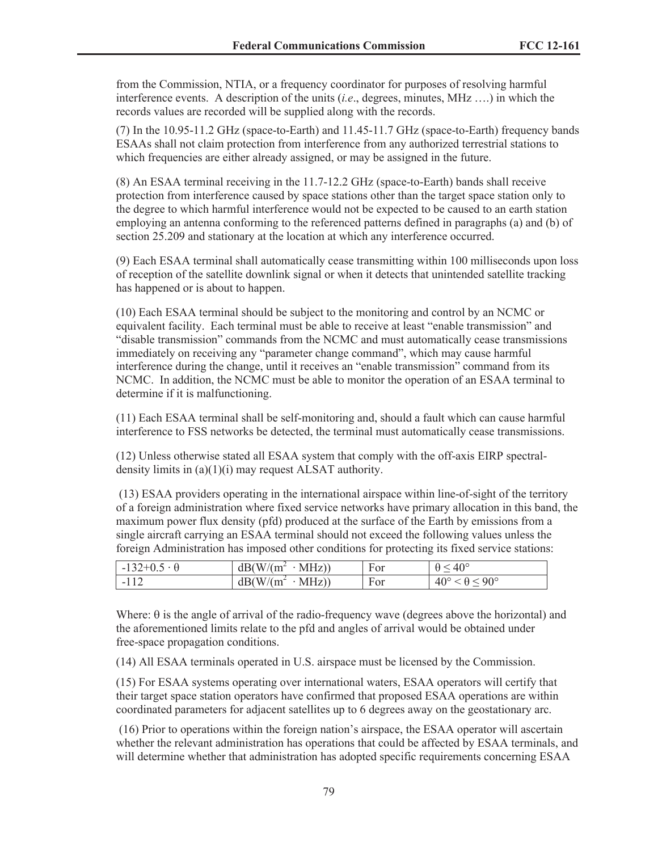from the Commission, NTIA, or a frequency coordinator for purposes of resolving harmful interference events. A description of the units (*i.e*., degrees, minutes, MHz ….) in which the records values are recorded will be supplied along with the records.

(7) In the 10.95-11.2 GHz (space-to-Earth) and 11.45-11.7 GHz (space-to-Earth) frequency bands ESAAs shall not claim protection from interference from any authorized terrestrial stations to which frequencies are either already assigned, or may be assigned in the future.

(8) An ESAA terminal receiving in the 11.7-12.2 GHz (space-to-Earth) bands shall receive protection from interference caused by space stations other than the target space station only to the degree to which harmful interference would not be expected to be caused to an earth station employing an antenna conforming to the referenced patterns defined in paragraphs (a) and (b) of section 25.209 and stationary at the location at which any interference occurred.

(9) Each ESAA terminal shall automatically cease transmitting within 100 milliseconds upon loss of reception of the satellite downlink signal or when it detects that unintended satellite tracking has happened or is about to happen.

(10) Each ESAA terminal should be subject to the monitoring and control by an NCMC or equivalent facility. Each terminal must be able to receive at least "enable transmission" and "disable transmission" commands from the NCMC and must automatically cease transmissions immediately on receiving any "parameter change command", which may cause harmful interference during the change, until it receives an "enable transmission" command from its NCMC. In addition, the NCMC must be able to monitor the operation of an ESAA terminal to determine if it is malfunctioning.

(11) Each ESAA terminal shall be self-monitoring and, should a fault which can cause harmful interference to FSS networks be detected, the terminal must automatically cease transmissions.

(12) Unless otherwise stated all ESAA system that comply with the off-axis EIRP spectraldensity limits in (a)(1)(i) may request ALSAT authority.

(13) ESAA providers operating in the international airspace within line-of-sight of the territory of a foreign administration where fixed service networks have primary allocation in this band, the maximum power flux density (pfd) produced at the surface of the Earth by emissions from a single aircraft carrying an ESAA terminal should not exceed the following values unless the foreign Administration has imposed other conditions for protecting its fixed service stations:

| $-132+0.5 \cdot \theta$ | $dB(W/(m^2))$<br>$MHz$ ) | For | $40^{\circ}$                                      |
|-------------------------|--------------------------|-----|---------------------------------------------------|
| $-11^\circ$             | $dB(W/(m^2))$<br>$MHz$ ) | For | $40^{\circ}$<br>$< 90^{\circ}$<br>$\sim \Delta$ . |

Where:  $\theta$  is the angle of arrival of the radio-frequency wave (degrees above the horizontal) and the aforementioned limits relate to the pfd and angles of arrival would be obtained under free-space propagation conditions.

(14) All ESAA terminals operated in U.S. airspace must be licensed by the Commission.

(15) For ESAA systems operating over international waters, ESAA operators will certify that their target space station operators have confirmed that proposed ESAA operations are within coordinated parameters for adjacent satellites up to 6 degrees away on the geostationary arc.

(16) Prior to operations within the foreign nation's airspace, the ESAA operator will ascertain whether the relevant administration has operations that could be affected by ESAA terminals, and will determine whether that administration has adopted specific requirements concerning ESAA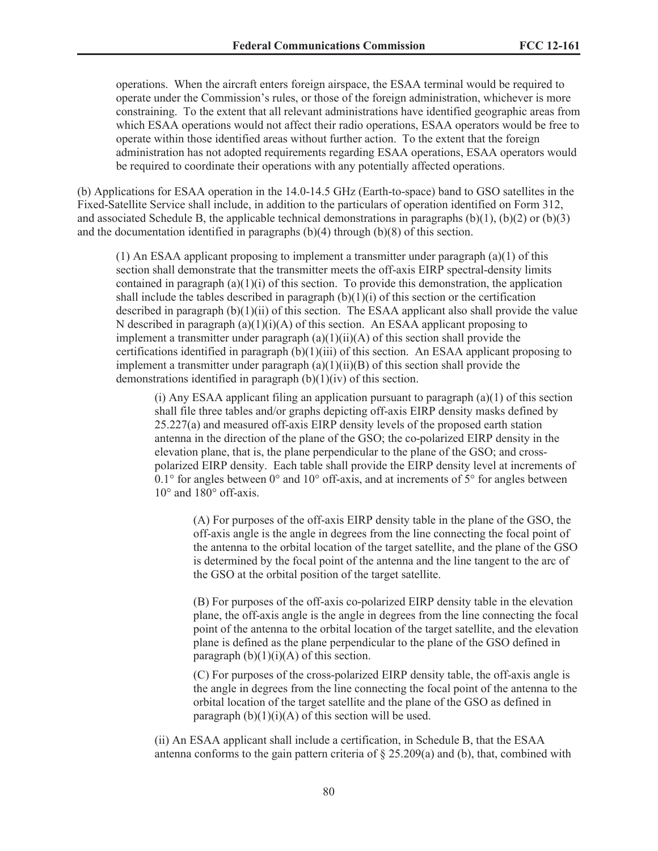operations. When the aircraft enters foreign airspace, the ESAA terminal would be required to operate under the Commission's rules, or those of the foreign administration, whichever is more constraining. To the extent that all relevant administrations have identified geographic areas from which ESAA operations would not affect their radio operations, ESAA operators would be free to operate within those identified areas without further action. To the extent that the foreign administration has not adopted requirements regarding ESAA operations, ESAA operators would be required to coordinate their operations with any potentially affected operations.

(b) Applications for ESAA operation in the 14.0-14.5 GHz (Earth-to-space) band to GSO satellites in the Fixed-Satellite Service shall include, in addition to the particulars of operation identified on Form 312, and associated Schedule B, the applicable technical demonstrations in paragraphs  $(b)(1)$ ,  $(b)(2)$  or  $(b)(3)$ and the documentation identified in paragraphs (b)(4) through (b)(8) of this section.

 $(1)$  An ESAA applicant proposing to implement a transmitter under paragraph  $(a)(1)$  of this section shall demonstrate that the transmitter meets the off-axis EIRP spectral-density limits contained in paragraph  $(a)(1)(i)$  of this section. To provide this demonstration, the application shall include the tables described in paragraph  $(b)(1)(i)$  of this section or the certification described in paragraph (b)(1)(ii) of this section. The ESAA applicant also shall provide the value N described in paragraph  $(a)(1)(i)(A)$  of this section. An ESAA applicant proposing to implement a transmitter under paragraph  $(a)(1)(ii)(A)$  of this section shall provide the certifications identified in paragraph  $(b)(1)(iii)$  of this section. An ESAA applicant proposing to implement a transmitter under paragraph  $(a)(1)(ii)(B)$  of this section shall provide the demonstrations identified in paragraph (b)(1)(iv) of this section.

(i) Any ESAA applicant filing an application pursuant to paragraph  $(a)(1)$  of this section shall file three tables and/or graphs depicting off-axis EIRP density masks defined by 25.227(a) and measured off-axis EIRP density levels of the proposed earth station antenna in the direction of the plane of the GSO; the co-polarized EIRP density in the elevation plane, that is, the plane perpendicular to the plane of the GSO; and crosspolarized EIRP density. Each table shall provide the EIRP density level at increments of 0.1 $\degree$  for angles between 0 $\degree$  and 10 $\degree$  off-axis, and at increments of 5 $\degree$  for angles between 10° and 180° off-axis.

(A) For purposes of the off-axis EIRP density table in the plane of the GSO, the off-axis angle is the angle in degrees from the line connecting the focal point of the antenna to the orbital location of the target satellite, and the plane of the GSO is determined by the focal point of the antenna and the line tangent to the arc of the GSO at the orbital position of the target satellite.

(B) For purposes of the off-axis co-polarized EIRP density table in the elevation plane, the off-axis angle is the angle in degrees from the line connecting the focal point of the antenna to the orbital location of the target satellite, and the elevation plane is defined as the plane perpendicular to the plane of the GSO defined in paragraph  $(b)(1)(i)(A)$  of this section.

(C) For purposes of the cross-polarized EIRP density table, the off-axis angle is the angle in degrees from the line connecting the focal point of the antenna to the orbital location of the target satellite and the plane of the GSO as defined in paragraph  $(b)(1)(i)(A)$  of this section will be used.

(ii) An ESAA applicant shall include a certification, in Schedule B, that the ESAA antenna conforms to the gain pattern criteria of  $\S 25.209(a)$  and (b), that, combined with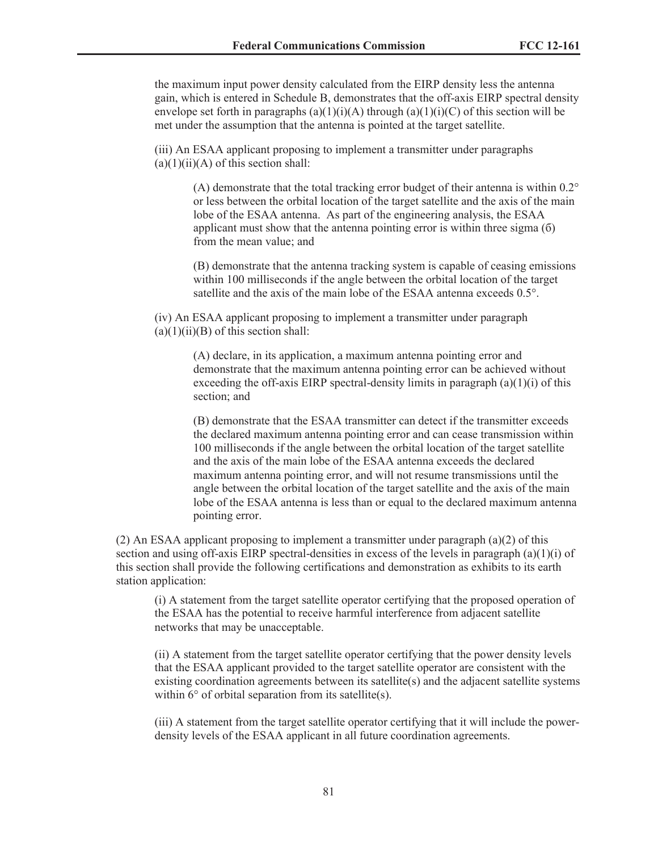the maximum input power density calculated from the EIRP density less the antenna gain, which is entered in Schedule B, demonstrates that the off-axis EIRP spectral density envelope set forth in paragraphs (a)(1)(i)(A) through (a)(1)(i)(C) of this section will be met under the assumption that the antenna is pointed at the target satellite.

(iii) An ESAA applicant proposing to implement a transmitter under paragraphs  $(a)(1)(ii)(A)$  of this section shall:

> (A) demonstrate that the total tracking error budget of their antenna is within  $0.2^{\circ}$ or less between the orbital location of the target satellite and the axis of the main lobe of the ESAA antenna. As part of the engineering analysis, the ESAA applicant must show that the antenna pointing error is within three sigma (б) from the mean value; and

> (B) demonstrate that the antenna tracking system is capable of ceasing emissions within 100 milliseconds if the angle between the orbital location of the target satellite and the axis of the main lobe of the ESAA antenna exceeds 0.5°.

(iv) An ESAA applicant proposing to implement a transmitter under paragraph  $(a)(1)(ii)(B)$  of this section shall:

> (A) declare, in its application, a maximum antenna pointing error and demonstrate that the maximum antenna pointing error can be achieved without exceeding the off-axis EIRP spectral-density limits in paragraph  $(a)(1)(i)$  of this section; and

(B) demonstrate that the ESAA transmitter can detect if the transmitter exceeds the declared maximum antenna pointing error and can cease transmission within 100 milliseconds if the angle between the orbital location of the target satellite and the axis of the main lobe of the ESAA antenna exceeds the declared maximum antenna pointing error, and will not resume transmissions until the angle between the orbital location of the target satellite and the axis of the main lobe of the ESAA antenna is less than or equal to the declared maximum antenna pointing error.

(2) An ESAA applicant proposing to implement a transmitter under paragraph  $(a)(2)$  of this section and using off-axis EIRP spectral-densities in excess of the levels in paragraph  $(a)(1)(i)$  of this section shall provide the following certifications and demonstration as exhibits to its earth station application:

(i) A statement from the target satellite operator certifying that the proposed operation of the ESAA has the potential to receive harmful interference from adjacent satellite networks that may be unacceptable.

(ii) A statement from the target satellite operator certifying that the power density levels that the ESAA applicant provided to the target satellite operator are consistent with the existing coordination agreements between its satellite $(s)$  and the adjacent satellite systems within 6° of orbital separation from its satellite(s).

(iii) A statement from the target satellite operator certifying that it will include the powerdensity levels of the ESAA applicant in all future coordination agreements.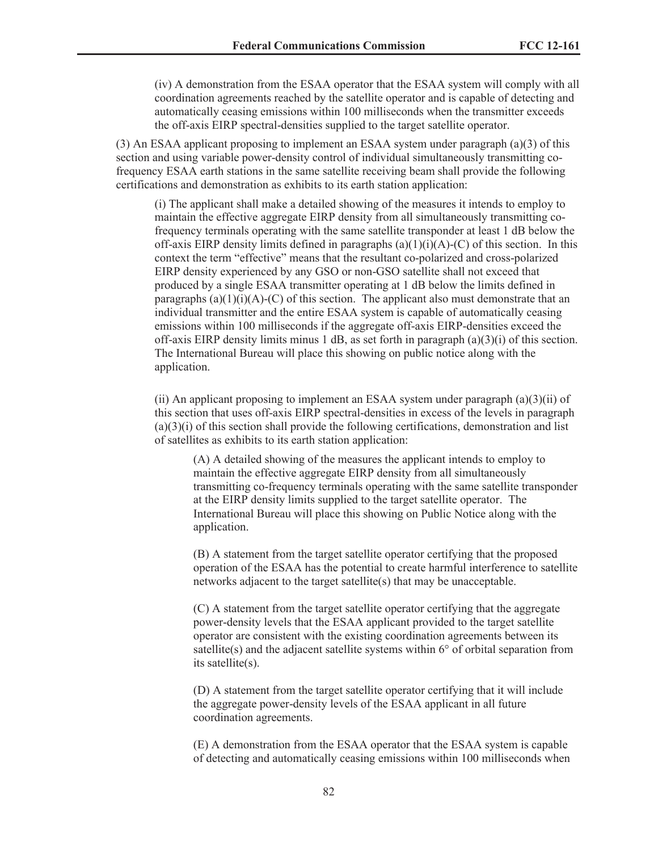(iv) A demonstration from the ESAA operator that the ESAA system will comply with all coordination agreements reached by the satellite operator and is capable of detecting and automatically ceasing emissions within 100 milliseconds when the transmitter exceeds the off-axis EIRP spectral-densities supplied to the target satellite operator.

(3) An ESAA applicant proposing to implement an ESAA system under paragraph (a)(3) of this section and using variable power-density control of individual simultaneously transmitting cofrequency ESAA earth stations in the same satellite receiving beam shall provide the following certifications and demonstration as exhibits to its earth station application:

(i) The applicant shall make a detailed showing of the measures it intends to employ to maintain the effective aggregate EIRP density from all simultaneously transmitting cofrequency terminals operating with the same satellite transponder at least 1 dB below the off-axis EIRP density limits defined in paragraphs  $(a)(1)(i)(A)-(C)$  of this section. In this context the term "effective" means that the resultant co-polarized and cross-polarized EIRP density experienced by any GSO or non-GSO satellite shall not exceed that produced by a single ESAA transmitter operating at 1 dB below the limits defined in paragraphs  $(a)(1)(i)(A)-(C)$  of this section. The applicant also must demonstrate that an individual transmitter and the entire ESAA system is capable of automatically ceasing emissions within 100 milliseconds if the aggregate off-axis EIRP-densities exceed the off-axis EIRP density limits minus 1 dB, as set forth in paragraph  $(a)(3)(i)$  of this section. The International Bureau will place this showing on public notice along with the application.

(ii) An applicant proposing to implement an ESAA system under paragraph  $(a)(3)(ii)$  of this section that uses off-axis EIRP spectral-densities in excess of the levels in paragraph  $(a)(3)(i)$  of this section shall provide the following certifications, demonstration and list of satellites as exhibits to its earth station application:

(A) A detailed showing of the measures the applicant intends to employ to maintain the effective aggregate EIRP density from all simultaneously transmitting co-frequency terminals operating with the same satellite transponder at the EIRP density limits supplied to the target satellite operator. The International Bureau will place this showing on Public Notice along with the application.

(B) A statement from the target satellite operator certifying that the proposed operation of the ESAA has the potential to create harmful interference to satellite networks adjacent to the target satellite(s) that may be unacceptable.

(C) A statement from the target satellite operator certifying that the aggregate power-density levels that the ESAA applicant provided to the target satellite operator are consistent with the existing coordination agreements between its satellite(s) and the adjacent satellite systems within 6° of orbital separation from its satellite(s).

(D) A statement from the target satellite operator certifying that it will include the aggregate power-density levels of the ESAA applicant in all future coordination agreements.

(E) A demonstration from the ESAA operator that the ESAA system is capable of detecting and automatically ceasing emissions within 100 milliseconds when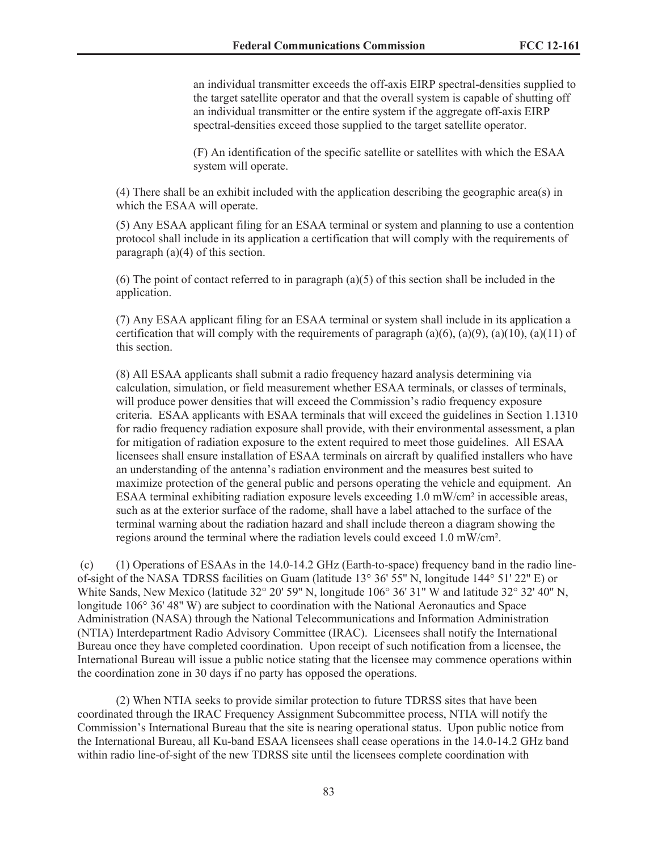an individual transmitter exceeds the off-axis EIRP spectral-densities supplied to the target satellite operator and that the overall system is capable of shutting off an individual transmitter or the entire system if the aggregate off-axis EIRP spectral-densities exceed those supplied to the target satellite operator.

(F) An identification of the specific satellite or satellites with which the ESAA system will operate.

(4) There shall be an exhibit included with the application describing the geographic area(s) in which the ESAA will operate.

(5) Any ESAA applicant filing for an ESAA terminal or system and planning to use a contention protocol shall include in its application a certification that will comply with the requirements of paragraph  $(a)(4)$  of this section.

(6) The point of contact referred to in paragraph (a)(5) of this section shall be included in the application.

(7) Any ESAA applicant filing for an ESAA terminal or system shall include in its application a certification that will comply with the requirements of paragraph (a)(6), (a)(9), (a)(10), (a)(11) of this section.

(8) All ESAA applicants shall submit a radio frequency hazard analysis determining via calculation, simulation, or field measurement whether ESAA terminals, or classes of terminals, will produce power densities that will exceed the Commission's radio frequency exposure criteria. ESAA applicants with ESAA terminals that will exceed the guidelines in Section 1.1310 for radio frequency radiation exposure shall provide, with their environmental assessment, a plan for mitigation of radiation exposure to the extent required to meet those guidelines. All ESAA licensees shall ensure installation of ESAA terminals on aircraft by qualified installers who have an understanding of the antenna's radiation environment and the measures best suited to maximize protection of the general public and persons operating the vehicle and equipment. An ESAA terminal exhibiting radiation exposure levels exceeding 1.0 mW/cm² in accessible areas, such as at the exterior surface of the radome, shall have a label attached to the surface of the terminal warning about the radiation hazard and shall include thereon a diagram showing the regions around the terminal where the radiation levels could exceed 1.0 mW/cm².

(c) (1) Operations of ESAAs in the 14.0-14.2 GHz (Earth-to-space) frequency band in the radio lineof-sight of the NASA TDRSS facilities on Guam (latitude 13° 36' 55'' N, longitude 144° 51' 22'' E) or White Sands, New Mexico (latitude 32° 20' 59'' N, longitude 106° 36' 31'' W and latitude 32° 32' 40'' N, longitude 106° 36' 48'' W) are subject to coordination with the National Aeronautics and Space Administration (NASA) through the National Telecommunications and Information Administration (NTIA) Interdepartment Radio Advisory Committee (IRAC). Licensees shall notify the International Bureau once they have completed coordination. Upon receipt of such notification from a licensee, the International Bureau will issue a public notice stating that the licensee may commence operations within the coordination zone in 30 days if no party has opposed the operations.

(2) When NTIA seeks to provide similar protection to future TDRSS sites that have been coordinated through the IRAC Frequency Assignment Subcommittee process, NTIA will notify the Commission's International Bureau that the site is nearing operational status. Upon public notice from the International Bureau, all Ku-band ESAA licensees shall cease operations in the 14.0-14.2 GHz band within radio line-of-sight of the new TDRSS site until the licensees complete coordination with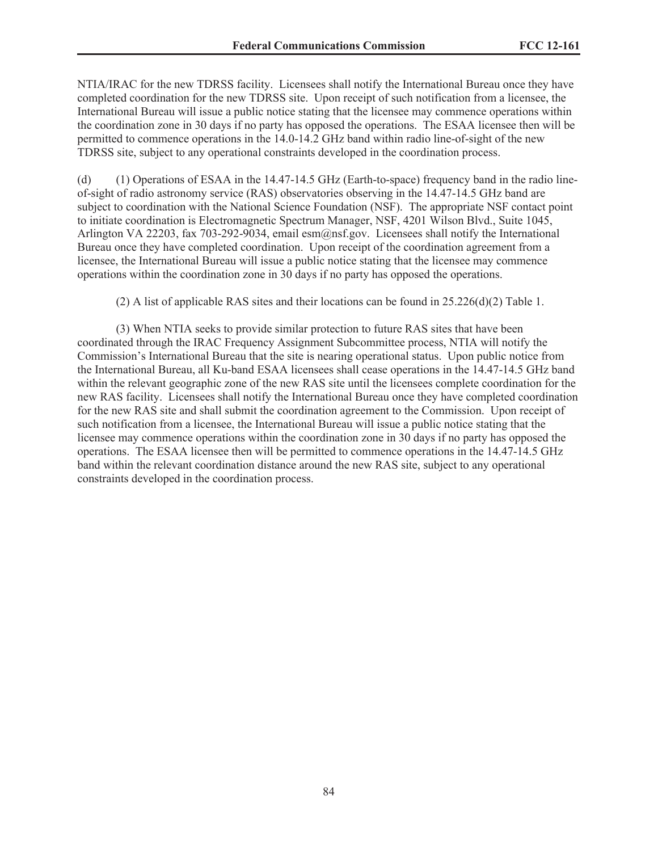NTIA/IRAC for the new TDRSS facility. Licensees shall notify the International Bureau once they have completed coordination for the new TDRSS site. Upon receipt of such notification from a licensee, the International Bureau will issue a public notice stating that the licensee may commence operations within the coordination zone in 30 days if no party has opposed the operations. The ESAA licensee then will be permitted to commence operations in the 14.0-14.2 GHz band within radio line-of-sight of the new TDRSS site, subject to any operational constraints developed in the coordination process.

(d) (1) Operations of ESAA in the 14.47-14.5 GHz (Earth-to-space) frequency band in the radio lineof-sight of radio astronomy service (RAS) observatories observing in the 14.47-14.5 GHz band are subject to coordination with the National Science Foundation (NSF). The appropriate NSF contact point to initiate coordination is Electromagnetic Spectrum Manager, NSF, 4201 Wilson Blvd., Suite 1045, Arlington VA 22203, fax 703-292-9034, email esm@nsf.gov. Licensees shall notify the International Bureau once they have completed coordination. Upon receipt of the coordination agreement from a licensee, the International Bureau will issue a public notice stating that the licensee may commence operations within the coordination zone in 30 days if no party has opposed the operations.

(2) A list of applicable RAS sites and their locations can be found in 25.226(d)(2) Table 1.

(3) When NTIA seeks to provide similar protection to future RAS sites that have been coordinated through the IRAC Frequency Assignment Subcommittee process, NTIA will notify the Commission's International Bureau that the site is nearing operational status. Upon public notice from the International Bureau, all Ku-band ESAA licensees shall cease operations in the 14.47-14.5 GHz band within the relevant geographic zone of the new RAS site until the licensees complete coordination for the new RAS facility. Licensees shall notify the International Bureau once they have completed coordination for the new RAS site and shall submit the coordination agreement to the Commission. Upon receipt of such notification from a licensee, the International Bureau will issue a public notice stating that the licensee may commence operations within the coordination zone in 30 days if no party has opposed the operations. The ESAA licensee then will be permitted to commence operations in the 14.47-14.5 GHz band within the relevant coordination distance around the new RAS site, subject to any operational constraints developed in the coordination process.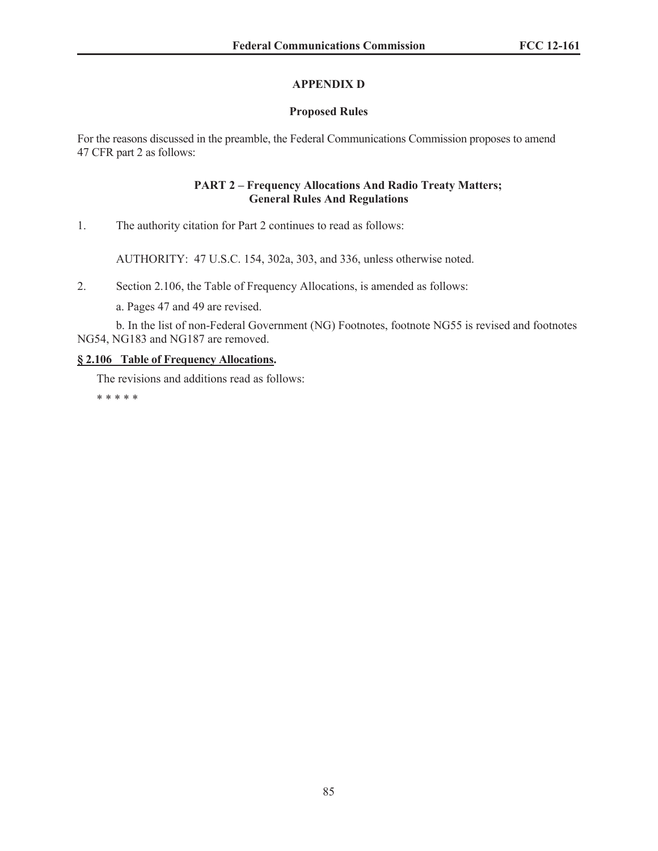### **APPENDIX D**

### **Proposed Rules**

For the reasons discussed in the preamble, the Federal Communications Commission proposes to amend 47 CFR part 2 as follows:

#### **PART 2 – Frequency Allocations And Radio Treaty Matters; General Rules And Regulations**

1. The authority citation for Part 2 continues to read as follows:

AUTHORITY: 47 U.S.C. 154, 302a, 303, and 336, unless otherwise noted.

2. Section 2.106, the Table of Frequency Allocations, is amended as follows:

a. Pages 47 and 49 are revised.

b. In the list of non-Federal Government (NG) Footnotes, footnote NG55 is revised and footnotes NG54, NG183 and NG187 are removed.

#### **§ 2.106 Table of Frequency Allocations.**

The revisions and additions read as follows: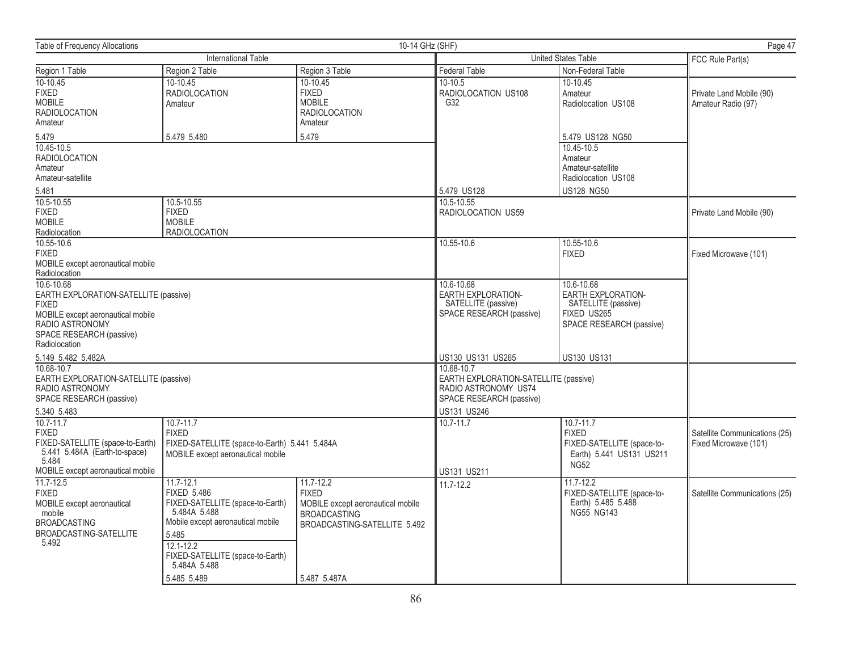| <b>Table of Frequency Allocations</b>                                                                                                                                    |                                                                                                                                                                                                                           | 10-14 GHz (SHF)                                                                                                                           |                                                                                            |                                                                                                           | Page 47                                                |
|--------------------------------------------------------------------------------------------------------------------------------------------------------------------------|---------------------------------------------------------------------------------------------------------------------------------------------------------------------------------------------------------------------------|-------------------------------------------------------------------------------------------------------------------------------------------|--------------------------------------------------------------------------------------------|-----------------------------------------------------------------------------------------------------------|--------------------------------------------------------|
| <b>International Table</b>                                                                                                                                               |                                                                                                                                                                                                                           | <b>United States Table</b>                                                                                                                | FCC Rule Part(s)                                                                           |                                                                                                           |                                                        |
| Region 1 Table                                                                                                                                                           | Region 2 Table                                                                                                                                                                                                            | Region 3 Table                                                                                                                            | <b>Federal Table</b>                                                                       | Non-Federal Table                                                                                         |                                                        |
| $10-10.45$<br><b>FIXED</b><br><b>MOBILE</b><br><b>RADIOLOCATION</b><br>Amateur                                                                                           | 10-10.45<br><b>RADIOLOCATION</b><br>Amateur                                                                                                                                                                               | 10-10.45<br><b>FIXED</b><br><b>MOBILE</b><br><b>RADIOLOCATION</b><br>Amateur                                                              | 10-10.5<br>RADIOLOCATION US108<br>G32                                                      | $10-10.45$<br>Amateur<br>Radiolocation US108                                                              | Private Land Mobile (90)<br>Amateur Radio (97)         |
| 5.479                                                                                                                                                                    | 5.479 5.480                                                                                                                                                                                                               | 5.479                                                                                                                                     |                                                                                            | 5.479 US128 NG50                                                                                          |                                                        |
| 10.45-10.5<br><b>RADIOLOCATION</b><br>Amateur<br>Amateur-satellite                                                                                                       |                                                                                                                                                                                                                           |                                                                                                                                           |                                                                                            | 10.45-10.5<br>Amateur<br>Amateur-satellite<br>Radiolocation US108                                         |                                                        |
| 5.481                                                                                                                                                                    |                                                                                                                                                                                                                           |                                                                                                                                           | 5.479 US128<br>10.5-10.55                                                                  | <b>US128 NG50</b>                                                                                         |                                                        |
| <b>FIXED</b><br><b>MOBILE</b><br>Radiolocation                                                                                                                           | 10.5-10.55<br>10.5-10.55<br><b>FIXED</b><br><b>MOBILE</b><br><b>RADIOLOCATION</b>                                                                                                                                         |                                                                                                                                           |                                                                                            |                                                                                                           | Private Land Mobile (90)                               |
| 10.55-10.6<br><b>FIXED</b><br>MOBILE except aeronautical mobile<br>Radiolocation                                                                                         |                                                                                                                                                                                                                           |                                                                                                                                           | 10.55-10.6                                                                                 | 10.55-10.6<br><b>FIXED</b>                                                                                | Fixed Microwave (101)                                  |
| 10.6-10.68<br>EARTH EXPLORATION-SATELLITE (passive)<br><b>FIXED</b><br>MOBILE except aeronautical mobile<br>RADIO ASTRONOMY<br>SPACE RESEARCH (passive)<br>Radiolocation |                                                                                                                                                                                                                           |                                                                                                                                           | 10.6-10.68<br><b>EARTH EXPLORATION-</b><br>SATELLITE (passive)<br>SPACE RESEARCH (passive) | 10.6-10.68<br><b>EARTH EXPLORATION-</b><br>SATELLITE (passive)<br>FIXED US265<br>SPACE RESEARCH (passive) |                                                        |
| 5.149 5.482 5.482A                                                                                                                                                       |                                                                                                                                                                                                                           |                                                                                                                                           | US130 US131 US265                                                                          | <b>US130 US131</b>                                                                                        |                                                        |
| 10.68-10.7<br>EARTH EXPLORATION-SATELLITE (passive)<br>RADIO ASTRONOMY<br>SPACE RESEARCH (passive)                                                                       |                                                                                                                                                                                                                           | 10.68-10.7<br>EARTH EXPLORATION-SATELLITE (passive)<br>RADIO ASTRONOMY US74<br>SPACE RESEARCH (passive)                                   |                                                                                            |                                                                                                           |                                                        |
| 5.340 5.483                                                                                                                                                              |                                                                                                                                                                                                                           |                                                                                                                                           | US131 US246                                                                                |                                                                                                           |                                                        |
| 10.7-11.7<br><b>FIXED</b><br>FIXED-SATELLITE (space-to-Earth)<br>5.441 5.484A (Earth-to-space)<br>5.484<br>MOBILE except aeronautical mobile                             | $10.7 - 11.7$<br><b>FIXED</b><br>FIXED-SATELLITE (space-to-Earth) 5.441 5.484A<br>MOBILE except aeronautical mobile                                                                                                       |                                                                                                                                           | $10.7 - 11.7$<br>US131 US211                                                               | $10.7 - 11.7$<br><b>FIXED</b><br>FIXED-SATELLITE (space-to-<br>Earth) 5.441 US131 US211<br><b>NG52</b>    | Satellite Communications (25)<br>Fixed Microwave (101) |
| $11.7 - 12.5$<br><b>FIXED</b><br>MOBILE except aeronautical<br>mobile<br><b>BROADCASTING</b><br><b>BROADCASTING-SATELLITE</b><br>5.492                                   | $11.7 - 12.1$<br><b>FIXED 5.486</b><br>FIXED-SATELLITE (space-to-Earth)<br>5.484A 5.488<br>Mobile except aeronautical mobile<br>5.485<br>$12.1 - 12.2$<br>FIXED-SATELLITE (space-to-Earth)<br>5.484A 5.488<br>5.485 5.489 | $11.7 - 12.2$<br><b>FIXED</b><br>MOBILE except aeronautical mobile<br><b>BROADCASTING</b><br>BROADCASTING-SATELLITE 5.492<br>5.487 5.487A | 11.7-12.2                                                                                  | $11.7 - 12.2$<br>FIXED-SATELLITE (space-to-<br>Earth) 5.485 5.488<br><b>NG55 NG143</b>                    | Satellite Communications (25)                          |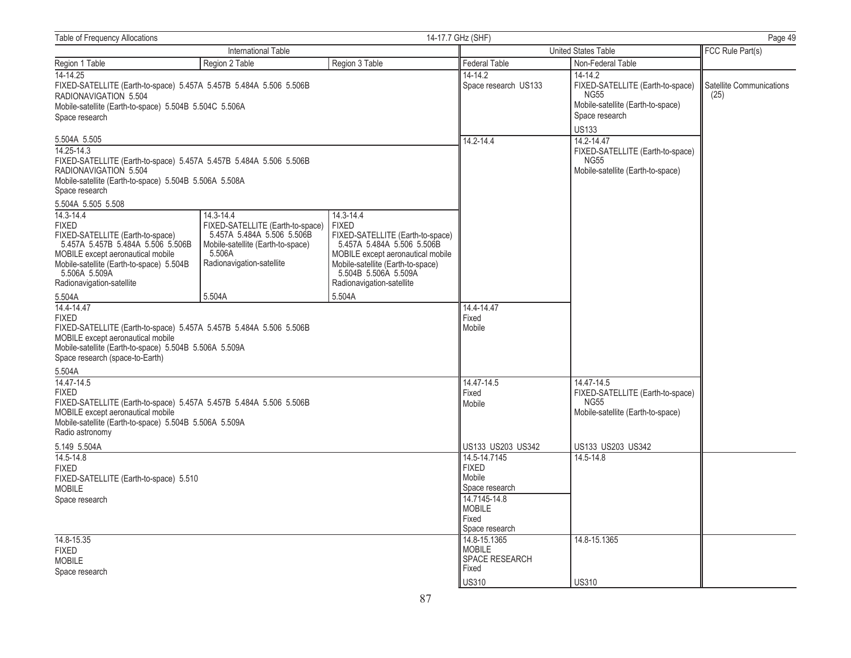| <b>Table of Frequency Allocations</b>                                                                                                                                                                                              |                                                                                                                                                         |                                                                                                                                                                                                                            | 14-17.7 GHz (SHF)                                                                                                    | Page 49                                                                                                           |                                  |
|------------------------------------------------------------------------------------------------------------------------------------------------------------------------------------------------------------------------------------|---------------------------------------------------------------------------------------------------------------------------------------------------------|----------------------------------------------------------------------------------------------------------------------------------------------------------------------------------------------------------------------------|----------------------------------------------------------------------------------------------------------------------|-------------------------------------------------------------------------------------------------------------------|----------------------------------|
| International Table                                                                                                                                                                                                                |                                                                                                                                                         |                                                                                                                                                                                                                            | United States Table                                                                                                  | FCC Rule Part(s)                                                                                                  |                                  |
| Region 1 Table                                                                                                                                                                                                                     | Region 2 Table                                                                                                                                          | Region 3 Table                                                                                                                                                                                                             | <b>Federal Table</b>                                                                                                 | Non-Federal Table                                                                                                 |                                  |
| $14 - 14.25$<br>FIXED-SATELLITE (Earth-to-space) 5.457A 5.457B 5.484A 5.506 5.506B<br>RADIONAVIGATION 5.504<br>Mobile-satellite (Earth-to-space) 5.504B 5.504C 5.506A<br>Space research                                            |                                                                                                                                                         |                                                                                                                                                                                                                            | 14-14.2<br>Space research US133                                                                                      | 14-14.2<br>FIXED-SATELLITE (Earth-to-space)<br><b>NG55</b><br>Mobile-satellite (Earth-to-space)<br>Space research | Satellite Communications<br>(25) |
| 5.504A 5.505                                                                                                                                                                                                                       |                                                                                                                                                         |                                                                                                                                                                                                                            | 14.2-14.4                                                                                                            | <b>US133</b><br>14.2-14.47                                                                                        |                                  |
| 14.25-14.3<br>FIXED-SATELLITE (Earth-to-space) 5.457A 5.457B 5.484A 5.506 5.506B<br>RADIONAVIGATION 5.504<br>Mobile-satellite (Earth-to-space) 5.504B 5.506A 5.508A<br>Space research                                              |                                                                                                                                                         |                                                                                                                                                                                                                            | FIXED-SATELLITE (Earth-to-space)<br><b>NG55</b><br>Mobile-satellite (Earth-to-space)                                 |                                                                                                                   |                                  |
| 5.504A 5.505 5.508                                                                                                                                                                                                                 |                                                                                                                                                         |                                                                                                                                                                                                                            |                                                                                                                      |                                                                                                                   |                                  |
| 14.3-14.4<br><b>FIXED</b><br>FIXED-SATELLITE (Earth-to-space)<br>5.457A 5.457B 5.484A 5.506 5.506B<br>MOBILE except aeronautical mobile<br>Mobile-satellite (Earth-to-space) 5.504B<br>5.506A 5.509A<br>Radionavigation-satellite  | 14.3-14.4<br>FIXED-SATELLITE (Earth-to-space)<br>5.457A 5.484A 5.506 5.506B<br>Mobile-satellite (Earth-to-space)<br>5.506A<br>Radionavigation-satellite | 14.3-14.4<br><b>FIXED</b><br>FIXED-SATELLITE (Earth-to-space)<br>5.457A 5.484A 5.506 5.506B<br>MOBILE except aeronautical mobile<br>Mobile-satellite (Earth-to-space)<br>5.504B 5.506A 5.509A<br>Radionavigation-satellite |                                                                                                                      |                                                                                                                   |                                  |
| 5.504A                                                                                                                                                                                                                             | 5.504A                                                                                                                                                  | 5.504A                                                                                                                                                                                                                     |                                                                                                                      |                                                                                                                   |                                  |
| 14.4-14.47<br><b>FIXED</b><br>FIXED-SATELLITE (Earth-to-space) 5.457A 5.457B 5.484A 5.506 5.506B<br>MOBILE except aeronautical mobile<br>Mobile-satellite (Earth-to-space) 5.504B 5.506A 5.509A<br>Space research (space-to-Earth) |                                                                                                                                                         |                                                                                                                                                                                                                            | 14.4-14.47<br>Fixed<br>Mobile                                                                                        |                                                                                                                   |                                  |
| 5.504A                                                                                                                                                                                                                             |                                                                                                                                                         |                                                                                                                                                                                                                            |                                                                                                                      |                                                                                                                   |                                  |
| 14.47-14.5<br><b>FIXED</b><br>FIXED-SATELLITE (Earth-to-space) 5.457A 5.457B 5.484A 5.506 5.506B<br>MOBILE except aeronautical mobile<br>Mobile-satellite (Earth-to-space) 5.504B 5.506A 5.509A<br>Radio astronomy                 |                                                                                                                                                         |                                                                                                                                                                                                                            | 14.47-14.5<br>Fixed<br>Mobile                                                                                        | 14.47-14.5<br>FIXED-SATELLITE (Earth-to-space)<br><b>NG55</b><br>Mobile-satellite (Earth-to-space)                |                                  |
| 5.149 5.504A                                                                                                                                                                                                                       |                                                                                                                                                         |                                                                                                                                                                                                                            | US133 US203 US342                                                                                                    | US133 US203 US342                                                                                                 |                                  |
| 14.5-14.8<br><b>FIXED</b><br>FIXED-SATELLITE (Earth-to-space) 5.510<br><b>MOBILE</b><br>Space research                                                                                                                             |                                                                                                                                                         |                                                                                                                                                                                                                            | 14.5-14.7145<br><b>FIXED</b><br>Mobile<br>Space research<br>14.7145-14.8<br><b>MOBILE</b><br>Fixed<br>Space research | 14.5-14.8                                                                                                         |                                  |
| 14.8-15.35<br><b>FIXED</b><br><b>MOBILE</b><br>Space research                                                                                                                                                                      |                                                                                                                                                         |                                                                                                                                                                                                                            | 14.8-15.1365<br><b>MOBILE</b><br><b>SPACE RESEARCH</b><br>Fixed<br><b>US310</b>                                      | 14.8-15.1365<br><b>US310</b>                                                                                      |                                  |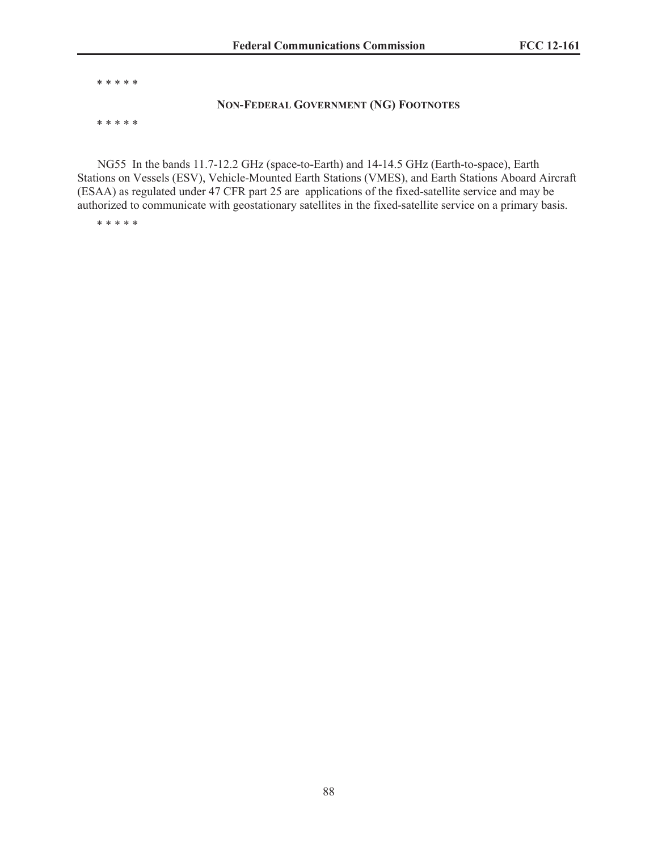\* \* \* \* \*

#### **NON-FEDERAL GOVERNMENT (NG) FOOTNOTES**

\* \* \* \* \*

NG55 In the bands 11.7-12.2 GHz (space-to-Earth) and 14-14.5 GHz (Earth-to-space), Earth Stations on Vessels (ESV), Vehicle-Mounted Earth Stations (VMES), and Earth Stations Aboard Aircraft (ESAA) as regulated under 47 CFR part 25 are applications of the fixed-satellite service and may be authorized to communicate with geostationary satellites in the fixed-satellite service on a primary basis.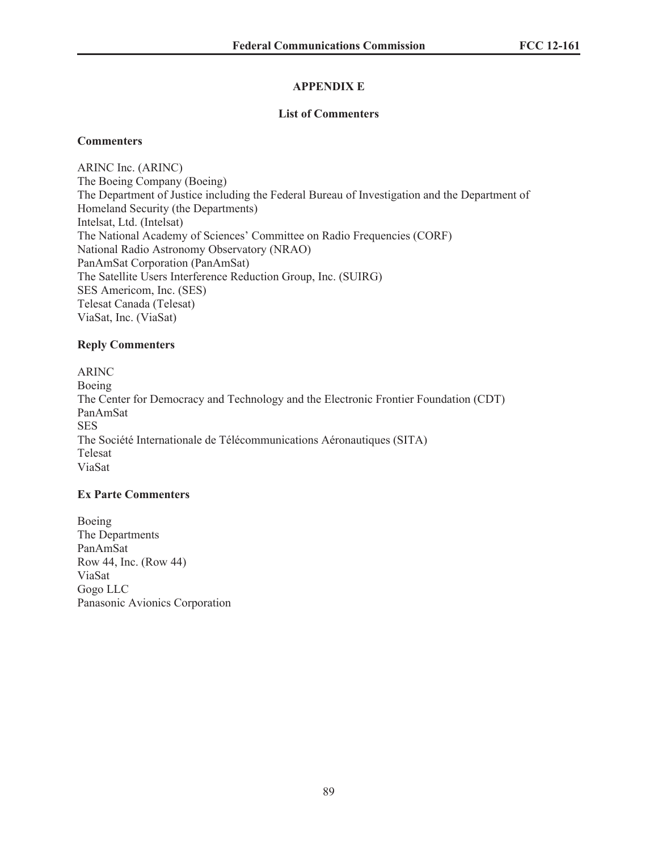# **APPENDIX E**

### **List of Commenters**

### **Commenters**

ARINC Inc. (ARINC) The Boeing Company (Boeing) The Department of Justice including the Federal Bureau of Investigation and the Department of Homeland Security (the Departments) Intelsat, Ltd. (Intelsat) The National Academy of Sciences' Committee on Radio Frequencies (CORF) National Radio Astronomy Observatory (NRAO) PanAmSat Corporation (PanAmSat) The Satellite Users Interference Reduction Group, Inc. (SUIRG) SES Americom, Inc. (SES) Telesat Canada (Telesat) ViaSat, Inc. (ViaSat)

### **Reply Commenters**

ARINC Boeing The Center for Democracy and Technology and the Electronic Frontier Foundation (CDT) PanAmSat SES The Société Internationale de Télécommunications Aéronautiques (SITA) Telesat ViaSat

# **Ex Parte Commenters**

Boeing The Departments PanAmSat Row 44, Inc. (Row 44) ViaSat Gogo LLC Panasonic Avionics Corporation